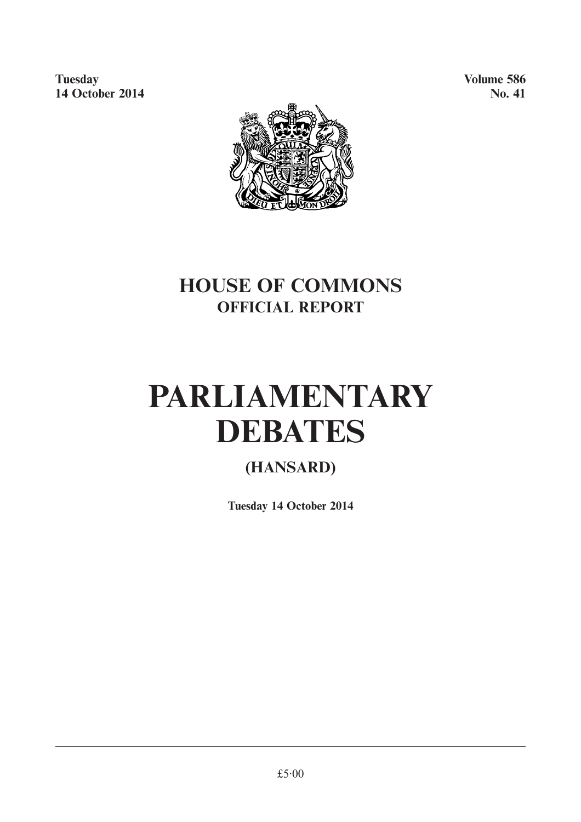**Tuesday Volume 586 14 October 2014** No. 41



## **HOUSE OF COMMONS OFFICIAL REPORT**

# **PARLIAMENTARY DEBATES**

### **(HANSARD)**

**Tuesday 14 October 2014**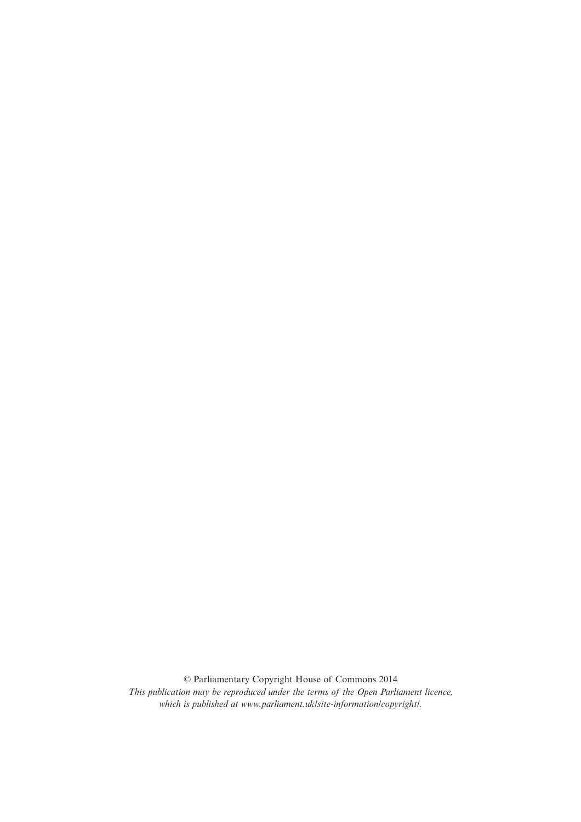© Parliamentary Copyright House of Commons 2014 *This publication may be reproduced under the terms of the Open Parliament licence, which is published at www.parliament.uk/site-information/copyright/.*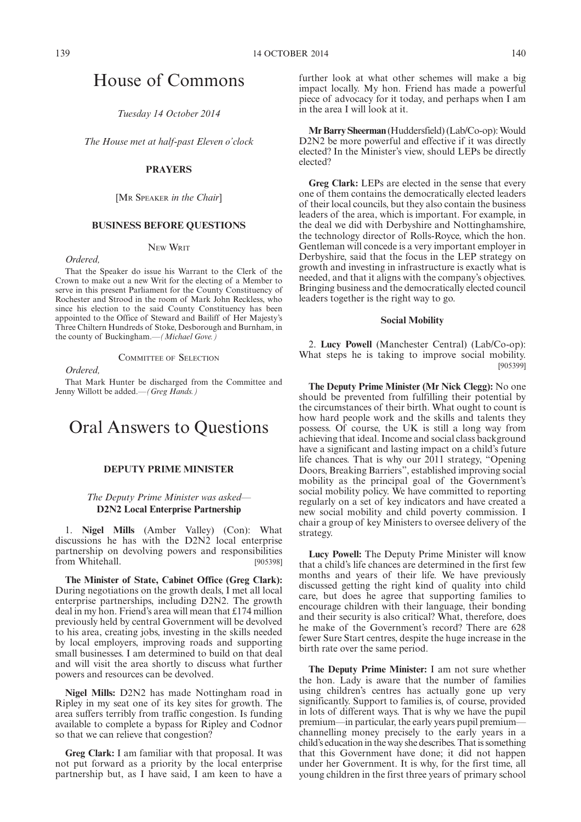### House of Commons

*Tuesday 14 October 2014*

*The House met at half-past Eleven o'clock*

#### **PRAYERS**

[MR SPEAKER *in the Chair*]

#### **BUSINESS BEFORE QUESTIONS**

#### NEW WRIT

*Ordered,*

That the Speaker do issue his Warrant to the Clerk of the Crown to make out a new Writ for the electing of a Member to serve in this present Parliament for the County Constituency of Rochester and Strood in the room of Mark John Reckless, who since his election to the said County Constituency has been appointed to the Office of Steward and Bailiff of Her Majesty's Three Chiltern Hundreds of Stoke, Desborough and Burnham, in the county of Buckingham.*—(Michael Gove.)*

COMMITTEE OF SELECTION

*Ordered,*

That Mark Hunter be discharged from the Committee and Jenny Willott be added.*—(Greg Hands.)*

### Oral Answers to Questions

#### **DEPUTY PRIME MINISTER**

#### *The Deputy Prime Minister was asked—* **D2N2 Local Enterprise Partnership**

1. **Nigel Mills** (Amber Valley) (Con): What discussions he has with the D2N2 local enterprise partnership on devolving powers and responsibilities from Whitehall. [905398]

**The Minister of State, Cabinet Office (Greg Clark):** During negotiations on the growth deals, I met all local enterprise partnerships, including D2N2. The growth deal in my hon. Friend's area will mean that £174 million previously held by central Government will be devolved to his area, creating jobs, investing in the skills needed by local employers, improving roads and supporting small businesses. I am determined to build on that deal and will visit the area shortly to discuss what further powers and resources can be devolved.

**Nigel Mills:** D2N2 has made Nottingham road in Ripley in my seat one of its key sites for growth. The area suffers terribly from traffic congestion. Is funding available to complete a bypass for Ripley and Codnor so that we can relieve that congestion?

**Greg Clark:** I am familiar with that proposal. It was not put forward as a priority by the local enterprise partnership but, as I have said, I am keen to have a further look at what other schemes will make a big impact locally. My hon. Friend has made a powerful piece of advocacy for it today, and perhaps when I am in the area I will look at it.

**Mr Barry Sheerman** (Huddersfield) (Lab/Co-op): Would D2N2 be more powerful and effective if it was directly elected? In the Minister's view, should LEPs be directly elected?

**Greg Clark:** LEPs are elected in the sense that every one of them contains the democratically elected leaders of their local councils, but they also contain the business leaders of the area, which is important. For example, in the deal we did with Derbyshire and Nottinghamshire, the technology director of Rolls-Royce, which the hon. Gentleman will concede is a very important employer in Derbyshire, said that the focus in the LEP strategy on growth and investing in infrastructure is exactly what is needed, and that it aligns with the company's objectives. Bringing business and the democratically elected council leaders together is the right way to go.

#### **Social Mobility**

2. **Lucy Powell** (Manchester Central) (Lab/Co-op): What steps he is taking to improve social mobility. [905399]

**The Deputy Prime Minister (Mr Nick Clegg):** No one should be prevented from fulfilling their potential by the circumstances of their birth. What ought to count is how hard people work and the skills and talents they possess. Of course, the UK is still a long way from achieving that ideal. Income and social class background have a significant and lasting impact on a child's future life chances. That is why our 2011 strategy, "Opening Doors, Breaking Barriers", established improving social mobility as the principal goal of the Government's social mobility policy. We have committed to reporting regularly on a set of key indicators and have created a new social mobility and child poverty commission. I chair a group of key Ministers to oversee delivery of the strategy.

**Lucy Powell:** The Deputy Prime Minister will know that a child's life chances are determined in the first few months and years of their life. We have previously discussed getting the right kind of quality into child care, but does he agree that supporting families to encourage children with their language, their bonding and their security is also critical? What, therefore, does he make of the Government's record? There are 628 fewer Sure Start centres, despite the huge increase in the birth rate over the same period.

**The Deputy Prime Minister:** I am not sure whether the hon. Lady is aware that the number of families using children's centres has actually gone up very significantly. Support to families is, of course, provided in lots of different ways. That is why we have the pupil premium—in particular, the early years pupil premium channelling money precisely to the early years in a child's education in the way she describes. That is something that this Government have done; it did not happen under her Government. It is why, for the first time, all young children in the first three years of primary school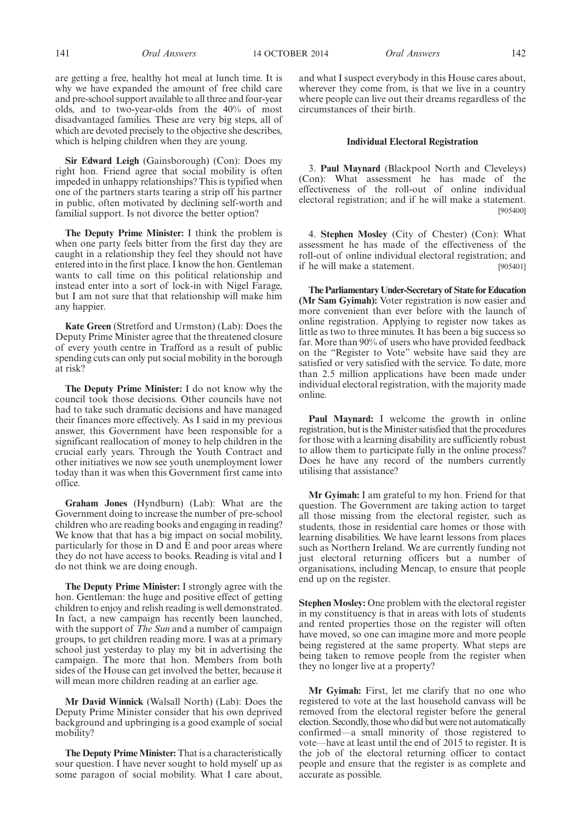are getting a free, healthy hot meal at lunch time. It is why we have expanded the amount of free child care and pre-school support available to all three and four-year olds, and to two-year-olds from the 40% of most disadvantaged families. These are very big steps, all of which are devoted precisely to the objective she describes, which is helping children when they are young.

**Sir Edward Leigh** (Gainsborough) (Con): Does my right hon. Friend agree that social mobility is often impeded in unhappy relationships? This is typified when one of the partners starts tearing a strip off his partner in public, often motivated by declining self-worth and familial support. Is not divorce the better option?

**The Deputy Prime Minister:** I think the problem is when one party feels bitter from the first day they are caught in a relationship they feel they should not have entered into in the first place. I know the hon. Gentleman wants to call time on this political relationship and instead enter into a sort of lock-in with Nigel Farage, but I am not sure that that relationship will make him any happier.

**Kate Green** (Stretford and Urmston) (Lab): Does the Deputy Prime Minister agree that the threatened closure of every youth centre in Trafford as a result of public spending cuts can only put social mobility in the borough at risk?

**The Deputy Prime Minister:** I do not know why the council took those decisions. Other councils have not had to take such dramatic decisions and have managed their finances more effectively. As I said in my previous answer, this Government have been responsible for a significant reallocation of money to help children in the crucial early years. Through the Youth Contract and other initiatives we now see youth unemployment lower today than it was when this Government first came into office.

**Graham Jones** (Hyndburn) (Lab): What are the Government doing to increase the number of pre-school children who are reading books and engaging in reading? We know that that has a big impact on social mobility, particularly for those in D and E and poor areas where they do not have access to books. Reading is vital and I do not think we are doing enough.

**The Deputy Prime Minister:** I strongly agree with the hon. Gentleman: the huge and positive effect of getting children to enjoy and relish reading is well demonstrated. In fact, a new campaign has recently been launched, with the support of *The Sun* and a number of campaign groups, to get children reading more. I was at a primary school just yesterday to play my bit in advertising the campaign. The more that hon. Members from both sides of the House can get involved the better, because it will mean more children reading at an earlier age.

**Mr David Winnick** (Walsall North) (Lab): Does the Deputy Prime Minister consider that his own deprived background and upbringing is a good example of social mobility?

**The Deputy Prime Minister:** That is a characteristically sour question. I have never sought to hold myself up as some paragon of social mobility. What I care about,

and what I suspect everybody in this House cares about, wherever they come from, is that we live in a country where people can live out their dreams regardless of the circumstances of their birth.

#### **Individual Electoral Registration**

3. **Paul Maynard** (Blackpool North and Cleveleys) (Con): What assessment he has made of the effectiveness of the roll-out of online individual electoral registration; and if he will make a statement. [905400]

4. **Stephen Mosley** (City of Chester) (Con): What assessment he has made of the effectiveness of the roll-out of online individual electoral registration; and if he will make a statement. [905401]

**The Parliamentary Under-Secretary of State for Education (Mr Sam Gyimah):** Voter registration is now easier and more convenient than ever before with the launch of online registration. Applying to register now takes as little as two to three minutes. It has been a big success so far. More than 90% of users who have provided feedback on the "Register to Vote" website have said they are satisfied or very satisfied with the service. To date, more than 2.5 million applications have been made under individual electoral registration, with the majority made online.

**Paul Maynard:** I welcome the growth in online registration, but is the Minister satisfied that the procedures for those with a learning disability are sufficiently robust to allow them to participate fully in the online process? Does he have any record of the numbers currently utilising that assistance?

**Mr Gyimah:** I am grateful to my hon. Friend for that question. The Government are taking action to target all those missing from the electoral register, such as students, those in residential care homes or those with learning disabilities. We have learnt lessons from places such as Northern Ireland. We are currently funding not just electoral returning officers but a number of organisations, including Mencap, to ensure that people end up on the register.

**Stephen Mosley:** One problem with the electoral register in my constituency is that in areas with lots of students and rented properties those on the register will often have moved, so one can imagine more and more people being registered at the same property. What steps are being taken to remove people from the register when they no longer live at a property?

**Mr Gyimah:** First, let me clarify that no one who registered to vote at the last household canvass will be removed from the electoral register before the general election. Secondly, those who did but were not automatically confirmed—a small minority of those registered to vote—have at least until the end of 2015 to register. It is the iob of the electoral returning officer to contact people and ensure that the register is as complete and accurate as possible.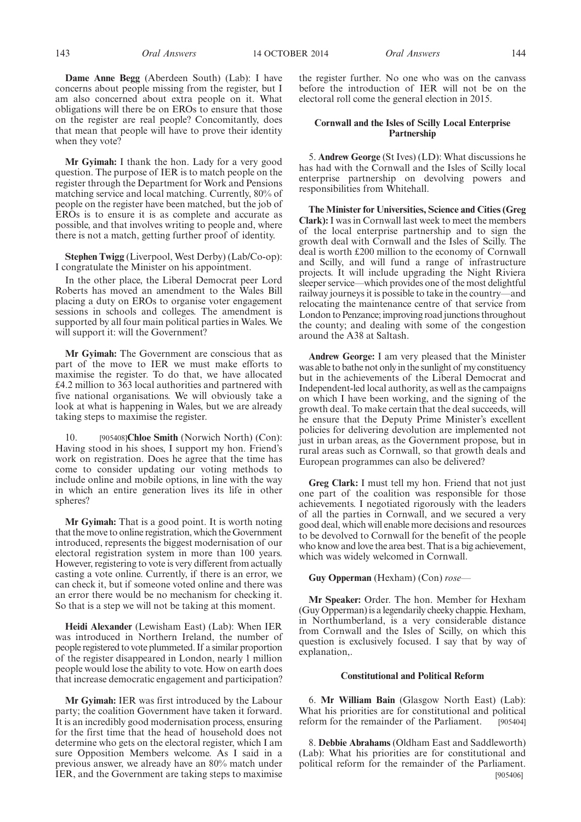**Dame Anne Begg** (Aberdeen South) (Lab): I have concerns about people missing from the register, but I am also concerned about extra people on it. What obligations will there be on EROs to ensure that those on the register are real people? Concomitantly, does that mean that people will have to prove their identity when they vote?

**Mr Gyimah:** I thank the hon. Lady for a very good question. The purpose of IER is to match people on the register through the Department for Work and Pensions matching service and local matching. Currently, 80% of people on the register have been matched, but the job of EROs is to ensure it is as complete and accurate as possible, and that involves writing to people and, where there is not a match, getting further proof of identity.

**Stephen Twigg** (Liverpool, West Derby) (Lab/Co-op): I congratulate the Minister on his appointment.

In the other place, the Liberal Democrat peer Lord Roberts has moved an amendment to the Wales Bill placing a duty on EROs to organise voter engagement sessions in schools and colleges. The amendment is supported by all four main political parties in Wales. We will support it: will the Government?

**Mr Gyimah:** The Government are conscious that as part of the move to IER we must make efforts to maximise the register. To do that, we have allocated £4.2 million to 363 local authorities and partnered with five national organisations. We will obviously take a look at what is happening in Wales, but we are already taking steps to maximise the register.

10. [905408]**Chloe Smith** (Norwich North) (Con): Having stood in his shoes, I support my hon. Friend's work on registration. Does he agree that the time has come to consider updating our voting methods to include online and mobile options, in line with the way in which an entire generation lives its life in other spheres?

**Mr Gyimah:** That is a good point. It is worth noting that the move to online registration, which the Government introduced, represents the biggest modernisation of our electoral registration system in more than 100 years. However, registering to vote is very different from actually casting a vote online. Currently, if there is an error, we can check it, but if someone voted online and there was an error there would be no mechanism for checking it. So that is a step we will not be taking at this moment.

**Heidi Alexander** (Lewisham East) (Lab): When IER was introduced in Northern Ireland, the number of people registered to vote plummeted. If a similar proportion of the register disappeared in London, nearly 1 million people would lose the ability to vote. How on earth does that increase democratic engagement and participation?

**Mr Gyimah:** IER was first introduced by the Labour party; the coalition Government have taken it forward. It is an incredibly good modernisation process, ensuring for the first time that the head of household does not determine who gets on the electoral register, which I am sure Opposition Members welcome. As I said in a previous answer, we already have an 80% match under IER, and the Government are taking steps to maximise the register further. No one who was on the canvass before the introduction of IER will not be on the electoral roll come the general election in 2015.

#### **Cornwall and the Isles of Scilly Local Enterprise Partnership**

5. **Andrew George** (St Ives) (LD): What discussions he has had with the Cornwall and the Isles of Scilly local enterprise partnership on devolving powers and responsibilities from Whitehall.

**The Minister for Universities, Science and Cities (Greg Clark):** I was in Cornwall last week to meet the members of the local enterprise partnership and to sign the growth deal with Cornwall and the Isles of Scilly. The deal is worth £200 million to the economy of Cornwall and Scilly, and will fund a range of infrastructure projects. It will include upgrading the Night Riviera sleeper service—which provides one of the most delightful railway journeys it is possible to take in the country—and relocating the maintenance centre of that service from London to Penzance; improving road junctions throughout the county; and dealing with some of the congestion around the A38 at Saltash.

**Andrew George:** I am very pleased that the Minister was able to bathe not only in the sunlight of my constituency but in the achievements of the Liberal Democrat and Independent-led local authority, as well as the campaigns on which I have been working, and the signing of the growth deal. To make certain that the deal succeeds, will he ensure that the Deputy Prime Minister's excellent policies for delivering devolution are implemented not just in urban areas, as the Government propose, but in rural areas such as Cornwall, so that growth deals and European programmes can also be delivered?

**Greg Clark:** I must tell my hon. Friend that not just one part of the coalition was responsible for those achievements. I negotiated rigorously with the leaders of all the parties in Cornwall, and we secured a very good deal, which will enable more decisions and resources to be devolved to Cornwall for the benefit of the people who know and love the area best. That is a big achievement, which was widely welcomed in Cornwall.

#### **Guy Opperman** (Hexham) (Con) *rose—*

**Mr Speaker:** Order. The hon. Member for Hexham (Guy Opperman) is a legendarily cheeky chappie. Hexham, in Northumberland, is a very considerable distance from Cornwall and the Isles of Scilly, on which this question is exclusively focused. I say that by way of explanation,.

#### **Constitutional and Political Reform**

6. **Mr William Bain** (Glasgow North East) (Lab): What his priorities are for constitutional and political reform for the remainder of the Parliament. [905404]

8. **Debbie Abrahams** (Oldham East and Saddleworth) (Lab): What his priorities are for constitutional and political reform for the remainder of the Parliament. [905406]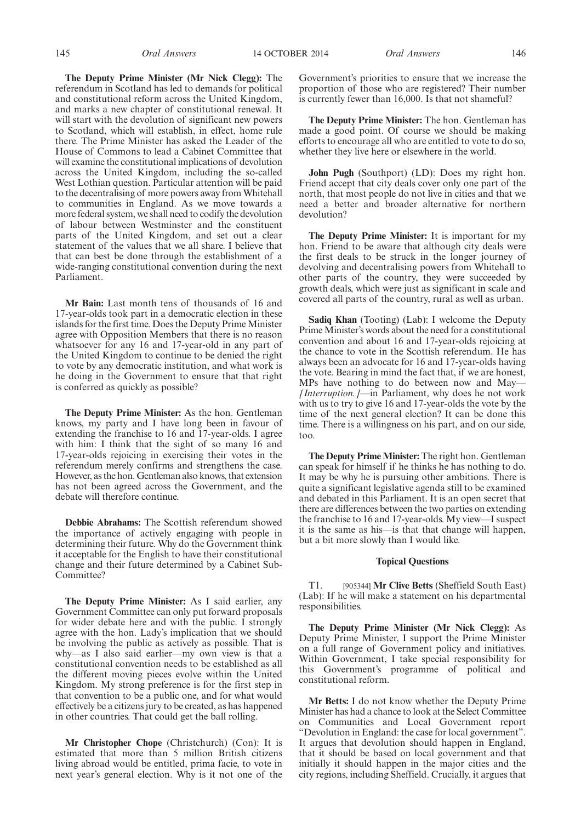**The Deputy Prime Minister (Mr Nick Clegg):** The referendum in Scotland has led to demands for political and constitutional reform across the United Kingdom, and marks a new chapter of constitutional renewal. It will start with the devolution of significant new powers to Scotland, which will establish, in effect, home rule there. The Prime Minister has asked the Leader of the House of Commons to lead a Cabinet Committee that will examine the constitutional implications of devolution across the United Kingdom, including the so-called West Lothian question. Particular attention will be paid to the decentralising of more powers away from Whitehall to communities in England. As we move towards a more federal system, we shall need to codify the devolution of labour between Westminster and the constituent parts of the United Kingdom, and set out a clear statement of the values that we all share. I believe that that can best be done through the establishment of a wide-ranging constitutional convention during the next Parliament.

**Mr Bain:** Last month tens of thousands of 16 and 17-year-olds took part in a democratic election in these islands for the first time. Does the Deputy Prime Minister agree with Opposition Members that there is no reason whatsoever for any 16 and 17-year-old in any part of the United Kingdom to continue to be denied the right to vote by any democratic institution, and what work is he doing in the Government to ensure that that right is conferred as quickly as possible?

**The Deputy Prime Minister:** As the hon. Gentleman knows, my party and I have long been in favour of extending the franchise to 16 and 17-year-olds. I agree with him: I think that the sight of so many 16 and 17-year-olds rejoicing in exercising their votes in the referendum merely confirms and strengthens the case. However, as the hon. Gentleman also knows, that extension has not been agreed across the Government, and the debate will therefore continue.

**Debbie Abrahams:** The Scottish referendum showed the importance of actively engaging with people in determining their future. Why do the Government think it acceptable for the English to have their constitutional change and their future determined by a Cabinet Sub-Committee?

**The Deputy Prime Minister:** As I said earlier, any Government Committee can only put forward proposals for wider debate here and with the public. I strongly agree with the hon. Lady's implication that we should be involving the public as actively as possible. That is why—as I also said earlier—my own view is that a constitutional convention needs to be established as all the different moving pieces evolve within the United Kingdom. My strong preference is for the first step in that convention to be a public one, and for what would effectively be a citizens jury to be created, as has happened in other countries. That could get the ball rolling.

**Mr Christopher Chope** (Christchurch) (Con): It is estimated that more than 5 million British citizens living abroad would be entitled, prima facie, to vote in next year's general election. Why is it not one of the Government's priorities to ensure that we increase the proportion of those who are registered? Their number is currently fewer than 16,000. Is that not shameful?

**The Deputy Prime Minister:** The hon. Gentleman has made a good point. Of course we should be making efforts to encourage all who are entitled to vote to do so, whether they live here or elsewhere in the world.

**John Pugh** (Southport) (LD): Does my right hon. Friend accept that city deals cover only one part of the north, that most people do not live in cities and that we need a better and broader alternative for northern devolution?

**The Deputy Prime Minister:** It is important for my hon. Friend to be aware that although city deals were the first deals to be struck in the longer journey of devolving and decentralising powers from Whitehall to other parts of the country, they were succeeded by growth deals, which were just as significant in scale and covered all parts of the country, rural as well as urban.

**Sadiq Khan** (Tooting) (Lab): I welcome the Deputy Prime Minister's words about the need for a constitutional convention and about 16 and 17-year-olds rejoicing at the chance to vote in the Scottish referendum. He has always been an advocate for 16 and 17-year-olds having the vote. Bearing in mind the fact that, if we are honest, MPs have nothing to do between now and May– *[Interruption.]*—in Parliament, why does he not work with us to try to give 16 and 17-year-olds the vote by the time of the next general election? It can be done this time. There is a willingness on his part, and on our side, too.

**The Deputy Prime Minister:** The right hon. Gentleman can speak for himself if he thinks he has nothing to do. It may be why he is pursuing other ambitions. There is quite a significant legislative agenda still to be examined and debated in this Parliament. It is an open secret that there are differences between the two parties on extending the franchise to 16 and 17-year-olds. My view—I suspect it is the same as his—is that that change will happen, but a bit more slowly than I would like.

#### **Topical Questions**

T1. [905344] **Mr Clive Betts** (Sheffield South East) (Lab): If he will make a statement on his departmental responsibilities.

**The Deputy Prime Minister (Mr Nick Clegg):** As Deputy Prime Minister, I support the Prime Minister on a full range of Government policy and initiatives. Within Government, I take special responsibility for this Government's programme of political and constitutional reform.

**Mr Betts:** I do not know whether the Deputy Prime Minister has had a chance to look at the Select Committee on Communities and Local Government report "Devolution in England: the case for local government". It argues that devolution should happen in England, that it should be based on local government and that initially it should happen in the major cities and the city regions, including Sheffield. Crucially, it argues that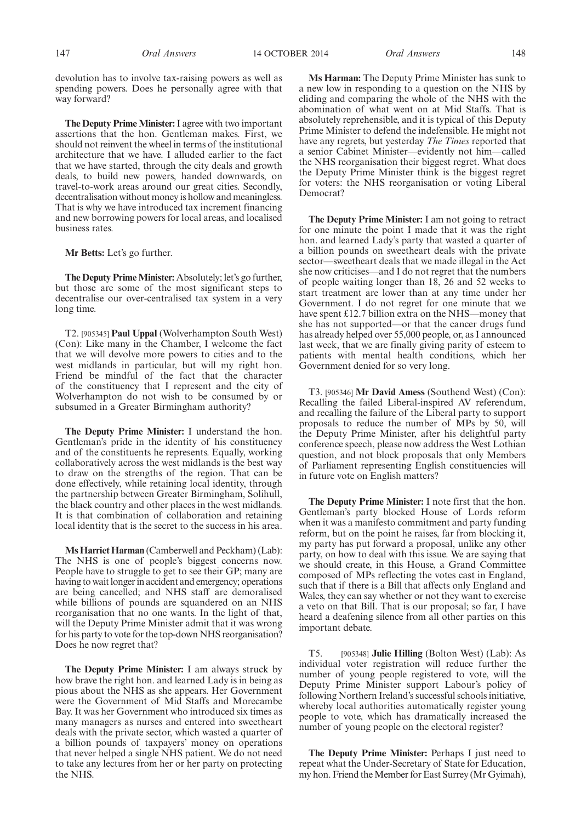147 *Oral Answers Oral Answers* 14 OCTOBER 2014 148

devolution has to involve tax-raising powers as well as spending powers. Does he personally agree with that way forward?

**The Deputy Prime Minister:**I agree with two important assertions that the hon. Gentleman makes. First, we should not reinvent the wheel in terms of the institutional architecture that we have. I alluded earlier to the fact that we have started, through the city deals and growth deals, to build new powers, handed downwards, on travel-to-work areas around our great cities. Secondly, decentralisation without money is hollow and meaningless. That is why we have introduced tax increment financing and new borrowing powers for local areas, and localised business rates.

**Mr Betts:** Let's go further.

**The Deputy Prime Minister:** Absolutely; let's go further, but those are some of the most significant steps to decentralise our over-centralised tax system in a very long time.

T2. [905345] **Paul Uppal** (Wolverhampton South West) (Con): Like many in the Chamber, I welcome the fact that we will devolve more powers to cities and to the west midlands in particular, but will my right hon. Friend be mindful of the fact that the character of the constituency that I represent and the city of Wolverhampton do not wish to be consumed by or subsumed in a Greater Birmingham authority?

**The Deputy Prime Minister:** I understand the hon. Gentleman's pride in the identity of his constituency and of the constituents he represents. Equally, working collaboratively across the west midlands is the best way to draw on the strengths of the region. That can be done effectively, while retaining local identity, through the partnership between Greater Birmingham, Solihull, the black country and other places in the west midlands. It is that combination of collaboration and retaining local identity that is the secret to the success in his area.

**Ms Harriet Harman** (Camberwell and Peckham) (Lab): The NHS is one of people's biggest concerns now. People have to struggle to get to see their GP; many are having to wait longer in accident and emergency; operations are being cancelled; and NHS staff are demoralised while billions of pounds are squandered on an NHS reorganisation that no one wants. In the light of that, will the Deputy Prime Minister admit that it was wrong for his party to vote for the top-down NHS reorganisation? Does he now regret that?

**The Deputy Prime Minister:** I am always struck by how brave the right hon. and learned Lady is in being as pious about the NHS as she appears. Her Government were the Government of Mid Staffs and Morecambe Bay. It was her Government who introduced six times as many managers as nurses and entered into sweetheart deals with the private sector, which wasted a quarter of a billion pounds of taxpayers' money on operations that never helped a single NHS patient. We do not need to take any lectures from her or her party on protecting the NHS.

**Ms Harman:** The Deputy Prime Minister has sunk to a new low in responding to a question on the NHS by eliding and comparing the whole of the NHS with the abomination of what went on at Mid Staffs. That is absolutely reprehensible, and it is typical of this Deputy Prime Minister to defend the indefensible. He might not have any regrets, but yesterday *The Times* reported that a senior Cabinet Minister—evidently not him—called the NHS reorganisation their biggest regret. What does the Deputy Prime Minister think is the biggest regret for voters: the NHS reorganisation or voting Liberal Democrat?

**The Deputy Prime Minister:** I am not going to retract for one minute the point I made that it was the right hon. and learned Lady's party that wasted a quarter of a billion pounds on sweetheart deals with the private sector—sweetheart deals that we made illegal in the Act she now criticises—and I do not regret that the numbers of people waiting longer than 18, 26 and 52 weeks to start treatment are lower than at any time under her Government. I do not regret for one minute that we have spent £12.7 billion extra on the NHS—money that she has not supported—or that the cancer drugs fund has already helped over 55,000 people, or, as I announced last week, that we are finally giving parity of esteem to patients with mental health conditions, which her Government denied for so very long.

T3. [905346] **Mr David Amess** (Southend West) (Con): Recalling the failed Liberal-inspired AV referendum, and recalling the failure of the Liberal party to support proposals to reduce the number of MPs by 50, will the Deputy Prime Minister, after his delightful party conference speech, please now address the West Lothian question, and not block proposals that only Members of Parliament representing English constituencies will in future vote on English matters?

**The Deputy Prime Minister:** I note first that the hon. Gentleman's party blocked House of Lords reform when it was a manifesto commitment and party funding reform, but on the point he raises, far from blocking it, my party has put forward a proposal, unlike any other party, on how to deal with this issue. We are saying that we should create, in this House, a Grand Committee composed of MPs reflecting the votes cast in England, such that if there is a Bill that affects only England and Wales, they can say whether or not they want to exercise a veto on that Bill. That is our proposal; so far, I have heard a deafening silence from all other parties on this important debate.

T5. [905348] **Julie Hilling** (Bolton West) (Lab): As individual voter registration will reduce further the number of young people registered to vote, will the Deputy Prime Minister support Labour's policy of following Northern Ireland's successful schools initiative, whereby local authorities automatically register young people to vote, which has dramatically increased the number of young people on the electoral register?

**The Deputy Prime Minister:** Perhaps I just need to repeat what the Under-Secretary of State for Education, my hon. Friend the Member for East Surrey (Mr Gyimah),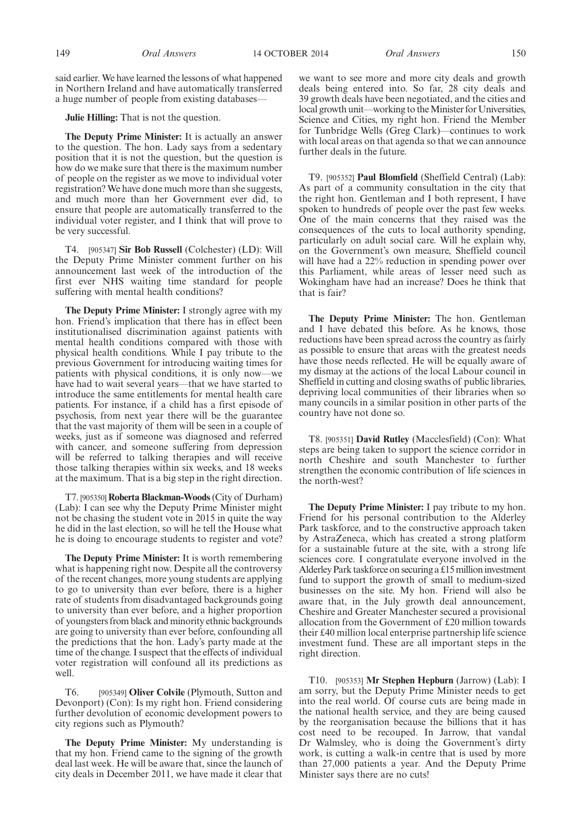said earlier. We have learned the lessons of what happened in Northern Ireland and have automatically transferred a huge number of people from existing databases—

**Julie Hilling:** That is not the question.

**The Deputy Prime Minister:** It is actually an answer to the question. The hon. Lady says from a sedentary position that it is not the question, but the question is how do we make sure that there is the maximum number of people on the register as we move to individual voter registration? We have done much more than she suggests, and much more than her Government ever did, to ensure that people are automatically transferred to the individual voter register, and I think that will prove to be very successful.

T4. [905347] **Sir Bob Russell** (Colchester) (LD): Will the Deputy Prime Minister comment further on his announcement last week of the introduction of the first ever NHS waiting time standard for people suffering with mental health conditions?

**The Deputy Prime Minister:** I strongly agree with my hon. Friend's implication that there has in effect been institutionalised discrimination against patients with mental health conditions compared with those with physical health conditions. While I pay tribute to the previous Government for introducing waiting times for patients with physical conditions, it is only now—we have had to wait several years—that we have started to introduce the same entitlements for mental health care patients. For instance, if a child has a first episode of psychosis, from next year there will be the guarantee that the vast majority of them will be seen in a couple of weeks, just as if someone was diagnosed and referred with cancer, and someone suffering from depression will be referred to talking therapies and will receive those talking therapies within six weeks, and 18 weeks at the maximum. That is a big step in the right direction.

T7. [905350] **Roberta Blackman-Woods**(City of Durham) (Lab): I can see why the Deputy Prime Minister might not be chasing the student vote in 2015 in quite the way he did in the last election, so will he tell the House what he is doing to encourage students to register and vote?

**The Deputy Prime Minister:** It is worth remembering what is happening right now. Despite all the controversy of the recent changes, more young students are applying to go to university than ever before, there is a higher rate of students from disadvantaged backgrounds going to university than ever before, and a higher proportion of youngsters from black and minority ethnic backgrounds are going to university than ever before, confounding all the predictions that the hon. Lady's party made at the time of the change. I suspect that the effects of individual voter registration will confound all its predictions as well.

T6. [905349] **Oliver Colvile** (Plymouth, Sutton and Devonport) (Con): Is my right hon. Friend considering further devolution of economic development powers to city regions such as Plymouth?

**The Deputy Prime Minister:** My understanding is that my hon. Friend came to the signing of the growth deal last week. He will be aware that, since the launch of city deals in December 2011, we have made it clear that we want to see more and more city deals and growth deals being entered into. So far, 28 city deals and 39 growth deals have been negotiated, and the cities and local growth unit—working to the Minister for Universities, Science and Cities, my right hon. Friend the Member for Tunbridge Wells (Greg Clark)—continues to work with local areas on that agenda so that we can announce further deals in the future.

T9. [905352] **Paul Blomfield** (Sheffield Central) (Lab): As part of a community consultation in the city that the right hon. Gentleman and I both represent, I have spoken to hundreds of people over the past few weeks. One of the main concerns that they raised was the consequences of the cuts to local authority spending, particularly on adult social care. Will he explain why, on the Government's own measure, Sheffield council will have had a 22% reduction in spending power over this Parliament, while areas of lesser need such as Wokingham have had an increase? Does he think that that is fair?

**The Deputy Prime Minister:** The hon. Gentleman and I have debated this before. As he knows, those reductions have been spread across the country as fairly as possible to ensure that areas with the greatest needs have those needs reflected. He will be equally aware of my dismay at the actions of the local Labour council in Sheffield in cutting and closing swaths of public libraries, depriving local communities of their libraries when so many councils in a similar position in other parts of the country have not done so.

T8. [905351] **David Rutley** (Macclesfield) (Con): What steps are being taken to support the science corridor in north Cheshire and south Manchester to further strengthen the economic contribution of life sciences in the north-west?

**The Deputy Prime Minister:** I pay tribute to my hon. Friend for his personal contribution to the Alderley Park taskforce, and to the constructive approach taken by AstraZeneca, which has created a strong platform for a sustainable future at the site, with a strong life sciences core. I congratulate everyone involved in the Alderley Park taskforce on securing a £15 million investment fund to support the growth of small to medium-sized businesses on the site. My hon. Friend will also be aware that, in the July growth deal announcement, Cheshire and Greater Manchester secured a provisional allocation from the Government of £20 million towards their £40 million local enterprise partnership life science investment fund. These are all important steps in the right direction.

T10. [905353] **Mr Stephen Hepburn** (Jarrow) (Lab): I am sorry, but the Deputy Prime Minister needs to get into the real world. Of course cuts are being made in the national health service, and they are being caused by the reorganisation because the billions that it has cost need to be recouped. In Jarrow, that vandal Dr Walmsley, who is doing the Government's dirty work, is cutting a walk-in centre that is used by more than 27,000 patients a year. And the Deputy Prime Minister says there are no cuts!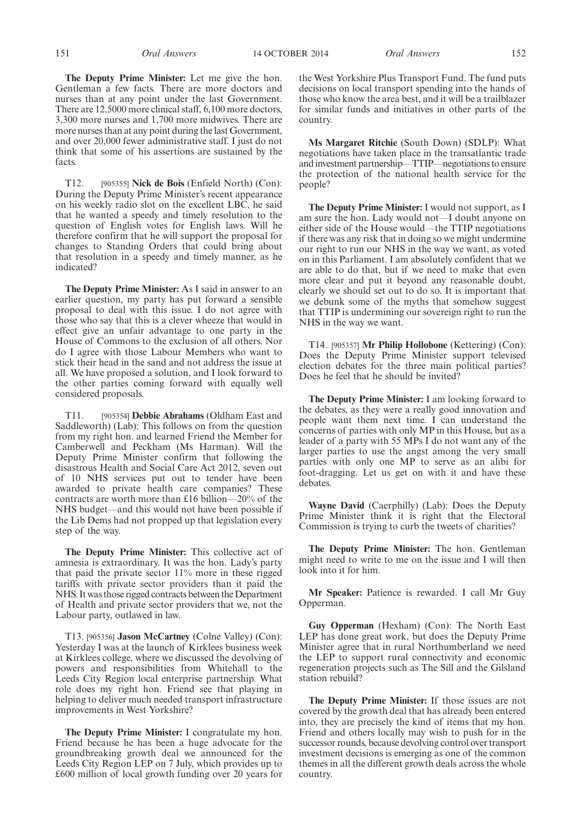**The Deputy Prime Minister:** Let me give the hon. Gentleman a few facts. There are more doctors and nurses than at any point under the last Government. There are 12,5000 more clinical staff, 6,100 more doctors, 3,300 more nurses and 1,700 more midwives. There are more nurses than at any point during the last Government, and over 20,000 fewer administrative staff. I just do not think that some of his assertions are sustained by the facts.

T12. [905355] **Nick de Bois** (Enfield North) (Con): During the Deputy Prime Minister's recent appearance on his weekly radio slot on the excellent LBC, he said that he wanted a speedy and timely resolution to the question of English votes for English laws. Will he therefore confirm that he will support the proposal for changes to Standing Orders that could bring about that resolution in a speedy and timely manner, as he indicated?

**The Deputy Prime Minister:** As I said in answer to an earlier question, my party has put forward a sensible proposal to deal with this issue. I do not agree with those who say that this is a clever wheeze that would in effect give an unfair advantage to one party in the House of Commons to the exclusion of all others. Nor do I agree with those Labour Members who want to stick their head in the sand and not address the issue at all. We have proposed a solution, and I look forward to the other parties coming forward with equally well considered proposals.

T11. [905354] **Debbie Abrahams** (Oldham East and Saddleworth) (Lab): This follows on from the question from my right hon. and learned Friend the Member for Camberwell and Peckham (Ms Harman). Will the Deputy Prime Minister confirm that following the disastrous Health and Social Care Act 2012, seven out of 10 NHS services put out to tender have been awarded to private health care companies? These contracts are worth more than £16 billion—20% of the NHS budget—and this would not have been possible if the Lib Dems had not propped up that legislation every step of the way.

**The Deputy Prime Minister:** This collective act of amnesia is extraordinary. It was the hon. Lady's party that paid the private sector 11% more in these rigged tariffs with private sector providers than it paid the NHS. It was those rigged contracts between the Department of Health and private sector providers that we, not the Labour party, outlawed in law.

T13. [905356] **Jason McCartney** (Colne Valley) (Con): Yesterday I was at the launch of Kirklees business week at Kirklees college, where we discussed the devolving of powers and responsibilities from Whitehall to the Leeds City Region local enterprise partnership. What role does my right hon. Friend see that playing in helping to deliver much needed transport infrastructure improvements in West Yorkshire?

**The Deputy Prime Minister:** I congratulate my hon. Friend because he has been a huge advocate for the groundbreaking growth deal we announced for the Leeds City Region LEP on 7 July, which provides up to £600 million of local growth funding over 20 years for the West Yorkshire Plus Transport Fund. The fund puts decisions on local transport spending into the hands of those who know the area best, and it will be a trailblazer for similar funds and initiatives in other parts of the country.

**Ms Margaret Ritchie** (South Down) (SDLP): What negotiations have taken place in the transatlantic trade andinvestment partnership—TTIP—negotiations to ensure the protection of the national health service for the people?

**The Deputy Prime Minister:** I would not support, as I am sure the hon. Lady would not—I doubt anyone on either side of the House would—the TTIP negotiations if there was any risk that in doing so we might undermine our right to run our NHS in the way we want, as voted on in this Parliament. I am absolutely confident that we are able to do that, but if we need to make that even more clear and put it beyond any reasonable doubt, clearly we should set out to do so. It is important that we debunk some of the myths that somehow suggest that TTIP is undermining our sovereign right to run the NHS in the way we want.

T14. [905357] **Mr Philip Hollobone** (Kettering) (Con): Does the Deputy Prime Minister support televised election debates for the three main political parties? Does he feel that he should be invited?

**The Deputy Prime Minister:** I am looking forward to the debates, as they were a really good innovation and people want them next time. I can understand the concerns of parties with only MP in this House, but as a leader of a party with 55 MPs I do not want any of the larger parties to use the angst among the very small parties with only one MP to serve as an alibi for foot-dragging. Let us get on with it and have these debates.

**Wayne David** (Caerphilly) (Lab): Does the Deputy Prime Minister think it is right that the Electoral Commission is trying to curb the tweets of charities?

**The Deputy Prime Minister:** The hon. Gentleman might need to write to me on the issue and I will then look into it for him.

**Mr Speaker:** Patience is rewarded. I call Mr Guy Opperman.

**Guy Opperman** (Hexham) (Con): The North East LEP has done great work, but does the Deputy Prime Minister agree that in rural Northumberland we need the LEP to support rural connectivity and economic regeneration projects such as The Sill and the Gilsland station rebuild?

**The Deputy Prime Minister:** If those issues are not covered by the growth deal that has already been entered into, they are precisely the kind of items that my hon. Friend and others locally may wish to push for in the successor rounds, because devolving control over transport investment decisions is emerging as one of the common themes in all the different growth deals across the whole country.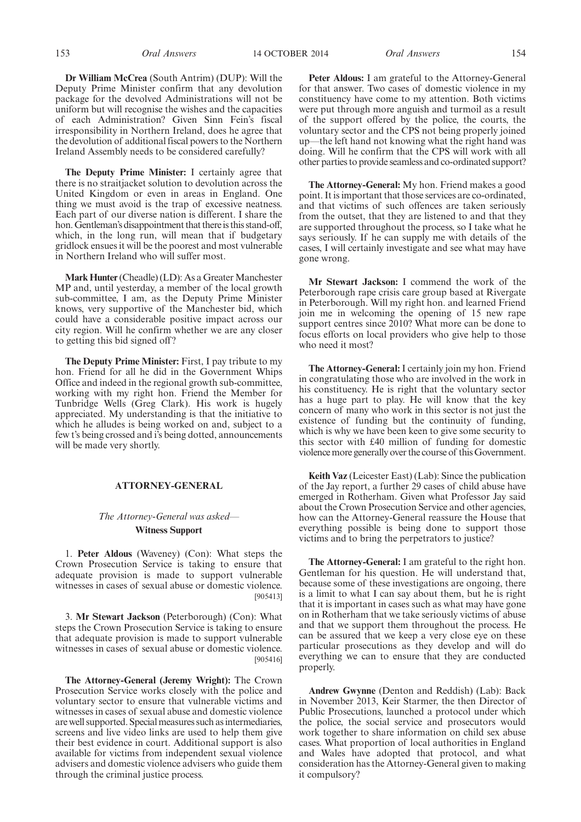153 *Oral Answers Oral Answers* 14 OCTOBER 2014 154

**Dr William McCrea** (South Antrim) (DUP): Will the Deputy Prime Minister confirm that any devolution package for the devolved Administrations will not be uniform but will recognise the wishes and the capacities of each Administration? Given Sinn Fein's fiscal irresponsibility in Northern Ireland, does he agree that the devolution of additional fiscal powers to the Northern Ireland Assembly needs to be considered carefully?

**The Deputy Prime Minister:** I certainly agree that there is no straitjacket solution to devolution across the United Kingdom or even in areas in England. One thing we must avoid is the trap of excessive neatness. Each part of our diverse nation is different. I share the hon. Gentleman's disappointment that there is this stand-off, which, in the long run, will mean that if budgetary gridlock ensues it will be the poorest and most vulnerable in Northern Ireland who will suffer most.

**Mark Hunter** (Cheadle) (LD): As a Greater Manchester MP and, until yesterday, a member of the local growth sub-committee, I am, as the Deputy Prime Minister knows, very supportive of the Manchester bid, which could have a considerable positive impact across our city region. Will he confirm whether we are any closer to getting this bid signed off ?

**The Deputy Prime Minister:** First, I pay tribute to my hon. Friend for all he did in the Government Whips Office and indeed in the regional growth sub-committee, working with my right hon. Friend the Member for Tunbridge Wells (Greg Clark). His work is hugely appreciated. My understanding is that the initiative to which he alludes is being worked on and, subject to a few t's being crossed and i's being dotted, announcements will be made very shortly.

#### **ATTORNEY-GENERAL**

#### *The Attorney-General was asked—* **Witness Support**

1. **Peter Aldous** (Waveney) (Con): What steps the Crown Prosecution Service is taking to ensure that adequate provision is made to support vulnerable witnesses in cases of sexual abuse or domestic violence. [905413]

3. **Mr Stewart Jackson** (Peterborough) (Con): What steps the Crown Prosecution Service is taking to ensure that adequate provision is made to support vulnerable witnesses in cases of sexual abuse or domestic violence. [905416]

**The Attorney-General (Jeremy Wright):** The Crown Prosecution Service works closely with the police and voluntary sector to ensure that vulnerable victims and witnesses in cases of sexual abuse and domestic violence are well supported. Special measures such as intermediaries, screens and live video links are used to help them give their best evidence in court. Additional support is also available for victims from independent sexual violence advisers and domestic violence advisers who guide them through the criminal justice process.

**Peter Aldous:** I am grateful to the Attorney-General for that answer. Two cases of domestic violence in my constituency have come to my attention. Both victims were put through more anguish and turmoil as a result of the support offered by the police, the courts, the voluntary sector and the CPS not being properly joined up—the left hand not knowing what the right hand was doing. Will he confirm that the CPS will work with all other parties to provide seamless and co-ordinated support?

**The Attorney-General:** My hon. Friend makes a good point. It is important that those services are co-ordinated, and that victims of such offences are taken seriously from the outset, that they are listened to and that they are supported throughout the process, so I take what he says seriously. If he can supply me with details of the cases, I will certainly investigate and see what may have gone wrong.

**Mr Stewart Jackson:** I commend the work of the Peterborough rape crisis care group based at Rivergate in Peterborough. Will my right hon. and learned Friend join me in welcoming the opening of 15 new rape support centres since 2010? What more can be done to focus efforts on local providers who give help to those who need it most?

**The Attorney-General:** I certainly join my hon. Friend in congratulating those who are involved in the work in his constituency. He is right that the voluntary sector has a huge part to play. He will know that the key concern of many who work in this sector is not just the existence of funding but the continuity of funding, which is why we have been keen to give some security to this sector with £40 million of funding for domestic violence more generally over the course of this Government.

**Keith Vaz** (Leicester East) (Lab): Since the publication of the Jay report, a further 29 cases of child abuse have emerged in Rotherham. Given what Professor Jay said about the Crown Prosecution Service and other agencies, how can the Attorney-General reassure the House that everything possible is being done to support those victims and to bring the perpetrators to justice?

**The Attorney-General:** I am grateful to the right hon. Gentleman for his question. He will understand that, because some of these investigations are ongoing, there is a limit to what I can say about them, but he is right that it is important in cases such as what may have gone on in Rotherham that we take seriously victims of abuse and that we support them throughout the process. He can be assured that we keep a very close eye on these particular prosecutions as they develop and will do everything we can to ensure that they are conducted properly.

**Andrew Gwynne** (Denton and Reddish) (Lab): Back in November 2013, Keir Starmer, the then Director of Public Prosecutions, launched a protocol under which the police, the social service and prosecutors would work together to share information on child sex abuse cases. What proportion of local authorities in England and Wales have adopted that protocol, and what consideration has the Attorney-General given to making it compulsory?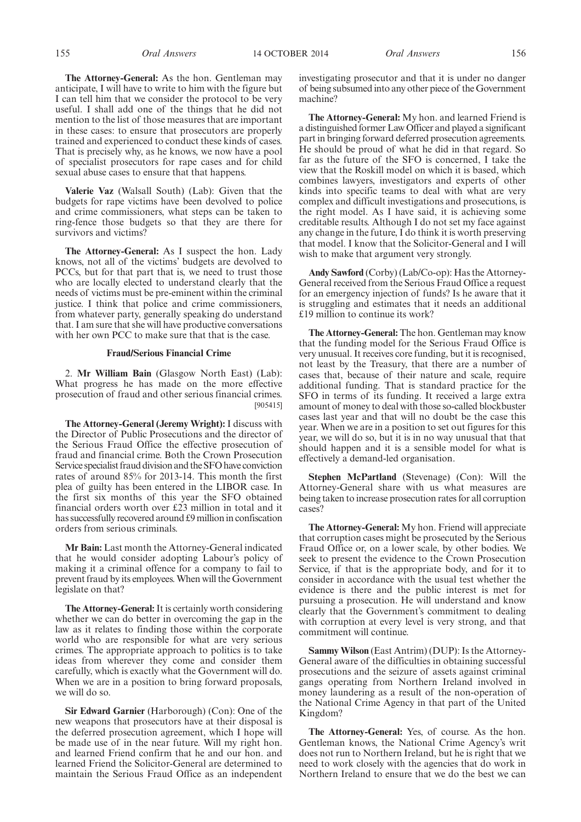**The Attorney-General:** As the hon. Gentleman may anticipate, I will have to write to him with the figure but I can tell him that we consider the protocol to be very useful. I shall add one of the things that he did not mention to the list of those measures that are important in these cases: to ensure that prosecutors are properly trained and experienced to conduct these kinds of cases. That is precisely why, as he knows, we now have a pool of specialist prosecutors for rape cases and for child sexual abuse cases to ensure that that happens.

**Valerie Vaz** (Walsall South) (Lab): Given that the budgets for rape victims have been devolved to police and crime commissioners, what steps can be taken to ring-fence those budgets so that they are there for survivors and victims?

**The Attorney-General:** As I suspect the hon. Lady knows, not all of the victims' budgets are devolved to PCCs, but for that part that is, we need to trust those who are locally elected to understand clearly that the needs of victims must be pre-eminent within the criminal justice. I think that police and crime commissioners, from whatever party, generally speaking do understand that. I am sure that she will have productive conversations with her own PCC to make sure that that is the case.

#### **Fraud/Serious Financial Crime**

2. **Mr William Bain** (Glasgow North East) (Lab): What progress he has made on the more effective prosecution of fraud and other serious financial crimes. [905415]

**The Attorney-General (Jeremy Wright):** I discuss with the Director of Public Prosecutions and the director of the Serious Fraud Office the effective prosecution of fraud and financial crime. Both the Crown Prosecution Service specialist fraud division and the SFO have conviction rates of around 85% for 2013-14. This month the first plea of guilty has been entered in the LIBOR case. In the first six months of this year the SFO obtained financial orders worth over £23 million in total and it has successfully recovered around £9 million in confiscation orders from serious criminals.

**Mr Bain:** Last month the Attorney-General indicated that he would consider adopting Labour's policy of making it a criminal offence for a company to fail to prevent fraud by its employees.When will the Government legislate on that?

**The Attorney-General:**It is certainly worth considering whether we can do better in overcoming the gap in the law as it relates to finding those within the corporate world who are responsible for what are very serious crimes. The appropriate approach to politics is to take ideas from wherever they come and consider them carefully, which is exactly what the Government will do. When we are in a position to bring forward proposals, we will do so.

**Sir Edward Garnier** (Harborough) (Con): One of the new weapons that prosecutors have at their disposal is the deferred prosecution agreement, which I hope will be made use of in the near future. Will my right hon. and learned Friend confirm that he and our hon. and learned Friend the Solicitor-General are determined to maintain the Serious Fraud Office as an independent investigating prosecutor and that it is under no danger of being subsumed into any other piece of the Government machine?

**The Attorney-General:** My hon. and learned Friend is a distinguished former Law Officer and played a significant part in bringing forward deferred prosecution agreements. He should be proud of what he did in that regard. So far as the future of the SFO is concerned, I take the view that the Roskill model on which it is based, which combines lawyers, investigators and experts of other kinds into specific teams to deal with what are very complex and difficult investigations and prosecutions, is the right model. As I have said, it is achieving some creditable results. Although I do not set my face against any change in the future, I do think it is worth preserving that model. I know that the Solicitor-General and I will wish to make that argument very strongly.

**Andy Sawford** (Corby) (Lab/Co-op): Has the Attorney-General received from the Serious Fraud Office a request for an emergency injection of funds? Is he aware that it is struggling and estimates that it needs an additional £19 million to continue its work?

**The Attorney-General:** The hon. Gentleman may know that the funding model for the Serious Fraud Office is very unusual. It receives core funding, but it is recognised, not least by the Treasury, that there are a number of cases that, because of their nature and scale, require additional funding. That is standard practice for the SFO in terms of its funding. It received a large extra amount of money to deal with those so-called blockbuster cases last year and that will no doubt be the case this year. When we are in a position to set out figures for this year, we will do so, but it is in no way unusual that that should happen and it is a sensible model for what is effectively a demand-led organisation.

**Stephen McPartland** (Stevenage) (Con): Will the Attorney-General share with us what measures are being taken to increase prosecution rates for all corruption cases?

**The Attorney-General:** My hon. Friend will appreciate that corruption cases might be prosecuted by the Serious Fraud Office or, on a lower scale, by other bodies. We seek to present the evidence to the Crown Prosecution Service, if that is the appropriate body, and for it to consider in accordance with the usual test whether the evidence is there and the public interest is met for pursuing a prosecution. He will understand and know clearly that the Government's commitment to dealing with corruption at every level is very strong, and that commitment will continue.

**Sammy Wilson** (East Antrim) (DUP): Is the Attorney-General aware of the difficulties in obtaining successful prosecutions and the seizure of assets against criminal gangs operating from Northern Ireland involved in money laundering as a result of the non-operation of the National Crime Agency in that part of the United Kingdom?

**The Attorney-General:** Yes, of course. As the hon. Gentleman knows, the National Crime Agency's writ does not run to Northern Ireland, but he is right that we need to work closely with the agencies that do work in Northern Ireland to ensure that we do the best we can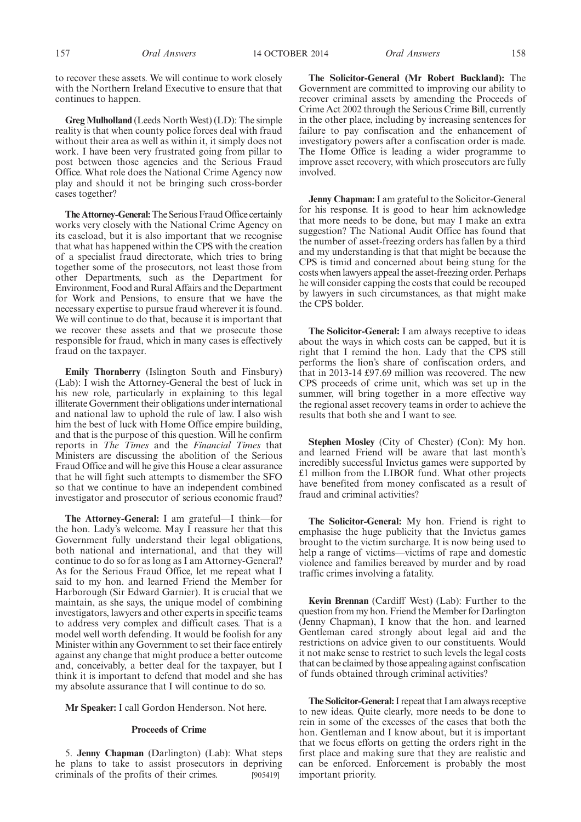157 *Oral Answers Oral Answers* 14 OCTOBER 2014 158

to recover these assets. We will continue to work closely with the Northern Ireland Executive to ensure that that continues to happen.

**Greg Mulholland** (Leeds North West) (LD): The simple reality is that when county police forces deal with fraud without their area as well as within it, it simply does not work. I have been very frustrated going from pillar to post between those agencies and the Serious Fraud Office. What role does the National Crime Agency now play and should it not be bringing such cross-border cases together?

**The Attorney-General:**The Serious Fraud Office certainly works very closely with the National Crime Agency on its caseload, but it is also important that we recognise that what has happened within the CPS with the creation of a specialist fraud directorate, which tries to bring together some of the prosecutors, not least those from other Departments, such as the Department for Environment, Food and Rural Affairs and the Department for Work and Pensions, to ensure that we have the necessary expertise to pursue fraud wherever it is found. We will continue to do that, because it is important that we recover these assets and that we prosecute those responsible for fraud, which in many cases is effectively fraud on the taxpayer.

**Emily Thornberry** (Islington South and Finsbury) (Lab): I wish the Attorney-General the best of luck in his new role, particularly in explaining to this legal illiterate Government their obligations under international and national law to uphold the rule of law. I also wish him the best of luck with Home Office empire building, and that is the purpose of this question. Will he confirm reports in *The Times* and the *Financial Times* that Ministers are discussing the abolition of the Serious Fraud Office and will he give this House a clear assurance that he will fight such attempts to dismember the SFO so that we continue to have an independent combined investigator and prosecutor of serious economic fraud?

**The Attorney-General:** I am grateful—I think—for the hon. Lady's welcome. May I reassure her that this Government fully understand their legal obligations, both national and international, and that they will continue to do so for as long as I am Attorney-General? As for the Serious Fraud Office, let me repeat what I said to my hon. and learned Friend the Member for Harborough (Sir Edward Garnier). It is crucial that we maintain, as she says, the unique model of combining investigators, lawyers and other experts in specific teams to address very complex and difficult cases. That is a model well worth defending. It would be foolish for any Minister within any Government to set their face entirely against any change that might produce a better outcome and, conceivably, a better deal for the taxpayer, but I think it is important to defend that model and she has my absolute assurance that I will continue to do so.

**Mr Speaker:** I call Gordon Henderson. Not here.

#### **Proceeds of Crime**

5. **Jenny Chapman** (Darlington) (Lab): What steps he plans to take to assist prosecutors in depriving criminals of the profits of their crimes. [905419]

**The Solicitor-General (Mr Robert Buckland):** The Government are committed to improving our ability to recover criminal assets by amending the Proceeds of Crime Act 2002 through the Serious Crime Bill, currently in the other place, including by increasing sentences for failure to pay confiscation and the enhancement of investigatory powers after a confiscation order is made. The Home Office is leading a wider programme to improve asset recovery, with which prosecutors are fully involved.

**Jenny Chapman:**I am grateful to the Solicitor-General for his response. It is good to hear him acknowledge that more needs to be done, but may I make an extra suggestion? The National Audit Office has found that the number of asset-freezing orders has fallen by a third and my understanding is that that might be because the CPS is timid and concerned about being stung for the costs when lawyers appeal the asset-freezing order. Perhaps he will consider capping the costs that could be recouped by lawyers in such circumstances, as that might make the CPS bolder.

**The Solicitor-General:** I am always receptive to ideas about the ways in which costs can be capped, but it is right that I remind the hon. Lady that the CPS still performs the lion's share of confiscation orders, and that in 2013-14 £97.69 million was recovered. The new CPS proceeds of crime unit, which was set up in the summer, will bring together in a more effective way the regional asset recovery teams in order to achieve the results that both she and I want to see.

**Stephen Mosley** (City of Chester) (Con): My hon. and learned Friend will be aware that last month's incredibly successful Invictus games were supported by £1 million from the LIBOR fund. What other projects have benefited from money confiscated as a result of fraud and criminal activities?

**The Solicitor-General:** My hon. Friend is right to emphasise the huge publicity that the Invictus games brought to the victim surcharge. It is now being used to help a range of victims—victims of rape and domestic violence and families bereaved by murder and by road traffic crimes involving a fatality.

**Kevin Brennan** (Cardiff West) (Lab): Further to the question from my hon. Friend the Member for Darlington (Jenny Chapman), I know that the hon. and learned Gentleman cared strongly about legal aid and the restrictions on advice given to our constituents. Would it not make sense to restrict to such levels the legal costs that can be claimed by those appealing against confiscation of funds obtained through criminal activities?

**The Solicitor-General:**I repeat that I am always receptive to new ideas. Quite clearly, more needs to be done to rein in some of the excesses of the cases that both the hon. Gentleman and I know about, but it is important that we focus efforts on getting the orders right in the first place and making sure that they are realistic and can be enforced. Enforcement is probably the most important priority.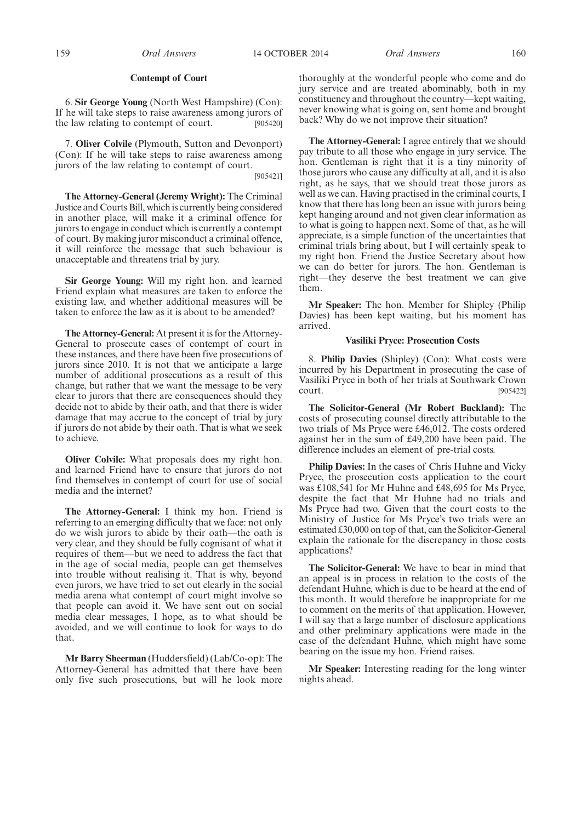#### **Contempt of Court**

6. **Sir George Young** (North West Hampshire) (Con): If he will take steps to raise awareness among jurors of the law relating to contempt of court. [905420]

7. **Oliver Colvile** (Plymouth, Sutton and Devonport) (Con): If he will take steps to raise awareness among jurors of the law relating to contempt of court. [905421]

**The Attorney-General (Jeremy Wright):** The Criminal Justice and Courts Bill, which is currently being considered in another place, will make it a criminal offence for jurors to engage in conduct which is currently a contempt of court. By making juror misconduct a criminal offence, it will reinforce the message that such behaviour is unacceptable and threatens trial by jury.

**Sir George Young:** Will my right hon. and learned Friend explain what measures are taken to enforce the existing law, and whether additional measures will be taken to enforce the law as it is about to be amended?

**The Attorney-General:** At present it is for the Attorney-General to prosecute cases of contempt of court in these instances, and there have been five prosecutions of jurors since 2010. It is not that we anticipate a large number of additional prosecutions as a result of this change, but rather that we want the message to be very clear to jurors that there are consequences should they decide not to abide by their oath, and that there is wider damage that may accrue to the concept of trial by jury if jurors do not abide by their oath. That is what we seek to achieve.

**Oliver Colvile:** What proposals does my right hon. and learned Friend have to ensure that jurors do not find themselves in contempt of court for use of social media and the internet?

**The Attorney-General:** I think my hon. Friend is referring to an emerging difficulty that we face: not only do we wish jurors to abide by their oath—the oath is very clear, and they should be fully cognisant of what it requires of them—but we need to address the fact that in the age of social media, people can get themselves into trouble without realising it. That is why, beyond even jurors, we have tried to set out clearly in the social media arena what contempt of court might involve so that people can avoid it. We have sent out on social media clear messages, I hope, as to what should be avoided, and we will continue to look for ways to do that.

**Mr Barry Sheerman** (Huddersfield) (Lab/Co-op): The Attorney-General has admitted that there have been only five such prosecutions, but will he look more thoroughly at the wonderful people who come and do jury service and are treated abominably, both in my constituency and throughout the country—kept waiting, never knowing what is going on, sent home and brought back? Why do we not improve their situation?

**The Attorney-General:** I agree entirely that we should pay tribute to all those who engage in jury service. The hon. Gentleman is right that it is a tiny minority of those jurors who cause any difficulty at all, and it is also right, as he says, that we should treat those jurors as well as we can. Having practised in the criminal courts, I know that there has long been an issue with jurors being kept hanging around and not given clear information as to what is going to happen next. Some of that, as he will appreciate, is a simple function of the uncertainties that criminal trials bring about, but I will certainly speak to my right hon. Friend the Justice Secretary about how we can do better for jurors. The hon. Gentleman is right—they deserve the best treatment we can give them.

**Mr Speaker:** The hon. Member for Shipley (Philip Davies) has been kept waiting, but his moment has arrived.

#### **Vasiliki Pryce: Prosecution Costs**

8. **Philip Davies** (Shipley) (Con): What costs were incurred by his Department in prosecuting the case of Vasiliki Pryce in both of her trials at Southwark Crown court. [905422]

**The Solicitor-General (Mr Robert Buckland):** The costs of prosecuting counsel directly attributable to the two trials of Ms Pryce were £46,012. The costs ordered against her in the sum of £49,200 have been paid. The difference includes an element of pre-trial costs.

**Philip Davies:** In the cases of Chris Huhne and Vicky Pryce, the prosecution costs application to the court was £108,541 for Mr Huhne and £48,695 for Ms Pryce, despite the fact that Mr Huhne had no trials and Ms Pryce had two. Given that the court costs to the Ministry of Justice for Ms Pryce's two trials were an estimated £30,000 on top of that, can the Solicitor-General explain the rationale for the discrepancy in those costs applications?

**The Solicitor-General:** We have to bear in mind that an appeal is in process in relation to the costs of the defendant Huhne, which is due to be heard at the end of this month. It would therefore be inappropriate for me to comment on the merits of that application. However, I will say that a large number of disclosure applications and other preliminary applications were made in the case of the defendant Huhne, which might have some bearing on the issue my hon. Friend raises.

**Mr Speaker:** Interesting reading for the long winter nights ahead.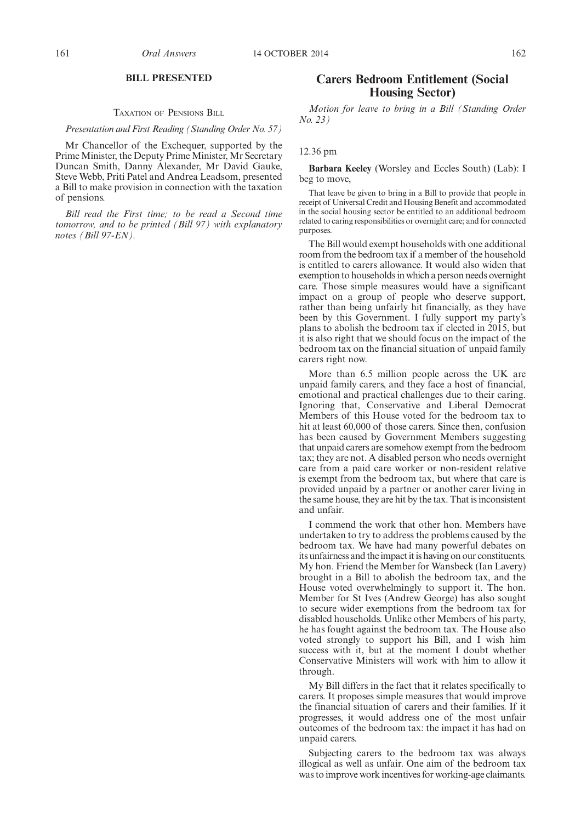#### **BILL PRESENTED**

#### TAXATION OF PENSIONS BILL

#### *Presentation and First Reading (Standing Order No. 57)*

Mr Chancellor of the Exchequer, supported by the Prime Minister, the Deputy Prime Minister, Mr Secretary Duncan Smith, Danny Alexander, Mr David Gauke, Steve Webb, Priti Patel and Andrea Leadsom, presented a Bill to make provision in connection with the taxation of pensions.

*Bill read the First time; to be read a Second time tomorrow, and to be printed (Bill 97) with explanatory notes (Bill 97-EN).*

### **Carers Bedroom Entitlement (Social Housing Sector)**

*Motion for leave to bring in a Bill (Standing Order No. 23)*

#### 12.36 pm

**Barbara Keeley** (Worsley and Eccles South) (Lab): I beg to move,

That leave be given to bring in a Bill to provide that people in receipt of Universal Credit and Housing Benefit and accommodated in the social housing sector be entitled to an additional bedroom related to caring responsibilities or overnight care; and for connected purposes.

The Bill would exempt households with one additional room from the bedroom tax if a member of the household is entitled to carers allowance. It would also widen that exemption to households in which a person needs overnight care. Those simple measures would have a significant impact on a group of people who deserve support, rather than being unfairly hit financially, as they have been by this Government. I fully support my party's plans to abolish the bedroom tax if elected in 2015, but it is also right that we should focus on the impact of the bedroom tax on the financial situation of unpaid family carers right now.

More than 6.5 million people across the UK are unpaid family carers, and they face a host of financial, emotional and practical challenges due to their caring. Ignoring that, Conservative and Liberal Democrat Members of this House voted for the bedroom tax to hit at least 60,000 of those carers. Since then, confusion has been caused by Government Members suggesting that unpaid carers are somehow exempt from the bedroom tax; they are not. A disabled person who needs overnight care from a paid care worker or non-resident relative is exempt from the bedroom tax, but where that care is provided unpaid by a partner or another carer living in the same house, they are hit by the tax. That is inconsistent and unfair.

I commend the work that other hon. Members have undertaken to try to address the problems caused by the bedroom tax. We have had many powerful debates on its unfairness and the impact it is having on our constituents. My hon. Friend the Member for Wansbeck (Ian Lavery) brought in a Bill to abolish the bedroom tax, and the House voted overwhelmingly to support it. The hon. Member for St Ives (Andrew George) has also sought to secure wider exemptions from the bedroom tax for disabled households. Unlike other Members of his party, he has fought against the bedroom tax. The House also voted strongly to support his Bill, and I wish him success with it, but at the moment I doubt whether Conservative Ministers will work with him to allow it through.

My Bill differs in the fact that it relates specifically to carers. It proposes simple measures that would improve the financial situation of carers and their families. If it progresses, it would address one of the most unfair outcomes of the bedroom tax: the impact it has had on unpaid carers.

Subjecting carers to the bedroom tax was always illogical as well as unfair. One aim of the bedroom tax was to improve work incentives for working-age claimants.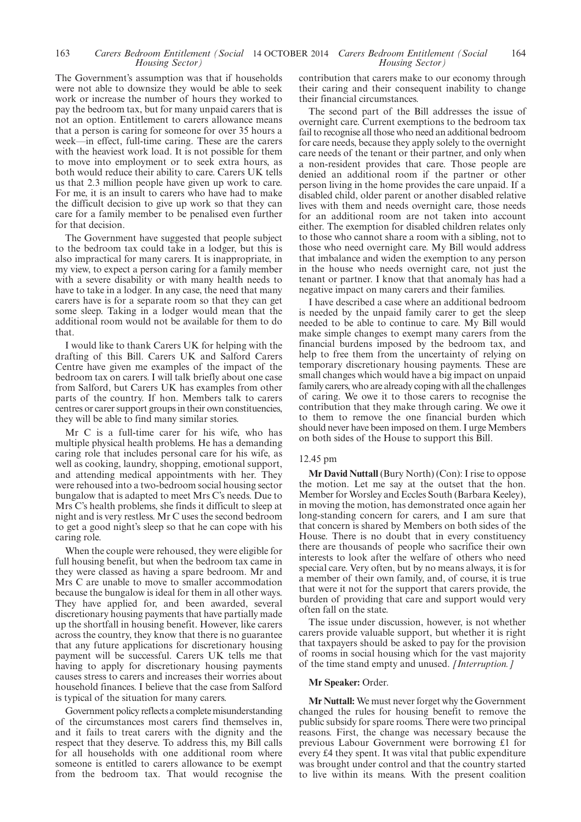#### 163 Carers Bedroom Entitlement (Social 14 OCTOBER 2014 Carers Bedroom Entitlement (Social 164 *Housing Sector) Housing Sector)*

The Government's assumption was that if households were not able to downsize they would be able to seek work or increase the number of hours they worked to pay the bedroom tax, but for many unpaid carers that is not an option. Entitlement to carers allowance means that a person is caring for someone for over 35 hours a week—in effect, full-time caring. These are the carers with the heaviest work load. It is not possible for them to move into employment or to seek extra hours, as both would reduce their ability to care. Carers UK tells us that 2.3 million people have given up work to care. For me, it is an insult to carers who have had to make the difficult decision to give up work so that they can care for a family member to be penalised even further for that decision.

The Government have suggested that people subject to the bedroom tax could take in a lodger, but this is also impractical for many carers. It is inappropriate, in my view, to expect a person caring for a family member with a severe disability or with many health needs to have to take in a lodger. In any case, the need that many carers have is for a separate room so that they can get some sleep. Taking in a lodger would mean that the additional room would not be available for them to do that.

I would like to thank Carers UK for helping with the drafting of this Bill. Carers UK and Salford Carers Centre have given me examples of the impact of the bedroom tax on carers. I will talk briefly about one case from Salford, but Carers UK has examples from other parts of the country. If hon. Members talk to carers centres or carer support groups in their own constituencies, they will be able to find many similar stories.

Mr C is a full-time carer for his wife, who has multiple physical health problems. He has a demanding caring role that includes personal care for his wife, as well as cooking, laundry, shopping, emotional support, and attending medical appointments with her. They were rehoused into a two-bedroom social housing sector bungalow that is adapted to meet Mrs C's needs. Due to Mrs C's health problems, she finds it difficult to sleep at night and is very restless. Mr C uses the second bedroom to get a good night's sleep so that he can cope with his caring role.

When the couple were rehoused, they were eligible for full housing benefit, but when the bedroom tax came in they were classed as having a spare bedroom. Mr and Mrs C are unable to move to smaller accommodation because the bungalow is ideal for them in all other ways. They have applied for, and been awarded, several discretionary housing payments that have partially made up the shortfall in housing benefit. However, like carers across the country, they know that there is no guarantee that any future applications for discretionary housing payment will be successful. Carers UK tells me that having to apply for discretionary housing payments causes stress to carers and increases their worries about household finances. I believe that the case from Salford is typical of the situation for many carers.

Government policy reflects a complete misunderstanding of the circumstances most carers find themselves in, and it fails to treat carers with the dignity and the respect that they deserve. To address this, my Bill calls for all households with one additional room where someone is entitled to carers allowance to be exempt from the bedroom tax. That would recognise the contribution that carers make to our economy through their caring and their consequent inability to change their financial circumstances.

The second part of the Bill addresses the issue of overnight care. Current exemptions to the bedroom tax fail to recognise all those who need an additional bedroom for care needs, because they apply solely to the overnight care needs of the tenant or their partner, and only when a non-resident provides that care. Those people are denied an additional room if the partner or other person living in the home provides the care unpaid. If a disabled child, older parent or another disabled relative lives with them and needs overnight care, those needs for an additional room are not taken into account either. The exemption for disabled children relates only to those who cannot share a room with a sibling, not to those who need overnight care. My Bill would address that imbalance and widen the exemption to any person in the house who needs overnight care, not just the tenant or partner. I know that that anomaly has had a negative impact on many carers and their families.

I have described a case where an additional bedroom is needed by the unpaid family carer to get the sleep needed to be able to continue to care. My Bill would make simple changes to exempt many carers from the financial burdens imposed by the bedroom tax, and help to free them from the uncertainty of relying on temporary discretionary housing payments. These are small changes which would have a big impact on unpaid family carers, who are already coping with all the challenges of caring. We owe it to those carers to recognise the contribution that they make through caring. We owe it to them to remove the one financial burden which should never have been imposed on them. I urge Members on both sides of the House to support this Bill.

#### 12.45 pm

**Mr David Nuttall** (Bury North) (Con): I rise to oppose the motion. Let me say at the outset that the hon. Member for Worsley and Eccles South (Barbara Keeley), in moving the motion, has demonstrated once again her long-standing concern for carers, and I am sure that that concern is shared by Members on both sides of the House. There is no doubt that in every constituency there are thousands of people who sacrifice their own interests to look after the welfare of others who need special care. Very often, but by no means always, it is for a member of their own family, and, of course, it is true that were it not for the support that carers provide, the burden of providing that care and support would very often fall on the state.

The issue under discussion, however, is not whether carers provide valuable support, but whether it is right that taxpayers should be asked to pay for the provision of rooms in social housing which for the vast majority of the time stand empty and unused. *[Interruption.]*

#### **Mr Speaker:** Order.

**Mr Nuttall:** We must never forget why the Government changed the rules for housing benefit to remove the public subsidy for spare rooms. There were two principal reasons. First, the change was necessary because the previous Labour Government were borrowing £1 for every £4 they spent. It was vital that public expenditure was brought under control and that the country started to live within its means. With the present coalition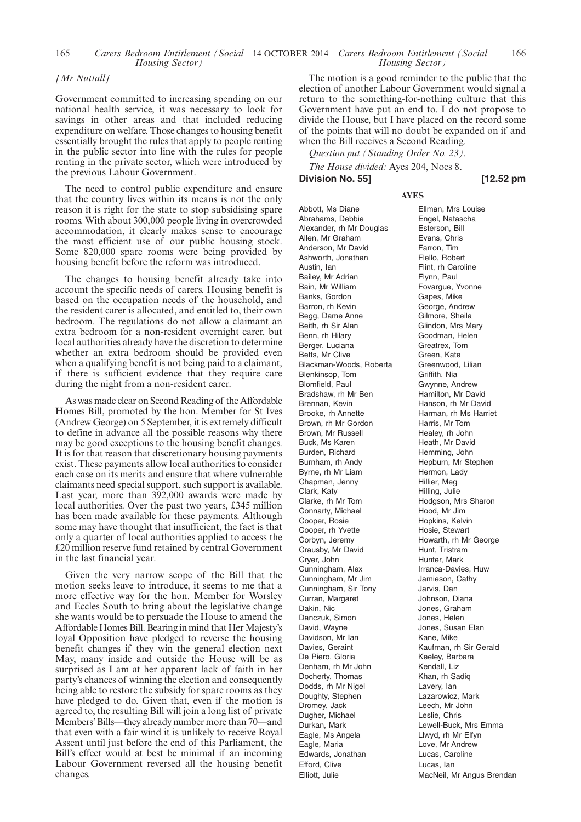#### *[Mr Nuttall]*

Government committed to increasing spending on our national health service, it was necessary to look for savings in other areas and that included reducing expenditure on welfare. Those changes to housing benefit essentially brought the rules that apply to people renting in the public sector into line with the rules for people renting in the private sector, which were introduced by the previous Labour Government.

The need to control public expenditure and ensure that the country lives within its means is not the only reason it is right for the state to stop subsidising spare rooms. With about 300,000 people living in overcrowded accommodation, it clearly makes sense to encourage the most efficient use of our public housing stock. Some 820,000 spare rooms were being provided by housing benefit before the reform was introduced.

The changes to housing benefit already take into account the specific needs of carers. Housing benefit is based on the occupation needs of the household, and the resident carer is allocated, and entitled to, their own bedroom. The regulations do not allow a claimant an extra bedroom for a non-resident overnight carer, but local authorities already have the discretion to determine whether an extra bedroom should be provided even when a qualifying benefit is not being paid to a claimant, if there is sufficient evidence that they require care during the night from a non-resident carer.

As was made clear on Second Reading of the Affordable Homes Bill, promoted by the hon. Member for St Ives (Andrew George) on 5 September, it is extremely difficult to define in advance all the possible reasons why there may be good exceptions to the housing benefit changes. It is for that reason that discretionary housing payments exist. These payments allow local authorities to consider each case on its merits and ensure that where vulnerable claimants need special support, such support is available. Last year, more than 392,000 awards were made by local authorities. Over the past two years, £345 million has been made available for these payments. Although some may have thought that insufficient, the fact is that only a quarter of local authorities applied to access the £20 million reserve fund retained by central Government in the last financial year.

Given the very narrow scope of the Bill that the motion seeks leave to introduce, it seems to me that a more effective way for the hon. Member for Worsley and Eccles South to bring about the legislative change she wants would be to persuade the House to amend the Affordable Homes Bill. Bearing in mind that Her Majesty's loyal Opposition have pledged to reverse the housing benefit changes if they win the general election next May, many inside and outside the House will be as surprised as I am at her apparent lack of faith in her party's chances of winning the election and consequently being able to restore the subsidy for spare rooms as they have pledged to do. Given that, even if the motion is agreed to, the resulting Bill will join a long list of private Members'Bills—they already number more than 70—and that even with a fair wind it is unlikely to receive Royal Assent until just before the end of this Parliament, the Bill's effect would at best be minimal if an incoming Labour Government reversed all the housing benefit changes.

The motion is a good reminder to the public that the election of another Labour Government would signal a return to the something-for-nothing culture that this Government have put an end to. I do not propose to divide the House, but I have placed on the record some of the points that will no doubt be expanded on if and when the Bill receives a Second Reading.

**AYES**

*Question put (Standing Order No. 23).*

*The House divided:* Ayes 204, Noes 8.

**Division No. 55] [12.52 pm**

Abbott, Ms Diane Abrahams, Debbie Alexander, rh Mr Douglas Allen, Mr Graham Anderson, Mr David Ashworth, Jonathan Austin, Ian Bailey, Mr Adrian Bain, Mr William Banks, Gordon Barron, rh Kevin Begg, Dame Anne Beith, rh Sir Alan Benn, rh Hilary Berger, Luciana Betts, Mr Clive Blackman-Woods, Roberta Blenkinsop, Tom Blomfield, Paul Bradshaw, rh Mr Ben Brennan, Kevin Brooke, rh Annette Brown, rh Mr Gordon Brown, Mr Russell Buck, Ms Karen Burden, Richard Burnham, rh Andy Byrne, rh Mr Liam Chapman, Jenny Clark, Katy Clarke, rh Mr Tom Connarty, Michael Cooper, Rosie Cooper, rh Yvette Corbyn, Jeremy Crausby, Mr David Cryer, John Cunningham, Alex Cunningham, Mr Jim Cunningham, Sir Tony Curran, Margaret Dakin, Nic Danczuk, Simon David, Wayne Davidson, Mr Ian Davies, Geraint De Piero, Gloria Denham, rh Mr John Docherty, Thomas Dodds, rh Mr Nigel Doughty, Stephen Dromey, Jack Dugher, Michael Durkan, Mark Eagle, Ms Angela Eagle, Maria Edwards, Jonathan Efford, Clive Elliott, Julie

Ellman, Mrs Louise Engel, Natascha Esterson, Bill Evans, Chris Farron, Tim Flello, Robert Flint, rh Caroline Flynn, Paul Fovargue, Yvonne Gapes, Mike George, Andrew Gilmore, Sheila Glindon, Mrs Mary Goodman, Helen Greatrex, Tom Green, Kate Greenwood, Lilian Griffith, Nia Gwynne, Andrew Hamilton, Mr David Hanson, rh Mr David Harman, rh Ms Harriet Harris, Mr Tom Healey, rh John Heath, Mr David Hemming, John Hepburn, Mr Stephen Hermon, Lady Hillier, Meg Hilling, Julie Hodgson, Mrs Sharon Hood, Mr Jim Hopkins, Kelvin Hosie, Stewart Howarth, rh Mr George Hunt, Tristram Hunter, Mark Irranca-Davies, Huw Jamieson, Cathy Jarvis, Dan Johnson, Diana Jones, Graham Jones, Helen Jones, Susan Elan Kane, Mike Kaufman, rh Sir Gerald Keeley, Barbara Kendall, Liz Khan, rh Sadiq Lavery, Ian Lazarowicz, Mark Leech, Mr John Leslie, Chris Lewell-Buck, Mrs Emma Llwyd, rh Mr Elfyn Love, Mr Andrew Lucas, Caroline Lucas, Ian MacNeil, Mr Angus Brendan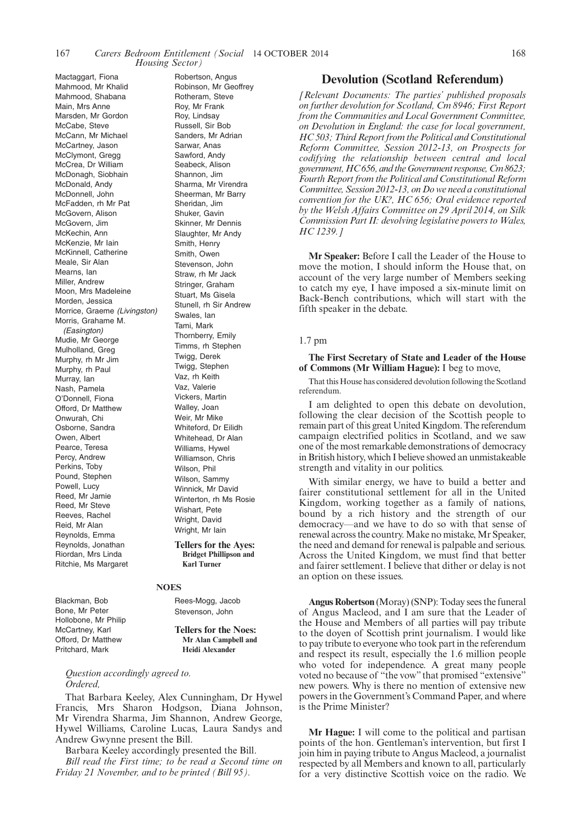Robertson, Angus

Mactaggart, Fiona Mahmood, Mr Khalid Mahmood, Shabana Main, Mrs Anne Marsden, Mr Gordon McCabe, Steve McCann, Mr Michael McCartney, Jason McClymont, Gregg McCrea, Dr William McDonagh, Siobhain McDonald, Andy McDonnell, John McFadden, rh Mr Pat McGovern, Alison McGovern, Jim McKechin, Ann McKenzie, Mr Iain McKinnell, Catherine Meale, Sir Alan Mearns, Ian Miller, Andrew Moon, Mrs Madeleine Morden, Jessica Morrice, Graeme *(Livingston)* Morris, Grahame M. *(Easington)* Mudie, Mr George Mulholland, Greg Murphy, rh Mr Jim Murphy, rh Paul Murray, Ian Nash, Pamela O'Donnell, Fiona Offord, Dr Matthew Onwurah, Chi Osborne, Sandra Owen, Albert Pearce, Teresa Percy, Andrew Perkins, Toby Pound, Stephen Powell, Lucy Reed, Mr Jamie Reed, Mr Steve Reeves, Rachel Reid, Mr Alan Reynolds, Emma Reynolds, Jonathan Riordan, Mrs Linda Ritchie, Ms Margaret

Robinson, Mr Geoffrey Rotheram, Steve Roy, Mr Frank Roy, Lindsay Russell, Sir Bob Sanders, Mr Adrian Sarwar, Anas Sawford, Andy Seabeck, Alison Shannon, Jim Sharma, Mr Virendra Sheerman, Mr Barry Sheridan, Jim Shuker, Gavin Skinner, Mr Dennis Slaughter, Mr Andy Smith, Henry Smith, Owen Stevenson, John Straw, rh Mr Jack Stringer, Graham Stuart, Ms Gisela Stunell, rh Sir Andrew Swales, Ian Tami, Mark Thornberry, Emily Timms, rh Stephen Twigg, Derek Twigg, Stephen Vaz, rh Keith Vaz, Valerie Vickers, Martin Walley, Joan Weir, Mr Mike Whiteford, Dr Eilidh Whitehead, Dr Alan Williams, Hywel Williamson, Chris Wilson, Phil Wilson, Sammy Winnick, Mr David Winterton, rh Ms Rosie Wishart, Pete Wright, David Wright, Mr Iain

**Tellers for the Ayes: Bridget Phillipson and Karl Turner**

#### **NOES**

Rees-Mogg, Jacob Stevenson, John

**Tellers for the Noes: Mr Alan Campbell and Heidi Alexander**

*Question accordingly agreed to. Ordered,*

Blackman, Bob Bone, Mr Peter Hollobone, Mr Philip McCartney, Karl Offord, Dr Matthew Pritchard, Mark

That Barbara Keeley, Alex Cunningham, Dr Hywel Francis, Mrs Sharon Hodgson, Diana Johnson, Mr Virendra Sharma, Jim Shannon, Andrew George, Hywel Williams, Caroline Lucas, Laura Sandys and Andrew Gwynne present the Bill.

Barbara Keeley accordingly presented the Bill.

*Bill read the First time; to be read a Second time on Friday 21 November, and to be printed (Bill 95).*

#### **Devolution (Scotland Referendum)**

*[Relevant Documents: The parties' published proposals on further devolution for Scotland, Cm 8946; First Report from the Communities and Local Government Committee, on Devolution in England: the case for local government, HC 503; Third Report from the Political and Constitutional Reform Committee, Session 2012-13, on Prospects for codifying the relationship between central and local government,HC 656, and the Government response, Cm 8623; Fourth Report from the Political and Constitutional Reform Committee, Session 2012-13, on Do we need a constitutional convention for the UK?, HC 656; Oral evidence reported by the Welsh Affairs Committee on 29 April 2014, on Silk Commission Part II: devolving legislative powers to Wales, HC 1239.]*

**Mr Speaker:** Before I call the Leader of the House to move the motion, I should inform the House that, on account of the very large number of Members seeking to catch my eye, I have imposed a six-minute limit on Back-Bench contributions, which will start with the fifth speaker in the debate.

#### 1.7 pm

**The First Secretary of State and Leader of the House of Commons (Mr William Hague):** I beg to move,

That this House has considered devolution following the Scotland referendum.

I am delighted to open this debate on devolution, following the clear decision of the Scottish people to remain part of this great United Kingdom. The referendum campaign electrified politics in Scotland, and we saw one of the most remarkable demonstrations of democracy in British history, which I believe showed an unmistakeable strength and vitality in our politics.

With similar energy, we have to build a better and fairer constitutional settlement for all in the United Kingdom, working together as a family of nations, bound by a rich history and the strength of our democracy—and we have to do so with that sense of renewal across the country. Make no mistake, Mr Speaker, the need and demand for renewal is palpable and serious. Across the United Kingdom, we must find that better and fairer settlement. I believe that dither or delay is not an option on these issues.

**Angus Robertson** (Moray) (SNP): Today sees the funeral of Angus Macleod, and I am sure that the Leader of the House and Members of all parties will pay tribute to the doyen of Scottish print journalism. I would like to pay tribute to everyone who took part in the referendum and respect its result, especially the 1.6 million people who voted for independence. A great many people voted no because of "the vow" that promised "extensive" new powers. Why is there no mention of extensive new powers in the Government's Command Paper, and where is the Prime Minister?

**Mr Hague:** I will come to the political and partisan points of the hon. Gentleman's intervention, but first I join him in paying tribute to Angus Macleod, a journalist respected by all Members and known to all, particularly for a very distinctive Scottish voice on the radio. We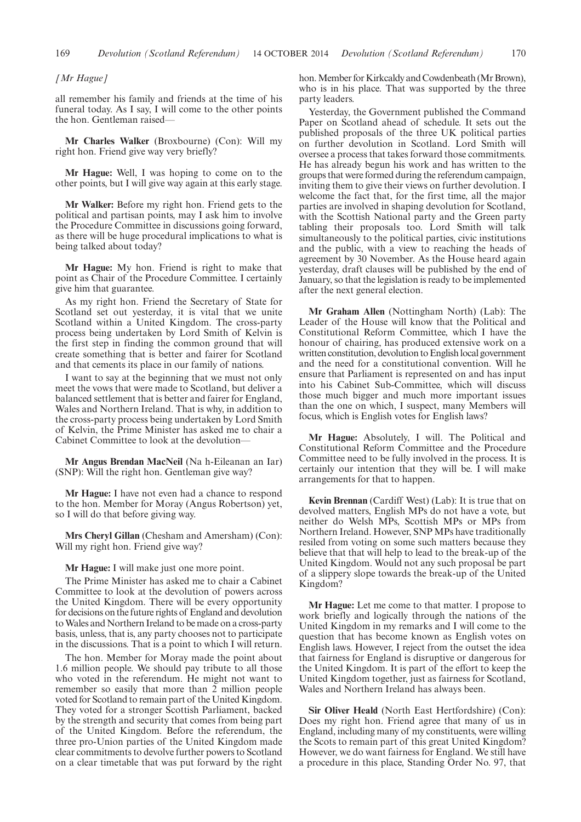#### *[Mr Hague]*

all remember his family and friends at the time of his funeral today. As I say, I will come to the other points the hon. Gentleman raised—

**Mr Charles Walker** (Broxbourne) (Con): Will my right hon. Friend give way very briefly?

**Mr Hague:** Well, I was hoping to come on to the other points, but I will give way again at this early stage.

**Mr Walker:** Before my right hon. Friend gets to the political and partisan points, may I ask him to involve the Procedure Committee in discussions going forward, as there will be huge procedural implications to what is being talked about today?

**Mr Hague:** My hon. Friend is right to make that point as Chair of the Procedure Committee. I certainly give him that guarantee.

As my right hon. Friend the Secretary of State for Scotland set out yesterday, it is vital that we unite Scotland within a United Kingdom. The cross-party process being undertaken by Lord Smith of Kelvin is the first step in finding the common ground that will create something that is better and fairer for Scotland and that cements its place in our family of nations.

I want to say at the beginning that we must not only meet the vows that were made to Scotland, but deliver a balanced settlement that is better and fairer for England, Wales and Northern Ireland. That is why, in addition to the cross-party process being undertaken by Lord Smith of Kelvin, the Prime Minister has asked me to chair a Cabinet Committee to look at the devolution—

**Mr Angus Brendan MacNeil** (Na h-Eileanan an Iar) (SNP): Will the right hon. Gentleman give way?

**Mr Hague:** I have not even had a chance to respond to the hon. Member for Moray (Angus Robertson) yet, so I will do that before giving way.

**Mrs Cheryl Gillan** (Chesham and Amersham) (Con): Will my right hon. Friend give way?

#### **Mr Hague:** I will make just one more point.

The Prime Minister has asked me to chair a Cabinet Committee to look at the devolution of powers across the United Kingdom. There will be every opportunity for decisions on the future rights of England and devolution toWales and Northern Ireland to be made on a cross-party basis, unless, that is, any party chooses not to participate in the discussions. That is a point to which I will return.

The hon. Member for Moray made the point about 1.6 million people. We should pay tribute to all those who voted in the referendum. He might not want to remember so easily that more than 2 million people voted for Scotland to remain part of the United Kingdom. They voted for a stronger Scottish Parliament, backed by the strength and security that comes from being part of the United Kingdom. Before the referendum, the three pro-Union parties of the United Kingdom made clear commitments to devolve further powers to Scotland on a clear timetable that was put forward by the right hon. Member for Kirkcaldy and Cowdenbeath (Mr Brown), who is in his place. That was supported by the three party leaders.

Yesterday, the Government published the Command Paper on Scotland ahead of schedule. It sets out the published proposals of the three UK political parties on further devolution in Scotland. Lord Smith will oversee a process that takes forward those commitments. He has already begun his work and has written to the groups that were formed during the referendum campaign, inviting them to give their views on further devolution. I welcome the fact that, for the first time, all the major parties are involved in shaping devolution for Scotland, with the Scottish National party and the Green party tabling their proposals too. Lord Smith will talk simultaneously to the political parties, civic institutions and the public, with a view to reaching the heads of agreement by 30 November. As the House heard again yesterday, draft clauses will be published by the end of January, so that the legislation is ready to be implemented after the next general election.

**Mr Graham Allen** (Nottingham North) (Lab): The Leader of the House will know that the Political and Constitutional Reform Committee, which I have the honour of chairing, has produced extensive work on a written constitution, devolution to English local government and the need for a constitutional convention. Will he ensure that Parliament is represented on and has input into his Cabinet Sub-Committee, which will discuss those much bigger and much more important issues than the one on which, I suspect, many Members will focus, which is English votes for English laws?

**Mr Hague:** Absolutely, I will. The Political and Constitutional Reform Committee and the Procedure Committee need to be fully involved in the process. It is certainly our intention that they will be. I will make arrangements for that to happen.

**Kevin Brennan** (Cardiff West) (Lab): It is true that on devolved matters, English MPs do not have a vote, but neither do Welsh MPs, Scottish MPs or MPs from Northern Ireland. However, SNP MPs have traditionally resiled from voting on some such matters because they believe that that will help to lead to the break-up of the United Kingdom. Would not any such proposal be part of a slippery slope towards the break-up of the United Kingdom?

**Mr Hague:** Let me come to that matter. I propose to work briefly and logically through the nations of the United Kingdom in my remarks and I will come to the question that has become known as English votes on English laws. However, I reject from the outset the idea that fairness for England is disruptive or dangerous for the United Kingdom. It is part of the effort to keep the United Kingdom together, just as fairness for Scotland, Wales and Northern Ireland has always been.

**Sir Oliver Heald** (North East Hertfordshire) (Con): Does my right hon. Friend agree that many of us in England, including many of my constituents, were willing the Scots to remain part of this great United Kingdom? However, we do want fairness for England. We still have a procedure in this place, Standing Order No. 97, that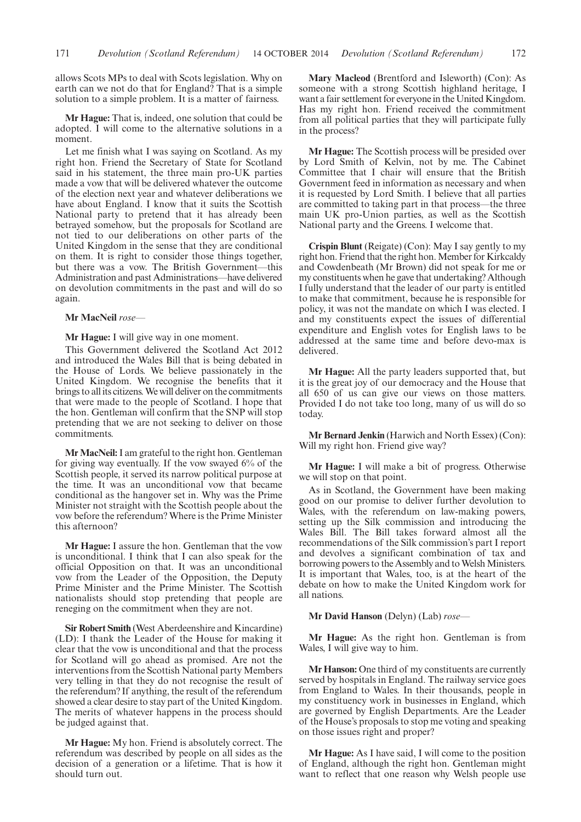allows Scots MPs to deal with Scots legislation. Why on earth can we not do that for England? That is a simple solution to a simple problem. It is a matter of fairness.

**Mr Hague:** That is, indeed, one solution that could be adopted. I will come to the alternative solutions in a moment.

Let me finish what I was saying on Scotland. As my right hon. Friend the Secretary of State for Scotland said in his statement, the three main pro-UK parties made a vow that will be delivered whatever the outcome of the election next year and whatever deliberations we have about England. I know that it suits the Scottish National party to pretend that it has already been betrayed somehow, but the proposals for Scotland are not tied to our deliberations on other parts of the United Kingdom in the sense that they are conditional on them. It is right to consider those things together, but there was a vow. The British Government—this Administration and past Administrations—have delivered on devolution commitments in the past and will do so again.

**Mr MacNeil** *rose—*

**Mr Hague:** I will give way in one moment.

This Government delivered the Scotland Act 2012 and introduced the Wales Bill that is being debated in the House of Lords. We believe passionately in the United Kingdom. We recognise the benefits that it brings to all its citizens.We will deliver on the commitments that were made to the people of Scotland. I hope that the hon. Gentleman will confirm that the SNP will stop pretending that we are not seeking to deliver on those commitments.

**Mr MacNeil:**I am grateful to the right hon. Gentleman for giving way eventually. If the vow swayed 6% of the Scottish people, it served its narrow political purpose at the time. It was an unconditional vow that became conditional as the hangover set in. Why was the Prime Minister not straight with the Scottish people about the vow before the referendum? Where is the Prime Minister this afternoon?

**Mr Hague:** I assure the hon. Gentleman that the vow is unconditional. I think that I can also speak for the official Opposition on that. It was an unconditional vow from the Leader of the Opposition, the Deputy Prime Minister and the Prime Minister. The Scottish nationalists should stop pretending that people are reneging on the commitment when they are not.

**Sir Robert Smith** (West Aberdeenshire and Kincardine) (LD): I thank the Leader of the House for making it clear that the vow is unconditional and that the process for Scotland will go ahead as promised. Are not the interventions from the Scottish National party Members very telling in that they do not recognise the result of the referendum? If anything, the result of the referendum showed a clear desire to stay part of the United Kingdom. The merits of whatever happens in the process should be judged against that.

**Mr Hague:** My hon. Friend is absolutely correct. The referendum was described by people on all sides as the decision of a generation or a lifetime. That is how it should turn out.

**Mary Macleod** (Brentford and Isleworth) (Con): As someone with a strong Scottish highland heritage, I want a fair settlement for everyone in the United Kingdom. Has my right hon. Friend received the commitment from all political parties that they will participate fully in the process?

**Mr Hague:** The Scottish process will be presided over by Lord Smith of Kelvin, not by me. The Cabinet Committee that I chair will ensure that the British Government feed in information as necessary and when it is requested by Lord Smith. I believe that all parties are committed to taking part in that process—the three main UK pro-Union parties, as well as the Scottish National party and the Greens. I welcome that.

**Crispin Blunt** (Reigate) (Con): May I say gently to my right hon. Friend that the right hon. Member for Kirkcaldy and Cowdenbeath (Mr Brown) did not speak for me or my constituents when he gave that undertaking? Although I fully understand that the leader of our party is entitled to make that commitment, because he is responsible for policy, it was not the mandate on which I was elected. I and my constituents expect the issues of differential expenditure and English votes for English laws to be addressed at the same time and before devo-max is delivered.

**Mr Hague:** All the party leaders supported that, but it is the great joy of our democracy and the House that all 650 of us can give our views on those matters. Provided I do not take too long, many of us will do so today.

**Mr Bernard Jenkin** (Harwich and North Essex) (Con): Will my right hon. Friend give way?

**Mr Hague:** I will make a bit of progress. Otherwise we will stop on that point.

As in Scotland, the Government have been making good on our promise to deliver further devolution to Wales, with the referendum on law-making powers, setting up the Silk commission and introducing the Wales Bill. The Bill takes forward almost all the recommendations of the Silk commission's part I report and devolves a significant combination of tax and borrowing powers to the Assembly and to Welsh Ministers. It is important that Wales, too, is at the heart of the debate on how to make the United Kingdom work for all nations.

**Mr David Hanson** (Delyn) (Lab) *rose—*

**Mr Hague:** As the right hon. Gentleman is from Wales, I will give way to him.

**Mr Hanson:** One third of my constituents are currently served by hospitals in England. The railway service goes from England to Wales. In their thousands, people in my constituency work in businesses in England, which are governed by English Departments. Are the Leader of the House's proposals to stop me voting and speaking on those issues right and proper?

**Mr Hague:** As I have said, I will come to the position of England, although the right hon. Gentleman might want to reflect that one reason why Welsh people use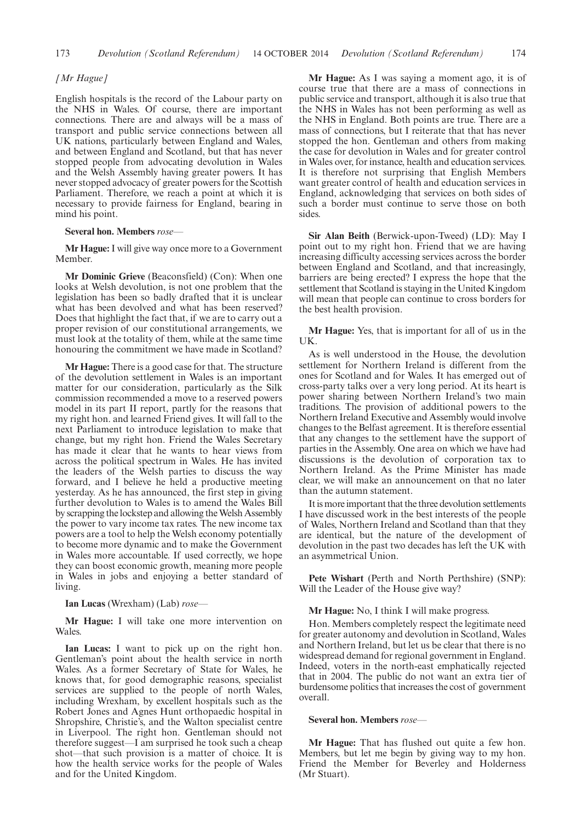#### *[Mr Hague]*

English hospitals is the record of the Labour party on the NHS in Wales. Of course, there are important connections. There are and always will be a mass of transport and public service connections between all UK nations, particularly between England and Wales, and between England and Scotland, but that has never stopped people from advocating devolution in Wales and the Welsh Assembly having greater powers. It has never stopped advocacy of greater powers for the Scottish Parliament. Therefore, we reach a point at which it is necessary to provide fairness for England, bearing in mind his point.

#### **Several hon. Members** *rose—*

**Mr Hague:**I will give way once more to a Government Member.

**Mr Dominic Grieve** (Beaconsfield) (Con): When one looks at Welsh devolution, is not one problem that the legislation has been so badly drafted that it is unclear what has been devolved and what has been reserved? Does that highlight the fact that, if we are to carry out a proper revision of our constitutional arrangements, we must look at the totality of them, while at the same time honouring the commitment we have made in Scotland?

**Mr Hague:** There is a good case for that. The structure of the devolution settlement in Wales is an important matter for our consideration, particularly as the Silk commission recommended a move to a reserved powers model in its part II report, partly for the reasons that my right hon. and learned Friend gives. It will fall to the next Parliament to introduce legislation to make that change, but my right hon. Friend the Wales Secretary has made it clear that he wants to hear views from across the political spectrum in Wales. He has invited the leaders of the Welsh parties to discuss the way forward, and I believe he held a productive meeting yesterday. As he has announced, the first step in giving further devolution to Wales is to amend the Wales Bill by scrapping the lockstep and allowing the Welsh Assembly the power to vary income tax rates. The new income tax powers are a tool to help the Welsh economy potentially to become more dynamic and to make the Government in Wales more accountable. If used correctly, we hope they can boost economic growth, meaning more people in Wales in jobs and enjoying a better standard of living.

**Ian Lucas** (Wrexham) (Lab) *rose—*

**Mr Hague:** I will take one more intervention on Wales.

**Ian Lucas:** I want to pick up on the right hon. Gentleman's point about the health service in north Wales. As a former Secretary of State for Wales, he knows that, for good demographic reasons, specialist services are supplied to the people of north Wales, including Wrexham, by excellent hospitals such as the Robert Jones and Agnes Hunt orthopaedic hospital in Shropshire, Christie's, and the Walton specialist centre in Liverpool. The right hon. Gentleman should not therefore suggest—I am surprised he took such a cheap shot—that such provision is a matter of choice. It is how the health service works for the people of Wales and for the United Kingdom.

**Mr Hague:** As I was saying a moment ago, it is of course true that there are a mass of connections in public service and transport, although it is also true that the NHS in Wales has not been performing as well as the NHS in England. Both points are true. There are a mass of connections, but I reiterate that that has never stopped the hon. Gentleman and others from making the case for devolution in Wales and for greater control in Wales over, for instance, health and education services. It is therefore not surprising that English Members want greater control of health and education services in England, acknowledging that services on both sides of such a border must continue to serve those on both sides.

**Sir Alan Beith** (Berwick-upon-Tweed) (LD): May I point out to my right hon. Friend that we are having increasing difficulty accessing services across the border between England and Scotland, and that increasingly, barriers are being erected? I express the hope that the settlement that Scotland is staying in the United Kingdom will mean that people can continue to cross borders for the best health provision.

**Mr Hague:** Yes, that is important for all of us in the UK.

As is well understood in the House, the devolution settlement for Northern Ireland is different from the ones for Scotland and for Wales. It has emerged out of cross-party talks over a very long period. At its heart is power sharing between Northern Ireland's two main traditions. The provision of additional powers to the Northern Ireland Executive and Assembly would involve changes to the Belfast agreement. It is therefore essential that any changes to the settlement have the support of parties in the Assembly. One area on which we have had discussions is the devolution of corporation tax to Northern Ireland. As the Prime Minister has made clear, we will make an announcement on that no later than the autumn statement.

It is more important that the three devolution settlements I have discussed work in the best interests of the people of Wales, Northern Ireland and Scotland than that they are identical, but the nature of the development of devolution in the past two decades has left the UK with an asymmetrical Union.

**Pete Wishart** (Perth and North Perthshire) (SNP): Will the Leader of the House give way?

#### **Mr Hague:** No, I think I will make progress.

Hon. Members completely respect the legitimate need for greater autonomy and devolution in Scotland, Wales and Northern Ireland, but let us be clear that there is no widespread demand for regional government in England. Indeed, voters in the north-east emphatically rejected that in 2004. The public do not want an extra tier of burdensome politics that increases the cost of government overall.

#### **Several hon. Members** *rose—*

**Mr Hague:** That has flushed out quite a few hon. Members, but let me begin by giving way to my hon. Friend the Member for Beverley and Holderness (Mr Stuart).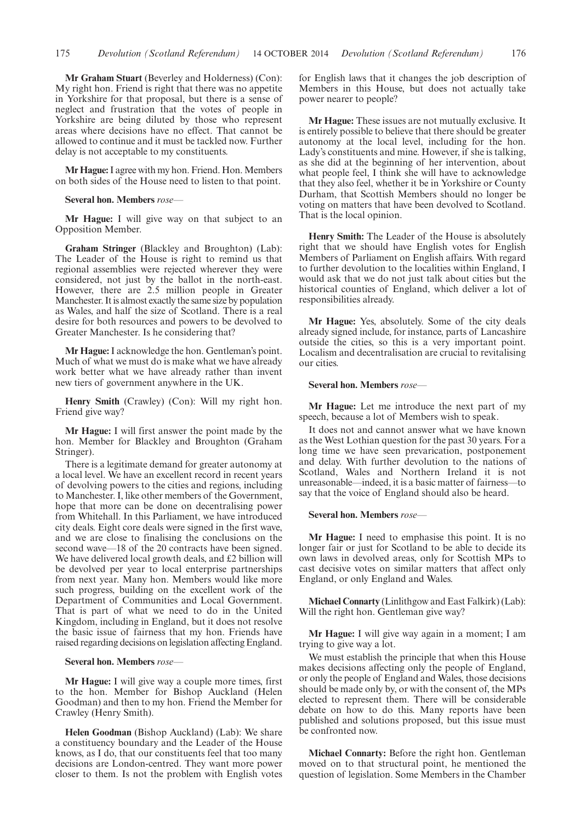**Mr Graham Stuart** (Beverley and Holderness) (Con): My right hon. Friend is right that there was no appetite in Yorkshire for that proposal, but there is a sense of neglect and frustration that the votes of people in Yorkshire are being diluted by those who represent areas where decisions have no effect. That cannot be allowed to continue and it must be tackled now. Further delay is not acceptable to my constituents.

**Mr Hague:** I agree with my hon. Friend. Hon. Members on both sides of the House need to listen to that point.

#### **Several hon. Members** *rose—*

**Mr Hague:** I will give way on that subject to an Opposition Member.

**Graham Stringer** (Blackley and Broughton) (Lab): The Leader of the House is right to remind us that regional assemblies were rejected wherever they were considered, not just by the ballot in the north-east. However, there are 2.5 million people in Greater Manchester. It is almost exactly the same size by population as Wales, and half the size of Scotland. There is a real desire for both resources and powers to be devolved to Greater Manchester. Is he considering that?

**Mr Hague:**I acknowledge the hon. Gentleman's point. Much of what we must do is make what we have already work better what we have already rather than invent new tiers of government anywhere in the UK.

**Henry Smith** (Crawley) (Con): Will my right hon. Friend give way?

**Mr Hague:** I will first answer the point made by the hon. Member for Blackley and Broughton (Graham Stringer).

There is a legitimate demand for greater autonomy at a local level. We have an excellent record in recent years of devolving powers to the cities and regions, including to Manchester. I, like other members of the Government, hope that more can be done on decentralising power from Whitehall. In this Parliament, we have introduced city deals. Eight core deals were signed in the first wave, and we are close to finalising the conclusions on the second wave—18 of the 20 contracts have been signed. We have delivered local growth deals, and £2 billion will be devolved per year to local enterprise partnerships from next year. Many hon. Members would like more such progress, building on the excellent work of the Department of Communities and Local Government. That is part of what we need to do in the United Kingdom, including in England, but it does not resolve the basic issue of fairness that my hon. Friends have raised regarding decisions on legislation affecting England.

#### **Several hon. Members** *rose—*

**Mr Hague:** I will give way a couple more times, first to the hon. Member for Bishop Auckland (Helen Goodman) and then to my hon. Friend the Member for Crawley (Henry Smith).

**Helen Goodman** (Bishop Auckland) (Lab): We share a constituency boundary and the Leader of the House knows, as I do, that our constituents feel that too many decisions are London-centred. They want more power closer to them. Is not the problem with English votes

for English laws that it changes the job description of Members in this House, but does not actually take power nearer to people?

**Mr Hague:** These issues are not mutually exclusive. It is entirely possible to believe that there should be greater autonomy at the local level, including for the hon. Lady's constituents and mine. However, if she is talking, as she did at the beginning of her intervention, about what people feel, I think she will have to acknowledge that they also feel, whether it be in Yorkshire or County Durham, that Scottish Members should no longer be voting on matters that have been devolved to Scotland. That is the local opinion.

**Henry Smith:** The Leader of the House is absolutely right that we should have English votes for English Members of Parliament on English affairs. With regard to further devolution to the localities within England, I would ask that we do not just talk about cities but the historical counties of England, which deliver a lot of responsibilities already.

**Mr Hague:** Yes, absolutely. Some of the city deals already signed include, for instance, parts of Lancashire outside the cities, so this is a very important point. Localism and decentralisation are crucial to revitalising our cities.

#### **Several hon. Members** *rose—*

**Mr Hague:** Let me introduce the next part of my speech, because a lot of Members wish to speak.

It does not and cannot answer what we have known as the West Lothian question for the past 30 years. For a long time we have seen prevarication, postponement and delay. With further devolution to the nations of Scotland, Wales and Northern Ireland it is not unreasonable—indeed, it is a basic matter of fairness—to say that the voice of England should also be heard.

#### **Several hon. Members** *rose—*

**Mr Hague:** I need to emphasise this point. It is no longer fair or just for Scotland to be able to decide its own laws in devolved areas, only for Scottish MPs to cast decisive votes on similar matters that affect only England, or only England and Wales.

**Michael Connarty** (Linlithgow and East Falkirk) (Lab): Will the right hon. Gentleman give way?

**Mr Hague:** I will give way again in a moment; I am trying to give way a lot.

We must establish the principle that when this House makes decisions affecting only the people of England, or only the people of England and Wales, those decisions should be made only by, or with the consent of, the MPs elected to represent them. There will be considerable debate on how to do this. Many reports have been published and solutions proposed, but this issue must be confronted now.

**Michael Connarty:** Before the right hon. Gentleman moved on to that structural point, he mentioned the question of legislation. Some Members in the Chamber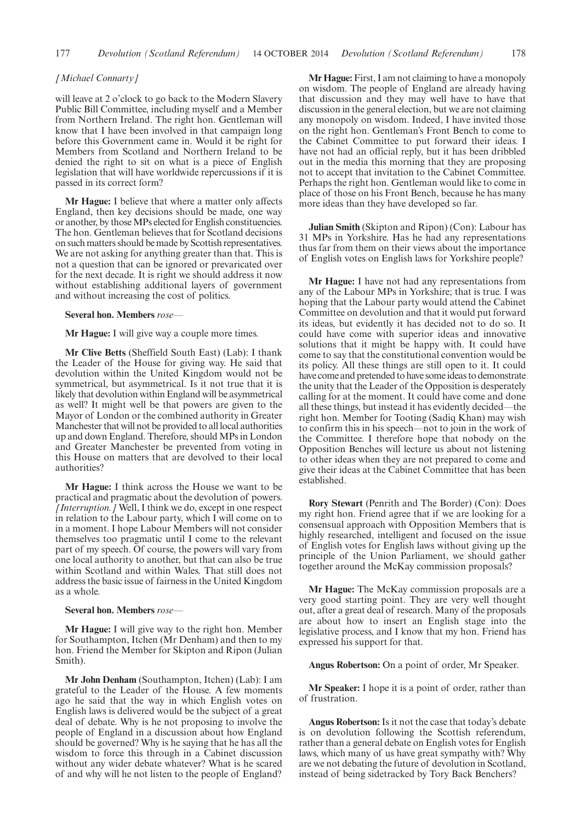#### 177 *Devolution (Scotland Referendum)* 14 OCTOBER 2014 *Devolution (Scotland Referendum)* 178

#### *[Michael Connarty]*

will leave at 2 o'clock to go back to the Modern Slavery Public Bill Committee, including myself and a Member from Northern Ireland. The right hon. Gentleman will know that I have been involved in that campaign long before this Government came in. Would it be right for Members from Scotland and Northern Ireland to be denied the right to sit on what is a piece of English legislation that will have worldwide repercussions if it is passed in its correct form?

**Mr Hague:** I believe that where a matter only affects England, then key decisions should be made, one way or another, by thoseMPs elected for English constituencies. The hon. Gentleman believes that for Scotland decisions on such matters should be made by Scottish representatives. We are not asking for anything greater than that. This is not a question that can be ignored or prevaricated over for the next decade. It is right we should address it now without establishing additional layers of government and without increasing the cost of politics.

#### **Several hon. Members** *rose—*

**Mr Hague:** I will give way a couple more times.

**Mr Clive Betts** (Sheffield South East) (Lab): I thank the Leader of the House for giving way. He said that devolution within the United Kingdom would not be symmetrical, but asymmetrical. Is it not true that it is likely that devolution within England will be asymmetrical as well? It might well be that powers are given to the Mayor of London or the combined authority in Greater Manchester that will not be provided to all local authorities up and down England. Therefore, should MPs in London and Greater Manchester be prevented from voting in this House on matters that are devolved to their local authorities?

**Mr Hague:** I think across the House we want to be practical and pragmatic about the devolution of powers. *[Interruption.]* Well, I think we do, except in one respect in relation to the Labour party, which I will come on to in a moment. I hope Labour Members will not consider themselves too pragmatic until I come to the relevant part of my speech. Of course, the powers will vary from one local authority to another, but that can also be true within Scotland and within Wales. That still does not address the basic issue of fairness in the United Kingdom as a whole.

#### **Several hon. Members** *rose—*

**Mr Hague:** I will give way to the right hon. Member for Southampton, Itchen (Mr Denham) and then to my hon. Friend the Member for Skipton and Ripon (Julian Smith).

**Mr John Denham** (Southampton, Itchen) (Lab): I am grateful to the Leader of the House. A few moments ago he said that the way in which English votes on English laws is delivered would be the subject of a great deal of debate. Why is he not proposing to involve the people of England in a discussion about how England should be governed? Why is he saying that he has all the wisdom to force this through in a Cabinet discussion without any wider debate whatever? What is he scared of and why will he not listen to the people of England?

**Mr Hague:** First, I am not claiming to have a monopoly on wisdom. The people of England are already having that discussion and they may well have to have that discussion in the general election, but we are not claiming any monopoly on wisdom. Indeed, I have invited those on the right hon. Gentleman's Front Bench to come to the Cabinet Committee to put forward their ideas. I have not had an official reply, but it has been dribbled out in the media this morning that they are proposing not to accept that invitation to the Cabinet Committee. Perhaps the right hon. Gentleman would like to come in place of those on his Front Bench, because he has many more ideas than they have developed so far.

**Julian Smith** (Skipton and Ripon) (Con): Labour has 31 MPs in Yorkshire. Has he had any representations thus far from them on their views about the importance of English votes on English laws for Yorkshire people?

**Mr Hague:** I have not had any representations from any of the Labour MPs in Yorkshire; that is true. I was hoping that the Labour party would attend the Cabinet Committee on devolution and that it would put forward its ideas, but evidently it has decided not to do so. It could have come with superior ideas and innovative solutions that it might be happy with. It could have come to say that the constitutional convention would be its policy. All these things are still open to it. It could have come and pretended to have some ideas to demonstrate the unity that the Leader of the Opposition is desperately calling for at the moment. It could have come and done all these things, but instead it has evidently decided—the right hon. Member for Tooting (Sadiq Khan) may wish to confirm this in his speech—not to join in the work of the Committee. I therefore hope that nobody on the Opposition Benches will lecture us about not listening to other ideas when they are not prepared to come and give their ideas at the Cabinet Committee that has been established.

**Rory Stewart** (Penrith and The Border) (Con): Does my right hon. Friend agree that if we are looking for a consensual approach with Opposition Members that is highly researched, intelligent and focused on the issue of English votes for English laws without giving up the principle of the Union Parliament, we should gather together around the McKay commission proposals?

**Mr Hague:** The McKay commission proposals are a very good starting point. They are very well thought out, after a great deal of research. Many of the proposals are about how to insert an English stage into the legislative process, and I know that my hon. Friend has expressed his support for that.

**Angus Robertson:** On a point of order, Mr Speaker.

**Mr Speaker:** I hope it is a point of order, rather than of frustration.

**Angus Robertson:** Is it not the case that today's debate is on devolution following the Scottish referendum, rather than a general debate on English votes for English laws, which many of us have great sympathy with? Why are we not debating the future of devolution in Scotland, instead of being sidetracked by Tory Back Benchers?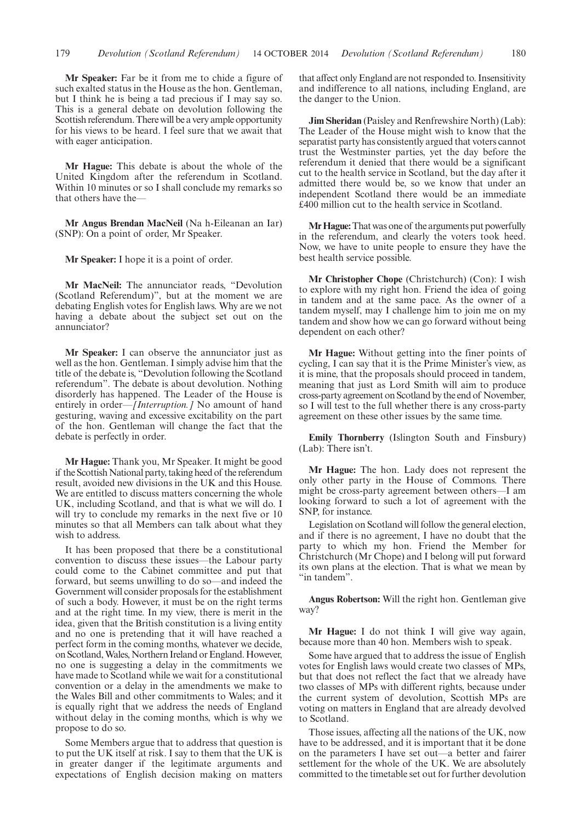**Mr Speaker:** Far be it from me to chide a figure of such exalted status in the House as the hon. Gentleman, but I think he is being a tad precious if I may say so. This is a general debate on devolution following the Scottish referendum. There will be a very ample opportunity for his views to be heard. I feel sure that we await that with eager anticipation.

**Mr Hague:** This debate is about the whole of the United Kingdom after the referendum in Scotland. Within 10 minutes or so I shall conclude my remarks so that others have the—

**Mr Angus Brendan MacNeil** (Na h-Eileanan an Iar) (SNP): On a point of order, Mr Speaker.

**Mr Speaker:** I hope it is a point of order.

**Mr MacNeil:** The annunciator reads, "Devolution (Scotland Referendum)", but at the moment we are debating English votes for English laws. Why are we not having a debate about the subject set out on the annunciator?

**Mr Speaker:** I can observe the annunciator just as well as the hon. Gentleman. I simply advise him that the title of the debate is, "Devolution following the Scotland referendum". The debate is about devolution. Nothing disorderly has happened. The Leader of the House is entirely in order—*[Interruption.]* No amount of hand gesturing, waving and excessive excitability on the part of the hon. Gentleman will change the fact that the debate is perfectly in order.

**Mr Hague:** Thank you, Mr Speaker. It might be good if the Scottish National party, taking heed of the referendum result, avoided new divisions in the UK and this House. We are entitled to discuss matters concerning the whole UK, including Scotland, and that is what we will do. I will try to conclude my remarks in the next five or 10 minutes so that all Members can talk about what they wish to address.

It has been proposed that there be a constitutional convention to discuss these issues—the Labour party could come to the Cabinet committee and put that forward, but seems unwilling to do so—and indeed the Government will consider proposals for the establishment of such a body. However, it must be on the right terms and at the right time. In my view, there is merit in the idea, given that the British constitution is a living entity and no one is pretending that it will have reached a perfect form in the coming months, whatever we decide, on Scotland, Wales, Northern Ireland or England. However, no one is suggesting a delay in the commitments we have made to Scotland while we wait for a constitutional convention or a delay in the amendments we make to the Wales Bill and other commitments to Wales; and it is equally right that we address the needs of England without delay in the coming months, which is why we propose to do so.

Some Members argue that to address that question is to put the UK itself at risk. I say to them that the UK is in greater danger if the legitimate arguments and expectations of English decision making on matters that affect only England are not responded to. Insensitivity and indifference to all nations, including England, are the danger to the Union.

**Jim Sheridan** (Paisley and Renfrewshire North) (Lab): The Leader of the House might wish to know that the separatist party has consistently argued that voters cannot trust the Westminster parties, yet the day before the referendum it denied that there would be a significant cut to the health service in Scotland, but the day after it admitted there would be, so we know that under an independent Scotland there would be an immediate £400 million cut to the health service in Scotland.

**MrHague:**That was one of the arguments put powerfully in the referendum, and clearly the voters took heed. Now, we have to unite people to ensure they have the best health service possible.

**Mr Christopher Chope** (Christchurch) (Con): I wish to explore with my right hon. Friend the idea of going in tandem and at the same pace. As the owner of a tandem myself, may I challenge him to join me on my tandem and show how we can go forward without being dependent on each other?

**Mr Hague:** Without getting into the finer points of cycling, I can say that it is the Prime Minister's view, as it is mine, that the proposals should proceed in tandem, meaning that just as Lord Smith will aim to produce cross-party agreement on Scotland by the end of November, so I will test to the full whether there is any cross-party agreement on these other issues by the same time.

**Emily Thornberry** (Islington South and Finsbury) (Lab): There isn't.

**Mr Hague:** The hon. Lady does not represent the only other party in the House of Commons. There might be cross-party agreement between others—I am looking forward to such a lot of agreement with the SNP, for instance.

Legislation on Scotland will follow the general election, and if there is no agreement, I have no doubt that the party to which my hon. Friend the Member for Christchurch (Mr Chope) and I belong will put forward its own plans at the election. That is what we mean by "in tandem".

**Angus Robertson:** Will the right hon. Gentleman give way?

**Mr Hague:** I do not think I will give way again, because more than 40 hon. Members wish to speak.

Some have argued that to address the issue of English votes for English laws would create two classes of MPs, but that does not reflect the fact that we already have two classes of MPs with different rights, because under the current system of devolution, Scottish MPs are voting on matters in England that are already devolved to Scotland.

Those issues, affecting all the nations of the UK, now have to be addressed, and it is important that it be done on the parameters I have set out—a better and fairer settlement for the whole of the UK. We are absolutely committed to the timetable set out for further devolution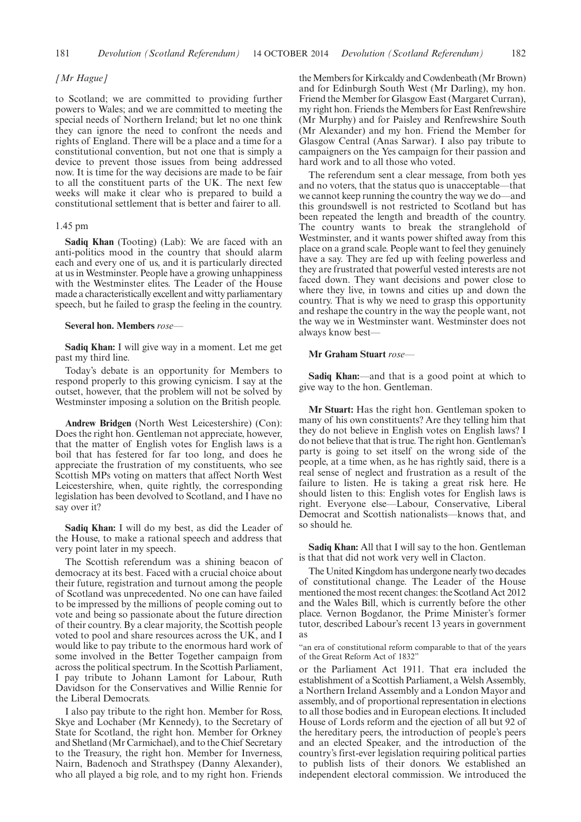181 *Devolution (Scotland Referendum)* 14 OCTOBER 2014 *Devolution (Scotland Referendum)* 182

#### *[Mr Hague]*

to Scotland; we are committed to providing further powers to Wales; and we are committed to meeting the special needs of Northern Ireland; but let no one think they can ignore the need to confront the needs and rights of England. There will be a place and a time for a constitutional convention, but not one that is simply a device to prevent those issues from being addressed now. It is time for the way decisions are made to be fair to all the constituent parts of the UK. The next few weeks will make it clear who is prepared to build a constitutional settlement that is better and fairer to all.

#### 1.45 pm

**Sadiq Khan** (Tooting) (Lab): We are faced with an anti-politics mood in the country that should alarm each and every one of us, and it is particularly directed at us in Westminster. People have a growing unhappiness with the Westminster elites. The Leader of the House made a characteristically excellent and witty parliamentary speech, but he failed to grasp the feeling in the country.

#### **Several hon. Members** *rose—*

**Sadiq Khan:** I will give way in a moment. Let me get past my third line.

Today's debate is an opportunity for Members to respond properly to this growing cynicism. I say at the outset, however, that the problem will not be solved by Westminster imposing a solution on the British people.

**Andrew Bridgen** (North West Leicestershire) (Con): Does the right hon. Gentleman not appreciate, however, that the matter of English votes for English laws is a boil that has festered for far too long, and does he appreciate the frustration of my constituents, who see Scottish MPs voting on matters that affect North West Leicestershire, when, quite rightly, the corresponding legislation has been devolved to Scotland, and I have no say over it?

**Sadiq Khan:** I will do my best, as did the Leader of the House, to make a rational speech and address that very point later in my speech.

The Scottish referendum was a shining beacon of democracy at its best. Faced with a crucial choice about their future, registration and turnout among the people of Scotland was unprecedented. No one can have failed to be impressed by the millions of people coming out to vote and being so passionate about the future direction of their country. By a clear majority, the Scottish people voted to pool and share resources across the UK, and I would like to pay tribute to the enormous hard work of some involved in the Better Together campaign from across the political spectrum. In the Scottish Parliament, I pay tribute to Johann Lamont for Labour, Ruth Davidson for the Conservatives and Willie Rennie for the Liberal Democrats.

I also pay tribute to the right hon. Member for Ross, Skye and Lochaber (Mr Kennedy), to the Secretary of State for Scotland, the right hon. Member for Orkney and Shetland (Mr Carmichael), and to the Chief Secretary to the Treasury, the right hon. Member for Inverness, Nairn, Badenoch and Strathspey (Danny Alexander), who all played a big role, and to my right hon. Friends

the Members for Kirkcaldy and Cowdenbeath (Mr Brown) and for Edinburgh South West (Mr Darling), my hon. Friend the Member for Glasgow East (Margaret Curran), my right hon. Friends the Members for East Renfrewshire (Mr Murphy) and for Paisley and Renfrewshire South (Mr Alexander) and my hon. Friend the Member for Glasgow Central (Anas Sarwar). I also pay tribute to campaigners on the Yes campaign for their passion and hard work and to all those who voted.

The referendum sent a clear message, from both yes and no voters, that the status quo is unacceptable—that we cannot keep running the country the way we do—and this groundswell is not restricted to Scotland but has been repeated the length and breadth of the country. The country wants to break the stranglehold of Westminster, and it wants power shifted away from this place on a grand scale. People want to feel they genuinely have a say. They are fed up with feeling powerless and they are frustrated that powerful vested interests are not faced down. They want decisions and power close to where they live, in towns and cities up and down the country. That is why we need to grasp this opportunity and reshape the country in the way the people want, not the way we in Westminster want. Westminster does not always know best—

#### **Mr Graham Stuart** *rose—*

**Sadiq Khan:**—and that is a good point at which to give way to the hon. Gentleman.

**Mr Stuart:** Has the right hon. Gentleman spoken to many of his own constituents? Are they telling him that they do not believe in English votes on English laws? I do not believe that that is true. The right hon. Gentleman's party is going to set itself on the wrong side of the people, at a time when, as he has rightly said, there is a real sense of neglect and frustration as a result of the failure to listen. He is taking a great risk here. He should listen to this: English votes for English laws is right. Everyone else—Labour, Conservative, Liberal Democrat and Scottish nationalists—knows that, and so should he.

**Sadiq Khan:** All that I will say to the hon. Gentleman is that that did not work very well in Clacton.

The United Kingdom has undergone nearly two decades of constitutional change. The Leader of the House mentioned the most recent changes: the Scotland Act 2012 and the Wales Bill, which is currently before the other place. Vernon Bogdanor, the Prime Minister's former tutor, described Labour's recent 13 years in government as

"an era of constitutional reform comparable to that of the years of the Great Reform Act of 1832"

or the Parliament Act 1911. That era included the establishment of a Scottish Parliament, a Welsh Assembly, a Northern Ireland Assembly and a London Mayor and assembly, and of proportional representation in elections to all those bodies and in European elections. It included House of Lords reform and the ejection of all but 92 of the hereditary peers, the introduction of people's peers and an elected Speaker, and the introduction of the country's first-ever legislation requiring political parties to publish lists of their donors. We established an independent electoral commission. We introduced the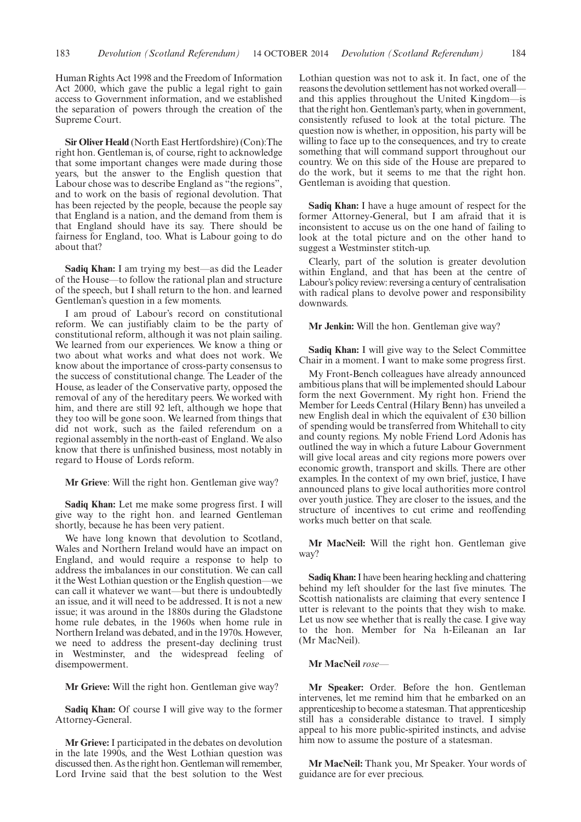Human Rights Act 1998 and the Freedom of Information Act 2000, which gave the public a legal right to gain access to Government information, and we established the separation of powers through the creation of the Supreme Court.

**Sir Oliver Heald** (North East Hertfordshire) (Con):The right hon. Gentleman is, of course, right to acknowledge that some important changes were made during those years, but the answer to the English question that Labour chose was to describe England as "the regions", and to work on the basis of regional devolution. That has been rejected by the people, because the people say that England is a nation, and the demand from them is that England should have its say. There should be fairness for England, too. What is Labour going to do about that?

**Sadiq Khan:** I am trying my best—as did the Leader of the House—to follow the rational plan and structure of the speech, but I shall return to the hon. and learned Gentleman's question in a few moments.

I am proud of Labour's record on constitutional reform. We can justifiably claim to be the party of constitutional reform, although it was not plain sailing. We learned from our experiences. We know a thing or two about what works and what does not work. We know about the importance of cross-party consensus to the success of constitutional change. The Leader of the House, as leader of the Conservative party, opposed the removal of any of the hereditary peers. We worked with him, and there are still 92 left, although we hope that they too will be gone soon. We learned from things that did not work, such as the failed referendum on a regional assembly in the north-east of England. We also know that there is unfinished business, most notably in regard to House of Lords reform.

**Mr Grieve**: Will the right hon. Gentleman give way?

**Sadiq Khan:** Let me make some progress first. I will give way to the right hon. and learned Gentleman shortly, because he has been very patient.

We have long known that devolution to Scotland, Wales and Northern Ireland would have an impact on England, and would require a response to help to address the imbalances in our constitution. We can call it the West Lothian question or the English question—we can call it whatever we want—but there is undoubtedly an issue, and it will need to be addressed. It is not a new issue; it was around in the 1880s during the Gladstone home rule debates, in the 1960s when home rule in Northern Ireland was debated, and in the 1970s. However, we need to address the present-day declining trust in Westminster, and the widespread feeling of disempowerment.

**Mr Grieve:** Will the right hon. Gentleman give way?

**Sadiq Khan:** Of course I will give way to the former Attorney-General.

**Mr Grieve:** I participated in the debates on devolution in the late 1990s, and the West Lothian question was discussed then. As the right hon. Gentleman will remember, Lord Irvine said that the best solution to the West Lothian question was not to ask it. In fact, one of the reasons the devolution settlement has not worked overall and this applies throughout the United Kingdom—is that the right hon. Gentleman's party, when in government, consistently refused to look at the total picture. The question now is whether, in opposition, his party will be willing to face up to the consequences, and try to create something that will command support throughout our country. We on this side of the House are prepared to do the work, but it seems to me that the right hon. Gentleman is avoiding that question.

**Sadiq Khan:** I have a huge amount of respect for the former Attorney-General, but I am afraid that it is inconsistent to accuse us on the one hand of failing to look at the total picture and on the other hand to suggest a Westminster stitch-up.

Clearly, part of the solution is greater devolution within England, and that has been at the centre of Labour's policy review: reversing a century of centralisation with radical plans to devolve power and responsibility downwards.

**Mr Jenkin:** Will the hon. Gentleman give way?

**Sadiq Khan:** I will give way to the Select Committee Chair in a moment. I want to make some progress first.

My Front-Bench colleagues have already announced ambitious plans that will be implemented should Labour form the next Government. My right hon. Friend the Member for Leeds Central (Hilary Benn) has unveiled a new English deal in which the equivalent of £30 billion of spending would be transferred from Whitehall to city and county regions. My noble Friend Lord Adonis has outlined the way in which a future Labour Government will give local areas and city regions more powers over economic growth, transport and skills. There are other examples. In the context of my own brief, justice, I have announced plans to give local authorities more control over youth justice. They are closer to the issues, and the structure of incentives to cut crime and reoffending works much better on that scale.

**Mr MacNeil:** Will the right hon. Gentleman give way?

**Sadiq Khan:**I have been hearing heckling and chattering behind my left shoulder for the last five minutes. The Scottish nationalists are claiming that every sentence I utter is relevant to the points that they wish to make. Let us now see whether that is really the case. I give way to the hon. Member for Na h-Eileanan an Iar (Mr MacNeil).

**Mr MacNeil** *rose—*

**Mr Speaker:** Order. Before the hon. Gentleman intervenes, let me remind him that he embarked on an apprenticeship to become a statesman. That apprenticeship still has a considerable distance to travel. I simply appeal to his more public-spirited instincts, and advise him now to assume the posture of a statesman.

**Mr MacNeil:** Thank you, Mr Speaker. Your words of guidance are for ever precious.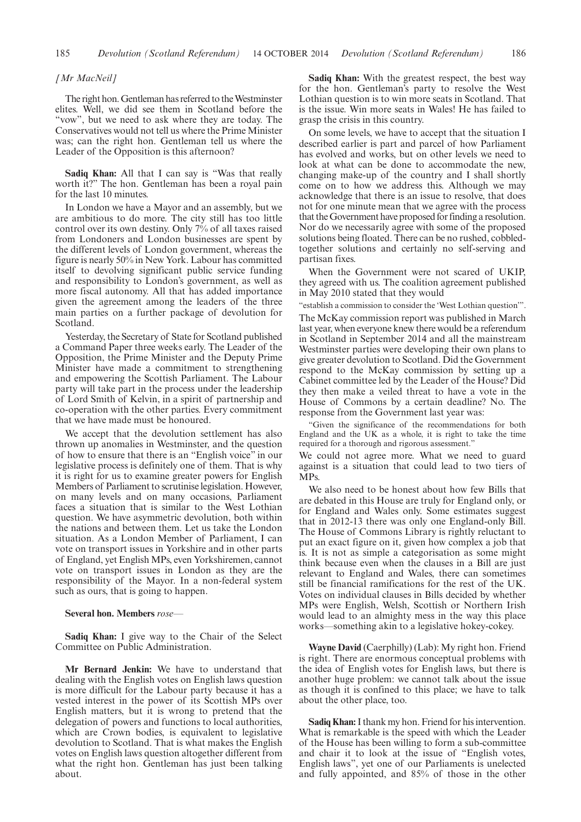#### *[Mr MacNeil]*

The right hon.Gentleman has referred to theWestminster elites. Well, we did see them in Scotland before the "vow", but we need to ask where they are today. The Conservatives would not tell us where the Prime Minister was; can the right hon. Gentleman tell us where the Leader of the Opposition is this afternoon?

**Sadiq Khan:** All that I can say is "Was that really worth it?" The hon. Gentleman has been a royal pain for the last 10 minutes.

In London we have a Mayor and an assembly, but we are ambitious to do more. The city still has too little control over its own destiny. Only  $7\%$  of all taxes raised from Londoners and London businesses are spent by the different levels of London government, whereas the figure is nearly 50% in New York. Labour has committed itself to devolving significant public service funding and responsibility to London's government, as well as more fiscal autonomy. All that has added importance given the agreement among the leaders of the three main parties on a further package of devolution for Scotland.

Yesterday, the Secretary of State for Scotland published a Command Paper three weeks early. The Leader of the Opposition, the Prime Minister and the Deputy Prime Minister have made a commitment to strengthening and empowering the Scottish Parliament. The Labour party will take part in the process under the leadership of Lord Smith of Kelvin, in a spirit of partnership and co-operation with the other parties. Every commitment that we have made must be honoured.

We accept that the devolution settlement has also thrown up anomalies in Westminster, and the question of how to ensure that there is an "English voice" in our legislative process is definitely one of them. That is why it is right for us to examine greater powers for English Members of Parliament to scrutinise legislation. However, on many levels and on many occasions, Parliament faces a situation that is similar to the West Lothian question. We have asymmetric devolution, both within the nations and between them. Let us take the London situation. As a London Member of Parliament, I can vote on transport issues in Yorkshire and in other parts of England, yet English MPs, even Yorkshiremen, cannot vote on transport issues in London as they are the responsibility of the Mayor. In a non-federal system such as ours, that is going to happen.

#### **Several hon. Members** *rose—*

**Sadiq Khan:** I give way to the Chair of the Select Committee on Public Administration.

**Mr Bernard Jenkin:** We have to understand that dealing with the English votes on English laws question is more difficult for the Labour party because it has a vested interest in the power of its Scottish MPs over English matters, but it is wrong to pretend that the delegation of powers and functions to local authorities, which are Crown bodies, is equivalent to legislative devolution to Scotland. That is what makes the English votes on English laws question altogether different from what the right hon. Gentleman has just been talking about.

**Sadiq Khan:** With the greatest respect, the best way for the hon. Gentleman's party to resolve the West Lothian question is to win more seats in Scotland. That is the issue. Win more seats in Wales! He has failed to grasp the crisis in this country.

On some levels, we have to accept that the situation I described earlier is part and parcel of how Parliament has evolved and works, but on other levels we need to look at what can be done to accommodate the new, changing make-up of the country and I shall shortly come on to how we address this. Although we may acknowledge that there is an issue to resolve, that does not for one minute mean that we agree with the process that the Government have proposed for finding a resolution. Nor do we necessarily agree with some of the proposed solutions being floated. There can be no rushed, cobbledtogether solutions and certainly no self-serving and partisan fixes.

When the Government were not scared of UKIP, they agreed with us. The coalition agreement published in May 2010 stated that they would

"establish a commission to consider the 'West Lothian question'".

The McKay commission report was published in March last year, when everyone knew there would be a referendum in Scotland in September 2014 and all the mainstream Westminster parties were developing their own plans to give greater devolution to Scotland. Did the Government respond to the McKay commission by setting up a Cabinet committee led by the Leader of the House? Did they then make a veiled threat to have a vote in the House of Commons by a certain deadline? No. The response from the Government last year was:

"Given the significance of the recommendations for both England and the UK as a whole, it is right to take the time required for a thorough and rigorous assessment."

We could not agree more. What we need to guard against is a situation that could lead to two tiers of MPs.

We also need to be honest about how few Bills that are debated in this House are truly for England only, or for England and Wales only. Some estimates suggest that in 2012-13 there was only one England-only Bill. The House of Commons Library is rightly reluctant to put an exact figure on it, given how complex a job that is. It is not as simple a categorisation as some might think because even when the clauses in a Bill are just relevant to England and Wales, there can sometimes still be financial ramifications for the rest of the UK. Votes on individual clauses in Bills decided by whether MPs were English, Welsh, Scottish or Northern Irish would lead to an almighty mess in the way this place works—something akin to a legislative hokey-cokey.

**Wayne David** (Caerphilly) (Lab): My right hon. Friend is right. There are enormous conceptual problems with the idea of English votes for English laws, but there is another huge problem: we cannot talk about the issue as though it is confined to this place; we have to talk about the other place, too.

**Sadiq Khan:**I thank my hon. Friend for his intervention. What is remarkable is the speed with which the Leader of the House has been willing to form a sub-committee and chair it to look at the issue of "English votes, English laws", yet one of our Parliaments is unelected and fully appointed, and 85% of those in the other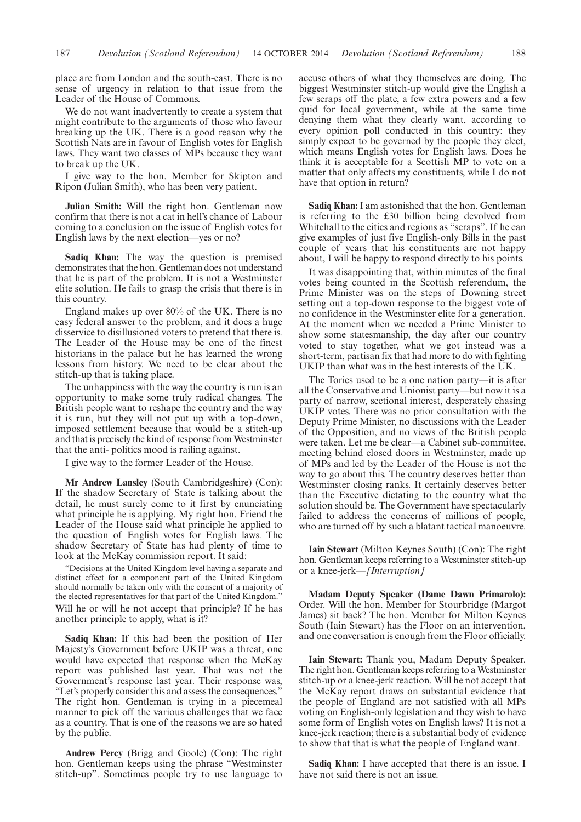place are from London and the south-east. There is no sense of urgency in relation to that issue from the Leader of the House of Commons.

We do not want inadvertently to create a system that might contribute to the arguments of those who favour breaking up the UK. There is a good reason why the Scottish Nats are in favour of English votes for English laws. They want two classes of MPs because they want to break up the UK.

I give way to the hon. Member for Skipton and Ripon (Julian Smith), who has been very patient.

**Julian Smith:** Will the right hon. Gentleman now confirm that there is not a cat in hell's chance of Labour coming to a conclusion on the issue of English votes for English laws by the next election—yes or no?

**Sadiq Khan:** The way the question is premised demonstrates that the hon. Gentleman does not understand that he is part of the problem. It is not a Westminster elite solution. He fails to grasp the crisis that there is in this country.

England makes up over 80% of the UK. There is no easy federal answer to the problem, and it does a huge disservice to disillusioned voters to pretend that there is. The Leader of the House may be one of the finest historians in the palace but he has learned the wrong lessons from history. We need to be clear about the stitch-up that is taking place.

The unhappiness with the way the country is run is an opportunity to make some truly radical changes. The British people want to reshape the country and the way it is run, but they will not put up with a top-down, imposed settlement because that would be a stitch-up and that is precisely the kind of response fromWestminster that the anti- politics mood is railing against.

I give way to the former Leader of the House.

**Mr Andrew Lansley** (South Cambridgeshire) (Con): If the shadow Secretary of State is talking about the detail, he must surely come to it first by enunciating what principle he is applying. My right hon. Friend the Leader of the House said what principle he applied to the question of English votes for English laws. The shadow Secretary of State has had plenty of time to look at the McKay commission report. It said:

"Decisions at the United Kingdom level having a separate and distinct effect for a component part of the United Kingdom should normally be taken only with the consent of a majority of the elected representatives for that part of the United Kingdom."

Will he or will he not accept that principle? If he has another principle to apply, what is it?

**Sadiq Khan:** If this had been the position of Her Majesty's Government before UKIP was a threat, one would have expected that response when the McKay report was published last year. That was not the Government's response last year. Their response was, "Let's properly consider this and assess the consequences." The right hon. Gentleman is trying in a piecemeal manner to pick off the various challenges that we face as a country. That is one of the reasons we are so hated by the public.

**Andrew Percy** (Brigg and Goole) (Con): The right hon. Gentleman keeps using the phrase "Westminster stitch-up". Sometimes people try to use language to accuse others of what they themselves are doing. The biggest Westminster stitch-up would give the English a few scraps off the plate, a few extra powers and a few quid for local government, while at the same time denying them what they clearly want, according to every opinion poll conducted in this country: they simply expect to be governed by the people they elect, which means English votes for English laws. Does he think it is acceptable for a Scottish MP to vote on a matter that only affects my constituents, while I do not have that option in return?

**Sadiq Khan:** I am astonished that the hon. Gentleman is referring to the £30 billion being devolved from Whitehall to the cities and regions as "scraps". If he can give examples of just five English-only Bills in the past couple of years that his constituents are not happy about, I will be happy to respond directly to his points.

It was disappointing that, within minutes of the final votes being counted in the Scottish referendum, the Prime Minister was on the steps of Downing street setting out a top-down response to the biggest vote of no confidence in the Westminster elite for a generation. At the moment when we needed a Prime Minister to show some statesmanship, the day after our country voted to stay together, what we got instead was a short-term, partisan fix that had more to do with fighting UKIP than what was in the best interests of the UK.

The Tories used to be a one nation party—it is after all the Conservative and Unionist party—but now it is a party of narrow, sectional interest, desperately chasing UKIP votes. There was no prior consultation with the Deputy Prime Minister, no discussions with the Leader of the Opposition, and no views of the British people were taken. Let me be clear—a Cabinet sub-committee, meeting behind closed doors in Westminster, made up of MPs and led by the Leader of the House is not the way to go about this. The country deserves better than Westminster closing ranks. It certainly deserves better than the Executive dictating to the country what the solution should be. The Government have spectacularly failed to address the concerns of millions of people, who are turned off by such a blatant tactical manoeuvre.

**Iain Stewart** (Milton Keynes South) (Con): The right hon. Gentleman keeps referring to a Westminster stitch-up or a knee-jerk—*[Interruption]*

**Madam Deputy Speaker (Dame Dawn Primarolo):** Order. Will the hon. Member for Stourbridge (Margot James) sit back? The hon. Member for Milton Keynes South (Iain Stewart) has the Floor on an intervention, and one conversation is enough from the Floor officially.

**Iain Stewart:** Thank you, Madam Deputy Speaker. The right hon. Gentleman keeps referring to a Westminster stitch-up or a knee-jerk reaction. Will he not accept that the McKay report draws on substantial evidence that the people of England are not satisfied with all MPs voting on English-only legislation and they wish to have some form of English votes on English laws? It is not a knee-jerk reaction; there is a substantial body of evidence to show that that is what the people of England want.

**Sadiq Khan:** I have accepted that there is an issue. I have not said there is not an issue.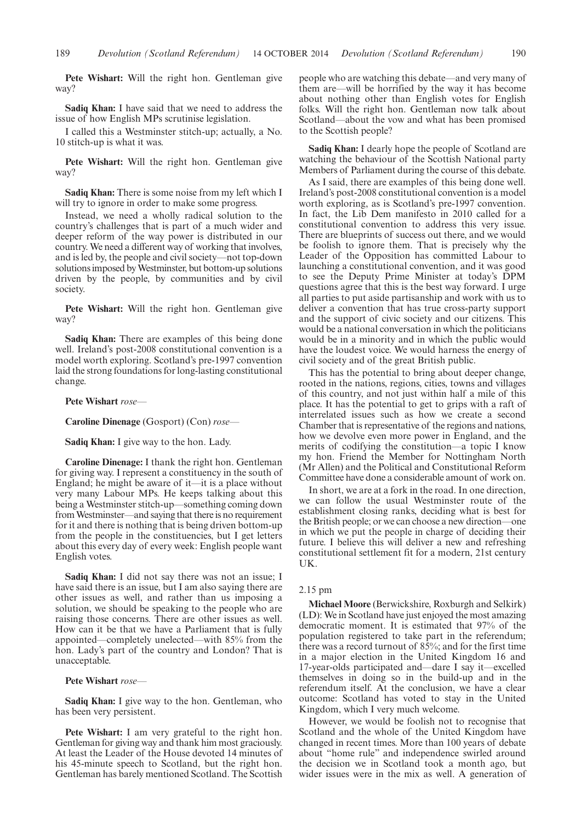**Pete Wishart:** Will the right hon. Gentleman give way?

**Sadiq Khan:** I have said that we need to address the issue of how English MPs scrutinise legislation.

I called this a Westminster stitch-up; actually, a No. 10 stitch-up is what it was.

**Pete Wishart:** Will the right hon. Gentleman give way?

**Sadiq Khan:** There is some noise from my left which I will try to ignore in order to make some progress.

Instead, we need a wholly radical solution to the country's challenges that is part of a much wider and deeper reform of the way power is distributed in our country. We need a different way of working that involves, and is led by, the people and civil society—not top-down solutions imposed byWestminster, but bottom-up solutions driven by the people, by communities and by civil society.

**Pete Wishart:** Will the right hon. Gentleman give way?

**Sadiq Khan:** There are examples of this being done well. Ireland's post-2008 constitutional convention is a model worth exploring. Scotland's pre-1997 convention laid the strong foundations for long-lasting constitutional change.

**Pete Wishart** *rose—*

**Caroline Dinenage** (Gosport) (Con) *rose—*

**Sadiq Khan:** I give way to the hon. Lady.

**Caroline Dinenage:** I thank the right hon. Gentleman for giving way. I represent a constituency in the south of England; he might be aware of it—it is a place without very many Labour MPs. He keeps talking about this being a Westminster stitch-up—something coming down fromWestminster—and saying that there is no requirement for it and there is nothing that is being driven bottom-up from the people in the constituencies, but I get letters about this every day of every week: English people want English votes.

**Sadiq Khan:** I did not say there was not an issue; I have said there is an issue, but I am also saying there are other issues as well, and rather than us imposing a solution, we should be speaking to the people who are raising those concerns. There are other issues as well. How can it be that we have a Parliament that is fully appointed—completely unelected—with 85% from the hon. Lady's part of the country and London? That is unacceptable.

**Pete Wishart** *rose—*

**Sadiq Khan:** I give way to the hon. Gentleman, who has been very persistent.

**Pete Wishart:** I am very grateful to the right hon. Gentleman for giving way and thank him most graciously. At least the Leader of the House devoted 14 minutes of his 45-minute speech to Scotland, but the right hon. Gentleman has barely mentioned Scotland. The Scottish

people who are watching this debate—and very many of them are—will be horrified by the way it has become about nothing other than English votes for English folks. Will the right hon. Gentleman now talk about Scotland—about the vow and what has been promised to the Scottish people?

**Sadiq Khan:** I dearly hope the people of Scotland are watching the behaviour of the Scottish National party Members of Parliament during the course of this debate.

As I said, there are examples of this being done well. Ireland's post-2008 constitutional convention is a model worth exploring, as is Scotland's pre-1997 convention. In fact, the Lib Dem manifesto in 2010 called for a constitutional convention to address this very issue. There are blueprints of success out there, and we would be foolish to ignore them. That is precisely why the Leader of the Opposition has committed Labour to launching a constitutional convention, and it was good to see the Deputy Prime Minister at today's DPM questions agree that this is the best way forward. I urge all parties to put aside partisanship and work with us to deliver a convention that has true cross-party support and the support of civic society and our citizens. This would be a national conversation in which the politicians would be in a minority and in which the public would have the loudest voice. We would harness the energy of civil society and of the great British public.

This has the potential to bring about deeper change, rooted in the nations, regions, cities, towns and villages of this country, and not just within half a mile of this place. It has the potential to get to grips with a raft of interrelated issues such as how we create a second Chamber that is representative of the regions and nations, how we devolve even more power in England, and the merits of codifying the constitution—a topic I know my hon. Friend the Member for Nottingham North (Mr Allen) and the Political and Constitutional Reform Committee have done a considerable amount of work on.

In short, we are at a fork in the road. In one direction, we can follow the usual Westminster route of the establishment closing ranks, deciding what is best for the British people; or we can choose a new direction—one in which we put the people in charge of deciding their future. I believe this will deliver a new and refreshing constitutional settlement fit for a modern, 21st century UK.

#### 2.15 pm

**Michael Moore** (Berwickshire, Roxburgh and Selkirk) (LD): We in Scotland have just enjoyed the most amazing democratic moment. It is estimated that 97% of the population registered to take part in the referendum; there was a record turnout of 85%; and for the first time in a major election in the United Kingdom 16 and 17-year-olds participated and—dare I say it—excelled themselves in doing so in the build-up and in the referendum itself. At the conclusion, we have a clear outcome: Scotland has voted to stay in the United Kingdom, which I very much welcome.

However, we would be foolish not to recognise that Scotland and the whole of the United Kingdom have changed in recent times. More than 100 years of debate about "home rule" and independence swirled around the decision we in Scotland took a month ago, but wider issues were in the mix as well. A generation of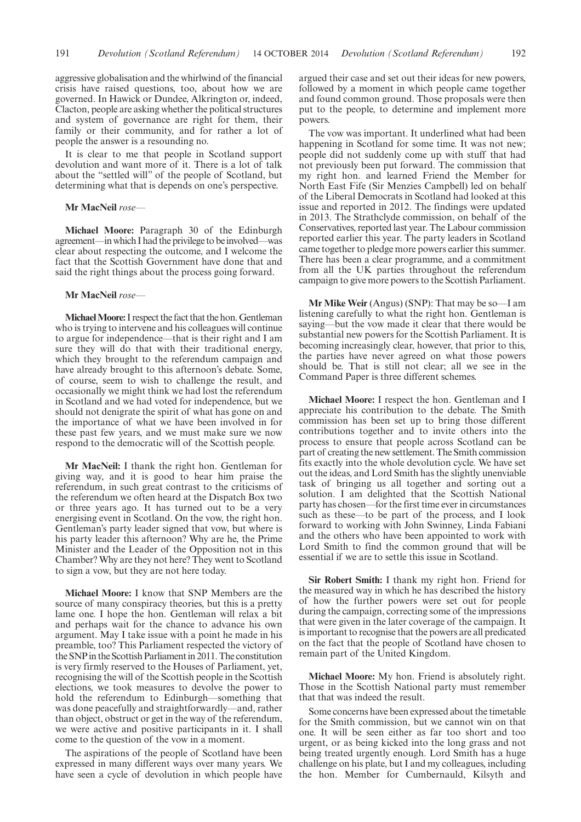aggressive globalisation and the whirlwind of the financial crisis have raised questions, too, about how we are governed. In Hawick or Dundee, Alkrington or, indeed, Clacton, people are asking whether the political structures and system of governance are right for them, their family or their community, and for rather a lot of people the answer is a resounding no.

It is clear to me that people in Scotland support devolution and want more of it. There is a lot of talk about the "settled will" of the people of Scotland, but determining what that is depends on one's perspective.

#### **Mr MacNeil** *rose—*

**Michael Moore:** Paragraph 30 of the Edinburgh agreement—in which I had the privilege to be involved—was clear about respecting the outcome, and I welcome the fact that the Scottish Government have done that and said the right things about the process going forward.

#### **Mr MacNeil** *rose—*

**MichaelMoore:**I respect the fact that the hon.Gentleman who is trying to intervene and his colleagues will continue to argue for independence—that is their right and I am sure they will do that with their traditional energy, which they brought to the referendum campaign and have already brought to this afternoon's debate. Some, of course, seem to wish to challenge the result, and occasionally we might think we had lost the referendum in Scotland and we had voted for independence, but we should not denigrate the spirit of what has gone on and the importance of what we have been involved in for these past few years, and we must make sure we now respond to the democratic will of the Scottish people.

**Mr MacNeil:** I thank the right hon. Gentleman for giving way, and it is good to hear him praise the referendum, in such great contrast to the criticisms of the referendum we often heard at the Dispatch Box two or three years ago. It has turned out to be a very energising event in Scotland. On the vow, the right hon. Gentleman's party leader signed that vow, but where is his party leader this afternoon? Why are he, the Prime Minister and the Leader of the Opposition not in this Chamber? Why are they not here? They went to Scotland to sign a vow, but they are not here today.

**Michael Moore:** I know that SNP Members are the source of many conspiracy theories, but this is a pretty lame one. I hope the hon. Gentleman will relax a bit and perhaps wait for the chance to advance his own argument. May I take issue with a point he made in his preamble, too? This Parliament respected the victory of the SNP in the Scottish Parliament in 2011. The constitution is very firmly reserved to the Houses of Parliament, yet, recognising the will of the Scottish people in the Scottish elections, we took measures to devolve the power to hold the referendum to Edinburgh—something that was done peacefully and straightforwardly—and, rather than object, obstruct or get in the way of the referendum, we were active and positive participants in it. I shall come to the question of the vow in a moment.

The aspirations of the people of Scotland have been expressed in many different ways over many years. We have seen a cycle of devolution in which people have argued their case and set out their ideas for new powers, followed by a moment in which people came together and found common ground. Those proposals were then put to the people, to determine and implement more powers.

The vow was important. It underlined what had been happening in Scotland for some time. It was not new; people did not suddenly come up with stuff that had not previously been put forward. The commission that my right hon. and learned Friend the Member for North East Fife (Sir Menzies Campbell) led on behalf of the Liberal Democrats in Scotland had looked at this issue and reported in 2012. The findings were updated in 2013. The Strathclyde commission, on behalf of the Conservatives, reported last year. The Labour commission reported earlier this year. The party leaders in Scotland came together to pledge more powers earlier this summer. There has been a clear programme, and a commitment from all the UK parties throughout the referendum campaign to give more powers to the Scottish Parliament.

**Mr Mike Weir** (Angus) (SNP): That may be so—I am listening carefully to what the right hon. Gentleman is saying—but the vow made it clear that there would be substantial new powers for the Scottish Parliament. It is becoming increasingly clear, however, that prior to this, the parties have never agreed on what those powers should be. That is still not clear; all we see in the Command Paper is three different schemes.

**Michael Moore:** I respect the hon. Gentleman and I appreciate his contribution to the debate. The Smith commission has been set up to bring those different contributions together and to invite others into the process to ensure that people across Scotland can be part of creating the new settlement. The Smith commission fits exactly into the whole devolution cycle. We have set out the ideas, and Lord Smith has the slightly unenviable task of bringing us all together and sorting out a solution. I am delighted that the Scottish National party has chosen—for the first time ever in circumstances such as these—to be part of the process, and I look forward to working with John Swinney, Linda Fabiani and the others who have been appointed to work with Lord Smith to find the common ground that will be essential if we are to settle this issue in Scotland.

**Sir Robert Smith:** I thank my right hon. Friend for the measured way in which he has described the history of how the further powers were set out for people during the campaign, correcting some of the impressions that were given in the later coverage of the campaign. It is important to recognise that the powers are all predicated on the fact that the people of Scotland have chosen to remain part of the United Kingdom.

**Michael Moore:** My hon. Friend is absolutely right. Those in the Scottish National party must remember that that was indeed the result.

Some concerns have been expressed about the timetable for the Smith commission, but we cannot win on that one. It will be seen either as far too short and too urgent, or as being kicked into the long grass and not being treated urgently enough. Lord Smith has a huge challenge on his plate, but I and my colleagues, including the hon. Member for Cumbernauld, Kilsyth and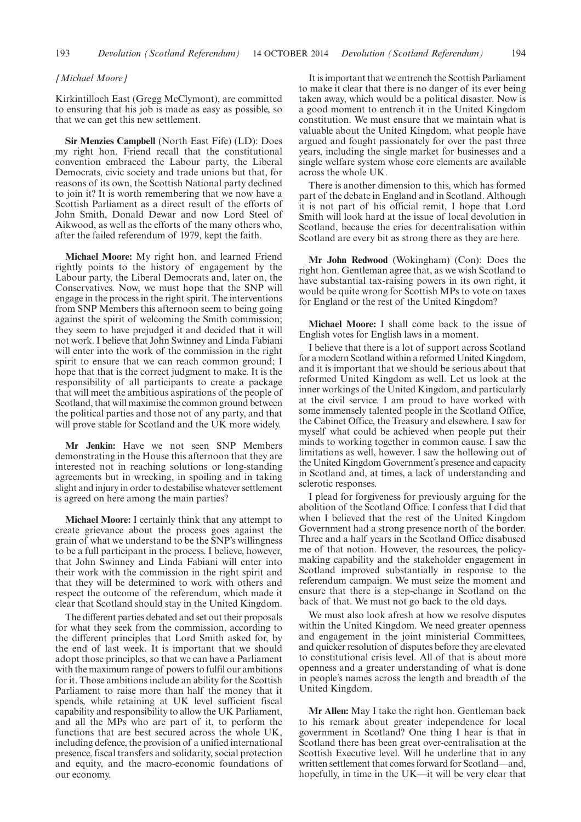#### *[Michael Moore]*

Kirkintilloch East (Gregg McClymont), are committed to ensuring that his job is made as easy as possible, so that we can get this new settlement.

**Sir Menzies Campbell** (North East Fife) (LD): Does my right hon. Friend recall that the constitutional convention embraced the Labour party, the Liberal Democrats, civic society and trade unions but that, for reasons of its own, the Scottish National party declined to join it? It is worth remembering that we now have a Scottish Parliament as a direct result of the efforts of John Smith, Donald Dewar and now Lord Steel of Aikwood, as well as the efforts of the many others who, after the failed referendum of 1979, kept the faith.

**Michael Moore:** My right hon. and learned Friend rightly points to the history of engagement by the Labour party, the Liberal Democrats and, later on, the Conservatives. Now, we must hope that the SNP will engage in the process in the right spirit. The interventions from SNP Members this afternoon seem to being going against the spirit of welcoming the Smith commission; they seem to have prejudged it and decided that it will not work. I believe that John Swinney and Linda Fabiani will enter into the work of the commission in the right spirit to ensure that we can reach common ground; I hope that that is the correct judgment to make. It is the responsibility of all participants to create a package that will meet the ambitious aspirations of the people of Scotland, that will maximise the common ground between the political parties and those not of any party, and that will prove stable for Scotland and the UK more widely.

**Mr Jenkin:** Have we not seen SNP Members demonstrating in the House this afternoon that they are interested not in reaching solutions or long-standing agreements but in wrecking, in spoiling and in taking slight and injury in order to destabilise whatever settlement is agreed on here among the main parties?

**Michael Moore:** I certainly think that any attempt to create grievance about the process goes against the grain of what we understand to be the SNP's willingness to be a full participant in the process. I believe, however, that John Swinney and Linda Fabiani will enter into their work with the commission in the right spirit and that they will be determined to work with others and respect the outcome of the referendum, which made it clear that Scotland should stay in the United Kingdom.

The different parties debated and set out their proposals for what they seek from the commission, according to the different principles that Lord Smith asked for, by the end of last week. It is important that we should adopt those principles, so that we can have a Parliament with the maximum range of powers to fulfil our ambitions for it. Those ambitions include an ability for the Scottish Parliament to raise more than half the money that it spends, while retaining at UK level sufficient fiscal capability and responsibility to allow the UK Parliament, and all the MPs who are part of it, to perform the functions that are best secured across the whole UK, including defence, the provision of a unified international presence, fiscal transfers and solidarity, social protection and equity, and the macro-economic foundations of our economy.

It is important that we entrench the Scottish Parliament to make it clear that there is no danger of its ever being taken away, which would be a political disaster. Now is a good moment to entrench it in the United Kingdom constitution. We must ensure that we maintain what is valuable about the United Kingdom, what people have argued and fought passionately for over the past three years, including the single market for businesses and a single welfare system whose core elements are available across the whole UK.

There is another dimension to this, which has formed part of the debate in England and in Scotland. Although it is not part of his official remit, I hope that Lord Smith will look hard at the issue of local devolution in Scotland, because the cries for decentralisation within Scotland are every bit as strong there as they are here.

**Mr John Redwood** (Wokingham) (Con): Does the right hon. Gentleman agree that, as we wish Scotland to have substantial tax-raising powers in its own right, it would be quite wrong for Scottish MPs to vote on taxes for England or the rest of the United Kingdom?

**Michael Moore:** I shall come back to the issue of English votes for English laws in a moment.

I believe that there is a lot of support across Scotland for a modern Scotland within a reformed United Kingdom, and it is important that we should be serious about that reformed United Kingdom as well. Let us look at the inner workings of the United Kingdom, and particularly at the civil service. I am proud to have worked with some immensely talented people in the Scotland Office, the Cabinet Office, the Treasury and elsewhere. I saw for myself what could be achieved when people put their minds to working together in common cause. I saw the limitations as well, however. I saw the hollowing out of the United Kingdom Government's presence and capacity in Scotland and, at times, a lack of understanding and sclerotic responses.

I plead for forgiveness for previously arguing for the abolition of the Scotland Office. I confess that I did that when I believed that the rest of the United Kingdom Government had a strong presence north of the border. Three and a half years in the Scotland Office disabused me of that notion. However, the resources, the policymaking capability and the stakeholder engagement in Scotland improved substantially in response to the referendum campaign. We must seize the moment and ensure that there is a step-change in Scotland on the back of that. We must not go back to the old days.

We must also look afresh at how we resolve disputes within the United Kingdom. We need greater openness and engagement in the joint ministerial Committees, and quicker resolution of disputes before they are elevated to constitutional crisis level. All of that is about more openness and a greater understanding of what is done in people's names across the length and breadth of the United Kingdom.

**Mr Allen:** May I take the right hon. Gentleman back to his remark about greater independence for local government in Scotland? One thing I hear is that in Scotland there has been great over-centralisation at the Scottish Executive level. Will he underline that in any written settlement that comes forward for Scotland—and, hopefully, in time in the UK—it will be very clear that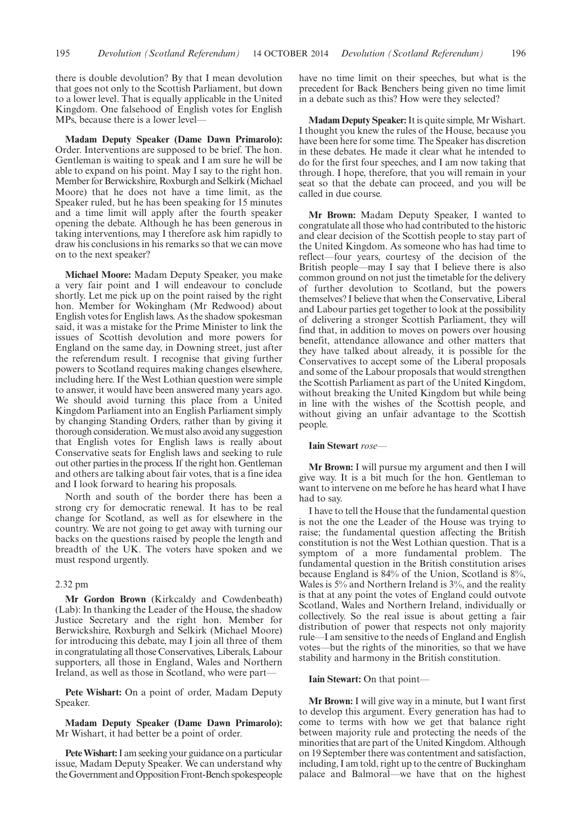there is double devolution? By that I mean devolution that goes not only to the Scottish Parliament, but down to a lower level. That is equally applicable in the United Kingdom. One falsehood of English votes for English MPs, because there is a lower level—

**Madam Deputy Speaker (Dame Dawn Primarolo):** Order. Interventions are supposed to be brief. The hon. Gentleman is waiting to speak and I am sure he will be able to expand on his point. May I say to the right hon. Member for Berwickshire, Roxburgh and Selkirk (Michael Moore) that he does not have a time limit, as the Speaker ruled, but he has been speaking for 15 minutes and a time limit will apply after the fourth speaker opening the debate. Although he has been generous in taking interventions, may I therefore ask him rapidly to draw his conclusions in his remarks so that we can move on to the next speaker?

**Michael Moore:** Madam Deputy Speaker, you make a very fair point and I will endeavour to conclude shortly. Let me pick up on the point raised by the right hon. Member for Wokingham (Mr Redwood) about English votes for English laws. As the shadow spokesman said, it was a mistake for the Prime Minister to link the issues of Scottish devolution and more powers for England on the same day, in Downing street, just after the referendum result. I recognise that giving further powers to Scotland requires making changes elsewhere, including here. If the West Lothian question were simple to answer, it would have been answered many years ago. We should avoid turning this place from a United Kingdom Parliament into an English Parliament simply by changing Standing Orders, rather than by giving it thorough consideration.We must also avoid any suggestion that English votes for English laws is really about Conservative seats for English laws and seeking to rule out other parties in the process. If the right hon. Gentleman and others are talking about fair votes, that is a fine idea and I look forward to hearing his proposals.

North and south of the border there has been a strong cry for democratic renewal. It has to be real change for Scotland, as well as for elsewhere in the country. We are not going to get away with turning our backs on the questions raised by people the length and breadth of the UK. The voters have spoken and we must respond urgently.

#### 2.32 pm

**Mr Gordon Brown** (Kirkcaldy and Cowdenbeath) (Lab): In thanking the Leader of the House, the shadow Justice Secretary and the right hon. Member for Berwickshire, Roxburgh and Selkirk (Michael Moore) for introducing this debate, may I join all three of them in congratulating all those Conservatives, Liberals, Labour supporters, all those in England, Wales and Northern Ireland, as well as those in Scotland, who were part—

**Pete Wishart:** On a point of order, Madam Deputy Speaker.

**Madam Deputy Speaker (Dame Dawn Primarolo):** Mr Wishart, it had better be a point of order.

Pete Wishart: I am seeking your guidance on a particular issue, Madam Deputy Speaker. We can understand why the Government and Opposition Front-Bench spokespeople have no time limit on their speeches, but what is the precedent for Back Benchers being given no time limit in a debate such as this? How were they selected?

**Madam Deputy Speaker:**It is quite simple, Mr Wishart. I thought you knew the rules of the House, because you have been here for some time. The Speaker has discretion in these debates. He made it clear what he intended to do for the first four speeches, and I am now taking that through. I hope, therefore, that you will remain in your seat so that the debate can proceed, and you will be called in due course.

**Mr Brown:** Madam Deputy Speaker, I wanted to congratulate all those who had contributed to the historic and clear decision of the Scottish people to stay part of the United Kingdom. As someone who has had time to reflect—four years, courtesy of the decision of the British people—may I say that I believe there is also common ground on not just the timetable for the delivery of further devolution to Scotland, but the powers themselves? I believe that when the Conservative, Liberal and Labour parties get together to look at the possibility of delivering a stronger Scottish Parliament, they will find that, in addition to moves on powers over housing benefit, attendance allowance and other matters that they have talked about already, it is possible for the Conservatives to accept some of the Liberal proposals and some of the Labour proposals that would strengthen the Scottish Parliament as part of the United Kingdom, without breaking the United Kingdom but while being in line with the wishes of the Scottish people, and without giving an unfair advantage to the Scottish people.

#### **Iain Stewart** *rose—*

**Mr Brown:** I will pursue my argument and then I will give way. It is a bit much for the hon. Gentleman to want to intervene on me before he has heard what I have had to say.

I have to tell the House that the fundamental question is not the one the Leader of the House was trying to raise; the fundamental question affecting the British constitution is not the West Lothian question. That is a symptom of a more fundamental problem. The fundamental question in the British constitution arises because England is 84% of the Union, Scotland is 8%, Wales is 5% and Northern Ireland is 3%, and the reality is that at any point the votes of England could outvote Scotland, Wales and Northern Ireland, individually or collectively. So the real issue is about getting a fair distribution of power that respects not only majority rule—I am sensitive to the needs of England and English votes—but the rights of the minorities, so that we have stability and harmony in the British constitution.

#### **Iain Stewart:** On that point—

**Mr Brown:** I will give way in a minute, but I want first to develop this argument. Every generation has had to come to terms with how we get that balance right between majority rule and protecting the needs of the minorities that are part of the United Kingdom. Although on 19 September there was contentment and satisfaction, including, I am told, right up to the centre of Buckingham palace and Balmoral—we have that on the highest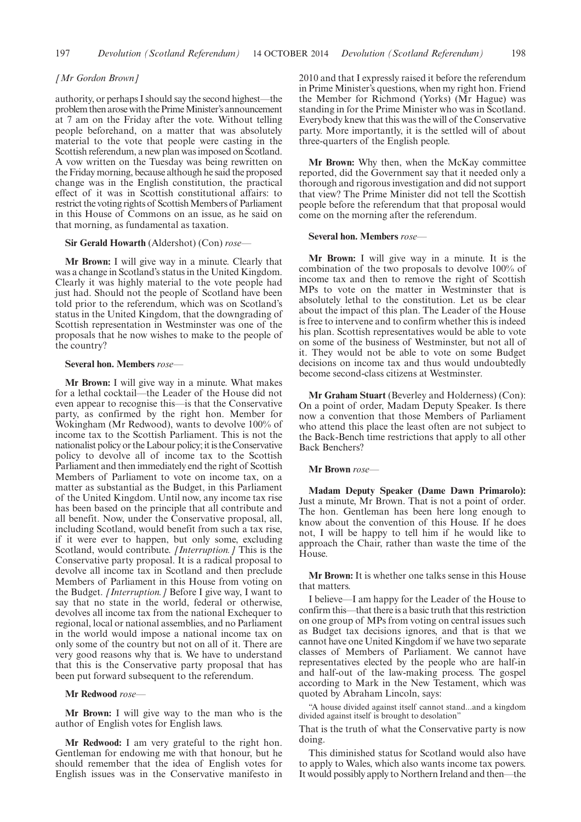#### *[Mr Gordon Brown]*

authority, or perhaps I should say the second highest—the problem then arose with the PrimeMinister's announcement at 7 am on the Friday after the vote. Without telling people beforehand, on a matter that was absolutely material to the vote that people were casting in the Scottish referendum, a new plan was imposed on Scotland. A vow written on the Tuesday was being rewritten on the Friday morning, because although he said the proposed change was in the English constitution, the practical effect of it was in Scottish constitutional affairs: to restrict the voting rights of Scottish Members of Parliament in this House of Commons on an issue, as he said on that morning, as fundamental as taxation.

#### **Sir Gerald Howarth** (Aldershot) (Con) *rose—*

**Mr Brown:** I will give way in a minute. Clearly that was a change in Scotland's status in the United Kingdom. Clearly it was highly material to the vote people had just had. Should not the people of Scotland have been told prior to the referendum, which was on Scotland's status in the United Kingdom, that the downgrading of Scottish representation in Westminster was one of the proposals that he now wishes to make to the people of the country?

#### **Several hon. Members** *rose—*

**Mr Brown:** I will give way in a minute. What makes for a lethal cocktail—the Leader of the House did not even appear to recognise this—is that the Conservative party, as confirmed by the right hon. Member for Wokingham (Mr Redwood), wants to devolve 100% of income tax to the Scottish Parliament. This is not the nationalist policy or the Labour policy; it is the Conservative policy to devolve all of income tax to the Scottish Parliament and then immediately end the right of Scottish Members of Parliament to vote on income tax, on a matter as substantial as the Budget, in this Parliament of the United Kingdom. Until now, any income tax rise has been based on the principle that all contribute and all benefit. Now, under the Conservative proposal, all, including Scotland, would benefit from such a tax rise, if it were ever to happen, but only some, excluding Scotland, would contribute. *[Interruption.]* This is the Conservative party proposal. It is a radical proposal to devolve all income tax in Scotland and then preclude Members of Parliament in this House from voting on the Budget. *[Interruption.]* Before I give way, I want to say that no state in the world, federal or otherwise, devolves all income tax from the national Exchequer to regional, local or national assemblies, and no Parliament in the world would impose a national income tax on only some of the country but not on all of it. There are very good reasons why that is. We have to understand that this is the Conservative party proposal that has been put forward subsequent to the referendum.

#### **Mr Redwood** *rose—*

**Mr Brown:** I will give way to the man who is the author of English votes for English laws.

**Mr Redwood:** I am very grateful to the right hon. Gentleman for endowing me with that honour, but he should remember that the idea of English votes for English issues was in the Conservative manifesto in 2010 and that I expressly raised it before the referendum in Prime Minister's questions, when my right hon. Friend the Member for Richmond (Yorks) (Mr Hague) was standing in for the Prime Minister who was in Scotland. Everybody knew that this was the will of the Conservative party. More importantly, it is the settled will of about three-quarters of the English people.

**Mr Brown:** Why then, when the McKay committee reported, did the Government say that it needed only a thorough and rigorous investigation and did not support that view? The Prime Minister did not tell the Scottish people before the referendum that that proposal would come on the morning after the referendum.

#### **Several hon. Members** *rose—*

**Mr Brown:** I will give way in a minute. It is the combination of the two proposals to devolve 100% of income tax and then to remove the right of Scottish MPs to vote on the matter in Westminster that is absolutely lethal to the constitution. Let us be clear about the impact of this plan. The Leader of the House is free to intervene and to confirm whether this is indeed his plan. Scottish representatives would be able to vote on some of the business of Westminster, but not all of it. They would not be able to vote on some Budget decisions on income tax and thus would undoubtedly become second-class citizens at Westminster.

**Mr Graham Stuart** (Beverley and Holderness) (Con): On a point of order, Madam Deputy Speaker. Is there now a convention that those Members of Parliament who attend this place the least often are not subject to the Back-Bench time restrictions that apply to all other Back Benchers?

#### **Mr Brown** *rose—*

**Madam Deputy Speaker (Dame Dawn Primarolo):** Just a minute, Mr Brown. That is not a point of order. The hon. Gentleman has been here long enough to know about the convention of this House. If he does not, I will be happy to tell him if he would like to approach the Chair, rather than waste the time of the House.

**Mr Brown:** It is whether one talks sense in this House that matters.

I believe—I am happy for the Leader of the House to confirm this—that there is a basic truth that this restriction on one group of MPs from voting on central issues such as Budget tax decisions ignores, and that is that we cannot have one United Kingdom if we have two separate classes of Members of Parliament. We cannot have representatives elected by the people who are half-in and half-out of the law-making process. The gospel according to Mark in the New Testament, which was quoted by Abraham Lincoln, says:

"A house divided against itself cannot stand...and a kingdom divided against itself is brought to desolation"

That is the truth of what the Conservative party is now doing.

This diminished status for Scotland would also have to apply to Wales, which also wants income tax powers. It would possibly apply to Northern Ireland and then—the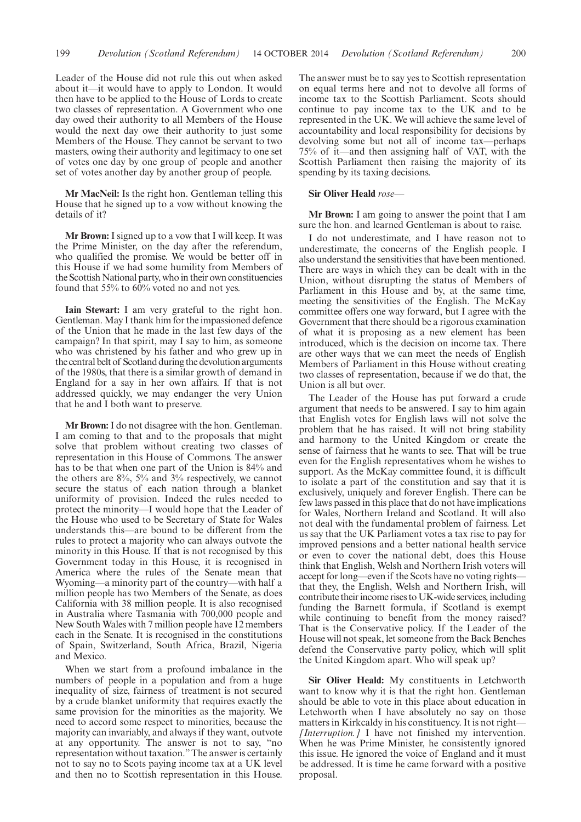Leader of the House did not rule this out when asked about it—it would have to apply to London. It would then have to be applied to the House of Lords to create two classes of representation. A Government who one day owed their authority to all Members of the House would the next day owe their authority to just some Members of the House. They cannot be servant to two masters, owing their authority and legitimacy to one set of votes one day by one group of people and another set of votes another day by another group of people.

**Mr MacNeil:** Is the right hon. Gentleman telling this House that he signed up to a vow without knowing the details of it?

**Mr Brown:** I signed up to a vow that I will keep. It was the Prime Minister, on the day after the referendum, who qualified the promise. We would be better off in this House if we had some humility from Members of the Scottish National party, who in their own constituencies found that 55% to 60% voted no and not yes.

**Iain Stewart:** I am very grateful to the right hon. Gentleman. May I thank him for the impassioned defence of the Union that he made in the last few days of the campaign? In that spirit, may I say to him, as someone who was christened by his father and who grew up in the central belt of Scotland during the devolution arguments of the 1980s, that there is a similar growth of demand in England for a say in her own affairs. If that is not addressed quickly, we may endanger the very Union that he and I both want to preserve.

**Mr Brown:**I do not disagree with the hon. Gentleman. I am coming to that and to the proposals that might solve that problem without creating two classes of representation in this House of Commons. The answer has to be that when one part of the Union is 84% and the others are 8%, 5% and 3% respectively, we cannot secure the status of each nation through a blanket uniformity of provision. Indeed the rules needed to protect the minority—I would hope that the Leader of the House who used to be Secretary of State for Wales understands this—are bound to be different from the rules to protect a majority who can always outvote the minority in this House. If that is not recognised by this Government today in this House, it is recognised in America where the rules of the Senate mean that Wyoming—a minority part of the country—with half a million people has two Members of the Senate, as does California with 38 million people. It is also recognised in Australia where Tasmania with 700,000 people and New South Wales with 7 million people have 12 members each in the Senate. It is recognised in the constitutions of Spain, Switzerland, South Africa, Brazil, Nigeria and Mexico.

When we start from a profound imbalance in the numbers of people in a population and from a huge inequality of size, fairness of treatment is not secured by a crude blanket uniformity that requires exactly the same provision for the minorities as the majority. We need to accord some respect to minorities, because the majority can invariably, and always if they want, outvote at any opportunity. The answer is not to say, "no representation without taxation."The answer is certainly not to say no to Scots paying income tax at a UK level and then no to Scottish representation in this House. The answer must be to say yes to Scottish representation on equal terms here and not to devolve all forms of income tax to the Scottish Parliament. Scots should continue to pay income tax to the UK and to be represented in the UK. We will achieve the same level of accountability and local responsibility for decisions by devolving some but not all of income tax—perhaps 75% of it—and then assigning half of VAT, with the Scottish Parliament then raising the majority of its spending by its taxing decisions.

#### **Sir Oliver Heald** *rose—*

**Mr Brown:** I am going to answer the point that I am sure the hon. and learned Gentleman is about to raise.

I do not underestimate, and I have reason not to underestimate, the concerns of the English people. I also understand the sensitivities that have been mentioned. There are ways in which they can be dealt with in the Union, without disrupting the status of Members of Parliament in this House and by, at the same time, meeting the sensitivities of the English. The McKay committee offers one way forward, but I agree with the Government that there should be a rigorous examination of what it is proposing as a new element has been introduced, which is the decision on income tax. There are other ways that we can meet the needs of English Members of Parliament in this House without creating two classes of representation, because if we do that, the Union is all but over.

The Leader of the House has put forward a crude argument that needs to be answered. I say to him again that English votes for English laws will not solve the problem that he has raised. It will not bring stability and harmony to the United Kingdom or create the sense of fairness that he wants to see. That will be true even for the English representatives whom he wishes to support. As the McKay committee found, it is difficult to isolate a part of the constitution and say that it is exclusively, uniquely and forever English. There can be few laws passed in this place that do not have implications for Wales, Northern Ireland and Scotland. It will also not deal with the fundamental problem of fairness. Let us say that the UK Parliament votes a tax rise to pay for improved pensions and a better national health service or even to cover the national debt, does this House think that English, Welsh and Northern Irish voters will accept for long—even if the Scots have no voting rights that they, the English, Welsh and Northern Irish, will contribute their income rises to UK-wide services, including funding the Barnett formula, if Scotland is exempt while continuing to benefit from the money raised? That is the Conservative policy. If the Leader of the House will not speak, let someone from the Back Benches defend the Conservative party policy, which will split the United Kingdom apart. Who will speak up?

**Sir Oliver Heald:** My constituents in Letchworth want to know why it is that the right hon. Gentleman should be able to vote in this place about education in Letchworth when I have absolutely no say on those matters in Kirkcaldy in his constituency. It is not right— *[Interruption.]* I have not finished my intervention. When he was Prime Minister, he consistently ignored this issue. He ignored the voice of England and it must be addressed. It is time he came forward with a positive proposal.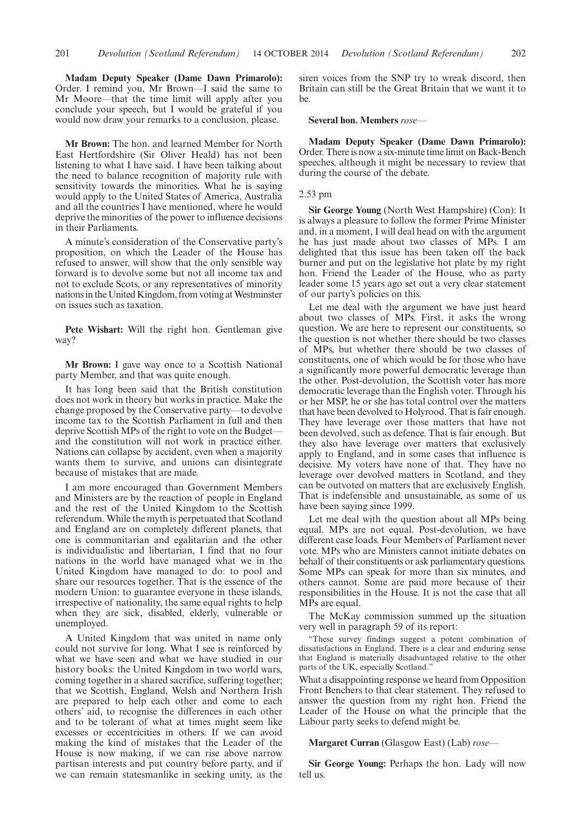**Madam Deputy Speaker (Dame Dawn Primarolo):** Order. I remind you, Mr Brown—I said the same to Mr Moore—that the time limit will apply after you conclude your speech, but I would be grateful if you would now draw your remarks to a conclusion, please.

**Mr Brown:** The hon. and learned Member for North East Hertfordshire (Sir Oliver Heald) has not been listening to what I have said. I have been talking about the need to balance recognition of majority rule with sensitivity towards the minorities. What he is saying would apply to the United States of America, Australia and all the countries I have mentioned, where he would deprive the minorities of the power to influence decisions in their Parliaments.

A minute's consideration of the Conservative party's proposition, on which the Leader of the House has refused to answer, will show that the only sensible way forward is to devolve some but not all income tax and not to exclude Scots, or any representatives of minority nations in the United Kingdom, from voting at Westminster on issues such as taxation.

**Pete Wishart:** Will the right hon. Gentleman give way?

**Mr Brown:** I gave way once to a Scottish National party Member, and that was quite enough.

It has long been said that the British constitution does not work in theory but works in practice. Make the change proposed by the Conservative party—to devolve income tax to the Scottish Parliament in full and then deprive Scottish MPs of the right to vote on the Budget and the constitution will not work in practice either. Nations can collapse by accident, even when a majority wants them to survive, and unions can disintegrate because of mistakes that are made.

I am more encouraged than Government Members and Ministers are by the reaction of people in England and the rest of the United Kingdom to the Scottish referendum. While the myth is perpetuated that Scotland and England are on completely different planets, that one is communitarian and egalitarian and the other is individualistic and libertarian, I find that no four nations in the world have managed what we in the United Kingdom have managed to do: to pool and share our resources together. That is the essence of the modern Union: to guarantee everyone in these islands, irrespective of nationality, the same equal rights to help when they are sick, disabled, elderly, vulnerable or unemployed.

A United Kingdom that was united in name only could not survive for long. What I see is reinforced by what we have seen and what we have studied in our history books: the United Kingdom in two world wars, coming together in a shared sacrifice, suffering together; that we Scottish, England, Welsh and Northern Irish are prepared to help each other and come to each others' aid, to recognise the differences in each other and to be tolerant of what at times might seem like excesses or eccentricities in others. If we can avoid making the kind of mistakes that the Leader of the House is now making, if we can rise above narrow partisan interests and put country before party, and if we can remain statesmanlike in seeking unity, as the

siren voices from the SNP try to wreak discord, then Britain can still be the Great Britain that we want it to be.

#### **Several hon. Members** *rose—*

**Madam Deputy Speaker (Dame Dawn Primarolo):** Order. There is now a six-minute time limit on Back-Bench speeches, although it might be necessary to review that during the course of the debate.

#### 2.53 pm

**Sir George Young** (North West Hampshire) (Con): It is always a pleasure to follow the former Prime Minister and, in a moment, I will deal head on with the argument he has just made about two classes of MPs. I am delighted that this issue has been taken off the back burner and put on the legislative hot plate by my right hon. Friend the Leader of the House, who as party leader some 15 years ago set out a very clear statement of our party's policies on this.

Let me deal with the argument we have just heard about two classes of MPs. First, it asks the wrong question. We are here to represent our constituents, so the question is not whether there should be two classes of MPs, but whether there should be two classes of constituents, one of which would be for those who have a significantly more powerful democratic leverage than the other. Post-devolution, the Scottish voter has more democratic leverage than the English voter. Through his or her MSP, he or she has total control over the matters that have been devolved to Holyrood. That is fair enough. They have leverage over those matters that have not been devolved, such as defence. That is fair enough. But they also have leverage over matters that exclusively apply to England, and in some cases that influence is decisive. My voters have none of that. They have no leverage over devolved matters in Scotland, and they can be outvoted on matters that are exclusively English. That is indefensible and unsustainable, as some of us have been saying since 1999.

Let me deal with the question about all MPs being equal. MPs are not equal. Post-devolution, we have different case loads. Four Members of Parliament never vote. MPs who are Ministers cannot initiate debates on behalf of their constituents or ask parliamentary questions. Some MPs can speak for more than six minutes, and others cannot. Some are paid more because of their responsibilities in the House. It is not the case that all MPs are equal.

The McKay commission summed up the situation very well in paragraph 59 of its report:

"These survey findings suggest a potent combination of dissatisfactions in England. There is a clear and enduring sense that England is materially disadvantaged relative to the other parts of the UK, especially Scotland."

What a disappointing response we heard from Opposition Front Benchers to that clear statement. They refused to answer the question from my right hon. Friend the Leader of the House on what the principle that the Labour party seeks to defend might be.

**Margaret Curran** (Glasgow East) (Lab) *rose—*

**Sir George Young:** Perhaps the hon. Lady will now tell us.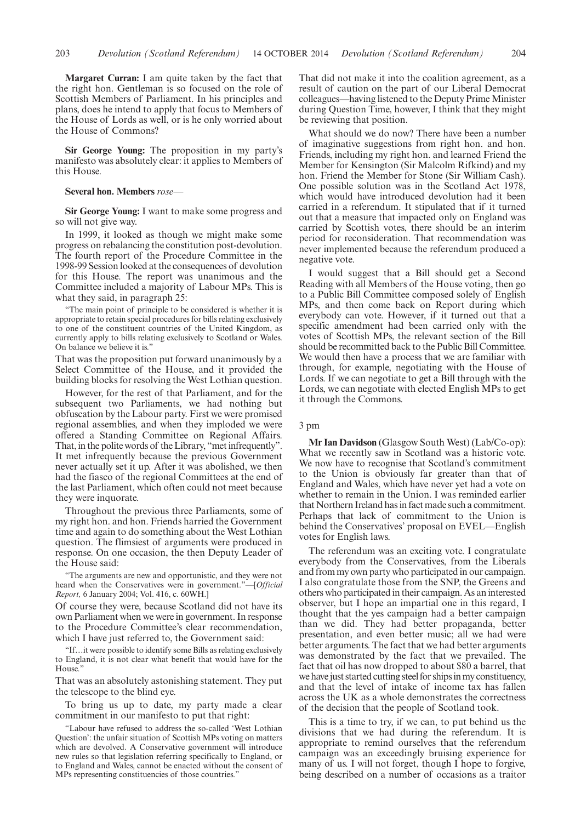**Margaret Curran:** I am quite taken by the fact that the right hon. Gentleman is so focused on the role of Scottish Members of Parliament. In his principles and plans, does he intend to apply that focus to Members of the House of Lords as well, or is he only worried about the House of Commons?

**Sir George Young:** The proposition in my party's manifesto was absolutely clear: it applies to Members of this House.

#### **Several hon. Members** *rose—*

**Sir George Young:** I want to make some progress and so will not give way.

In 1999, it looked as though we might make some progress on rebalancing the constitution post-devolution. The fourth report of the Procedure Committee in the 1998-99 Session looked at the consequences of devolution for this House. The report was unanimous and the Committee included a majority of Labour MPs. This is what they said, in paragraph 25:

"The main point of principle to be considered is whether it is appropriate to retain special procedures for bills relating exclusively to one of the constituent countries of the United Kingdom, as currently apply to bills relating exclusively to Scotland or Wales. On balance we believe it is."

That was the proposition put forward unanimously by a Select Committee of the House, and it provided the building blocks for resolving the West Lothian question.

However, for the rest of that Parliament, and for the subsequent two Parliaments, we had nothing but obfuscation by the Labour party. First we were promised regional assemblies, and when they imploded we were offered a Standing Committee on Regional Affairs. That, in the polite words of the Library, "met infrequently". It met infrequently because the previous Government never actually set it up. After it was abolished, we then had the fiasco of the regional Committees at the end of the last Parliament, which often could not meet because they were inquorate.

Throughout the previous three Parliaments, some of my right hon. and hon. Friends harried the Government time and again to do something about the West Lothian question. The flimsiest of arguments were produced in response. On one occasion, the then Deputy Leader of the House said:

"The arguments are new and opportunistic, and they were not heard when the Conservatives were in government."—[*Official Report,* 6 January 2004; Vol. 416, c. 60WH.]

Of course they were, because Scotland did not have its own Parliament when we were in government. In response to the Procedure Committee's clear recommendation, which I have just referred to, the Government said:

"If…it were possible to identify some Bills as relating exclusively to England, it is not clear what benefit that would have for the House."

That was an absolutely astonishing statement. They put the telescope to the blind eye.

To bring us up to date, my party made a clear commitment in our manifesto to put that right:

"Labour have refused to address the so-called 'West Lothian Question': the unfair situation of Scottish MPs voting on matters which are devolved. A Conservative government will introduce new rules so that legislation referring specifically to England, or to England and Wales, cannot be enacted without the consent of MPs representing constituencies of those countries."

That did not make it into the coalition agreement, as a result of caution on the part of our Liberal Democrat colleagues—having listened to the Deputy Prime Minister during Question Time, however, I think that they might be reviewing that position.

What should we do now? There have been a number of imaginative suggestions from right hon. and hon. Friends, including my right hon. and learned Friend the Member for Kensington (Sir Malcolm Rifkind) and my hon. Friend the Member for Stone (Sir William Cash). One possible solution was in the Scotland Act 1978, which would have introduced devolution had it been carried in a referendum. It stipulated that if it turned out that a measure that impacted only on England was carried by Scottish votes, there should be an interim period for reconsideration. That recommendation was never implemented because the referendum produced a negative vote.

I would suggest that a Bill should get a Second Reading with all Members of the House voting, then go to a Public Bill Committee composed solely of English MPs, and then come back on Report during which everybody can vote. However, if it turned out that a specific amendment had been carried only with the votes of Scottish MPs, the relevant section of the Bill should be recommitted back to the Public Bill Committee. We would then have a process that we are familiar with through, for example, negotiating with the House of Lords. If we can negotiate to get a Bill through with the Lords, we can negotiate with elected English MPs to get it through the Commons.

#### 3 pm

**Mr Ian Davidson** (Glasgow South West) (Lab/Co-op): What we recently saw in Scotland was a historic vote. We now have to recognise that Scotland's commitment to the Union is obviously far greater than that of England and Wales, which have never yet had a vote on whether to remain in the Union. I was reminded earlier that Northern Ireland has in fact made such a commitment. Perhaps that lack of commitment to the Union is behind the Conservatives' proposal on EVEL—English votes for English laws.

The referendum was an exciting vote. I congratulate everybody from the Conservatives, from the Liberals and from my own party who participated in our campaign. I also congratulate those from the SNP, the Greens and others who participated in their campaign. As an interested observer, but I hope an impartial one in this regard, I thought that the yes campaign had a better campaign than we did. They had better propaganda, better presentation, and even better music; all we had were better arguments. The fact that we had better arguments was demonstrated by the fact that we prevailed. The fact that oil has now dropped to about \$80 a barrel, that we have just started cutting steel for ships in my constituency, and that the level of intake of income tax has fallen across the UK as a whole demonstrates the correctness of the decision that the people of Scotland took.

This is a time to try, if we can, to put behind us the divisions that we had during the referendum. It is appropriate to remind ourselves that the referendum campaign was an exceedingly bruising experience for many of us. I will not forget, though I hope to forgive, being described on a number of occasions as a traitor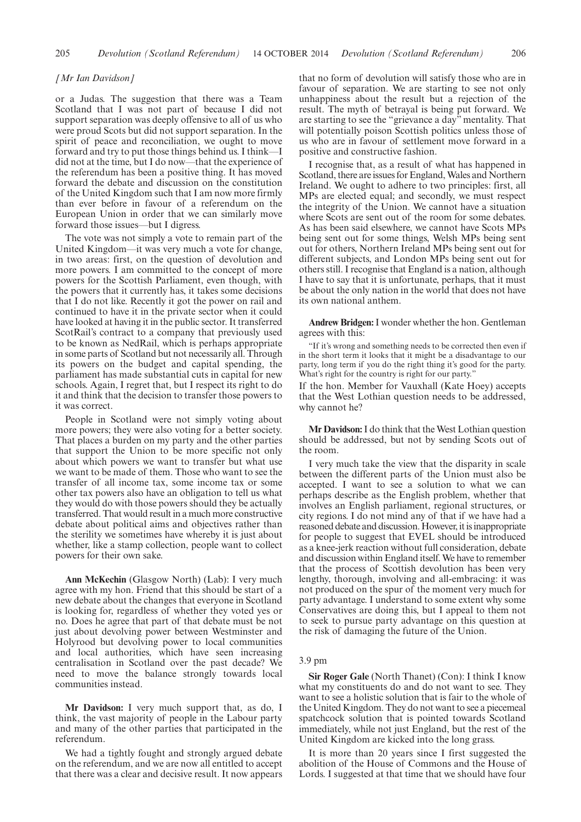#### *[Mr Ian Davidson]*

or a Judas. The suggestion that there was a Team Scotland that I was not part of because I did not support separation was deeply offensive to all of us who were proud Scots but did not support separation. In the spirit of peace and reconciliation, we ought to move forward and try to put those things behind us. I think—I did not at the time, but I do now—that the experience of the referendum has been a positive thing. It has moved forward the debate and discussion on the constitution of the United Kingdom such that I am now more firmly than ever before in favour of a referendum on the European Union in order that we can similarly move forward those issues—but I digress.

The vote was not simply a vote to remain part of the United Kingdom—it was very much a vote for change, in two areas: first, on the question of devolution and more powers. I am committed to the concept of more powers for the Scottish Parliament, even though, with the powers that it currently has, it takes some decisions that I do not like. Recently it got the power on rail and continued to have it in the private sector when it could have looked at having it in the public sector. It transferred ScotRail's contract to a company that previously used to be known as NedRail, which is perhaps appropriate in some parts of Scotland but not necessarily all. Through its powers on the budget and capital spending, the parliament has made substantial cuts in capital for new schools. Again, I regret that, but I respect its right to do it and think that the decision to transfer those powers to it was correct.

People in Scotland were not simply voting about more powers; they were also voting for a better society. That places a burden on my party and the other parties that support the Union to be more specific not only about which powers we want to transfer but what use we want to be made of them. Those who want to see the transfer of all income tax, some income tax or some other tax powers also have an obligation to tell us what they would do with those powers should they be actually transferred. That would result in a much more constructive debate about political aims and objectives rather than the sterility we sometimes have whereby it is just about whether, like a stamp collection, people want to collect powers for their own sake.

**Ann McKechin** (Glasgow North) (Lab): I very much agree with my hon. Friend that this should be start of a new debate about the changes that everyone in Scotland is looking for, regardless of whether they voted yes or no. Does he agree that part of that debate must be not just about devolving power between Westminster and Holyrood but devolving power to local communities and local authorities, which have seen increasing centralisation in Scotland over the past decade? We need to move the balance strongly towards local communities instead.

**Mr Davidson:** I very much support that, as do, I think, the vast majority of people in the Labour party and many of the other parties that participated in the referendum.

We had a tightly fought and strongly argued debate on the referendum, and we are now all entitled to accept that there was a clear and decisive result. It now appears that no form of devolution will satisfy those who are in favour of separation. We are starting to see not only unhappiness about the result but a rejection of the result. The myth of betrayal is being put forward. We are starting to see the "grievance a day" mentality. That will potentially poison Scottish politics unless those of us who are in favour of settlement move forward in a positive and constructive fashion.

I recognise that, as a result of what has happened in Scotland, there are issues for England, Wales and Northern Ireland. We ought to adhere to two principles: first, all MPs are elected equal; and secondly, we must respect the integrity of the Union. We cannot have a situation where Scots are sent out of the room for some debates. As has been said elsewhere, we cannot have Scots MPs being sent out for some things, Welsh MPs being sent out for others, Northern Ireland MPs being sent out for different subjects, and London MPs being sent out for others still. I recognise that England is a nation, although I have to say that it is unfortunate, perhaps, that it must be about the only nation in the world that does not have its own national anthem.

**Andrew Bridgen:**I wonder whether the hon. Gentleman agrees with this:

"If it's wrong and something needs to be corrected then even if in the short term it looks that it might be a disadvantage to our party, long term if you do the right thing it's good for the party. What's right for the country is right for our party."

If the hon. Member for Vauxhall (Kate Hoey) accepts that the West Lothian question needs to be addressed, why cannot he?

**Mr Davidson:**I do think that the West Lothian question should be addressed, but not by sending Scots out of the room.

I very much take the view that the disparity in scale between the different parts of the Union must also be accepted. I want to see a solution to what we can perhaps describe as the English problem, whether that involves an English parliament, regional structures, or city regions. I do not mind any of that if we have had a reasoned debate and discussion. However, it is inappropriate for people to suggest that EVEL should be introduced as a knee-jerk reaction without full consideration, debate and discussion within England itself.We have to remember that the process of Scottish devolution has been very lengthy, thorough, involving and all-embracing: it was not produced on the spur of the moment very much for party advantage. I understand to some extent why some Conservatives are doing this, but I appeal to them not to seek to pursue party advantage on this question at the risk of damaging the future of the Union.

#### 3.9 pm

**Sir Roger Gale** (North Thanet) (Con): I think I know what my constituents do and do not want to see. They want to see a holistic solution that is fair to the whole of the United Kingdom. They do not want to see a piecemeal spatchcock solution that is pointed towards Scotland immediately, while not just England, but the rest of the United Kingdom are kicked into the long grass.

It is more than 20 years since I first suggested the abolition of the House of Commons and the House of Lords. I suggested at that time that we should have four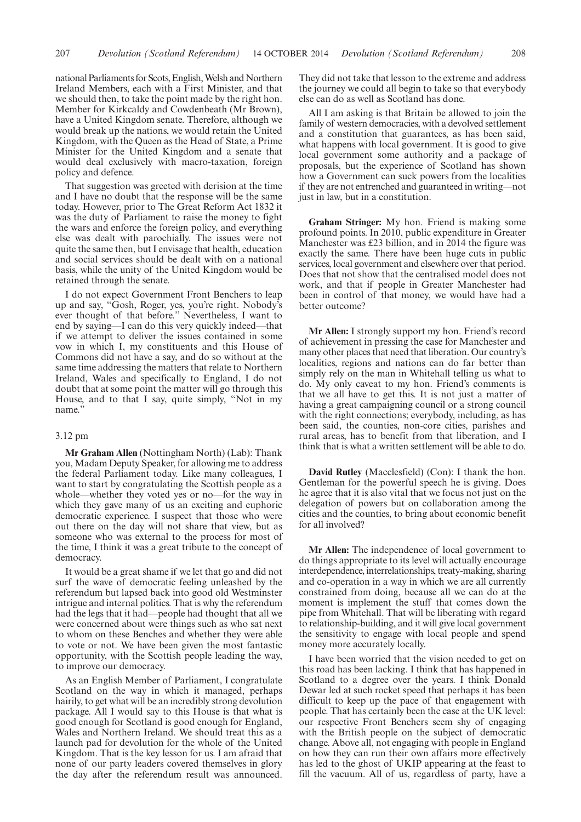national Parliaments for Scots, English, Welsh and Northern Ireland Members, each with a First Minister, and that we should then, to take the point made by the right hon. Member for Kirkcaldy and Cowdenbeath (Mr Brown), have a United Kingdom senate. Therefore, although we would break up the nations, we would retain the United Kingdom, with the Queen as the Head of State, a Prime Minister for the United Kingdom and a senate that would deal exclusively with macro-taxation, foreign policy and defence.

That suggestion was greeted with derision at the time and I have no doubt that the response will be the same today. However, prior to The Great Reform Act 1832 it was the duty of Parliament to raise the money to fight the wars and enforce the foreign policy, and everything else was dealt with parochially. The issues were not quite the same then, but I envisage that health, education and social services should be dealt with on a national basis, while the unity of the United Kingdom would be retained through the senate.

I do not expect Government Front Benchers to leap up and say, "Gosh, Roger, yes, you're right. Nobody's ever thought of that before." Nevertheless, I want to end by saying—I can do this very quickly indeed—that if we attempt to deliver the issues contained in some vow in which I, my constituents and this House of Commons did not have a say, and do so without at the same time addressing the matters that relate to Northern Ireland, Wales and specifically to England, I do not doubt that at some point the matter will go through this House, and to that I say, quite simply, "Not in my name."

# 3.12 pm

**Mr Graham Allen** (Nottingham North) (Lab): Thank you, Madam Deputy Speaker, for allowing me to address the federal Parliament today. Like many colleagues, I want to start by congratulating the Scottish people as a whole—whether they voted yes or no—for the way in which they gave many of us an exciting and euphoric democratic experience. I suspect that those who were out there on the day will not share that view, but as someone who was external to the process for most of the time, I think it was a great tribute to the concept of democracy.

It would be a great shame if we let that go and did not surf the wave of democratic feeling unleashed by the referendum but lapsed back into good old Westminster intrigue and internal politics. That is why the referendum had the legs that it had—people had thought that all we were concerned about were things such as who sat next to whom on these Benches and whether they were able to vote or not. We have been given the most fantastic opportunity, with the Scottish people leading the way, to improve our democracy.

As an English Member of Parliament, I congratulate Scotland on the way in which it managed, perhaps hairily, to get what will be an incredibly strong devolution package. All I would say to this House is that what is good enough for Scotland is good enough for England, Wales and Northern Ireland. We should treat this as a launch pad for devolution for the whole of the United Kingdom. That is the key lesson for us. I am afraid that none of our party leaders covered themselves in glory the day after the referendum result was announced. They did not take that lesson to the extreme and address the journey we could all begin to take so that everybody else can do as well as Scotland has done.

All I am asking is that Britain be allowed to join the family of western democracies, with a devolved settlement and a constitution that guarantees, as has been said, what happens with local government. It is good to give local government some authority and a package of proposals, but the experience of Scotland has shown how a Government can suck powers from the localities if they are not entrenched and guaranteed in writing—not just in law, but in a constitution.

**Graham Stringer:** My hon. Friend is making some profound points. In 2010, public expenditure in Greater Manchester was £23 billion, and in 2014 the figure was exactly the same. There have been huge cuts in public services, local government and elsewhere over that period. Does that not show that the centralised model does not work, and that if people in Greater Manchester had been in control of that money, we would have had a better outcome?

**Mr Allen:** I strongly support my hon. Friend's record of achievement in pressing the case for Manchester and many other places that need that liberation. Our country's localities, regions and nations can do far better than simply rely on the man in Whitehall telling us what to do. My only caveat to my hon. Friend's comments is that we all have to get this. It is not just a matter of having a great campaigning council or a strong council with the right connections; everybody, including, as has been said, the counties, non-core cities, parishes and rural areas, has to benefit from that liberation, and I think that is what a written settlement will be able to do.

**David Rutley** (Macclesfield) (Con): I thank the hon. Gentleman for the powerful speech he is giving. Does he agree that it is also vital that we focus not just on the delegation of powers but on collaboration among the cities and the counties, to bring about economic benefit for all involved?

**Mr Allen:** The independence of local government to do things appropriate to its level will actually encourage interdependence, interrelationships, treaty-making, sharing and co-operation in a way in which we are all currently constrained from doing, because all we can do at the moment is implement the stuff that comes down the pipe from Whitehall. That will be liberating with regard to relationship-building, and it will give local government the sensitivity to engage with local people and spend money more accurately locally.

I have been worried that the vision needed to get on this road has been lacking. I think that has happened in Scotland to a degree over the years. I think Donald Dewar led at such rocket speed that perhaps it has been difficult to keep up the pace of that engagement with people. That has certainly been the case at the UK level: our respective Front Benchers seem shy of engaging with the British people on the subject of democratic change. Above all, not engaging with people in England on how they can run their own affairs more effectively has led to the ghost of UKIP appearing at the feast to fill the vacuum. All of us, regardless of party, have a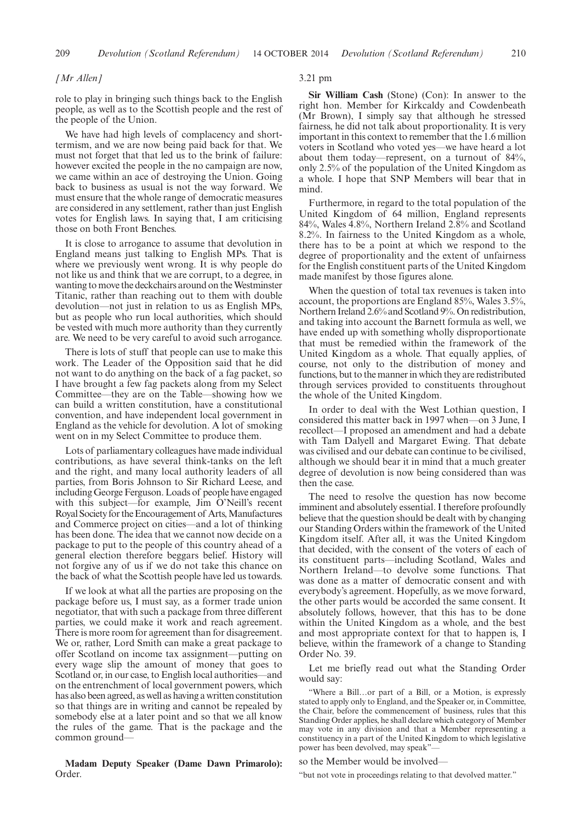#### *[Mr Allen]*

role to play in bringing such things back to the English people, as well as to the Scottish people and the rest of the people of the Union.

We have had high levels of complacency and shorttermism, and we are now being paid back for that. We must not forget that that led us to the brink of failure: however excited the people in the no campaign are now, we came within an ace of destroying the Union. Going back to business as usual is not the way forward. We must ensure that the whole range of democratic measures are considered in any settlement, rather than just English votes for English laws. In saying that, I am criticising those on both Front Benches.

It is close to arrogance to assume that devolution in England means just talking to English MPs. That is where we previously went wrong. It is why people do not like us and think that we are corrupt, to a degree, in wanting to move the deckchairs around on theWestminster Titanic, rather than reaching out to them with double devolution—not just in relation to us as English MPs, but as people who run local authorities, which should be vested with much more authority than they currently are. We need to be very careful to avoid such arrogance.

There is lots of stuff that people can use to make this work. The Leader of the Opposition said that he did not want to do anything on the back of a fag packet, so I have brought a few fag packets along from my Select Committee—they are on the Table—showing how we can build a written constitution, have a constitutional convention, and have independent local government in England as the vehicle for devolution. A lot of smoking went on in my Select Committee to produce them.

Lots of parliamentary colleagues have made individual contributions, as have several think-tanks on the left and the right, and many local authority leaders of all parties, from Boris Johnson to Sir Richard Leese, and including George Ferguson. Loads of people have engaged with this subject—for example, Jim O'Neill's recent Royal Society for the Encouragement of Arts, Manufactures and Commerce project on cities—and a lot of thinking has been done. The idea that we cannot now decide on a package to put to the people of this country ahead of a general election therefore beggars belief. History will not forgive any of us if we do not take this chance on the back of what the Scottish people have led us towards.

If we look at what all the parties are proposing on the package before us, I must say, as a former trade union negotiator, that with such a package from three different parties, we could make it work and reach agreement. There is more room for agreement than for disagreement. We or, rather, Lord Smith can make a great package to offer Scotland on income tax assignment—putting on every wage slip the amount of money that goes to Scotland or, in our case, to English local authorities—and on the entrenchment of local government powers, which has also been agreed, as well as having a written constitution so that things are in writing and cannot be repealed by somebody else at a later point and so that we all know the rules of the game. That is the package and the common ground—

## **Madam Deputy Speaker (Dame Dawn Primarolo):** Order.

#### 3.21 pm

**Sir William Cash** (Stone) (Con): In answer to the right hon. Member for Kirkcaldy and Cowdenbeath (Mr Brown), I simply say that although he stressed fairness, he did not talk about proportionality. It is very important in this context to remember that the 1.6 million voters in Scotland who voted yes—we have heard a lot about them today—represent, on a turnout of 84%, only 2.5% of the population of the United Kingdom as a whole. I hope that SNP Members will bear that in mind.

Furthermore, in regard to the total population of the United Kingdom of 64 million, England represents 84%, Wales 4.8%, Northern Ireland 2.8% and Scotland 8.2%. In fairness to the United Kingdom as a whole, there has to be a point at which we respond to the degree of proportionality and the extent of unfairness for the English constituent parts of the United Kingdom made manifest by those figures alone.

When the question of total tax revenues is taken into account, the proportions are England 85%, Wales 3.5%, Northern Ireland 2.6% and Scotland 9%. On redistribution, and taking into account the Barnett formula as well, we have ended up with something wholly disproportionate that must be remedied within the framework of the United Kingdom as a whole. That equally applies, of course, not only to the distribution of money and functions, but to the manner in which they are redistributed through services provided to constituents throughout the whole of the United Kingdom.

In order to deal with the West Lothian question, I considered this matter back in 1997 when—on 3 June, I recollect—I proposed an amendment and had a debate with Tam Dalyell and Margaret Ewing. That debate was civilised and our debate can continue to be civilised, although we should bear it in mind that a much greater degree of devolution is now being considered than was then the case.

The need to resolve the question has now become imminent and absolutely essential. I therefore profoundly believe that the question should be dealt with by changing our Standing Orders within the framework of the United Kingdom itself. After all, it was the United Kingdom that decided, with the consent of the voters of each of its constituent parts—including Scotland, Wales and Northern Ireland—to devolve some functions. That was done as a matter of democratic consent and with everybody's agreement. Hopefully, as we move forward, the other parts would be accorded the same consent. It absolutely follows, however, that this has to be done within the United Kingdom as a whole, and the best and most appropriate context for that to happen is, I believe, within the framework of a change to Standing Order No. 39.

Let me briefly read out what the Standing Order would say:

"Where a Bill…or part of a Bill, or a Motion, is expressly stated to apply only to England, and the Speaker or, in Committee, the Chair, before the commencement of business, rules that this Standing Order applies, he shall declare which category of Member may vote in any division and that a Member representing a constituency in a part of the United Kingdom to which legislative power has been devolved, may speak"

#### so the Member would be involved—

"but not vote in proceedings relating to that devolved matter."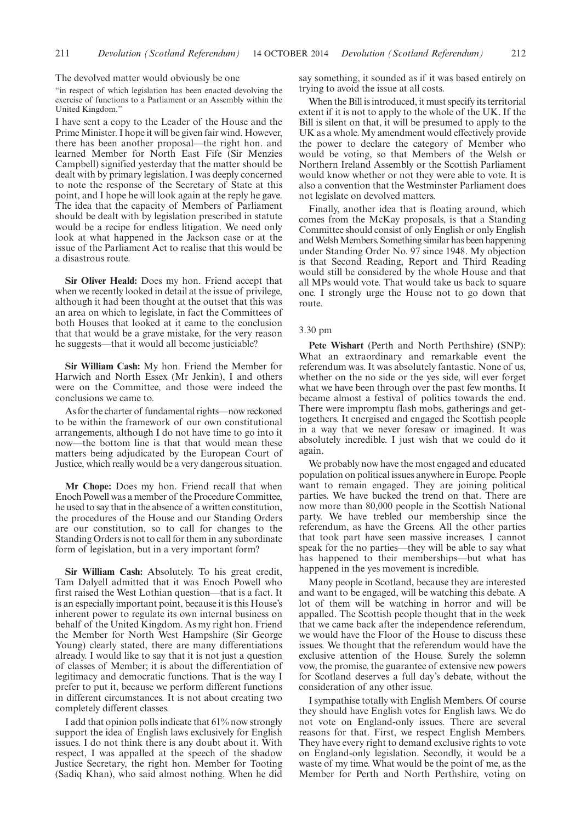The devolved matter would obviously be one

"in respect of which legislation has been enacted devolving the exercise of functions to a Parliament or an Assembly within the United Kingdom.'

I have sent a copy to the Leader of the House and the Prime Minister. I hope it will be given fair wind. However, there has been another proposal—the right hon. and learned Member for North East Fife (Sir Menzies Campbell) signified yesterday that the matter should be dealt with by primary legislation. I was deeply concerned to note the response of the Secretary of State at this point, and I hope he will look again at the reply he gave. The idea that the capacity of Members of Parliament should be dealt with by legislation prescribed in statute would be a recipe for endless litigation. We need only look at what happened in the Jackson case or at the issue of the Parliament Act to realise that this would be a disastrous route.

**Sir Oliver Heald:** Does my hon. Friend accept that when we recently looked in detail at the issue of privilege, although it had been thought at the outset that this was an area on which to legislate, in fact the Committees of both Houses that looked at it came to the conclusion that that would be a grave mistake, for the very reason he suggests—that it would all become justiciable?

**Sir William Cash:** My hon. Friend the Member for Harwich and North Essex (Mr Jenkin), I and others were on the Committee, and those were indeed the conclusions we came to.

As for the charter of fundamental rights—now reckoned to be within the framework of our own constitutional arrangements, although I do not have time to go into it now—the bottom line is that that would mean these matters being adjudicated by the European Court of Justice, which really would be a very dangerous situation.

**Mr Chope:** Does my hon. Friend recall that when Enoch Powell was a member of the Procedure Committee, he used to say that in the absence of a written constitution, the procedures of the House and our Standing Orders are our constitution, so to call for changes to the Standing Orders is not to call for them in any subordinate form of legislation, but in a very important form?

**Sir William Cash:** Absolutely. To his great credit, Tam Dalyell admitted that it was Enoch Powell who first raised the West Lothian question—that is a fact. It is an especially important point, because it is this House's inherent power to regulate its own internal business on behalf of the United Kingdom. As my right hon. Friend the Member for North West Hampshire (Sir George Young) clearly stated, there are many differentiations already. I would like to say that it is not just a question of classes of Member; it is about the differentiation of legitimacy and democratic functions. That is the way I prefer to put it, because we perform different functions in different circumstances. It is not about creating two completely different classes.

I add that opinion polls indicate that 61% now strongly support the idea of English laws exclusively for English issues. I do not think there is any doubt about it. With respect, I was appalled at the speech of the shadow Justice Secretary, the right hon. Member for Tooting (Sadiq Khan), who said almost nothing. When he did say something, it sounded as if it was based entirely on trying to avoid the issue at all costs.

When the Bill is introduced, it must specify its territorial extent if it is not to apply to the whole of the UK. If the Bill is silent on that, it will be presumed to apply to the UK as a whole. My amendment would effectively provide the power to declare the category of Member who would be voting, so that Members of the Welsh or Northern Ireland Assembly or the Scottish Parliament would know whether or not they were able to vote. It is also a convention that the Westminster Parliament does not legislate on devolved matters.

Finally, another idea that is floating around, which comes from the McKay proposals, is that a Standing Committee should consist of only English or only English and Welsh Members. Something similar has been happening under Standing Order No. 97 since 1948. My objection is that Second Reading, Report and Third Reading would still be considered by the whole House and that all MPs would vote. That would take us back to square one. I strongly urge the House not to go down that route.

# 3.30 pm

**Pete Wishart** (Perth and North Perthshire) (SNP): What an extraordinary and remarkable event the referendum was. It was absolutely fantastic. None of us, whether on the no side or the yes side, will ever forget what we have been through over the past few months. It became almost a festival of politics towards the end. There were impromptu flash mobs, gatherings and gettogethers. It energised and engaged the Scottish people in a way that we never foresaw or imagined. It was absolutely incredible. I just wish that we could do it again.

We probably now have the most engaged and educated population on political issues anywhere in Europe. People want to remain engaged. They are joining political parties. We have bucked the trend on that. There are now more than 80,000 people in the Scottish National party. We have trebled our membership since the referendum, as have the Greens. All the other parties that took part have seen massive increases. I cannot speak for the no parties—they will be able to say what has happened to their memberships—but what has happened in the yes movement is incredible.

Many people in Scotland, because they are interested and want to be engaged, will be watching this debate. A lot of them will be watching in horror and will be appalled. The Scottish people thought that in the week that we came back after the independence referendum, we would have the Floor of the House to discuss these issues. We thought that the referendum would have the exclusive attention of the House. Surely the solemn vow, the promise, the guarantee of extensive new powers for Scotland deserves a full day's debate, without the consideration of any other issue.

I sympathise totally with English Members. Of course they should have English votes for English laws. We do not vote on England-only issues. There are several reasons for that. First, we respect English Members. They have every right to demand exclusive rights to vote on England-only legislation. Secondly, it would be a waste of my time. What would be the point of me, as the Member for Perth and North Perthshire, voting on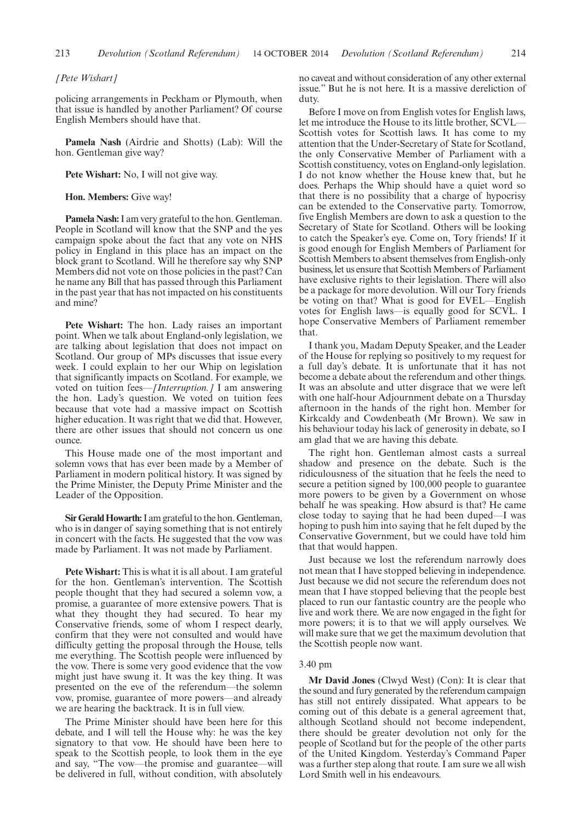*[Pete Wishart]*

policing arrangements in Peckham or Plymouth, when that issue is handled by another Parliament? Of course English Members should have that.

**Pamela Nash** (Airdrie and Shotts) (Lab): Will the hon. Gentleman give way?

**Pete Wishart:** No, I will not give way.

**Hon. Members:** Give way!

**Pamela Nash:**I am very grateful to the hon. Gentleman. People in Scotland will know that the SNP and the yes campaign spoke about the fact that any vote on NHS policy in England in this place has an impact on the block grant to Scotland. Will he therefore say why SNP Members did not vote on those policies in the past? Can he name any Bill that has passed through this Parliament in the past year that has not impacted on his constituents and mine?

**Pete Wishart:** The hon. Lady raises an important point. When we talk about England-only legislation, we are talking about legislation that does not impact on Scotland. Our group of MPs discusses that issue every week. I could explain to her our Whip on legislation that significantly impacts on Scotland. For example, we voted on tuition fees—*[Interruption.]* I am answering the hon. Lady's question. We voted on tuition fees because that vote had a massive impact on Scottish higher education. It was right that we did that. However, there are other issues that should not concern us one ounce.

This House made one of the most important and solemn vows that has ever been made by a Member of Parliament in modern political history. It was signed by the Prime Minister, the Deputy Prime Minister and the Leader of the Opposition.

**Sir Gerald Howarth:**I am grateful to the hon. Gentleman, who is in danger of saying something that is not entirely in concert with the facts. He suggested that the vow was made by Parliament. It was not made by Parliament.

**Pete Wishart:** This is what it is all about. I am grateful for the hon. Gentleman's intervention. The Scottish people thought that they had secured a solemn vow, a promise, a guarantee of more extensive powers. That is what they thought they had secured. To hear my Conservative friends, some of whom I respect dearly, confirm that they were not consulted and would have difficulty getting the proposal through the House, tells me everything. The Scottish people were influenced by the vow. There is some very good evidence that the vow might just have swung it. It was the key thing. It was presented on the eve of the referendum—the solemn vow, promise, guarantee of more powers—and already we are hearing the backtrack. It is in full view.

The Prime Minister should have been here for this debate, and I will tell the House why: he was the key signatory to that vow. He should have been here to speak to the Scottish people, to look them in the eye and say, "The vow—the promise and guarantee—will be delivered in full, without condition, with absolutely no caveat and without consideration of any other external issue." But he is not here. It is a massive dereliction of duty.

Before I move on from English votes for English laws, let me introduce the House to its little brother, SCVL— Scottish votes for Scottish laws. It has come to my attention that the Under-Secretary of State for Scotland, the only Conservative Member of Parliament with a Scottish constituency, votes on England-only legislation. I do not know whether the House knew that, but he does. Perhaps the Whip should have a quiet word so that there is no possibility that a charge of hypocrisy can be extended to the Conservative party. Tomorrow, five English Members are down to ask a question to the Secretary of State for Scotland. Others will be looking to catch the Speaker's eye. Come on, Tory friends! If it is good enough for English Members of Parliament for Scottish Members to absent themselves from English-only business, let us ensure that Scottish Members of Parliament have exclusive rights to their legislation. There will also be a package for more devolution. Will our Tory friends be voting on that? What is good for EVEL—English votes for English laws—is equally good for SCVL. I hope Conservative Members of Parliament remember that.

I thank you, Madam Deputy Speaker, and the Leader of the House for replying so positively to my request for a full day's debate. It is unfortunate that it has not become a debate about the referendum and other things. It was an absolute and utter disgrace that we were left with one half-hour Adjournment debate on a Thursday afternoon in the hands of the right hon. Member for Kirkcaldy and Cowdenbeath (Mr Brown). We saw in his behaviour today his lack of generosity in debate, so I am glad that we are having this debate.

The right hon. Gentleman almost casts a surreal shadow and presence on the debate. Such is the ridiculousness of the situation that he feels the need to secure a petition signed by 100,000 people to guarantee more powers to be given by a Government on whose behalf he was speaking. How absurd is that? He came close today to saying that he had been duped—I was hoping to push him into saying that he felt duped by the Conservative Government, but we could have told him that that would happen.

Just because we lost the referendum narrowly does not mean that I have stopped believing in independence. Just because we did not secure the referendum does not mean that I have stopped believing that the people best placed to run our fantastic country are the people who live and work there. We are now engaged in the fight for more powers; it is to that we will apply ourselves. We will make sure that we get the maximum devolution that the Scottish people now want.

# 3.40 pm

**Mr David Jones** (Clwyd West) (Con): It is clear that the sound and fury generated by the referendum campaign has still not entirely dissipated. What appears to be coming out of this debate is a general agreement that, although Scotland should not become independent, there should be greater devolution not only for the people of Scotland but for the people of the other parts of the United Kingdom. Yesterday's Command Paper was a further step along that route. I am sure we all wish Lord Smith well in his endeavours.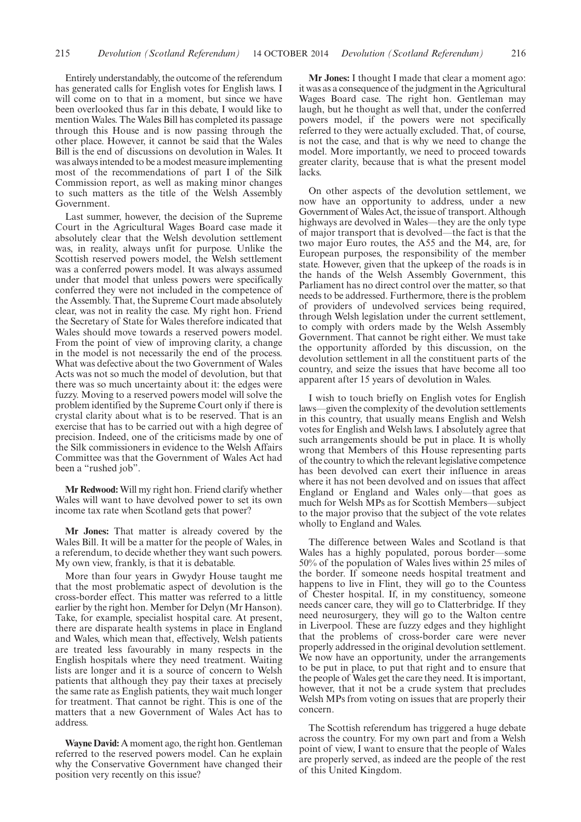Entirely understandably, the outcome of the referendum has generated calls for English votes for English laws. I will come on to that in a moment, but since we have been overlooked thus far in this debate, I would like to mention Wales. The Wales Bill has completed its passage through this House and is now passing through the other place. However, it cannot be said that the Wales Bill is the end of discussions on devolution in Wales. It was always intended to be a modest measure implementing most of the recommendations of part I of the Silk Commission report, as well as making minor changes to such matters as the title of the Welsh Assembly Government.

Last summer, however, the decision of the Supreme Court in the Agricultural Wages Board case made it absolutely clear that the Welsh devolution settlement was, in reality, always unfit for purpose. Unlike the Scottish reserved powers model, the Welsh settlement was a conferred powers model. It was always assumed under that model that unless powers were specifically conferred they were not included in the competence of the Assembly. That, the Supreme Court made absolutely clear, was not in reality the case. My right hon. Friend the Secretary of State for Wales therefore indicated that Wales should move towards a reserved powers model. From the point of view of improving clarity, a change in the model is not necessarily the end of the process. What was defective about the two Government of Wales Acts was not so much the model of devolution, but that there was so much uncertainty about it: the edges were fuzzy. Moving to a reserved powers model will solve the problem identified by the Supreme Court only if there is crystal clarity about what is to be reserved. That is an exercise that has to be carried out with a high degree of precision. Indeed, one of the criticisms made by one of the Silk commissioners in evidence to the Welsh Affairs Committee was that the Government of Wales Act had been a "rushed job".

**Mr Redwood:** Will my right hon. Friend clarify whether Wales will want to have devolved power to set its own income tax rate when Scotland gets that power?

**Mr Jones:** That matter is already covered by the Wales Bill. It will be a matter for the people of Wales, in a referendum, to decide whether they want such powers. My own view, frankly, is that it is debatable.

More than four years in Gwydyr House taught me that the most problematic aspect of devolution is the cross-border effect. This matter was referred to a little earlier by the right hon. Member for Delyn (Mr Hanson). Take, for example, specialist hospital care. At present, there are disparate health systems in place in England and Wales, which mean that, effectively, Welsh patients are treated less favourably in many respects in the English hospitals where they need treatment. Waiting lists are longer and it is a source of concern to Welsh patients that although they pay their taxes at precisely the same rate as English patients, they wait much longer for treatment. That cannot be right. This is one of the matters that a new Government of Wales Act has to address.

**Wayne David:** A moment ago, the right hon. Gentleman referred to the reserved powers model. Can he explain why the Conservative Government have changed their position very recently on this issue?

**Mr Jones:** I thought I made that clear a moment ago: it was as a consequence of the judgment in the Agricultural Wages Board case. The right hon. Gentleman may laugh, but he thought as well that, under the conferred powers model, if the powers were not specifically referred to they were actually excluded. That, of course, is not the case, and that is why we need to change the model. More importantly, we need to proceed towards greater clarity, because that is what the present model lacks.

On other aspects of the devolution settlement, we now have an opportunity to address, under a new Government of Wales Act, the issue of transport. Although highways are devolved in Wales—they are the only type of major transport that is devolved—the fact is that the two major Euro routes, the A55 and the M4, are, for European purposes, the responsibility of the member state. However, given that the upkeep of the roads is in the hands of the Welsh Assembly Government, this Parliament has no direct control over the matter, so that needs to be addressed. Furthermore, there is the problem of providers of undevolved services being required, through Welsh legislation under the current settlement, to comply with orders made by the Welsh Assembly Government. That cannot be right either. We must take the opportunity afforded by this discussion, on the devolution settlement in all the constituent parts of the country, and seize the issues that have become all too apparent after 15 years of devolution in Wales.

I wish to touch briefly on English votes for English laws—given the complexity of the devolution settlements in this country, that usually means English and Welsh votes for English and Welsh laws. I absolutely agree that such arrangements should be put in place. It is wholly wrong that Members of this House representing parts of the country to which the relevant legislative competence has been devolved can exert their influence in areas where it has not been devolved and on issues that affect England or England and Wales only—that goes as much for Welsh MPs as for Scottish Members—subject to the major proviso that the subject of the vote relates wholly to England and Wales.

The difference between Wales and Scotland is that Wales has a highly populated, porous border—some 50% of the population of Wales lives within 25 miles of the border. If someone needs hospital treatment and happens to live in Flint, they will go to the Countess of Chester hospital. If, in my constituency, someone needs cancer care, they will go to Clatterbridge. If they need neurosurgery, they will go to the Walton centre in Liverpool. These are fuzzy edges and they highlight that the problems of cross-border care were never properly addressed in the original devolution settlement. We now have an opportunity, under the arrangements to be put in place, to put that right and to ensure that the people of Wales get the care they need. It is important, however, that it not be a crude system that precludes Welsh MPs from voting on issues that are properly their concern.

The Scottish referendum has triggered a huge debate across the country. For my own part and from a Welsh point of view, I want to ensure that the people of Wales are properly served, as indeed are the people of the rest of this United Kingdom.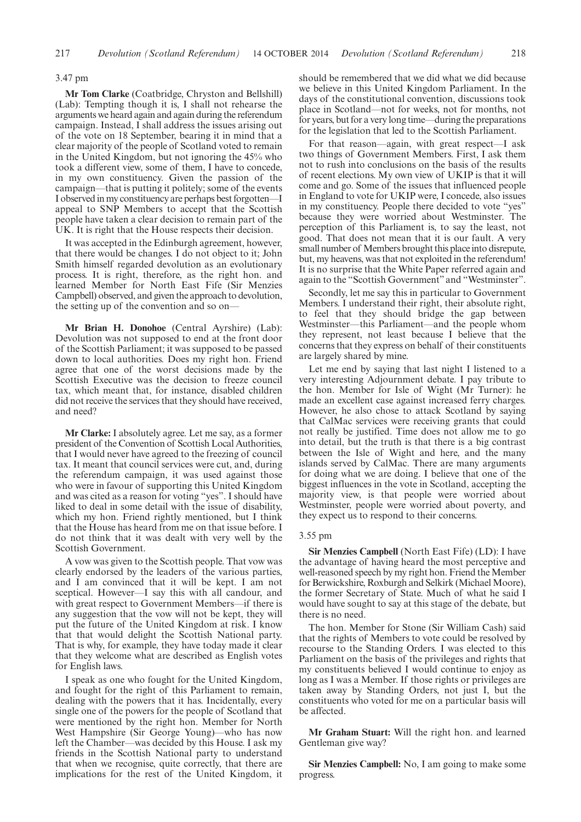## 3.47 pm

**Mr Tom Clarke** (Coatbridge, Chryston and Bellshill) (Lab): Tempting though it is, I shall not rehearse the arguments we heard again and again during the referendum campaign. Instead, I shall address the issues arising out of the vote on 18 September, bearing it in mind that a clear majority of the people of Scotland voted to remain in the United Kingdom, but not ignoring the 45% who took a different view, some of them, I have to concede, in my own constituency. Given the passion of the campaign—that is putting it politely; some of the events I observed in my constituency are perhaps best forgotten—I appeal to SNP Members to accept that the Scottish people have taken a clear decision to remain part of the UK. It is right that the House respects their decision.

It was accepted in the Edinburgh agreement, however, that there would be changes. I do not object to it; John Smith himself regarded devolution as an evolutionary process. It is right, therefore, as the right hon. and learned Member for North East Fife (Sir Menzies Campbell) observed, and given the approach to devolution, the setting up of the convention and so on—

**Mr Brian H. Donohoe** (Central Ayrshire) (Lab): Devolution was not supposed to end at the front door of the Scottish Parliament; it was supposed to be passed down to local authorities. Does my right hon. Friend agree that one of the worst decisions made by the Scottish Executive was the decision to freeze council tax, which meant that, for instance, disabled children did not receive the services that they should have received, and need?

**Mr Clarke:** I absolutely agree. Let me say, as a former president of the Convention of Scottish Local Authorities, that I would never have agreed to the freezing of council tax. It meant that council services were cut, and, during the referendum campaign, it was used against those who were in favour of supporting this United Kingdom and was cited as a reason for voting "yes". I should have liked to deal in some detail with the issue of disability, which my hon. Friend rightly mentioned, but I think that the House has heard from me on that issue before. I do not think that it was dealt with very well by the Scottish Government.

A vow was given to the Scottish people. That vow was clearly endorsed by the leaders of the various parties, and I am convinced that it will be kept. I am not sceptical. However—I say this with all candour, and with great respect to Government Members—if there is any suggestion that the vow will not be kept, they will put the future of the United Kingdom at risk. I know that that would delight the Scottish National party. That is why, for example, they have today made it clear that they welcome what are described as English votes for English laws.

I speak as one who fought for the United Kingdom, and fought for the right of this Parliament to remain, dealing with the powers that it has. Incidentally, every single one of the powers for the people of Scotland that were mentioned by the right hon. Member for North West Hampshire (Sir George Young)—who has now left the Chamber—was decided by this House. I ask my friends in the Scottish National party to understand that when we recognise, quite correctly, that there are implications for the rest of the United Kingdom, it should be remembered that we did what we did because we believe in this United Kingdom Parliament. In the days of the constitutional convention, discussions took place in Scotland—not for weeks, not for months, not for years, but for a very long time—during the preparations for the legislation that led to the Scottish Parliament.

For that reason—again, with great respect—I ask two things of Government Members. First, I ask them not to rush into conclusions on the basis of the results of recent elections. My own view of UKIP is that it will come and go. Some of the issues that influenced people in England to vote for UKIP were, I concede, also issues in my constituency. People there decided to vote "yes" because they were worried about Westminster. The perception of this Parliament is, to say the least, not good. That does not mean that it is our fault. A very small number of Members brought this place into disrepute, but, my heavens, was that not exploited in the referendum! It is no surprise that the White Paper referred again and again to the "Scottish Government" and "Westminster".

Secondly, let me say this in particular to Government Members. I understand their right, their absolute right, to feel that they should bridge the gap between Westminster—this Parliament—and the people whom they represent, not least because I believe that the concerns that they express on behalf of their constituents are largely shared by mine.

Let me end by saying that last night I listened to a very interesting Adjournment debate. I pay tribute to the hon. Member for Isle of Wight (Mr Turner): he made an excellent case against increased ferry charges. However, he also chose to attack Scotland by saying that CalMac services were receiving grants that could not really be justified. Time does not allow me to go into detail, but the truth is that there is a big contrast between the Isle of Wight and here, and the many islands served by CalMac. There are many arguments for doing what we are doing. I believe that one of the biggest influences in the vote in Scotland, accepting the majority view, is that people were worried about Westminster, people were worried about poverty, and they expect us to respond to their concerns.

#### 3.55 pm

**Sir Menzies Campbell** (North East Fife) (LD): I have the advantage of having heard the most perceptive and well-reasoned speech by my right hon. Friend the Member for Berwickshire, Roxburgh and Selkirk (Michael Moore), the former Secretary of State. Much of what he said I would have sought to say at this stage of the debate, but there is no need.

The hon. Member for Stone (Sir William Cash) said that the rights of Members to vote could be resolved by recourse to the Standing Orders. I was elected to this Parliament on the basis of the privileges and rights that my constituents believed I would continue to enjoy as long as I was a Member. If those rights or privileges are taken away by Standing Orders, not just I, but the constituents who voted for me on a particular basis will be affected.

**Mr Graham Stuart:** Will the right hon. and learned Gentleman give way?

**Sir Menzies Campbell:** No, I am going to make some progress.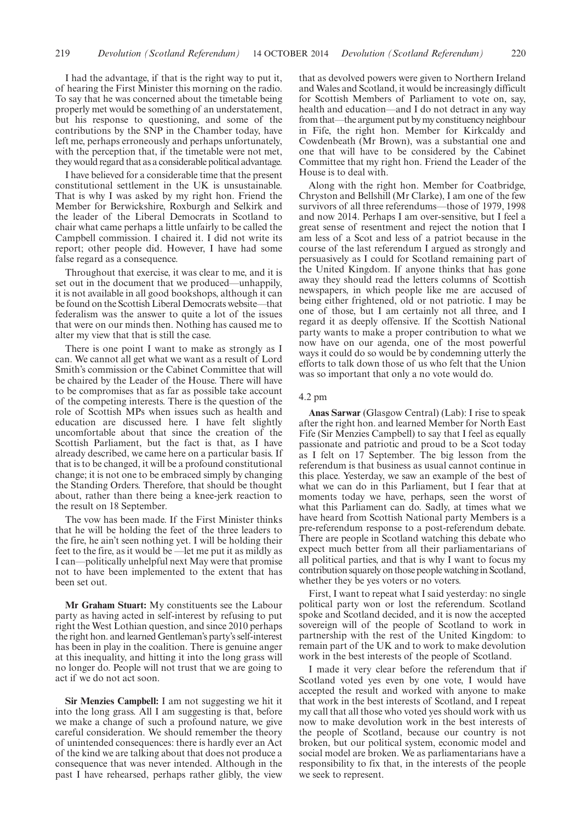I had the advantage, if that is the right way to put it, of hearing the First Minister this morning on the radio. To say that he was concerned about the timetable being properly met would be something of an understatement, but his response to questioning, and some of the contributions by the SNP in the Chamber today, have left me, perhaps erroneously and perhaps unfortunately, with the perception that, if the timetable were not met, they would regard that as a considerable political advantage.

I have believed for a considerable time that the present constitutional settlement in the UK is unsustainable. That is why I was asked by my right hon. Friend the Member for Berwickshire, Roxburgh and Selkirk and the leader of the Liberal Democrats in Scotland to chair what came perhaps a little unfairly to be called the Campbell commission. I chaired it. I did not write its report; other people did. However, I have had some false regard as a consequence.

Throughout that exercise, it was clear to me, and it is set out in the document that we produced—unhappily, it is not available in all good bookshops, although it can be found on the Scottish Liberal Democrats website—that federalism was the answer to quite a lot of the issues that were on our minds then. Nothing has caused me to alter my view that that is still the case.

There is one point I want to make as strongly as I can. We cannot all get what we want as a result of Lord Smith's commission or the Cabinet Committee that will be chaired by the Leader of the House. There will have to be compromises that as far as possible take account of the competing interests. There is the question of the role of Scottish MPs when issues such as health and education are discussed here. I have felt slightly uncomfortable about that since the creation of the Scottish Parliament, but the fact is that, as I have already described, we came here on a particular basis. If that is to be changed, it will be a profound constitutional change; it is not one to be embraced simply by changing the Standing Orders. Therefore, that should be thought about, rather than there being a knee-jerk reaction to the result on 18 September.

The vow has been made. If the First Minister thinks that he will be holding the feet of the three leaders to the fire, he ain't seen nothing yet. I will be holding their feet to the fire, as it would be —let me put it as mildly as I can—politically unhelpful next May were that promise not to have been implemented to the extent that has been set out.

**Mr Graham Stuart:** My constituents see the Labour party as having acted in self-interest by refusing to put right the West Lothian question, and since 2010 perhaps the right hon. and learned Gentleman's party's self-interest has been in play in the coalition. There is genuine anger at this inequality, and hitting it into the long grass will no longer do. People will not trust that we are going to act if we do not act soon.

**Sir Menzies Campbell:** I am not suggesting we hit it into the long grass. All I am suggesting is that, before we make a change of such a profound nature, we give careful consideration. We should remember the theory of unintended consequences: there is hardly ever an Act of the kind we are talking about that does not produce a consequence that was never intended. Although in the past I have rehearsed, perhaps rather glibly, the view

that as devolved powers were given to Northern Ireland and Wales and Scotland, it would be increasingly difficult for Scottish Members of Parliament to vote on, say, health and education—and I do not detract in any way from that—the argument put by my constituency neighbour in Fife, the right hon. Member for Kirkcaldy and Cowdenbeath (Mr Brown), was a substantial one and one that will have to be considered by the Cabinet Committee that my right hon. Friend the Leader of the House is to deal with.

Along with the right hon. Member for Coatbridge, Chryston and Bellshill (Mr Clarke), I am one of the few survivors of all three referendums—those of 1979, 1998 and now 2014. Perhaps I am over-sensitive, but I feel a great sense of resentment and reject the notion that I am less of a Scot and less of a patriot because in the course of the last referendum I argued as strongly and persuasively as I could for Scotland remaining part of the United Kingdom. If anyone thinks that has gone away they should read the letters columns of Scottish newspapers, in which people like me are accused of being either frightened, old or not patriotic. I may be one of those, but I am certainly not all three, and I regard it as deeply offensive. If the Scottish National party wants to make a proper contribution to what we now have on our agenda, one of the most powerful ways it could do so would be by condemning utterly the efforts to talk down those of us who felt that the Union was so important that only a no vote would do.

#### 4.2 pm

**Anas Sarwar** (Glasgow Central) (Lab): I rise to speak after the right hon. and learned Member for North East Fife (Sir Menzies Campbell) to say that I feel as equally passionate and patriotic and proud to be a Scot today as I felt on 17 September. The big lesson from the referendum is that business as usual cannot continue in this place. Yesterday, we saw an example of the best of what we can do in this Parliament, but I fear that at moments today we have, perhaps, seen the worst of what this Parliament can do. Sadly, at times what we have heard from Scottish National party Members is a pre-referendum response to a post-referendum debate. There are people in Scotland watching this debate who expect much better from all their parliamentarians of all political parties, and that is why I want to focus my contribution squarely on those people watching in Scotland, whether they be yes voters or no voters.

First, I want to repeat what I said yesterday: no single political party won or lost the referendum. Scotland spoke and Scotland decided, and it is now the accepted sovereign will of the people of Scotland to work in partnership with the rest of the United Kingdom: to remain part of the UK and to work to make devolution work in the best interests of the people of Scotland.

I made it very clear before the referendum that if Scotland voted yes even by one vote, I would have accepted the result and worked with anyone to make that work in the best interests of Scotland, and I repeat my call that all those who voted yes should work with us now to make devolution work in the best interests of the people of Scotland, because our country is not broken, but our political system, economic model and social model are broken. We as parliamentarians have a responsibility to fix that, in the interests of the people we seek to represent.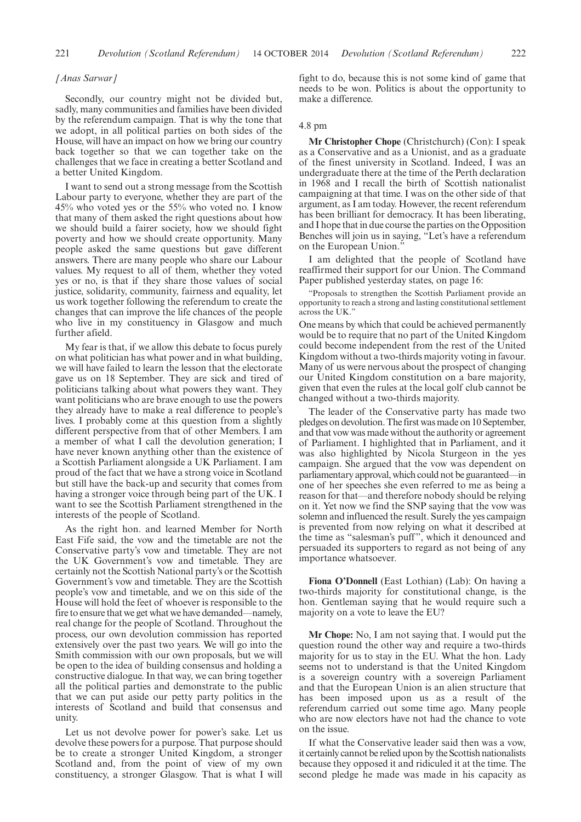#### *[Anas Sarwar]*

Secondly, our country might not be divided but, sadly, many communities and families have been divided by the referendum campaign. That is why the tone that we adopt, in all political parties on both sides of the House, will have an impact on how we bring our country back together so that we can together take on the challenges that we face in creating a better Scotland and a better United Kingdom.

I want to send out a strong message from the Scottish Labour party to everyone, whether they are part of the 45% who voted yes or the 55% who voted no. I know that many of them asked the right questions about how we should build a fairer society, how we should fight poverty and how we should create opportunity. Many people asked the same questions but gave different answers. There are many people who share our Labour values. My request to all of them, whether they voted yes or no, is that if they share those values of social justice, solidarity, community, fairness and equality, let us work together following the referendum to create the changes that can improve the life chances of the people who live in my constituency in Glasgow and much further afield.

My fear is that, if we allow this debate to focus purely on what politician has what power and in what building, we will have failed to learn the lesson that the electorate gave us on 18 September. They are sick and tired of politicians talking about what powers they want. They want politicians who are brave enough to use the powers they already have to make a real difference to people's lives. I probably come at this question from a slightly different perspective from that of other Members. I am a member of what I call the devolution generation; I have never known anything other than the existence of a Scottish Parliament alongside a UK Parliament. I am proud of the fact that we have a strong voice in Scotland but still have the back-up and security that comes from having a stronger voice through being part of the UK. I want to see the Scottish Parliament strengthened in the interests of the people of Scotland.

As the right hon. and learned Member for North East Fife said, the vow and the timetable are not the Conservative party's vow and timetable. They are not the UK Government's vow and timetable. They are certainly not the Scottish National party's or the Scottish Government's vow and timetable. They are the Scottish people's vow and timetable, and we on this side of the House will hold the feet of whoever is responsible to the fire to ensure that we get what we have demanded—namely, real change for the people of Scotland. Throughout the process, our own devolution commission has reported extensively over the past two years. We will go into the Smith commission with our own proposals, but we will be open to the idea of building consensus and holding a constructive dialogue. In that way, we can bring together all the political parties and demonstrate to the public that we can put aside our petty party politics in the interests of Scotland and build that consensus and unity.

Let us not devolve power for power's sake. Let us devolve these powers for a purpose. That purpose should be to create a stronger United Kingdom, a stronger Scotland and, from the point of view of my own constituency, a stronger Glasgow. That is what I will fight to do, because this is not some kind of game that needs to be won. Politics is about the opportunity to make a difference.

## 4.8 pm

**Mr Christopher Chope** (Christchurch) (Con): I speak as a Conservative and as a Unionist, and as a graduate of the finest university in Scotland. Indeed, I was an undergraduate there at the time of the Perth declaration in 1968 and I recall the birth of Scottish nationalist campaigning at that time. I was on the other side of that argument, as I am today. However, the recent referendum has been brilliant for democracy. It has been liberating, and I hope that in due course the parties on the Opposition Benches will join us in saying, "Let's have a referendum on the European Union."

I am delighted that the people of Scotland have reaffirmed their support for our Union. The Command Paper published yesterday states, on page 16:

"Proposals to strengthen the Scottish Parliament provide an opportunity to reach a strong and lasting constitutional settlement across the UK."

One means by which that could be achieved permanently would be to require that no part of the United Kingdom could become independent from the rest of the United Kingdom without a two-thirds majority voting in favour. Many of us were nervous about the prospect of changing our United Kingdom constitution on a bare majority, given that even the rules at the local golf club cannot be changed without a two-thirds majority.

The leader of the Conservative party has made two pledges on devolution. The first was made on 10 September, and that vow was made without the authority or agreement of Parliament. I highlighted that in Parliament, and it was also highlighted by Nicola Sturgeon in the yes campaign. She argued that the vow was dependent on parliamentary approval, which could not be guaranteed—in one of her speeches she even referred to me as being a reason for that—and therefore nobody should be relying on it. Yet now we find the SNP saying that the vow was solemn and influenced the result. Surely the yes campaign is prevented from now relying on what it described at the time as "salesman's puff", which it denounced and persuaded its supporters to regard as not being of any importance whatsoever.

**Fiona O'Donnell** (East Lothian) (Lab): On having a two-thirds majority for constitutional change, is the hon. Gentleman saying that he would require such a majority on a vote to leave the EU?

**Mr Chope:** No, I am not saying that. I would put the question round the other way and require a two-thirds majority for us to stay in the EU. What the hon. Lady seems not to understand is that the United Kingdom is a sovereign country with a sovereign Parliament and that the European Union is an alien structure that has been imposed upon us as a result of the referendum carried out some time ago. Many people who are now electors have not had the chance to vote on the issue.

If what the Conservative leader said then was a vow, it certainly cannot be relied upon by the Scottish nationalists because they opposed it and ridiculed it at the time. The second pledge he made was made in his capacity as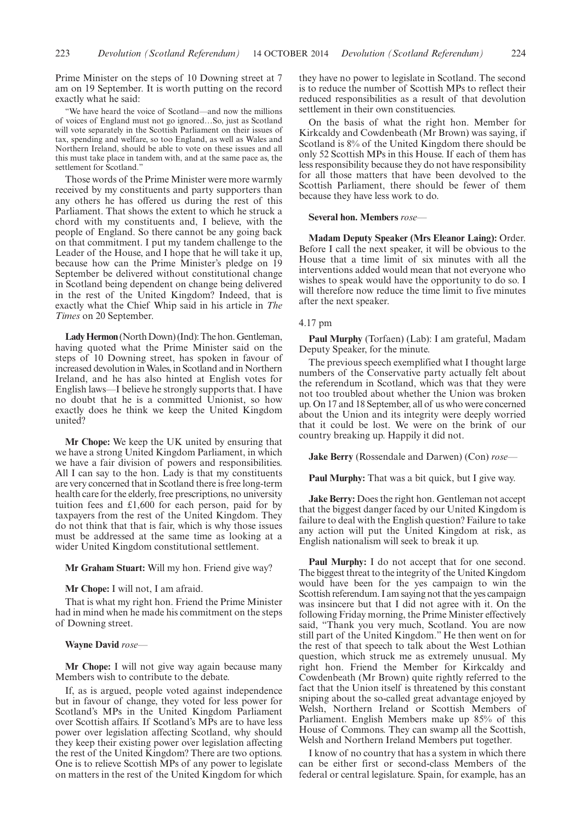Prime Minister on the steps of 10 Downing street at 7 am on 19 September. It is worth putting on the record exactly what he said:

"We have heard the voice of Scotland—and now the millions of voices of England must not go ignored…So, just as Scotland will vote separately in the Scottish Parliament on their issues of tax, spending and welfare, so too England, as well as Wales and Northern Ireland, should be able to vote on these issues and all this must take place in tandem with, and at the same pace as, the settlement for Scotland."

Those words of the Prime Minister were more warmly received by my constituents and party supporters than any others he has offered us during the rest of this Parliament. That shows the extent to which he struck a chord with my constituents and, I believe, with the people of England. So there cannot be any going back on that commitment. I put my tandem challenge to the Leader of the House, and I hope that he will take it up, because how can the Prime Minister's pledge on 19 September be delivered without constitutional change in Scotland being dependent on change being delivered in the rest of the United Kingdom? Indeed, that is exactly what the Chief Whip said in his article in *The Times* on 20 September.

Lady Hermon (North Down) (Ind): The hon. Gentleman, having quoted what the Prime Minister said on the steps of 10 Downing street, has spoken in favour of increased devolution inWales, in Scotland and in Northern Ireland, and he has also hinted at English votes for English laws—I believe he strongly supports that. I have no doubt that he is a committed Unionist, so how exactly does he think we keep the United Kingdom united?

**Mr Chope:** We keep the UK united by ensuring that we have a strong United Kingdom Parliament, in which we have a fair division of powers and responsibilities. All I can say to the hon. Lady is that my constituents are very concerned that in Scotland there is free long-term health care for the elderly, free prescriptions, no university tuition fees and £1,600 for each person, paid for by taxpayers from the rest of the United Kingdom. They do not think that that is fair, which is why those issues must be addressed at the same time as looking at a wider United Kingdom constitutional settlement.

# **Mr Graham Stuart:** Will my hon. Friend give way?

## **Mr Chope:** I will not, I am afraid.

That is what my right hon. Friend the Prime Minister had in mind when he made his commitment on the steps of Downing street.

## **Wayne David** *rose—*

**Mr Chope:** I will not give way again because many Members wish to contribute to the debate.

If, as is argued, people voted against independence but in favour of change, they voted for less power for Scotland's MPs in the United Kingdom Parliament over Scottish affairs. If Scotland's MPs are to have less power over legislation affecting Scotland, why should they keep their existing power over legislation affecting the rest of the United Kingdom? There are two options. One is to relieve Scottish MPs of any power to legislate on matters in the rest of the United Kingdom for which they have no power to legislate in Scotland. The second is to reduce the number of Scottish MPs to reflect their reduced responsibilities as a result of that devolution settlement in their own constituencies.

On the basis of what the right hon. Member for Kirkcaldy and Cowdenbeath (Mr Brown) was saying, if Scotland is 8% of the United Kingdom there should be only 52 Scottish MPs in this House. If each of them has less responsibility because they do not have responsibility for all those matters that have been devolved to the Scottish Parliament, there should be fewer of them because they have less work to do.

#### **Several hon. Members** *rose—*

**Madam Deputy Speaker (Mrs Eleanor Laing):** Order. Before I call the next speaker, it will be obvious to the House that a time limit of six minutes with all the interventions added would mean that not everyone who wishes to speak would have the opportunity to do so. I will therefore now reduce the time limit to five minutes after the next speaker.

#### 4.17 pm

**Paul Murphy** (Torfaen) (Lab): I am grateful, Madam Deputy Speaker, for the minute.

The previous speech exemplified what I thought large numbers of the Conservative party actually felt about the referendum in Scotland, which was that they were not too troubled about whether the Union was broken up. On 17 and 18 September, all of us who were concerned about the Union and its integrity were deeply worried that it could be lost. We were on the brink of our country breaking up. Happily it did not.

**Jake Berry** (Rossendale and Darwen) (Con) *rose—*

**Paul Murphy:** That was a bit quick, but I give way.

**Jake Berry:** Does the right hon. Gentleman not accept that the biggest danger faced by our United Kingdom is failure to deal with the English question? Failure to take any action will put the United Kingdom at risk, as English nationalism will seek to break it up.

**Paul Murphy:** I do not accept that for one second. The biggest threat to the integrity of the United Kingdom would have been for the yes campaign to win the Scottish referendum. I am saying not that the yes campaign was insincere but that I did not agree with it. On the following Friday morning, the Prime Minister effectively said, "Thank you very much, Scotland. You are now still part of the United Kingdom." He then went on for the rest of that speech to talk about the West Lothian question, which struck me as extremely unusual. My right hon. Friend the Member for Kirkcaldy and Cowdenbeath (Mr Brown) quite rightly referred to the fact that the Union itself is threatened by this constant sniping about the so-called great advantage enjoyed by Welsh, Northern Ireland or Scottish Members of Parliament. English Members make up 85% of this House of Commons. They can swamp all the Scottish, Welsh and Northern Ireland Members put together.

I know of no country that has a system in which there can be either first or second-class Members of the federal or central legislature. Spain, for example, has an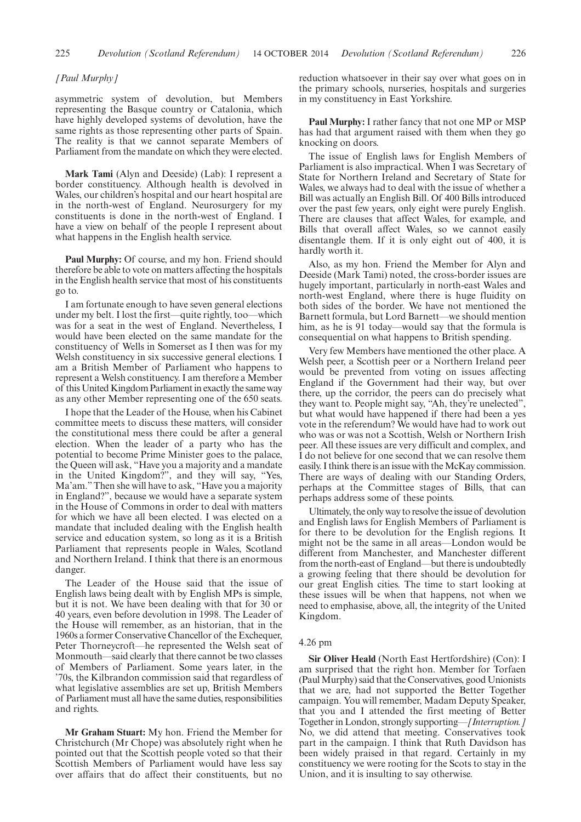## *[Paul Murphy]*

asymmetric system of devolution, but Members representing the Basque country or Catalonia, which have highly developed systems of devolution, have the same rights as those representing other parts of Spain. The reality is that we cannot separate Members of Parliament from the mandate on which they were elected.

**Mark Tami** (Alyn and Deeside) (Lab): I represent a border constituency. Although health is devolved in Wales, our children's hospital and our heart hospital are in the north-west of England. Neurosurgery for my constituents is done in the north-west of England. I have a view on behalf of the people I represent about what happens in the English health service.

**Paul Murphy:** Of course, and my hon. Friend should therefore be able to vote on matters affecting the hospitals in the English health service that most of his constituents go to.

I am fortunate enough to have seven general elections under my belt. I lost the first—quite rightly, too—which was for a seat in the west of England. Nevertheless, I would have been elected on the same mandate for the constituency of Wells in Somerset as I then was for my Welsh constituency in six successive general elections. I am a British Member of Parliament who happens to represent a Welsh constituency. I am therefore a Member of this United Kingdom Parliament in exactly the same way as any other Member representing one of the 650 seats.

I hope that the Leader of the House, when his Cabinet committee meets to discuss these matters, will consider the constitutional mess there could be after a general election. When the leader of a party who has the potential to become Prime Minister goes to the palace, the Queen will ask, "Have you a majority and a mandate in the United Kingdom?", and they will say, "Yes, Ma'am."Then she will have to ask, "Have you a majority in England?", because we would have a separate system in the House of Commons in order to deal with matters for which we have all been elected. I was elected on a mandate that included dealing with the English health service and education system, so long as it is a British Parliament that represents people in Wales, Scotland and Northern Ireland. I think that there is an enormous danger.

The Leader of the House said that the issue of English laws being dealt with by English MPs is simple, but it is not. We have been dealing with that for 30 or 40 years, even before devolution in 1998. The Leader of the House will remember, as an historian, that in the 1960s a former Conservative Chancellor of the Exchequer, Peter Thorneycroft—he represented the Welsh seat of Monmouth—said clearly that there cannot be two classes of Members of Parliament. Some years later, in the '70s, the Kilbrandon commission said that regardless of what legislative assemblies are set up, British Members of Parliament must all have the same duties, responsibilities and rights.

**Mr Graham Stuart:** My hon. Friend the Member for Christchurch (Mr Chope) was absolutely right when he pointed out that the Scottish people voted so that their Scottish Members of Parliament would have less say over affairs that do affect their constituents, but no reduction whatsoever in their say over what goes on in the primary schools, nurseries, hospitals and surgeries in my constituency in East Yorkshire.

**Paul Murphy:** I rather fancy that not one MP or MSP has had that argument raised with them when they go knocking on doors.

The issue of English laws for English Members of Parliament is also impractical. When I was Secretary of State for Northern Ireland and Secretary of State for Wales, we always had to deal with the issue of whether a Bill was actually an English Bill. Of 400 Bills introduced over the past few years, only eight were purely English. There are clauses that affect Wales, for example, and Bills that overall affect Wales, so we cannot easily disentangle them. If it is only eight out of 400, it is hardly worth it.

Also, as my hon. Friend the Member for Alyn and Deeside (Mark Tami) noted, the cross-border issues are hugely important, particularly in north-east Wales and north-west England, where there is huge fluidity on both sides of the border. We have not mentioned the Barnett formula, but Lord Barnett—we should mention him, as he is 91 today—would say that the formula is consequential on what happens to British spending.

Very few Members have mentioned the other place. A Welsh peer, a Scottish peer or a Northern Ireland peer would be prevented from voting on issues affecting England if the Government had their way, but over there, up the corridor, the peers can do precisely what they want to. People might say, "Ah, they're unelected", but what would have happened if there had been a yes vote in the referendum? We would have had to work out who was or was not a Scottish, Welsh or Northern Irish peer. All these issues are very difficult and complex, and I do not believe for one second that we can resolve them easily. I think there is an issue with the McKay commission. There are ways of dealing with our Standing Orders, perhaps at the Committee stages of Bills, that can perhaps address some of these points.

Ultimately, the only way to resolve the issue of devolution and English laws for English Members of Parliament is for there to be devolution for the English regions. It might not be the same in all areas—London would be different from Manchester, and Manchester different from the north-east of England—but there is undoubtedly a growing feeling that there should be devolution for our great English cities. The time to start looking at these issues will be when that happens, not when we need to emphasise, above, all, the integrity of the United Kingdom.

#### 4.26 pm

**Sir Oliver Heald** (North East Hertfordshire) (Con): I am surprised that the right hon. Member for Torfaen (Paul Murphy) said that the Conservatives, good Unionists that we are, had not supported the Better Together campaign. You will remember, Madam Deputy Speaker, that you and I attended the first meeting of Better Together in London, strongly supporting—*[Interruption.]* No, we did attend that meeting. Conservatives took part in the campaign. I think that Ruth Davidson has been widely praised in that regard. Certainly in my constituency we were rooting for the Scots to stay in the Union, and it is insulting to say otherwise.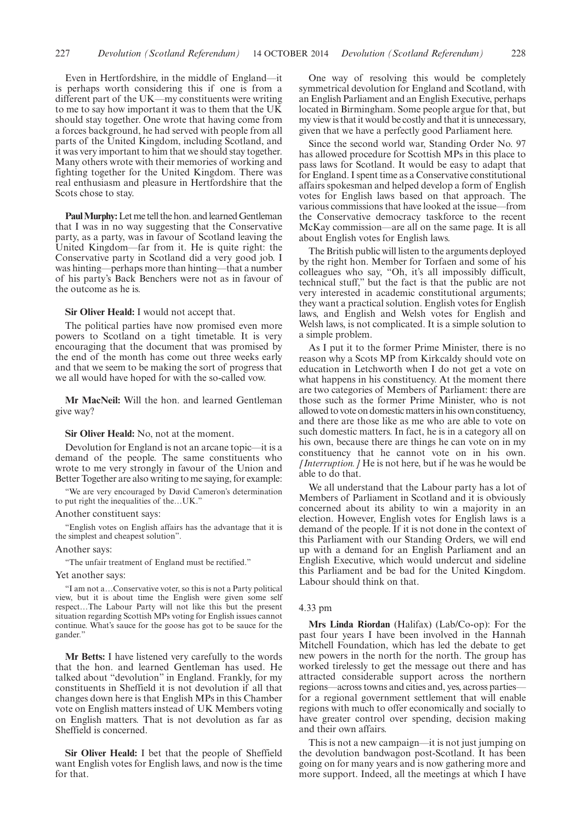Even in Hertfordshire, in the middle of England—it is perhaps worth considering this if one is from a different part of the UK—my constituents were writing to me to say how important it was to them that the UK should stay together. One wrote that having come from a forces background, he had served with people from all parts of the United Kingdom, including Scotland, and it was very important to him that we should stay together. Many others wrote with their memories of working and fighting together for the United Kingdom. There was real enthusiasm and pleasure in Hertfordshire that the Scots chose to stay.

**Paul Murphy:** Let me tell the hon. and learned Gentleman that I was in no way suggesting that the Conservative party, as a party, was in favour of Scotland leaving the United Kingdom—far from it. He is quite right: the Conservative party in Scotland did a very good job. I was hinting—perhaps more than hinting—that a number of his party's Back Benchers were not as in favour of the outcome as he is.

#### **Sir Oliver Heald:** I would not accept that.

The political parties have now promised even more powers to Scotland on a tight timetable. It is very encouraging that the document that was promised by the end of the month has come out three weeks early and that we seem to be making the sort of progress that we all would have hoped for with the so-called vow.

**Mr MacNeil:** Will the hon. and learned Gentleman give way?

#### **Sir Oliver Heald:** No, not at the moment.

Devolution for England is not an arcane topic—it is a demand of the people. The same constituents who wrote to me very strongly in favour of the Union and Better Together are also writing to me saying, for example:

"We are very encouraged by David Cameron's determination to put right the inequalities of the…UK."

## Another constituent says:

"English votes on English affairs has the advantage that it is the simplest and cheapest solution".

Another says:

"The unfair treatment of England must be rectified."

#### Yet another says:

"I am not a…Conservative voter, so this is not a Party political view, but it is about time the English were given some self respect…The Labour Party will not like this but the present situation regarding Scottish MPs voting for English issues cannot continue. What's sauce for the goose has got to be sauce for the gander."

**Mr Betts:** I have listened very carefully to the words that the hon. and learned Gentleman has used. He talked about "devolution" in England. Frankly, for my constituents in Sheffield it is not devolution if all that changes down here is that English MPs in this Chamber vote on English matters instead of UK Members voting on English matters. That is not devolution as far as Sheffield is concerned.

**Sir Oliver Heald:** I bet that the people of Sheffield want English votes for English laws, and now is the time for that.

One way of resolving this would be completely symmetrical devolution for England and Scotland, with an English Parliament and an English Executive, perhaps located in Birmingham. Some people argue for that, but my view is that it would be costly and that it is unnecessary, given that we have a perfectly good Parliament here.

Since the second world war, Standing Order No. 97 has allowed procedure for Scottish MPs in this place to pass laws for Scotland. It would be easy to adapt that for England. I spent time as a Conservative constitutional affairs spokesman and helped develop a form of English votes for English laws based on that approach. The various commissions that have looked at the issue—from the Conservative democracy taskforce to the recent McKay commission—are all on the same page. It is all about English votes for English laws.

The British public will listen to the arguments deployed by the right hon. Member for Torfaen and some of his colleagues who say, "Oh, it's all impossibly difficult, technical stuff," but the fact is that the public are not very interested in academic constitutional arguments; they want a practical solution. English votes for English laws, and English and Welsh votes for English and Welsh laws, is not complicated. It is a simple solution to a simple problem.

As I put it to the former Prime Minister, there is no reason why a Scots MP from Kirkcaldy should vote on education in Letchworth when I do not get a vote on what happens in his constituency. At the moment there are two categories of Members of Parliament: there are those such as the former Prime Minister, who is not allowed to vote on domesticmatters in his own constituency, and there are those like as me who are able to vote on such domestic matters. In fact, he is in a category all on his own, because there are things he can vote on in my constituency that he cannot vote on in his own. *[Interruption.]* He is not here, but if he was he would be able to do that.

We all understand that the Labour party has a lot of Members of Parliament in Scotland and it is obviously concerned about its ability to win a majority in an election. However, English votes for English laws is a demand of the people. If it is not done in the context of this Parliament with our Standing Orders, we will end up with a demand for an English Parliament and an English Executive, which would undercut and sideline this Parliament and be bad for the United Kingdom. Labour should think on that.

#### 4.33 pm

**Mrs Linda Riordan** (Halifax) (Lab/Co-op): For the past four years I have been involved in the Hannah Mitchell Foundation, which has led the debate to get new powers in the north for the north. The group has worked tirelessly to get the message out there and has attracted considerable support across the northern regions—across towns and cities and, yes, across parties for a regional government settlement that will enable regions with much to offer economically and socially to have greater control over spending, decision making and their own affairs.

This is not a new campaign—it is not just jumping on the devolution bandwagon post-Scotland. It has been going on for many years and is now gathering more and more support. Indeed, all the meetings at which I have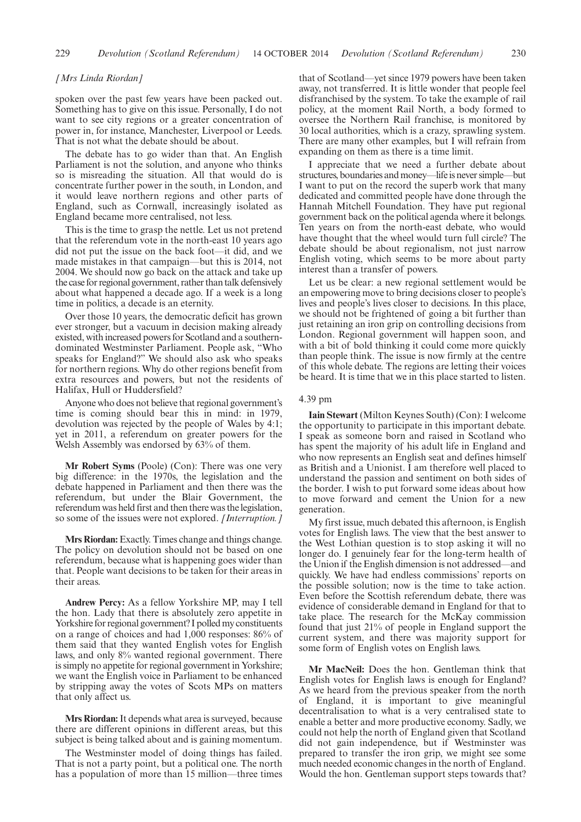## *[Mrs Linda Riordan]*

spoken over the past few years have been packed out. Something has to give on this issue. Personally, I do not want to see city regions or a greater concentration of power in, for instance, Manchester, Liverpool or Leeds. That is not what the debate should be about.

The debate has to go wider than that. An English Parliament is not the solution, and anyone who thinks so is misreading the situation. All that would do is concentrate further power in the south, in London, and it would leave northern regions and other parts of England, such as Cornwall, increasingly isolated as England became more centralised, not less.

This is the time to grasp the nettle. Let us not pretend that the referendum vote in the north-east 10 years ago did not put the issue on the back foot—it did, and we made mistakes in that campaign—but this is 2014, not 2004. We should now go back on the attack and take up the case for regional government, rather than talk defensively about what happened a decade ago. If a week is a long time in politics, a decade is an eternity.

Over those 10 years, the democratic deficit has grown ever stronger, but a vacuum in decision making already existed, with increased powers for Scotland and a southerndominated Westminster Parliament. People ask, "Who speaks for England?" We should also ask who speaks for northern regions. Why do other regions benefit from extra resources and powers, but not the residents of Halifax, Hull or Huddersfield?

Anyone who does not believe that regional government's time is coming should bear this in mind: in 1979, devolution was rejected by the people of Wales by 4:1; yet in 2011, a referendum on greater powers for the Welsh Assembly was endorsed by 63% of them.

**Mr Robert Syms** (Poole) (Con): There was one very big difference: in the 1970s, the legislation and the debate happened in Parliament and then there was the referendum, but under the Blair Government, the referendum was held first and then there was the legislation, so some of the issues were not explored. *[Interruption.]*

**Mrs Riordan:** Exactly. Times change and things change. The policy on devolution should not be based on one referendum, because what is happening goes wider than that. People want decisions to be taken for their areas in their areas.

**Andrew Percy:** As a fellow Yorkshire MP, may I tell the hon. Lady that there is absolutely zero appetite in Yorkshire for regional government? I polled my constituents on a range of choices and had 1,000 responses: 86% of them said that they wanted English votes for English laws, and only 8% wanted regional government. There is simply no appetite for regional government in Yorkshire; we want the English voice in Parliament to be enhanced by stripping away the votes of Scots MPs on matters that only affect us.

**Mrs Riordan:**It depends what area is surveyed, because there are different opinions in different areas, but this subject is being talked about and is gaining momentum.

The Westminster model of doing things has failed. That is not a party point, but a political one. The north has a population of more than 15 million—three times that of Scotland—yet since 1979 powers have been taken away, not transferred. It is little wonder that people feel disfranchised by the system. To take the example of rail policy, at the moment Rail North, a body formed to oversee the Northern Rail franchise, is monitored by 30 local authorities, which is a crazy, sprawling system. There are many other examples, but I will refrain from expanding on them as there is a time limit.

I appreciate that we need a further debate about structures, boundaries and money—life is never simple—but I want to put on the record the superb work that many dedicated and committed people have done through the Hannah Mitchell Foundation. They have put regional government back on the political agenda where it belongs. Ten years on from the north-east debate, who would have thought that the wheel would turn full circle? The debate should be about regionalism, not just narrow English voting, which seems to be more about party interest than a transfer of powers.

Let us be clear: a new regional settlement would be an empowering move to bring decisions closer to people's lives and people's lives closer to decisions. In this place, we should not be frightened of going a bit further than just retaining an iron grip on controlling decisions from London. Regional government will happen soon, and with a bit of bold thinking it could come more quickly than people think. The issue is now firmly at the centre of this whole debate. The regions are letting their voices be heard. It is time that we in this place started to listen.

## 4.39 pm

**Iain Stewart** (Milton Keynes South) (Con): I welcome the opportunity to participate in this important debate. I speak as someone born and raised in Scotland who has spent the majority of his adult life in England and who now represents an English seat and defines himself as British and a Unionist. I am therefore well placed to understand the passion and sentiment on both sides of the border. I wish to put forward some ideas about how to move forward and cement the Union for a new generation.

My first issue, much debated this afternoon, is English votes for English laws. The view that the best answer to the West Lothian question is to stop asking it will no longer do. I genuinely fear for the long-term health of the Union if the English dimension is not addressed—and quickly. We have had endless commissions' reports on the possible solution; now is the time to take action. Even before the Scottish referendum debate, there was evidence of considerable demand in England for that to take place. The research for the McKay commission found that just 21% of people in England support the current system, and there was majority support for some form of English votes on English laws.

**Mr MacNeil:** Does the hon. Gentleman think that English votes for English laws is enough for England? As we heard from the previous speaker from the north of England, it is important to give meaningful decentralisation to what is a very centralised state to enable a better and more productive economy. Sadly, we could not help the north of England given that Scotland did not gain independence, but if Westminster was prepared to transfer the iron grip, we might see some much needed economic changes in the north of England. Would the hon. Gentleman support steps towards that?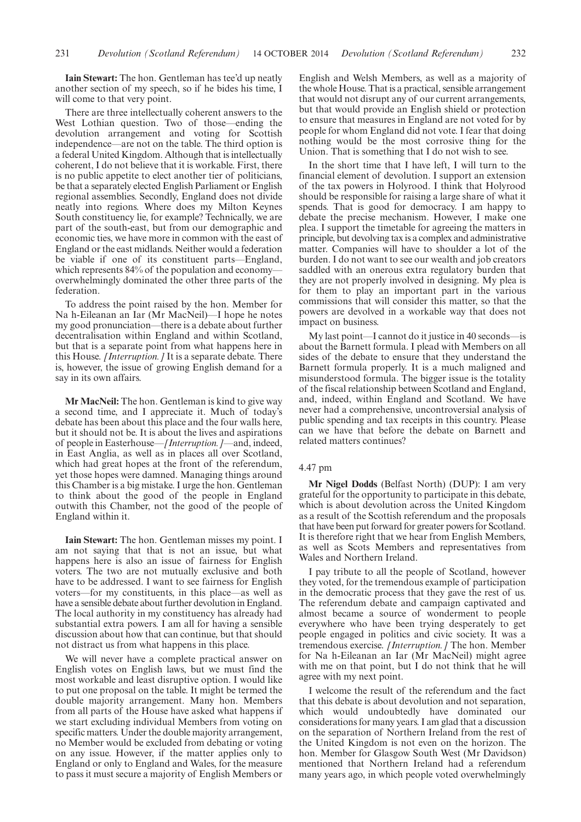**Iain Stewart:** The hon. Gentleman has tee'd up neatly another section of my speech, so if he bides his time, I will come to that very point.

There are three intellectually coherent answers to the West Lothian question. Two of those—ending the devolution arrangement and voting for Scottish independence—are not on the table. The third option is a federal United Kingdom. Although that is intellectually coherent, I do not believe that it is workable. First, there is no public appetite to elect another tier of politicians, be that a separately elected English Parliament or English regional assemblies. Secondly, England does not divide neatly into regions. Where does my Milton Keynes South constituency lie, for example? Technically, we are part of the south-east, but from our demographic and economic ties, we have more in common with the east of England or the east midlands. Neither would a federation be viable if one of its constituent parts—England, which represents 84% of the population and economy overwhelmingly dominated the other three parts of the federation.

To address the point raised by the hon. Member for Na h-Eileanan an Iar (Mr MacNeil)—I hope he notes my good pronunciation—there is a debate about further decentralisation within England and within Scotland, but that is a separate point from what happens here in this House. *[Interruption.]* It is a separate debate. There is, however, the issue of growing English demand for a say in its own affairs.

**Mr MacNeil:** The hon. Gentleman is kind to give way a second time, and I appreciate it. Much of today's debate has been about this place and the four walls here, but it should not be. It is about the lives and aspirations of people in Easterhouse—*[Interruption.]—*and, indeed, in East Anglia, as well as in places all over Scotland, which had great hopes at the front of the referendum, yet those hopes were damned. Managing things around this Chamber is a big mistake. I urge the hon. Gentleman to think about the good of the people in England outwith this Chamber, not the good of the people of England within it.

**Iain Stewart:** The hon. Gentleman misses my point. I am not saying that that is not an issue, but what happens here is also an issue of fairness for English voters. The two are not mutually exclusive and both have to be addressed. I want to see fairness for English voters—for my constituents, in this place—as well as have a sensible debate about further devolution in England. The local authority in my constituency has already had substantial extra powers. I am all for having a sensible discussion about how that can continue, but that should not distract us from what happens in this place.

We will never have a complete practical answer on English votes on English laws, but we must find the most workable and least disruptive option. I would like to put one proposal on the table. It might be termed the double majority arrangement. Many hon. Members from all parts of the House have asked what happens if we start excluding individual Members from voting on specific matters. Under the double majority arrangement, no Member would be excluded from debating or voting on any issue. However, if the matter applies only to England or only to England and Wales, for the measure to pass it must secure a majority of English Members or English and Welsh Members, as well as a majority of the whole House. That is a practical, sensible arrangement that would not disrupt any of our current arrangements, but that would provide an English shield or protection to ensure that measures in England are not voted for by people for whom England did not vote. I fear that doing nothing would be the most corrosive thing for the Union. That is something that I do not wish to see.

In the short time that I have left, I will turn to the financial element of devolution. I support an extension of the tax powers in Holyrood. I think that Holyrood should be responsible for raising a large share of what it spends. That is good for democracy. I am happy to debate the precise mechanism. However, I make one plea. I support the timetable for agreeing the matters in principle, but devolving tax is a complex and administrative matter. Companies will have to shoulder a lot of the burden. I do not want to see our wealth and job creators saddled with an onerous extra regulatory burden that they are not properly involved in designing. My plea is for them to play an important part in the various commissions that will consider this matter, so that the powers are devolved in a workable way that does not impact on business.

My last point—I cannot do it justice in 40 seconds—is about the Barnett formula. I plead with Members on all sides of the debate to ensure that they understand the Barnett formula properly. It is a much maligned and misunderstood formula. The bigger issue is the totality of the fiscal relationship between Scotland and England, and, indeed, within England and Scotland. We have never had a comprehensive, uncontroversial analysis of public spending and tax receipts in this country. Please can we have that before the debate on Barnett and related matters continues?

## 4.47 pm

**Mr Nigel Dodds** (Belfast North) (DUP): I am very grateful for the opportunity to participate in this debate, which is about devolution across the United Kingdom as a result of the Scottish referendum and the proposals that have been put forward for greater powers for Scotland. It is therefore right that we hear from English Members, as well as Scots Members and representatives from Wales and Northern Ireland.

I pay tribute to all the people of Scotland, however they voted, for the tremendous example of participation in the democratic process that they gave the rest of us. The referendum debate and campaign captivated and almost became a source of wonderment to people everywhere who have been trying desperately to get people engaged in politics and civic society. It was a tremendous exercise. *[Interruption.]* The hon. Member for Na h-Eileanan an Iar (Mr MacNeil) might agree with me on that point, but I do not think that he will agree with my next point.

I welcome the result of the referendum and the fact that this debate is about devolution and not separation, which would undoubtedly have dominated our considerations for many years. I am glad that a discussion on the separation of Northern Ireland from the rest of the United Kingdom is not even on the horizon. The hon. Member for Glasgow South West (Mr Davidson) mentioned that Northern Ireland had a referendum many years ago, in which people voted overwhelmingly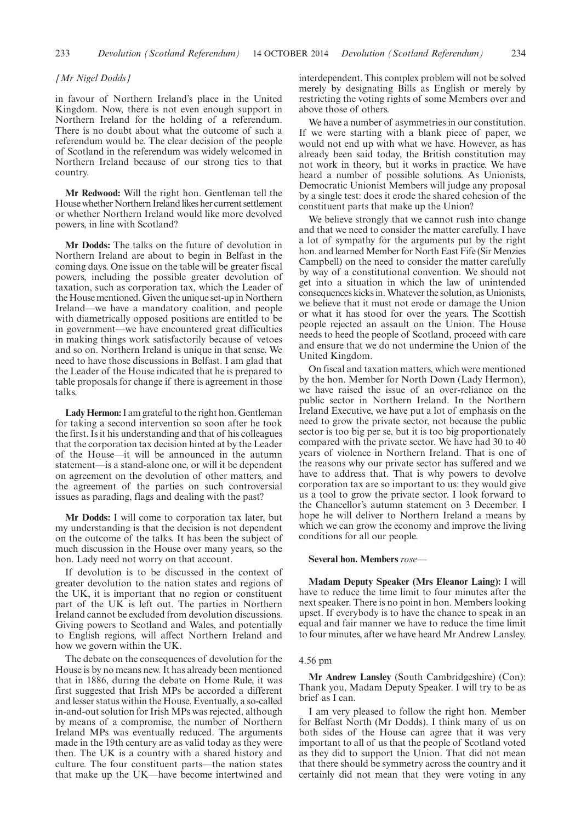## *[Mr Nigel Dodds]*

in favour of Northern Ireland's place in the United Kingdom. Now, there is not even enough support in Northern Ireland for the holding of a referendum. There is no doubt about what the outcome of such a referendum would be. The clear decision of the people of Scotland in the referendum was widely welcomed in Northern Ireland because of our strong ties to that country.

**Mr Redwood:** Will the right hon. Gentleman tell the House whether Northern Ireland likes her current settlement or whether Northern Ireland would like more devolved powers, in line with Scotland?

**Mr Dodds:** The talks on the future of devolution in Northern Ireland are about to begin in Belfast in the coming days. One issue on the table will be greater fiscal powers, including the possible greater devolution of taxation, such as corporation tax, which the Leader of the House mentioned. Given the unique set-up in Northern Ireland—we have a mandatory coalition, and people with diametrically opposed positions are entitled to be in government—we have encountered great difficulties in making things work satisfactorily because of vetoes and so on. Northern Ireland is unique in that sense. We need to have those discussions in Belfast. I am glad that the Leader of the House indicated that he is prepared to table proposals for change if there is agreement in those talks.

**Lady Hermon:**I am grateful to the right hon. Gentleman for taking a second intervention so soon after he took the first. Is it his understanding and that of his colleagues that the corporation tax decision hinted at by the Leader of the House—it will be announced in the autumn statement—is a stand-alone one, or will it be dependent on agreement on the devolution of other matters, and the agreement of the parties on such controversial issues as parading, flags and dealing with the past?

**Mr Dodds:** I will come to corporation tax later, but my understanding is that the decision is not dependent on the outcome of the talks. It has been the subject of much discussion in the House over many years, so the hon. Lady need not worry on that account.

If devolution is to be discussed in the context of greater devolution to the nation states and regions of the UK, it is important that no region or constituent part of the UK is left out. The parties in Northern Ireland cannot be excluded from devolution discussions. Giving powers to Scotland and Wales, and potentially to English regions, will affect Northern Ireland and how we govern within the UK.

The debate on the consequences of devolution for the House is by no means new. It has already been mentioned that in 1886, during the debate on Home Rule, it was first suggested that Irish MPs be accorded a different and lesser status within the House. Eventually, a so-called in-and-out solution for Irish MPs was rejected, although by means of a compromise, the number of Northern Ireland MPs was eventually reduced. The arguments made in the 19th century are as valid today as they were then. The UK is a country with a shared history and culture. The four constituent parts—the nation states that make up the UK—have become intertwined and interdependent. This complex problem will not be solved merely by designating Bills as English or merely by restricting the voting rights of some Members over and above those of others.

We have a number of asymmetries in our constitution. If we were starting with a blank piece of paper, we would not end up with what we have. However, as has already been said today, the British constitution may not work in theory, but it works in practice. We have heard a number of possible solutions. As Unionists, Democratic Unionist Members will judge any proposal by a single test: does it erode the shared cohesion of the constituent parts that make up the Union?

We believe strongly that we cannot rush into change and that we need to consider the matter carefully. I have a lot of sympathy for the arguments put by the right hon. and learned Member for North East Fife (Sir Menzies Campbell) on the need to consider the matter carefully by way of a constitutional convention. We should not get into a situation in which the law of unintended consequences kicks in.Whatever the solution, as Unionists, we believe that it must not erode or damage the Union or what it has stood for over the years. The Scottish people rejected an assault on the Union. The House needs to heed the people of Scotland, proceed with care and ensure that we do not undermine the Union of the United Kingdom.

On fiscal and taxation matters, which were mentioned by the hon. Member for North Down (Lady Hermon), we have raised the issue of an over-reliance on the public sector in Northern Ireland. In the Northern Ireland Executive, we have put a lot of emphasis on the need to grow the private sector, not because the public sector is too big per se, but it is too big proportionately compared with the private sector. We have had 30 to 40 years of violence in Northern Ireland. That is one of the reasons why our private sector has suffered and we have to address that. That is why powers to devolve corporation tax are so important to us: they would give us a tool to grow the private sector. I look forward to the Chancellor's autumn statement on 3 December. I hope he will deliver to Northern Ireland a means by which we can grow the economy and improve the living conditions for all our people.

#### **Several hon. Members** *rose—*

**Madam Deputy Speaker (Mrs Eleanor Laing):** I will have to reduce the time limit to four minutes after the next speaker. There is no point in hon. Members looking upset. If everybody is to have the chance to speak in an equal and fair manner we have to reduce the time limit to four minutes, after we have heard Mr Andrew Lansley.

## 4.56 pm

**Mr Andrew Lansley** (South Cambridgeshire) (Con): Thank you, Madam Deputy Speaker. I will try to be as brief as I can.

I am very pleased to follow the right hon. Member for Belfast North (Mr Dodds). I think many of us on both sides of the House can agree that it was very important to all of us that the people of Scotland voted as they did to support the Union. That did not mean that there should be symmetry across the country and it certainly did not mean that they were voting in any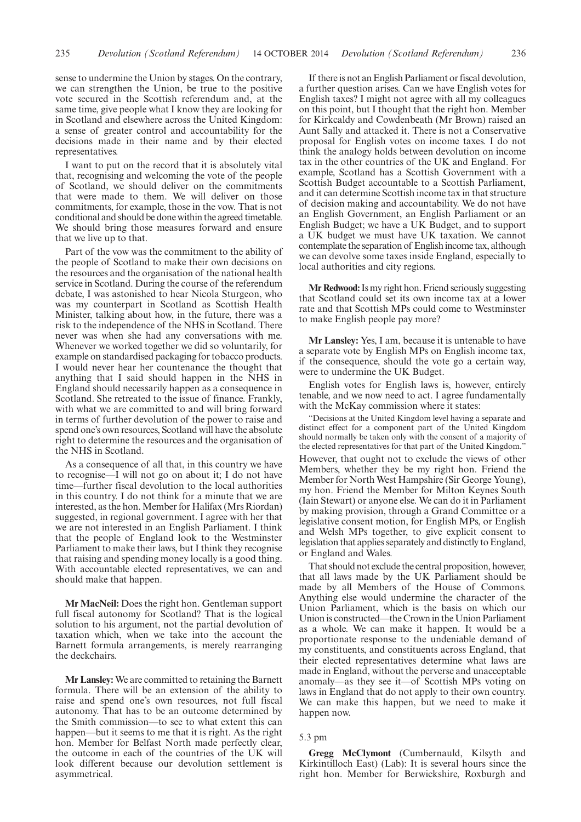sense to undermine the Union by stages. On the contrary, we can strengthen the Union, be true to the positive vote secured in the Scottish referendum and, at the same time, give people what I know they are looking for in Scotland and elsewhere across the United Kingdom: a sense of greater control and accountability for the decisions made in their name and by their elected representatives.

I want to put on the record that it is absolutely vital that, recognising and welcoming the vote of the people of Scotland, we should deliver on the commitments that were made to them. We will deliver on those commitments, for example, those in the vow. That is not conditional and should be done within the agreed timetable. We should bring those measures forward and ensure that we live up to that.

Part of the vow was the commitment to the ability of the people of Scotland to make their own decisions on the resources and the organisation of the national health service in Scotland. During the course of the referendum debate, I was astonished to hear Nicola Sturgeon, who was my counterpart in Scotland as Scottish Health Minister, talking about how, in the future, there was a risk to the independence of the NHS in Scotland. There never was when she had any conversations with me. Whenever we worked together we did so voluntarily, for example on standardised packaging for tobacco products. I would never hear her countenance the thought that anything that I said should happen in the NHS in England should necessarily happen as a consequence in Scotland. She retreated to the issue of finance. Frankly, with what we are committed to and will bring forward in terms of further devolution of the power to raise and spend one's own resources, Scotland will have the absolute right to determine the resources and the organisation of the NHS in Scotland.

As a consequence of all that, in this country we have to recognise—I will not go on about it; I do not have time—further fiscal devolution to the local authorities in this country. I do not think for a minute that we are interested, as the hon. Member for Halifax (Mrs Riordan) suggested, in regional government. I agree with her that we are not interested in an English Parliament. I think that the people of England look to the Westminster Parliament to make their laws, but I think they recognise that raising and spending money locally is a good thing. With accountable elected representatives, we can and should make that happen.

**Mr MacNeil:** Does the right hon. Gentleman support full fiscal autonomy for Scotland? That is the logical solution to his argument, not the partial devolution of taxation which, when we take into the account the Barnett formula arrangements, is merely rearranging the deckchairs.

**Mr Lansley:** We are committed to retaining the Barnett formula. There will be an extension of the ability to raise and spend one's own resources, not full fiscal autonomy. That has to be an outcome determined by the Smith commission—to see to what extent this can happen—but it seems to me that it is right. As the right hon. Member for Belfast North made perfectly clear, the outcome in each of the countries of the UK will look different because our devolution settlement is asymmetrical.

If there is not an English Parliament or fiscal devolution, a further question arises. Can we have English votes for English taxes? I might not agree with all my colleagues on this point, but I thought that the right hon. Member for Kirkcaldy and Cowdenbeath (Mr Brown) raised an Aunt Sally and attacked it. There is not a Conservative proposal for English votes on income taxes. I do not think the analogy holds between devolution on income tax in the other countries of the UK and England. For example, Scotland has a Scottish Government with a Scottish Budget accountable to a Scottish Parliament, and it can determine Scottish income tax in that structure of decision making and accountability. We do not have an English Government, an English Parliament or an English Budget; we have a UK Budget, and to support a UK budget we must have UK taxation. We cannot contemplate the separation of English income tax, although we can devolve some taxes inside England, especially to local authorities and city regions.

**Mr Redwood:**Is my right hon. Friend seriously suggesting that Scotland could set its own income tax at a lower rate and that Scottish MPs could come to Westminster to make English people pay more?

**Mr Lansley:** Yes, I am, because it is untenable to have a separate vote by English MPs on English income tax, if the consequence, should the vote go a certain way, were to undermine the UK Budget.

English votes for English laws is, however, entirely tenable, and we now need to act. I agree fundamentally with the McKay commission where it states:

"Decisions at the United Kingdom level having a separate and distinct effect for a component part of the United Kingdom should normally be taken only with the consent of a majority of the elected representatives for that part of the United Kingdom." However, that ought not to exclude the views of other Members, whether they be my right hon. Friend the Member for North West Hampshire (Sir George Young), my hon. Friend the Member for Milton Keynes South (Iain Stewart) or anyone else. We can do it in Parliament by making provision, through a Grand Committee or a legislative consent motion, for English MPs, or English and Welsh MPs together, to give explicit consent to legislation that applies separately and distinctly to England, or England and Wales.

That should not exclude the central proposition, however, that all laws made by the UK Parliament should be made by all Members of the House of Commons. Anything else would undermine the character of the Union Parliament, which is the basis on which our Union is constructed—the Crown in the Union Parliament as a whole. We can make it happen. It would be a proportionate response to the undeniable demand of my constituents, and constituents across England, that their elected representatives determine what laws are made in England, without the perverse and unacceptable anomaly—as they see it—of Scottish MPs voting on laws in England that do not apply to their own country. We can make this happen, but we need to make it happen now.

# 5.3 pm

**Gregg McClymont** (Cumbernauld, Kilsyth and Kirkintilloch East) (Lab): It is several hours since the right hon. Member for Berwickshire, Roxburgh and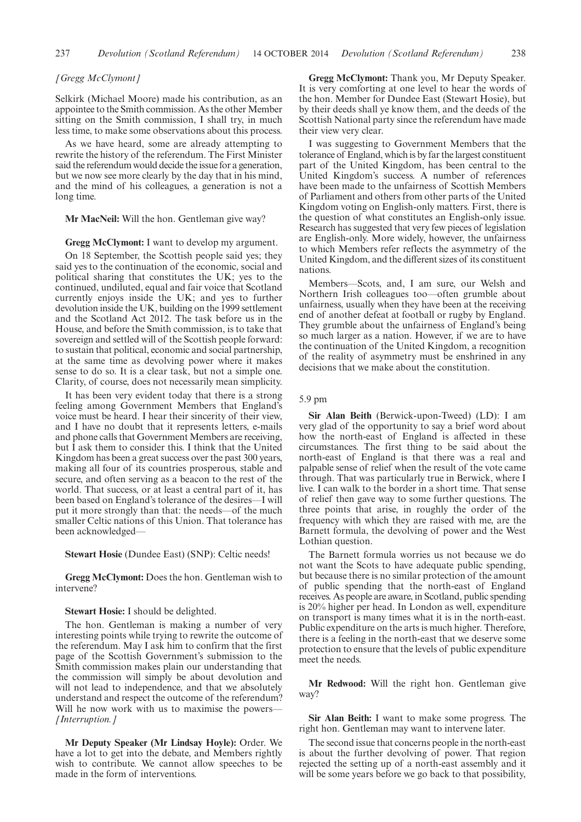### *[Gregg McClymont]*

Selkirk (Michael Moore) made his contribution, as an appointee to the Smith commission. As the other Member sitting on the Smith commission, I shall try, in much less time, to make some observations about this process.

As we have heard, some are already attempting to rewrite the history of the referendum. The First Minister said the referendum would decide the issue for a generation, but we now see more clearly by the day that in his mind, and the mind of his colleagues, a generation is not a long time.

**Mr MacNeil:** Will the hon. Gentleman give way?

#### **Gregg McClymont:** I want to develop my argument.

On 18 September, the Scottish people said yes; they said yes to the continuation of the economic, social and political sharing that constitutes the UK; yes to the continued, undiluted, equal and fair voice that Scotland currently enjoys inside the UK; and yes to further devolution inside the UK, building on the 1999 settlement and the Scotland Act 2012. The task before us in the House, and before the Smith commission, is to take that sovereign and settled will of the Scottish people forward: to sustain that political, economic and social partnership, at the same time as devolving power where it makes sense to do so. It is a clear task, but not a simple one. Clarity, of course, does not necessarily mean simplicity.

It has been very evident today that there is a strong feeling among Government Members that England's voice must be heard. I hear their sincerity of their view, and I have no doubt that it represents letters, e-mails and phone calls that Government Members are receiving, but I ask them to consider this. I think that the United Kingdom has been a great success over the past 300 years, making all four of its countries prosperous, stable and secure, and often serving as a beacon to the rest of the world. That success, or at least a central part of it, has been based on England's tolerance of the desires—I will put it more strongly than that: the needs—of the much smaller Celtic nations of this Union. That tolerance has been acknowledged—

#### **Stewart Hosie** (Dundee East) (SNP): Celtic needs!

**Gregg McClymont:** Does the hon. Gentleman wish to intervene?

**Stewart Hosie:** I should be delighted.

The hon. Gentleman is making a number of very interesting points while trying to rewrite the outcome of the referendum. May I ask him to confirm that the first page of the Scottish Government's submission to the Smith commission makes plain our understanding that the commission will simply be about devolution and will not lead to independence, and that we absolutely understand and respect the outcome of the referendum? Will he now work with us to maximise the powers— *[Interruption.]*

**Mr Deputy Speaker (Mr Lindsay Hoyle):** Order. We have a lot to get into the debate, and Members rightly wish to contribute. We cannot allow speeches to be made in the form of interventions.

**Gregg McClymont:** Thank you, Mr Deputy Speaker. It is very comforting at one level to hear the words of the hon. Member for Dundee East (Stewart Hosie), but by their deeds shall ye know them, and the deeds of the Scottish National party since the referendum have made their view very clear.

I was suggesting to Government Members that the tolerance of England, which is by far the largest constituent part of the United Kingdom, has been central to the United Kingdom's success. A number of references have been made to the unfairness of Scottish Members of Parliament and others from other parts of the United Kingdom voting on English-only matters. First, there is the question of what constitutes an English-only issue. Research has suggested that very few pieces of legislation are English-only. More widely, however, the unfairness to which Members refer reflects the asymmetry of the United Kingdom, and the different sizes of its constituent nations.

Members—Scots, and, I am sure, our Welsh and Northern Irish colleagues too—often grumble about unfairness, usually when they have been at the receiving end of another defeat at football or rugby by England. They grumble about the unfairness of England's being so much larger as a nation. However, if we are to have the continuation of the United Kingdom, a recognition of the reality of asymmetry must be enshrined in any decisions that we make about the constitution.

# 5.9 pm

**Sir Alan Beith** (Berwick-upon-Tweed) (LD): I am very glad of the opportunity to say a brief word about how the north-east of England is affected in these circumstances. The first thing to be said about the north-east of England is that there was a real and palpable sense of relief when the result of the vote came through. That was particularly true in Berwick, where I live. I can walk to the border in a short time. That sense of relief then gave way to some further questions. The three points that arise, in roughly the order of the frequency with which they are raised with me, are the Barnett formula, the devolving of power and the West Lothian question.

The Barnett formula worries us not because we do not want the Scots to have adequate public spending, but because there is no similar protection of the amount of public spending that the north-east of England receives. As people are aware, in Scotland, public spending is 20% higher per head. In London as well, expenditure on transport is many times what it is in the north-east. Public expenditure on the arts is much higher. Therefore, there is a feeling in the north-east that we deserve some protection to ensure that the levels of public expenditure meet the needs.

**Mr Redwood:** Will the right hon. Gentleman give way?

**Sir Alan Beith:** I want to make some progress. The right hon. Gentleman may want to intervene later.

The second issue that concerns people in the north-east is about the further devolving of power. That region rejected the setting up of a north-east assembly and it will be some years before we go back to that possibility,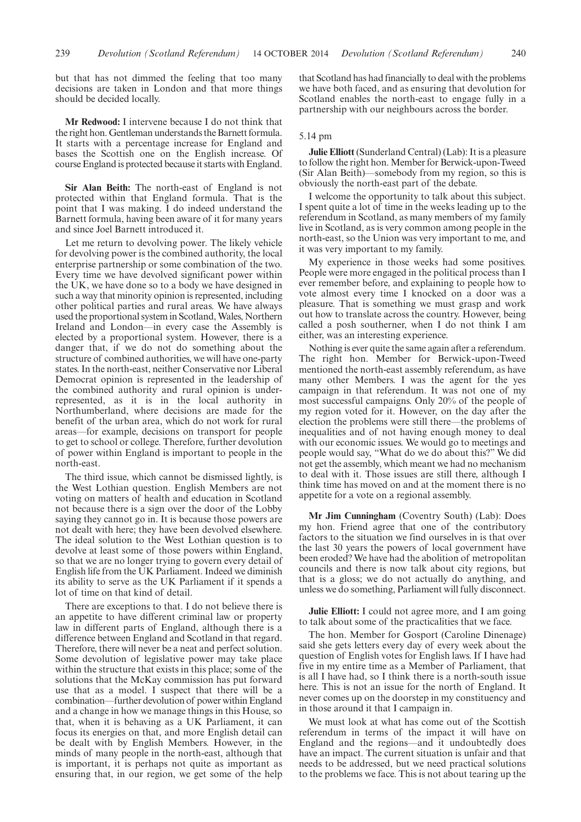but that has not dimmed the feeling that too many decisions are taken in London and that more things should be decided locally.

**Mr Redwood:** I intervene because I do not think that the right hon. Gentleman understands the Barnett formula. It starts with a percentage increase for England and bases the Scottish one on the English increase. Of course England is protected because it starts with England.

**Sir Alan Beith:** The north-east of England is not protected within that England formula. That is the point that I was making. I do indeed understand the Barnett formula, having been aware of it for many years and since Joel Barnett introduced it.

Let me return to devolving power. The likely vehicle for devolving power is the combined authority, the local enterprise partnership or some combination of the two. Every time we have devolved significant power within the UK, we have done so to a body we have designed in such a way that minority opinion is represented, including other political parties and rural areas. We have always used the proportional system in Scotland, Wales, Northern Ireland and London—in every case the Assembly is elected by a proportional system. However, there is a danger that, if we do not do something about the structure of combined authorities, we will have one-party states. In the north-east, neither Conservative nor Liberal Democrat opinion is represented in the leadership of the combined authority and rural opinion is underrepresented, as it is in the local authority in Northumberland, where decisions are made for the benefit of the urban area, which do not work for rural areas—for example, decisions on transport for people to get to school or college. Therefore, further devolution of power within England is important to people in the north-east.

The third issue, which cannot be dismissed lightly, is the West Lothian question. English Members are not voting on matters of health and education in Scotland not because there is a sign over the door of the Lobby saying they cannot go in. It is because those powers are not dealt with here; they have been devolved elsewhere. The ideal solution to the West Lothian question is to devolve at least some of those powers within England, so that we are no longer trying to govern every detail of English life from the UK Parliament. Indeed we diminish its ability to serve as the UK Parliament if it spends a lot of time on that kind of detail.

There are exceptions to that. I do not believe there is an appetite to have different criminal law or property law in different parts of England, although there is a difference between England and Scotland in that regard. Therefore, there will never be a neat and perfect solution. Some devolution of legislative power may take place within the structure that exists in this place; some of the solutions that the McKay commission has put forward use that as a model. I suspect that there will be a combination—further devolution of power within England and a change in how we manage things in this House, so that, when it is behaving as a UK Parliament, it can focus its energies on that, and more English detail can be dealt with by English Members. However, in the minds of many people in the north-east, although that is important, it is perhaps not quite as important as ensuring that, in our region, we get some of the help that Scotland has had financially to deal with the problems we have both faced, and as ensuring that devolution for Scotland enables the north-east to engage fully in a partnership with our neighbours across the border.

# 5.14 pm

**Julie Elliott** (Sunderland Central) (Lab): It is a pleasure to follow the right hon. Member for Berwick-upon-Tweed (Sir Alan Beith)—somebody from my region, so this is obviously the north-east part of the debate.

I welcome the opportunity to talk about this subject. I spent quite a lot of time in the weeks leading up to the referendum in Scotland, as many members of my family live in Scotland, as is very common among people in the north-east, so the Union was very important to me, and it was very important to my family.

My experience in those weeks had some positives. People were more engaged in the political process than I ever remember before, and explaining to people how to vote almost every time I knocked on a door was a pleasure. That is something we must grasp and work out how to translate across the country. However, being called a posh southerner, when I do not think I am either, was an interesting experience.

Nothing is ever quite the same again after a referendum. The right hon. Member for Berwick-upon-Tweed mentioned the north-east assembly referendum, as have many other Members. I was the agent for the yes campaign in that referendum. It was not one of my most successful campaigns. Only 20% of the people of my region voted for it. However, on the day after the election the problems were still there—the problems of inequalities and of not having enough money to deal with our economic issues. We would go to meetings and people would say, "What do we do about this?" We did not get the assembly, which meant we had no mechanism to deal with it. Those issues are still there, although I think time has moved on and at the moment there is no appetite for a vote on a regional assembly.

**Mr Jim Cunningham** (Coventry South) (Lab): Does my hon. Friend agree that one of the contributory factors to the situation we find ourselves in is that over the last 30 years the powers of local government have been eroded? We have had the abolition of metropolitan councils and there is now talk about city regions, but that is a gloss; we do not actually do anything, and unless we do something, Parliament will fully disconnect.

**Julie Elliott:** I could not agree more, and I am going to talk about some of the practicalities that we face.

The hon. Member for Gosport (Caroline Dinenage) said she gets letters every day of every week about the question of English votes for English laws. If I have had five in my entire time as a Member of Parliament, that is all I have had, so I think there is a north-south issue here. This is not an issue for the north of England. It never comes up on the doorstep in my constituency and in those around it that I campaign in.

We must look at what has come out of the Scottish referendum in terms of the impact it will have on England and the regions—and it undoubtedly does have an impact. The current situation is unfair and that needs to be addressed, but we need practical solutions to the problems we face. This is not about tearing up the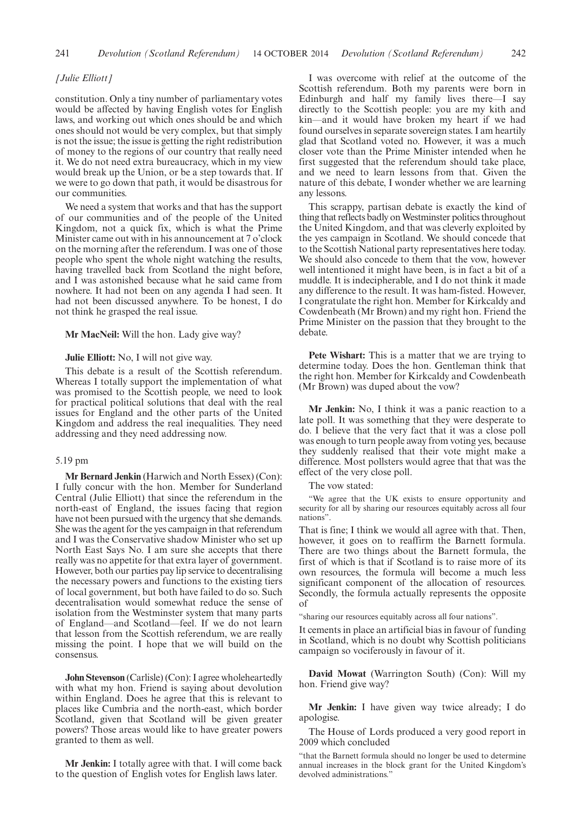# *[Julie Elliott]*

constitution. Only a tiny number of parliamentary votes would be affected by having English votes for English laws, and working out which ones should be and which ones should not would be very complex, but that simply is not the issue; the issue is getting the right redistribution of money to the regions of our country that really need it. We do not need extra bureaucracy, which in my view would break up the Union, or be a step towards that. If we were to go down that path, it would be disastrous for our communities.

We need a system that works and that has the support of our communities and of the people of the United Kingdom, not a quick fix, which is what the Prime Minister came out with in his announcement at 7 o'clock on the morning after the referendum. I was one of those people who spent the whole night watching the results, having travelled back from Scotland the night before, and I was astonished because what he said came from nowhere. It had not been on any agenda I had seen. It had not been discussed anywhere. To be honest, I do not think he grasped the real issue.

**Mr MacNeil:** Will the hon. Lady give way?

# **Julie Elliott:** No, I will not give way.

This debate is a result of the Scottish referendum. Whereas I totally support the implementation of what was promised to the Scottish people, we need to look for practical political solutions that deal with the real issues for England and the other parts of the United Kingdom and address the real inequalities. They need addressing and they need addressing now.

# 5.19 pm

**Mr Bernard Jenkin** (Harwich and North Essex) (Con): I fully concur with the hon. Member for Sunderland Central (Julie Elliott) that since the referendum in the north-east of England, the issues facing that region have not been pursued with the urgency that she demands. She was the agent for the yes campaign in that referendum and I was the Conservative shadow Minister who set up North East Says No. I am sure she accepts that there really was no appetite for that extra layer of government. However, both our parties pay lip service to decentralising the necessary powers and functions to the existing tiers of local government, but both have failed to do so. Such decentralisation would somewhat reduce the sense of isolation from the Westminster system that many parts of England—and Scotland—feel. If we do not learn that lesson from the Scottish referendum, we are really missing the point. I hope that we will build on the consensus.

**John Stevenson** (Carlisle) (Con): I agree wholeheartedly with what my hon. Friend is saying about devolution within England. Does he agree that this is relevant to places like Cumbria and the north-east, which border Scotland, given that Scotland will be given greater powers? Those areas would like to have greater powers granted to them as well.

**Mr Jenkin:** I totally agree with that. I will come back to the question of English votes for English laws later.

I was overcome with relief at the outcome of the Scottish referendum. Both my parents were born in Edinburgh and half my family lives there—I say directly to the Scottish people: you are my kith and kin—and it would have broken my heart if we had found ourselves in separate sovereign states. I am heartily glad that Scotland voted no. However, it was a much closer vote than the Prime Minister intended when he first suggested that the referendum should take place, and we need to learn lessons from that. Given the nature of this debate, I wonder whether we are learning any lessons.

This scrappy, partisan debate is exactly the kind of thing that reflects badly on Westminster politics throughout the United Kingdom, and that was cleverly exploited by the yes campaign in Scotland. We should concede that to the Scottish National party representatives here today. We should also concede to them that the vow, however well intentioned it might have been, is in fact a bit of a muddle. It is indecipherable, and I do not think it made any difference to the result. It was ham-fisted. However, I congratulate the right hon. Member for Kirkcaldy and Cowdenbeath (Mr Brown) and my right hon. Friend the Prime Minister on the passion that they brought to the debate.

**Pete Wishart:** This is a matter that we are trying to determine today. Does the hon. Gentleman think that the right hon. Member for Kirkcaldy and Cowdenbeath (Mr Brown) was duped about the vow?

**Mr Jenkin:** No, I think it was a panic reaction to a late poll. It was something that they were desperate to do. I believe that the very fact that it was a close poll was enough to turn people away from voting yes, because they suddenly realised that their vote might make a difference. Most pollsters would agree that that was the effect of the very close poll.

The vow stated:

"We agree that the UK exists to ensure opportunity and security for all by sharing our resources equitably across all four nations".

That is fine; I think we would all agree with that. Then, however, it goes on to reaffirm the Barnett formula. There are two things about the Barnett formula, the first of which is that if Scotland is to raise more of its own resources, the formula will become a much less significant component of the allocation of resources. Secondly, the formula actually represents the opposite of

"sharing our resources equitably across all four nations".

It cements in place an artificial bias in favour of funding in Scotland, which is no doubt why Scottish politicians campaign so vociferously in favour of it.

**David Mowat** (Warrington South) (Con): Will my hon. Friend give way?

**Mr Jenkin:** I have given way twice already; I do apologise.

The House of Lords produced a very good report in 2009 which concluded

"that the Barnett formula should no longer be used to determine annual increases in the block grant for the United Kingdom's devolved administrations."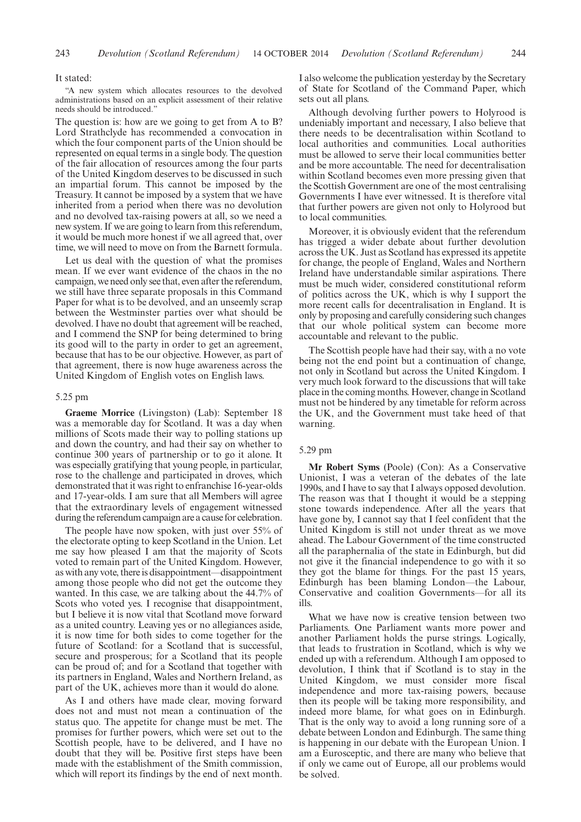#### It stated:

"A new system which allocates resources to the devolved administrations based on an explicit assessment of their relative needs should be introduced."

The question is: how are we going to get from A to B? Lord Strathclyde has recommended a convocation in which the four component parts of the Union should be represented on equal terms in a single body. The question of the fair allocation of resources among the four parts of the United Kingdom deserves to be discussed in such an impartial forum. This cannot be imposed by the Treasury. It cannot be imposed by a system that we have inherited from a period when there was no devolution and no devolved tax-raising powers at all, so we need a new system. If we are going to learn from this referendum, it would be much more honest if we all agreed that, over time, we will need to move on from the Barnett formula.

Let us deal with the question of what the promises mean. If we ever want evidence of the chaos in the no campaign, we need only see that, even after the referendum, we still have three separate proposals in this Command Paper for what is to be devolved, and an unseemly scrap between the Westminster parties over what should be devolved. I have no doubt that agreement will be reached, and I commend the SNP for being determined to bring its good will to the party in order to get an agreement, because that has to be our objective. However, as part of that agreement, there is now huge awareness across the United Kingdom of English votes on English laws.

## 5.25 pm

**Graeme Morrice** (Livingston) (Lab): September 18 was a memorable day for Scotland. It was a day when millions of Scots made their way to polling stations up and down the country, and had their say on whether to continue 300 years of partnership or to go it alone. It was especially gratifying that young people, in particular, rose to the challenge and participated in droves, which demonstrated that it was right to enfranchise 16-year-olds and 17-year-olds. I am sure that all Members will agree that the extraordinary levels of engagement witnessed during the referendum campaign are a cause for celebration.

The people have now spoken, with just over 55% of the electorate opting to keep Scotland in the Union. Let me say how pleased I am that the majority of Scots voted to remain part of the United Kingdom. However, as with any vote, there is disappointment—disappointment among those people who did not get the outcome they wanted. In this case, we are talking about the 44.7% of Scots who voted yes. I recognise that disappointment, but I believe it is now vital that Scotland move forward as a united country. Leaving yes or no allegiances aside, it is now time for both sides to come together for the future of Scotland: for a Scotland that is successful, secure and prosperous; for a Scotland that its people can be proud of; and for a Scotland that together with its partners in England, Wales and Northern Ireland, as part of the UK, achieves more than it would do alone.

As I and others have made clear, moving forward does not and must not mean a continuation of the status quo. The appetite for change must be met. The promises for further powers, which were set out to the Scottish people, have to be delivered, and I have no doubt that they will be. Positive first steps have been made with the establishment of the Smith commission, which will report its findings by the end of next month. I also welcome the publication yesterday by the Secretary of State for Scotland of the Command Paper, which sets out all plans.

Although devolving further powers to Holyrood is undeniably important and necessary, I also believe that there needs to be decentralisation within Scotland to local authorities and communities. Local authorities must be allowed to serve their local communities better and be more accountable. The need for decentralisation within Scotland becomes even more pressing given that the Scottish Government are one of the most centralising Governments I have ever witnessed. It is therefore vital that further powers are given not only to Holyrood but to local communities.

Moreover, it is obviously evident that the referendum has trigged a wider debate about further devolution across the UK. Just as Scotland has expressed its appetite for change, the people of England, Wales and Northern Ireland have understandable similar aspirations. There must be much wider, considered constitutional reform of politics across the UK, which is why I support the more recent calls for decentralisation in England. It is only by proposing and carefully considering such changes that our whole political system can become more accountable and relevant to the public.

The Scottish people have had their say, with a no vote being not the end point but a continuation of change, not only in Scotland but across the United Kingdom. I very much look forward to the discussions that will take place in the coming months. However, change in Scotland must not be hindered by any timetable for reform across the UK, and the Government must take heed of that warning.

## 5.29 pm

**Mr Robert Syms** (Poole) (Con): As a Conservative Unionist, I was a veteran of the debates of the late 1990s, and I have to say that I always opposed devolution. The reason was that I thought it would be a stepping stone towards independence. After all the years that have gone by, I cannot say that I feel confident that the United Kingdom is still not under threat as we move ahead. The Labour Government of the time constructed all the paraphernalia of the state in Edinburgh, but did not give it the financial independence to go with it so they got the blame for things. For the past 15 years, Edinburgh has been blaming London—the Labour, Conservative and coalition Governments—for all its ills.

What we have now is creative tension between two Parliaments. One Parliament wants more power and another Parliament holds the purse strings. Logically, that leads to frustration in Scotland, which is why we ended up with a referendum. Although I am opposed to devolution, I think that if Scotland is to stay in the United Kingdom, we must consider more fiscal independence and more tax-raising powers, because then its people will be taking more responsibility, and indeed more blame, for what goes on in Edinburgh. That is the only way to avoid a long running sore of a debate between London and Edinburgh. The same thing is happening in our debate with the European Union. I am a Eurosceptic, and there are many who believe that if only we came out of Europe, all our problems would be solved.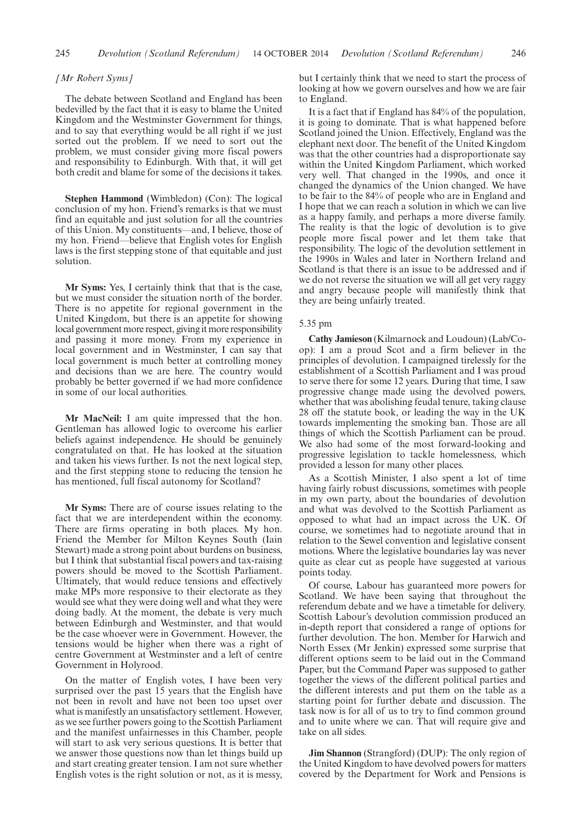## *[Mr Robert Syms]*

The debate between Scotland and England has been bedevilled by the fact that it is easy to blame the United Kingdom and the Westminster Government for things, and to say that everything would be all right if we just sorted out the problem. If we need to sort out the problem, we must consider giving more fiscal powers and responsibility to Edinburgh. With that, it will get both credit and blame for some of the decisions it takes.

**Stephen Hammond** (Wimbledon) (Con): The logical conclusion of my hon. Friend's remarks is that we must find an equitable and just solution for all the countries of this Union. My constituents—and, I believe, those of my hon. Friend—believe that English votes for English laws is the first stepping stone of that equitable and just solution.

**Mr Syms:** Yes, I certainly think that that is the case, but we must consider the situation north of the border. There is no appetite for regional government in the United Kingdom, but there is an appetite for showing local government more respect, giving it more responsibility and passing it more money. From my experience in local government and in Westminster, I can say that local government is much better at controlling money and decisions than we are here. The country would probably be better governed if we had more confidence in some of our local authorities.

**Mr MacNeil:** I am quite impressed that the hon. Gentleman has allowed logic to overcome his earlier beliefs against independence. He should be genuinely congratulated on that. He has looked at the situation and taken his views further. Is not the next logical step, and the first stepping stone to reducing the tension he has mentioned, full fiscal autonomy for Scotland?

**Mr Syms:** There are of course issues relating to the fact that we are interdependent within the economy. There are firms operating in both places. My hon. Friend the Member for Milton Keynes South (Iain Stewart) made a strong point about burdens on business, but I think that substantial fiscal powers and tax-raising powers should be moved to the Scottish Parliament. Ultimately, that would reduce tensions and effectively make MPs more responsive to their electorate as they would see what they were doing well and what they were doing badly. At the moment, the debate is very much between Edinburgh and Westminster, and that would be the case whoever were in Government. However, the tensions would be higher when there was a right of centre Government at Westminster and a left of centre Government in Holyrood.

On the matter of English votes, I have been very surprised over the past 15 years that the English have not been in revolt and have not been too upset over what is manifestly an unsatisfactory settlement. However, as we see further powers going to the Scottish Parliament and the manifest unfairnesses in this Chamber, people will start to ask very serious questions. It is better that we answer those questions now than let things build up and start creating greater tension. I am not sure whether English votes is the right solution or not, as it is messy, but I certainly think that we need to start the process of looking at how we govern ourselves and how we are fair to England.

It is a fact that if England has 84% of the population, it is going to dominate. That is what happened before Scotland joined the Union. Effectively, England was the elephant next door. The benefit of the United Kingdom was that the other countries had a disproportionate say within the United Kingdom Parliament, which worked very well. That changed in the 1990s, and once it changed the dynamics of the Union changed. We have to be fair to the 84% of people who are in England and I hope that we can reach a solution in which we can live as a happy family, and perhaps a more diverse family. The reality is that the logic of devolution is to give people more fiscal power and let them take that responsibility. The logic of the devolution settlement in the 1990s in Wales and later in Northern Ireland and Scotland is that there is an issue to be addressed and if we do not reverse the situation we will all get very raggy and angry because people will manifestly think that they are being unfairly treated.

#### 5.35 pm

**Cathy Jamieson** (Kilmarnock and Loudoun) (Lab/Coop): I am a proud Scot and a firm believer in the principles of devolution. I campaigned tirelessly for the establishment of a Scottish Parliament and I was proud to serve there for some 12 years. During that time, I saw progressive change made using the devolved powers, whether that was abolishing feudal tenure, taking clause 28 off the statute book, or leading the way in the UK towards implementing the smoking ban. Those are all things of which the Scottish Parliament can be proud. We also had some of the most forward-looking and progressive legislation to tackle homelessness, which provided a lesson for many other places.

As a Scottish Minister, I also spent a lot of time having fairly robust discussions, sometimes with people in my own party, about the boundaries of devolution and what was devolved to the Scottish Parliament as opposed to what had an impact across the UK. Of course, we sometimes had to negotiate around that in relation to the Sewel convention and legislative consent motions. Where the legislative boundaries lay was never quite as clear cut as people have suggested at various points today.

Of course, Labour has guaranteed more powers for Scotland. We have been saying that throughout the referendum debate and we have a timetable for delivery. Scottish Labour's devolution commission produced an in-depth report that considered a range of options for further devolution. The hon. Member for Harwich and North Essex (Mr Jenkin) expressed some surprise that different options seem to be laid out in the Command Paper, but the Command Paper was supposed to gather together the views of the different political parties and the different interests and put them on the table as a starting point for further debate and discussion. The task now is for all of us to try to find common ground and to unite where we can. That will require give and take on all sides.

**Jim Shannon** (Strangford) (DUP): The only region of the United Kingdom to have devolved powers for matters covered by the Department for Work and Pensions is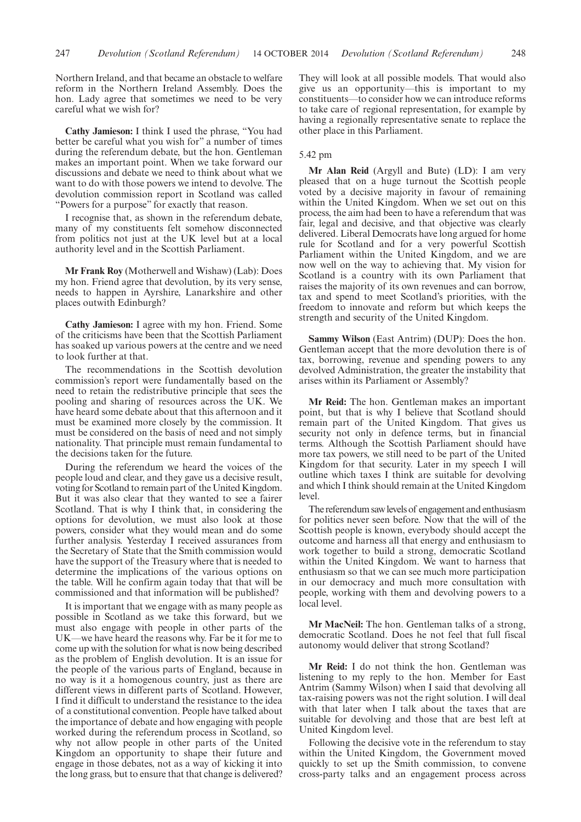Northern Ireland, and that became an obstacle to welfare reform in the Northern Ireland Assembly. Does the hon. Lady agree that sometimes we need to be very careful what we wish for?

**Cathy Jamieson:** I think I used the phrase, "You had better be careful what you wish for" a number of times during the referendum debate, but the hon. Gentleman makes an important point. When we take forward our discussions and debate we need to think about what we want to do with those powers we intend to devolve. The devolution commission report in Scotland was called "Powers for a purpose" for exactly that reason.

I recognise that, as shown in the referendum debate, many of my constituents felt somehow disconnected from politics not just at the UK level but at a local authority level and in the Scottish Parliament.

**Mr Frank Roy** (Motherwell and Wishaw) (Lab): Does my hon. Friend agree that devolution, by its very sense, needs to happen in Ayrshire, Lanarkshire and other places outwith Edinburgh?

**Cathy Jamieson:** I agree with my hon. Friend. Some of the criticisms have been that the Scottish Parliament has soaked up various powers at the centre and we need to look further at that.

The recommendations in the Scottish devolution commission's report were fundamentally based on the need to retain the redistributive principle that sees the pooling and sharing of resources across the UK. We have heard some debate about that this afternoon and it must be examined more closely by the commission. It must be considered on the basis of need and not simply nationality. That principle must remain fundamental to the decisions taken for the future.

During the referendum we heard the voices of the people loud and clear, and they gave us a decisive result, voting for Scotland to remain part of the United Kingdom. But it was also clear that they wanted to see a fairer Scotland. That is why I think that, in considering the options for devolution, we must also look at those powers, consider what they would mean and do some further analysis. Yesterday I received assurances from the Secretary of State that the Smith commission would have the support of the Treasury where that is needed to determine the implications of the various options on the table. Will he confirm again today that that will be commissioned and that information will be published?

It is important that we engage with as many people as possible in Scotland as we take this forward, but we must also engage with people in other parts of the UK—we have heard the reasons why. Far be it for me to come up with the solution for what is now being described as the problem of English devolution. It is an issue for the people of the various parts of England, because in no way is it a homogenous country, just as there are different views in different parts of Scotland. However, I find it difficult to understand the resistance to the idea of a constitutional convention. People have talked about the importance of debate and how engaging with people worked during the referendum process in Scotland, so why not allow people in other parts of the United Kingdom an opportunity to shape their future and engage in those debates, not as a way of kicking it into the long grass, but to ensure that that change is delivered? They will look at all possible models. That would also give us an opportunity—this is important to my constituents—to consider how we can introduce reforms to take care of regional representation, for example by having a regionally representative senate to replace the other place in this Parliament.

## 5.42 pm

**Mr Alan Reid** (Argyll and Bute) (LD): I am very pleased that on a huge turnout the Scottish people voted by a decisive majority in favour of remaining within the United Kingdom. When we set out on this process, the aim had been to have a referendum that was fair, legal and decisive, and that objective was clearly delivered. Liberal Democrats have long argued for home rule for Scotland and for a very powerful Scottish Parliament within the United Kingdom, and we are now well on the way to achieving that. My vision for Scotland is a country with its own Parliament that raises the majority of its own revenues and can borrow, tax and spend to meet Scotland's priorities, with the freedom to innovate and reform but which keeps the strength and security of the United Kingdom.

**Sammy Wilson** (East Antrim) (DUP): Does the hon. Gentleman accept that the more devolution there is of tax, borrowing, revenue and spending powers to any devolved Administration, the greater the instability that arises within its Parliament or Assembly?

**Mr Reid:** The hon. Gentleman makes an important point, but that is why I believe that Scotland should remain part of the United Kingdom. That gives us security not only in defence terms, but in financial terms. Although the Scottish Parliament should have more tax powers, we still need to be part of the United Kingdom for that security. Later in my speech I will outline which taxes I think are suitable for devolving and which I think should remain at the United Kingdom level.

The referendum sawlevels of engagement and enthusiasm for politics never seen before. Now that the will of the Scottish people is known, everybody should accept the outcome and harness all that energy and enthusiasm to work together to build a strong, democratic Scotland within the United Kingdom. We want to harness that enthusiasm so that we can see much more participation in our democracy and much more consultation with people, working with them and devolving powers to a local level.

**Mr MacNeil:** The hon. Gentleman talks of a strong, democratic Scotland. Does he not feel that full fiscal autonomy would deliver that strong Scotland?

**Mr Reid:** I do not think the hon. Gentleman was listening to my reply to the hon. Member for East Antrim (Sammy Wilson) when I said that devolving all tax-raising powers was not the right solution. I will deal with that later when I talk about the taxes that are suitable for devolving and those that are best left at United Kingdom level.

Following the decisive vote in the referendum to stay within the United Kingdom, the Government moved quickly to set up the Smith commission, to convene cross-party talks and an engagement process across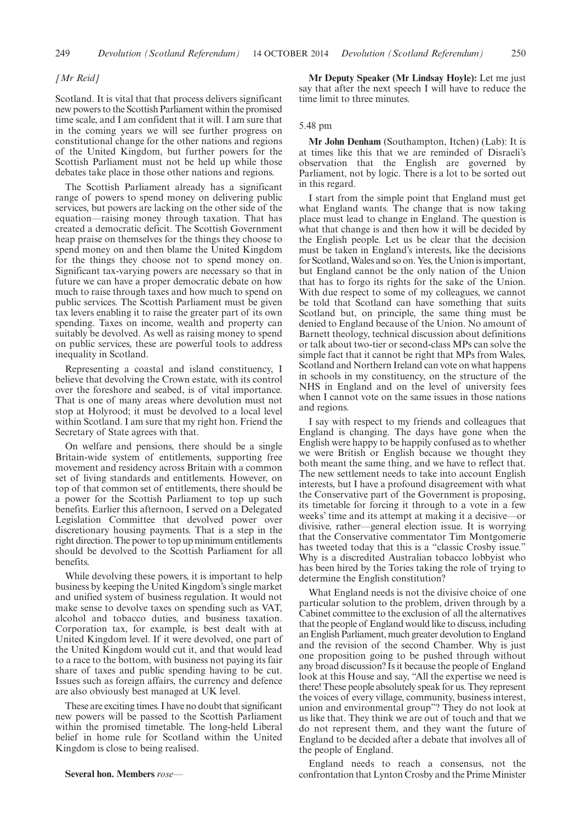## *[Mr Reid]*

Scotland. It is vital that that process delivers significant new powers to the Scottish Parliament within the promised time scale, and I am confident that it will. I am sure that in the coming years we will see further progress on constitutional change for the other nations and regions of the United Kingdom, but further powers for the Scottish Parliament must not be held up while those debates take place in those other nations and regions.

The Scottish Parliament already has a significant range of powers to spend money on delivering public services, but powers are lacking on the other side of the equation—raising money through taxation. That has created a democratic deficit. The Scottish Government heap praise on themselves for the things they choose to spend money on and then blame the United Kingdom for the things they choose not to spend money on. Significant tax-varying powers are necessary so that in future we can have a proper democratic debate on how much to raise through taxes and how much to spend on public services. The Scottish Parliament must be given tax levers enabling it to raise the greater part of its own spending. Taxes on income, wealth and property can suitably be devolved. As well as raising money to spend on public services, these are powerful tools to address inequality in Scotland.

Representing a coastal and island constituency, I believe that devolving the Crown estate, with its control over the foreshore and seabed, is of vital importance. That is one of many areas where devolution must not stop at Holyrood; it must be devolved to a local level within Scotland. I am sure that my right hon. Friend the Secretary of State agrees with that.

On welfare and pensions, there should be a single Britain-wide system of entitlements, supporting free movement and residency across Britain with a common set of living standards and entitlements. However, on top of that common set of entitlements, there should be a power for the Scottish Parliament to top up such benefits. Earlier this afternoon, I served on a Delegated Legislation Committee that devolved power over discretionary housing payments. That is a step in the right direction. The power to top up minimum entitlements should be devolved to the Scottish Parliament for all benefits.

While devolving these powers, it is important to help business by keeping the United Kingdom's single market and unified system of business regulation. It would not make sense to devolve taxes on spending such as VAT, alcohol and tobacco duties, and business taxation. Corporation tax, for example, is best dealt with at United Kingdom level. If it were devolved, one part of the United Kingdom would cut it, and that would lead to a race to the bottom, with business not paying its fair share of taxes and public spending having to be cut. Issues such as foreign affairs, the currency and defence are also obviously best managed at UK level.

These are exciting times. I have no doubt that significant new powers will be passed to the Scottish Parliament within the promised timetable. The long-held Liberal belief in home rule for Scotland within the United Kingdom is close to being realised.

**Mr Deputy Speaker (Mr Lindsay Hoyle):** Let me just say that after the next speech I will have to reduce the time limit to three minutes.

## 5.48 pm

**Mr John Denham** (Southampton, Itchen) (Lab): It is at times like this that we are reminded of Disraeli's observation that the English are governed by Parliament, not by logic. There is a lot to be sorted out in this regard.

I start from the simple point that England must get what England wants. The change that is now taking place must lead to change in England. The question is what that change is and then how it will be decided by the English people. Let us be clear that the decision must be taken in England's interests, like the decisions for Scotland,Wales and so on. Yes, the Union is important, but England cannot be the only nation of the Union that has to forgo its rights for the sake of the Union. With due respect to some of my colleagues, we cannot be told that Scotland can have something that suits Scotland but, on principle, the same thing must be denied to England because of the Union. No amount of Barnett theology, technical discussion about definitions or talk about two-tier or second-class MPs can solve the simple fact that it cannot be right that MPs from Wales, Scotland and Northern Ireland can vote on what happens in schools in my constituency, on the structure of the NHS in England and on the level of university fees when I cannot vote on the same issues in those nations and regions.

I say with respect to my friends and colleagues that England is changing. The days have gone when the English were happy to be happily confused as to whether we were British or English because we thought they both meant the same thing, and we have to reflect that. The new settlement needs to take into account English interests, but I have a profound disagreement with what the Conservative part of the Government is proposing, its timetable for forcing it through to a vote in a few weeks' time and its attempt at making it a decisive—or divisive, rather—general election issue. It is worrying that the Conservative commentator Tim Montgomerie has tweeted today that this is a "classic Crosby issue." Why is a discredited Australian tobacco lobbyist who has been hired by the Tories taking the role of trying to determine the English constitution?

What England needs is not the divisive choice of one particular solution to the problem, driven through by a Cabinet committee to the exclusion of all the alternatives that the people of England would like to discuss, including an English Parliament, much greater devolution to England and the revision of the second Chamber. Why is just one proposition going to be pushed through without any broad discussion? Is it because the people of England look at this House and say, "All the expertise we need is there! These people absolutely speak for us. They represent the voices of every village, community, business interest, union and environmental group"? They do not look at us like that. They think we are out of touch and that we do not represent them, and they want the future of England to be decided after a debate that involves all of the people of England.

England needs to reach a consensus, not the confrontation that Lynton Crosby and the Prime Minister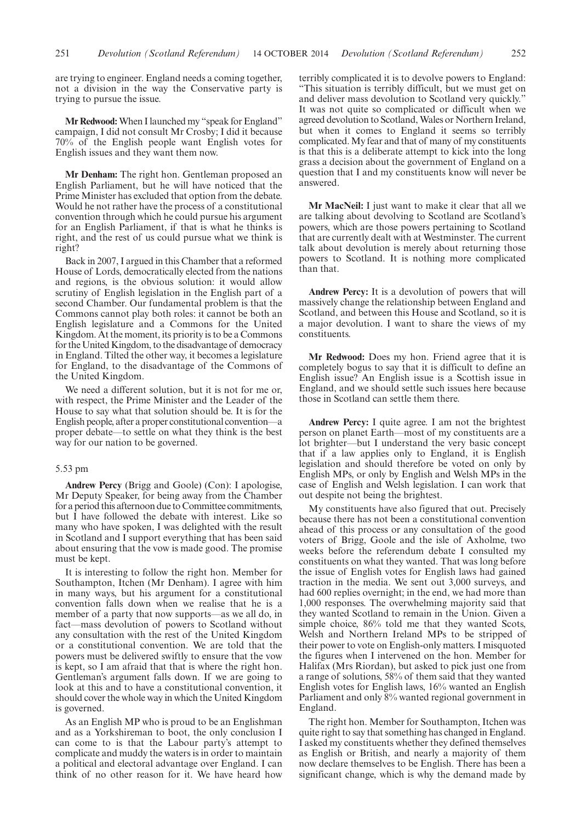are trying to engineer. England needs a coming together, not a division in the way the Conservative party is trying to pursue the issue.

**Mr Redwood:**When I launched my "speak for England" campaign, I did not consult Mr Crosby; I did it because 70% of the English people want English votes for English issues and they want them now.

**Mr Denham:** The right hon. Gentleman proposed an English Parliament, but he will have noticed that the Prime Minister has excluded that option from the debate. Would he not rather have the process of a constitutional convention through which he could pursue his argument for an English Parliament, if that is what he thinks is right, and the rest of us could pursue what we think is right?

Back in 2007, I argued in this Chamber that a reformed House of Lords, democratically elected from the nations and regions, is the obvious solution: it would allow scrutiny of English legislation in the English part of a second Chamber. Our fundamental problem is that the Commons cannot play both roles: it cannot be both an English legislature and a Commons for the United Kingdom. At the moment, its priority is to be a Commons for the United Kingdom, to the disadvantage of democracy in England. Tilted the other way, it becomes a legislature for England, to the disadvantage of the Commons of the United Kingdom.

We need a different solution, but it is not for me or, with respect, the Prime Minister and the Leader of the House to say what that solution should be. It is for the English people, after a proper constitutional convention—a proper debate—to settle on what they think is the best way for our nation to be governed.

# 5.53 pm

**Andrew Percy** (Brigg and Goole) (Con): I apologise, Mr Deputy Speaker, for being away from the Chamber for a period this afternoon due to Committee commitments, but I have followed the debate with interest. Like so many who have spoken, I was delighted with the result in Scotland and I support everything that has been said about ensuring that the vow is made good. The promise must be kept.

It is interesting to follow the right hon. Member for Southampton, Itchen (Mr Denham). I agree with him in many ways, but his argument for a constitutional convention falls down when we realise that he is a member of a party that now supports—as we all do, in fact—mass devolution of powers to Scotland without any consultation with the rest of the United Kingdom or a constitutional convention. We are told that the powers must be delivered swiftly to ensure that the vow is kept, so I am afraid that that is where the right hon. Gentleman's argument falls down. If we are going to look at this and to have a constitutional convention, it should cover the whole way in which the United Kingdom is governed.

As an English MP who is proud to be an Englishman and as a Yorkshireman to boot, the only conclusion I can come to is that the Labour party's attempt to complicate and muddy the waters is in order to maintain a political and electoral advantage over England. I can think of no other reason for it. We have heard how terribly complicated it is to devolve powers to England: "This situation is terribly difficult, but we must get on and deliver mass devolution to Scotland very quickly." It was not quite so complicated or difficult when we agreed devolution to Scotland, Wales or Northern Ireland, but when it comes to England it seems so terribly complicated.My fear and that of many of my constituents is that this is a deliberate attempt to kick into the long grass a decision about the government of England on a question that I and my constituents know will never be answered.

**Mr MacNeil:** I just want to make it clear that all we are talking about devolving to Scotland are Scotland's powers, which are those powers pertaining to Scotland that are currently dealt with at Westminster. The current talk about devolution is merely about returning those powers to Scotland. It is nothing more complicated than that.

**Andrew Percy:** It is a devolution of powers that will massively change the relationship between England and Scotland, and between this House and Scotland, so it is a major devolution. I want to share the views of my constituents.

**Mr Redwood:** Does my hon. Friend agree that it is completely bogus to say that it is difficult to define an English issue? An English issue is a Scottish issue in England, and we should settle such issues here because those in Scotland can settle them there.

**Andrew Percy:** I quite agree. I am not the brightest person on planet Earth—most of my constituents are a lot brighter—but I understand the very basic concept that if a law applies only to England, it is English legislation and should therefore be voted on only by English MPs, or only by English and Welsh MPs in the case of English and Welsh legislation. I can work that out despite not being the brightest.

My constituents have also figured that out. Precisely because there has not been a constitutional convention ahead of this process or any consultation of the good voters of Brigg, Goole and the isle of Axholme, two weeks before the referendum debate I consulted my constituents on what they wanted. That was long before the issue of English votes for English laws had gained traction in the media. We sent out 3,000 surveys, and had 600 replies overnight; in the end, we had more than 1,000 responses. The overwhelming majority said that they wanted Scotland to remain in the Union. Given a simple choice, 86% told me that they wanted Scots, Welsh and Northern Ireland MPs to be stripped of their power to vote on English-only matters. I misquoted the figures when I intervened on the hon. Member for Halifax (Mrs Riordan), but asked to pick just one from a range of solutions, 58% of them said that they wanted English votes for English laws, 16% wanted an English Parliament and only 8% wanted regional government in England.

The right hon. Member for Southampton, Itchen was quite right to say that something has changed in England. I asked my constituents whether they defined themselves as English or British, and nearly a majority of them now declare themselves to be English. There has been a significant change, which is why the demand made by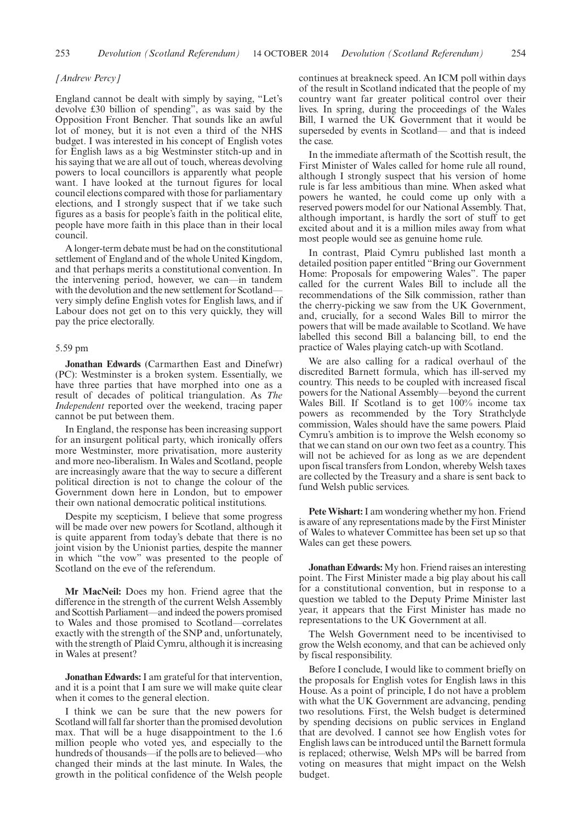253 *Devolution (Scotland Referendum) Devolution (Scotland Referendum)* 14 OCTOBER 2014 254

# *[Andrew Percy]*

England cannot be dealt with simply by saying, "Let's devolve £30 billion of spending", as was said by the Opposition Front Bencher. That sounds like an awful lot of money, but it is not even a third of the NHS budget. I was interested in his concept of English votes for English laws as a big Westminster stitch-up and in his saying that we are all out of touch, whereas devolving powers to local councillors is apparently what people want. I have looked at the turnout figures for local council elections compared with those for parliamentary elections, and I strongly suspect that if we take such figures as a basis for people's faith in the political elite, people have more faith in this place than in their local council.

A longer-term debate must be had on the constitutional settlement of England and of the whole United Kingdom, and that perhaps merits a constitutional convention. In the intervening period, however, we can—in tandem with the devolution and the new settlement for Scotland very simply define English votes for English laws, and if Labour does not get on to this very quickly, they will pay the price electorally.

#### 5.59 pm

**Jonathan Edwards** (Carmarthen East and Dinefwr) (PC): Westminster is a broken system. Essentially, we have three parties that have morphed into one as a result of decades of political triangulation. As *The Independent* reported over the weekend, tracing paper cannot be put between them.

In England, the response has been increasing support for an insurgent political party, which ironically offers more Westminster, more privatisation, more austerity and more neo-liberalism. In Wales and Scotland, people are increasingly aware that the way to secure a different political direction is not to change the colour of the Government down here in London, but to empower their own national democratic political institutions.

Despite my scepticism, I believe that some progress will be made over new powers for Scotland, although it is quite apparent from today's debate that there is no joint vision by the Unionist parties, despite the manner in which "the vow" was presented to the people of Scotland on the eve of the referendum.

**Mr MacNeil:** Does my hon. Friend agree that the difference in the strength of the current Welsh Assembly and Scottish Parliament—and indeed the powers promised to Wales and those promised to Scotland—correlates exactly with the strength of the SNP and, unfortunately, with the strength of Plaid Cymru, although it is increasing in Wales at present?

**Jonathan Edwards:** I am grateful for that intervention, and it is a point that I am sure we will make quite clear when it comes to the general election.

I think we can be sure that the new powers for Scotland will fall far shorter than the promised devolution max. That will be a huge disappointment to the 1.6 million people who voted yes, and especially to the hundreds of thousands—if the polls are to believed—who changed their minds at the last minute. In Wales, the growth in the political confidence of the Welsh people continues at breakneck speed. An ICM poll within days of the result in Scotland indicated that the people of my country want far greater political control over their lives. In spring, during the proceedings of the Wales Bill, I warned the UK Government that it would be superseded by events in Scotland— and that is indeed the case.

In the immediate aftermath of the Scottish result, the First Minister of Wales called for home rule all round, although I strongly suspect that his version of home rule is far less ambitious than mine. When asked what powers he wanted, he could come up only with a reserved powers model for our National Assembly. That, although important, is hardly the sort of stuff to get excited about and it is a million miles away from what most people would see as genuine home rule.

In contrast, Plaid Cymru published last month a detailed position paper entitled "Bring our Government Home: Proposals for empowering Wales". The paper called for the current Wales Bill to include all the recommendations of the Silk commission, rather than the cherry-picking we saw from the UK Government, and, crucially, for a second Wales Bill to mirror the powers that will be made available to Scotland. We have labelled this second Bill a balancing bill, to end the practice of Wales playing catch-up with Scotland.

We are also calling for a radical overhaul of the discredited Barnett formula, which has ill-served my country. This needs to be coupled with increased fiscal powers for the National Assembly—beyond the current Wales Bill. If Scotland is to get 100% income tax powers as recommended by the Tory Strathclyde commission, Wales should have the same powers. Plaid Cymru's ambition is to improve the Welsh economy so that we can stand on our own two feet as a country. This will not be achieved for as long as we are dependent upon fiscal transfers from London, whereby Welsh taxes are collected by the Treasury and a share is sent back to fund Welsh public services.

**Pete Wishart:**I am wondering whether my hon. Friend is aware of any representations made by the First Minister of Wales to whatever Committee has been set up so that Wales can get these powers.

**Jonathan Edwards:** My hon. Friend raises an interesting point. The First Minister made a big play about his call for a constitutional convention, but in response to a question we tabled to the Deputy Prime Minister last year, it appears that the First Minister has made no representations to the UK Government at all.

The Welsh Government need to be incentivised to grow the Welsh economy, and that can be achieved only by fiscal responsibility.

Before I conclude, I would like to comment briefly on the proposals for English votes for English laws in this House. As a point of principle, I do not have a problem with what the UK Government are advancing, pending two resolutions. First, the Welsh budget is determined by spending decisions on public services in England that are devolved. I cannot see how English votes for English laws can be introduced until the Barnett formula is replaced; otherwise, Welsh MPs will be barred from voting on measures that might impact on the Welsh budget.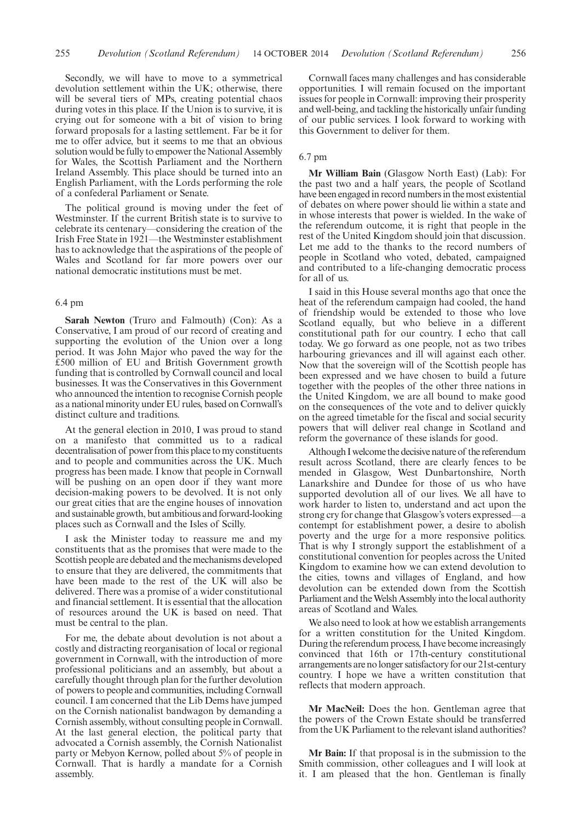Secondly, we will have to move to a symmetrical devolution settlement within the UK; otherwise, there will be several tiers of MPs, creating potential chaos during votes in this place. If the Union is to survive, it is crying out for someone with a bit of vision to bring forward proposals for a lasting settlement. Far be it for me to offer advice, but it seems to me that an obvious solution would be fully to empower the National Assembly for Wales, the Scottish Parliament and the Northern Ireland Assembly. This place should be turned into an English Parliament, with the Lords performing the role of a confederal Parliament or Senate.

The political ground is moving under the feet of Westminster. If the current British state is to survive to celebrate its centenary—considering the creation of the Irish Free State in 1921—the Westminster establishment has to acknowledge that the aspirations of the people of Wales and Scotland for far more powers over our national democratic institutions must be met.

# 6.4 pm

**Sarah Newton** (Truro and Falmouth) (Con): As a Conservative, I am proud of our record of creating and supporting the evolution of the Union over a long period. It was John Major who paved the way for the £500 million of EU and British Government growth funding that is controlled by Cornwall council and local businesses. It was the Conservatives in this Government who announced the intention to recognise Cornish people as a national minority under EU rules, based on Cornwall's distinct culture and traditions.

At the general election in 2010, I was proud to stand on a manifesto that committed us to a radical decentralisation of power from this place to my constituents and to people and communities across the UK. Much progress has been made. I know that people in Cornwall will be pushing on an open door if they want more decision-making powers to be devolved. It is not only our great cities that are the engine houses of innovation and sustainable growth, but ambitious and forward-looking places such as Cornwall and the Isles of Scilly.

I ask the Minister today to reassure me and my constituents that as the promises that were made to the Scottish people are debated and the mechanisms developed to ensure that they are delivered, the commitments that have been made to the rest of the UK will also be delivered. There was a promise of a wider constitutional and financial settlement. It is essential that the allocation of resources around the UK is based on need. That must be central to the plan.

For me, the debate about devolution is not about a costly and distracting reorganisation of local or regional government in Cornwall, with the introduction of more professional politicians and an assembly, but about a carefully thought through plan for the further devolution of powers to people and communities, including Cornwall council. I am concerned that the Lib Dems have jumped on the Cornish nationalist bandwagon by demanding a Cornish assembly, without consulting people in Cornwall. At the last general election, the political party that advocated a Cornish assembly, the Cornish Nationalist party or Mebyon Kernow, polled about 5% of people in Cornwall. That is hardly a mandate for a Cornish assembly.

Cornwall faces many challenges and has considerable opportunities. I will remain focused on the important issues for people in Cornwall: improving their prosperity and well-being, and tackling the historically unfair funding of our public services. I look forward to working with this Government to deliver for them.

# 6.7 pm

**Mr William Bain** (Glasgow North East) (Lab): For the past two and a half years, the people of Scotland have been engaged in record numbers in the most existential of debates on where power should lie within a state and in whose interests that power is wielded. In the wake of the referendum outcome, it is right that people in the rest of the United Kingdom should join that discussion. Let me add to the thanks to the record numbers of people in Scotland who voted, debated, campaigned and contributed to a life-changing democratic process for all of us.

I said in this House several months ago that once the heat of the referendum campaign had cooled, the hand of friendship would be extended to those who love Scotland equally, but who believe in a different constitutional path for our country. I echo that call today. We go forward as one people, not as two tribes harbouring grievances and ill will against each other. Now that the sovereign will of the Scottish people has been expressed and we have chosen to build a future together with the peoples of the other three nations in the United Kingdom, we are all bound to make good on the consequences of the vote and to deliver quickly on the agreed timetable for the fiscal and social security powers that will deliver real change in Scotland and reform the governance of these islands for good.

Although I welcome the decisive nature of the referendum result across Scotland, there are clearly fences to be mended in Glasgow, West Dunbartonshire, North Lanarkshire and Dundee for those of us who have supported devolution all of our lives. We all have to work harder to listen to, understand and act upon the strong cry for change that Glasgow's voters expressed—a contempt for establishment power, a desire to abolish poverty and the urge for a more responsive politics. That is why I strongly support the establishment of a constitutional convention for peoples across the United Kingdom to examine how we can extend devolution to the cities, towns and villages of England, and how devolution can be extended down from the Scottish Parliament and the Welsh Assembly into the local authority areas of Scotland and Wales.

We also need to look at how we establish arrangements for a written constitution for the United Kingdom. During the referendum process, I have become increasingly convinced that 16th or 17th-century constitutional arrangements are no longer satisfactory for our 21st-century country. I hope we have a written constitution that reflects that modern approach.

**Mr MacNeil:** Does the hon. Gentleman agree that the powers of the Crown Estate should be transferred from the UK Parliament to the relevant island authorities?

**Mr Bain:** If that proposal is in the submission to the Smith commission, other colleagues and I will look at it. I am pleased that the hon. Gentleman is finally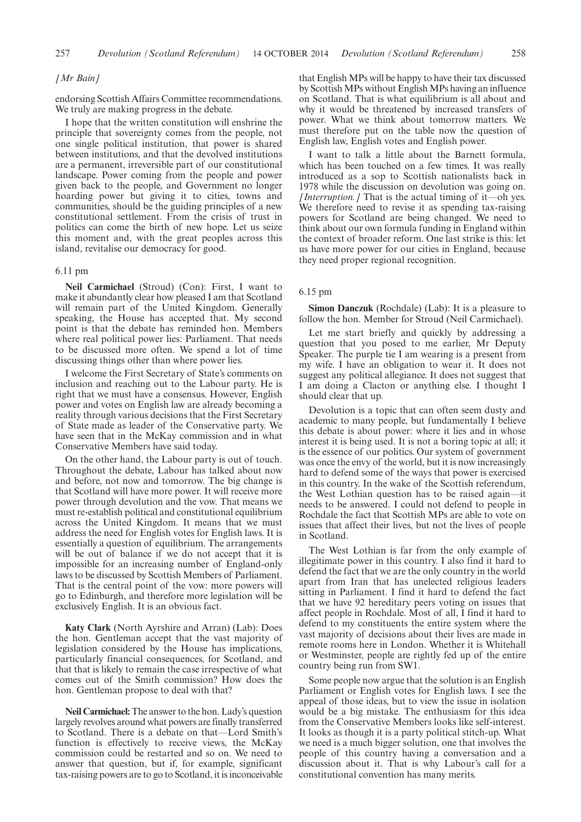## *[Mr Bain]*

endorsing Scottish Affairs Committee recommendations. We truly are making progress in the debate.

I hope that the written constitution will enshrine the principle that sovereignty comes from the people, not one single political institution, that power is shared between institutions, and that the devolved institutions are a permanent, irreversible part of our constitutional landscape. Power coming from the people and power given back to the people, and Government no longer hoarding power but giving it to cities, towns and communities, should be the guiding principles of a new constitutional settlement. From the crisis of trust in politics can come the birth of new hope. Let us seize this moment and, with the great peoples across this island, revitalise our democracy for good.

# 6.11 pm

**Neil Carmichael** (Stroud) (Con): First, I want to make it abundantly clear how pleased I am that Scotland will remain part of the United Kingdom. Generally speaking, the House has accepted that. My second point is that the debate has reminded hon. Members where real political power lies: Parliament. That needs to be discussed more often. We spend a lot of time discussing things other than where power lies.

I welcome the First Secretary of State's comments on inclusion and reaching out to the Labour party. He is right that we must have a consensus. However, English power and votes on English law are already becoming a reality through various decisions that the First Secretary of State made as leader of the Conservative party. We have seen that in the McKay commission and in what Conservative Members have said today.

On the other hand, the Labour party is out of touch. Throughout the debate, Labour has talked about now and before, not now and tomorrow. The big change is that Scotland will have more power. It will receive more power through devolution and the vow. That means we must re-establish political and constitutional equilibrium across the United Kingdom. It means that we must address the need for English votes for English laws. It is essentially a question of equilibrium. The arrangements will be out of balance if we do not accept that it is impossible for an increasing number of England-only laws to be discussed by Scottish Members of Parliament. That is the central point of the vow: more powers will go to Edinburgh, and therefore more legislation will be exclusively English. It is an obvious fact.

**Katy Clark** (North Ayrshire and Arran) (Lab): Does the hon. Gentleman accept that the vast majority of legislation considered by the House has implications, particularly financial consequences, for Scotland, and that that is likely to remain the case irrespective of what comes out of the Smith commission? How does the hon. Gentleman propose to deal with that?

**Neil Carmichael:**The answer to the hon. Lady's question largely revolves around what powers are finally transferred to Scotland. There is a debate on that—Lord Smith's function is effectively to receive views, the McKay commission could be restarted and so on. We need to answer that question, but if, for example, significant tax-raising powers are to go to Scotland, it is inconceivable that English MPs will be happy to have their tax discussed by Scottish MPs without English MPs having an influence on Scotland. That is what equilibrium is all about and why it would be threatened by increased transfers of power. What we think about tomorrow matters. We must therefore put on the table now the question of English law, English votes and English power.

I want to talk a little about the Barnett formula, which has been touched on a few times. It was really introduced as a sop to Scottish nationalists back in 1978 while the discussion on devolution was going on. *[Interruption.]* That is the actual timing of it—oh yes. We therefore need to revise it as spending tax-raising powers for Scotland are being changed. We need to think about our own formula funding in England within the context of broader reform. One last strike is this: let us have more power for our cities in England, because they need proper regional recognition.

# 6.15 pm

**Simon Danczuk** (Rochdale) (Lab): It is a pleasure to follow the hon. Member for Stroud (Neil Carmichael).

Let me start briefly and quickly by addressing a question that you posed to me earlier, Mr Deputy Speaker. The purple tie I am wearing is a present from my wife. I have an obligation to wear it. It does not suggest any political allegiance. It does not suggest that I am doing a Clacton or anything else. I thought I should clear that up.

Devolution is a topic that can often seem dusty and academic to many people, but fundamentally I believe this debate is about power: where it lies and in whose interest it is being used. It is not a boring topic at all; it is the essence of our politics. Our system of government was once the envy of the world, but it is now increasingly hard to defend some of the ways that power is exercised in this country. In the wake of the Scottish referendum, the West Lothian question has to be raised again—it needs to be answered. I could not defend to people in Rochdale the fact that Scottish MPs are able to vote on issues that affect their lives, but not the lives of people in Scotland.

The West Lothian is far from the only example of illegitimate power in this country. I also find it hard to defend the fact that we are the only country in the world apart from Iran that has unelected religious leaders sitting in Parliament. I find it hard to defend the fact that we have 92 hereditary peers voting on issues that affect people in Rochdale. Most of all, I find it hard to defend to my constituents the entire system where the vast majority of decisions about their lives are made in remote rooms here in London. Whether it is Whitehall or Westminster, people are rightly fed up of the entire country being run from SW1.

Some people now argue that the solution is an English Parliament or English votes for English laws. I see the appeal of those ideas, but to view the issue in isolation would be a big mistake. The enthusiasm for this idea from the Conservative Members looks like self-interest. It looks as though it is a party political stitch-up. What we need is a much bigger solution, one that involves the people of this country having a conversation and a discussion about it. That is why Labour's call for a constitutional convention has many merits.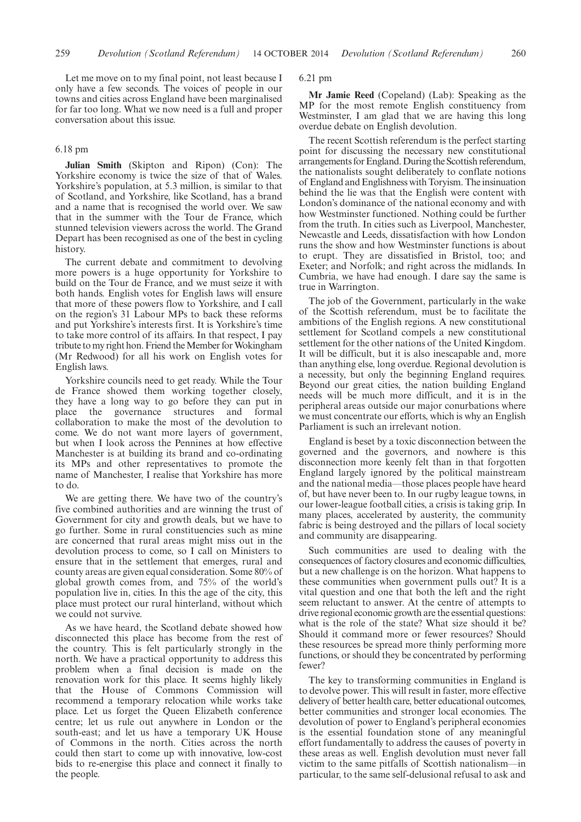Let me move on to my final point, not least because I only have a few seconds. The voices of people in our towns and cities across England have been marginalised for far too long. What we now need is a full and proper conversation about this issue.

#### 6.18 pm

**Julian Smith** (Skipton and Ripon) (Con): The Yorkshire economy is twice the size of that of Wales. Yorkshire's population, at 5.3 million, is similar to that of Scotland, and Yorkshire, like Scotland, has a brand and a name that is recognised the world over. We saw that in the summer with the Tour de France, which stunned television viewers across the world. The Grand Depart has been recognised as one of the best in cycling history.

The current debate and commitment to devolving more powers is a huge opportunity for Yorkshire to build on the Tour de France, and we must seize it with both hands. English votes for English laws will ensure that more of these powers flow to Yorkshire, and I call on the region's 31 Labour MPs to back these reforms and put Yorkshire's interests first. It is Yorkshire's time to take more control of its affairs. In that respect, I pay tribute to my right hon. Friend the Member for Wokingham (Mr Redwood) for all his work on English votes for English laws.

Yorkshire councils need to get ready. While the Tour de France showed them working together closely, they have a long way to go before they can put in place the governance structures and formal collaboration to make the most of the devolution to come. We do not want more layers of government, but when I look across the Pennines at how effective Manchester is at building its brand and co-ordinating its MPs and other representatives to promote the name of Manchester, I realise that Yorkshire has more to do.

We are getting there. We have two of the country's five combined authorities and are winning the trust of Government for city and growth deals, but we have to go further. Some in rural constituencies such as mine are concerned that rural areas might miss out in the devolution process to come, so I call on Ministers to ensure that in the settlement that emerges, rural and county areas are given equal consideration. Some 80% of global growth comes from, and 75% of the world's population live in, cities. In this the age of the city, this place must protect our rural hinterland, without which we could not survive.

As we have heard, the Scotland debate showed how disconnected this place has become from the rest of the country. This is felt particularly strongly in the north. We have a practical opportunity to address this problem when a final decision is made on the renovation work for this place. It seems highly likely that the House of Commons Commission will recommend a temporary relocation while works take place. Let us forget the Queen Elizabeth conference centre; let us rule out anywhere in London or the south-east; and let us have a temporary UK House of Commons in the north. Cities across the north could then start to come up with innovative, low-cost bids to re-energise this place and connect it finally to the people.

6.21 pm

**Mr Jamie Reed** (Copeland) (Lab): Speaking as the MP for the most remote English constituency from Westminster, I am glad that we are having this long overdue debate on English devolution.

The recent Scottish referendum is the perfect starting point for discussing the necessary new constitutional arrangements for England. During the Scottish referendum, the nationalists sought deliberately to conflate notions of England and Englishness with Toryism. The insinuation behind the lie was that the English were content with London's dominance of the national economy and with how Westminster functioned. Nothing could be further from the truth. In cities such as Liverpool, Manchester, Newcastle and Leeds, dissatisfaction with how London runs the show and how Westminster functions is about to erupt. They are dissatisfied in Bristol, too; and Exeter; and Norfolk; and right across the midlands. In Cumbria, we have had enough. I dare say the same is true in Warrington.

The job of the Government, particularly in the wake of the Scottish referendum, must be to facilitate the ambitions of the English regions. A new constitutional settlement for Scotland compels a new constitutional settlement for the other nations of the United Kingdom. It will be difficult, but it is also inescapable and, more than anything else, long overdue. Regional devolution is a necessity, but only the beginning England requires. Beyond our great cities, the nation building England needs will be much more difficult, and it is in the peripheral areas outside our major conurbations where we must concentrate our efforts, which is why an English Parliament is such an irrelevant notion.

England is beset by a toxic disconnection between the governed and the governors, and nowhere is this disconnection more keenly felt than in that forgotten England largely ignored by the political mainstream and the national media—those places people have heard of, but have never been to. In our rugby league towns, in our lower-league football cities, a crisis is taking grip. In many places, accelerated by austerity, the community fabric is being destroyed and the pillars of local society and community are disappearing.

Such communities are used to dealing with the consequences of factory closures and economic difficulties, but a new challenge is on the horizon. What happens to these communities when government pulls out? It is a vital question and one that both the left and the right seem reluctant to answer. At the centre of attempts to drive regional economic growth are the essential questions: what is the role of the state? What size should it be? Should it command more or fewer resources? Should these resources be spread more thinly performing more functions, or should they be concentrated by performing fewer?

The key to transforming communities in England is to devolve power. This will result in faster, more effective delivery of better health care, better educational outcomes, better communities and stronger local economies. The devolution of power to England's peripheral economies is the essential foundation stone of any meaningful effort fundamentally to address the causes of poverty in these areas as well. English devolution must never fall victim to the same pitfalls of Scottish nationalism—in particular, to the same self-delusional refusal to ask and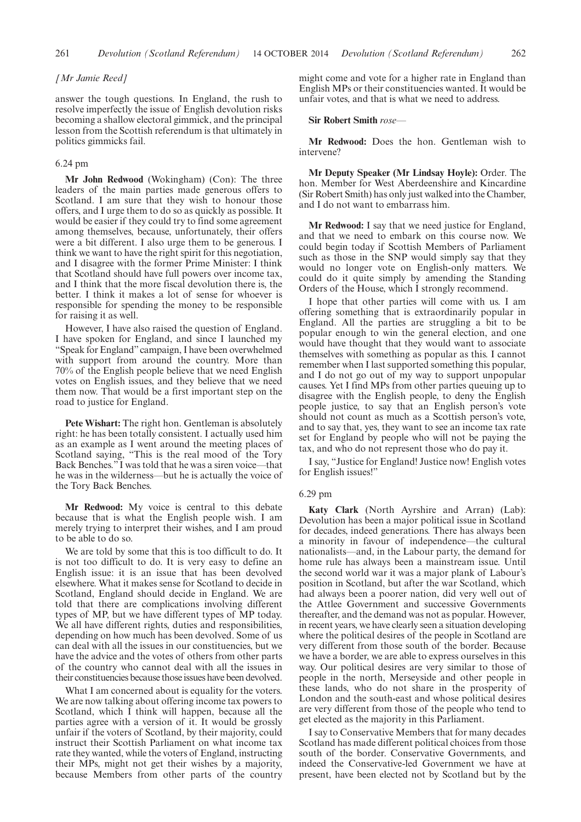## *[Mr Jamie Reed]*

answer the tough questions. In England, the rush to resolve imperfectly the issue of English devolution risks becoming a shallow electoral gimmick, and the principal lesson from the Scottish referendum is that ultimately in politics gimmicks fail.

# 6.24 pm

**Mr John Redwood** (Wokingham) (Con): The three leaders of the main parties made generous offers to Scotland. I am sure that they wish to honour those offers, and I urge them to do so as quickly as possible. It would be easier if they could try to find some agreement among themselves, because, unfortunately, their offers were a bit different. I also urge them to be generous. I think we want to have the right spirit for this negotiation, and I disagree with the former Prime Minister: I think that Scotland should have full powers over income tax, and I think that the more fiscal devolution there is, the better. I think it makes a lot of sense for whoever is responsible for spending the money to be responsible for raising it as well.

However, I have also raised the question of England. I have spoken for England, and since I launched my "Speak for England" campaign, I have been overwhelmed with support from around the country. More than 70% of the English people believe that we need English votes on English issues, and they believe that we need them now. That would be a first important step on the road to justice for England.

**Pete Wishart:** The right hon. Gentleman is absolutely right: he has been totally consistent. I actually used him as an example as I went around the meeting places of Scotland saying, "This is the real mood of the Tory Back Benches." I was told that he was a siren voice—that he was in the wilderness—but he is actually the voice of the Tory Back Benches.

**Mr Redwood:** My voice is central to this debate because that is what the English people wish. I am merely trying to interpret their wishes, and I am proud to be able to do so.

We are told by some that this is too difficult to do. It is not too difficult to do. It is very easy to define an English issue: it is an issue that has been devolved elsewhere. What it makes sense for Scotland to decide in Scotland, England should decide in England. We are told that there are complications involving different types of MP, but we have different types of MP today. We all have different rights, duties and responsibilities, depending on how much has been devolved. Some of us can deal with all the issues in our constituencies, but we have the advice and the votes of others from other parts of the country who cannot deal with all the issues in their constituencies because those issues have been devolved.

What I am concerned about is equality for the voters. We are now talking about offering income tax powers to Scotland, which I think will happen, because all the parties agree with a version of it. It would be grossly unfair if the voters of Scotland, by their majority, could instruct their Scottish Parliament on what income tax rate they wanted, while the voters of England, instructing their MPs, might not get their wishes by a majority, because Members from other parts of the country might come and vote for a higher rate in England than English MPs or their constituencies wanted. It would be unfair votes, and that is what we need to address.

## **Sir Robert Smith** *rose—*

**Mr Redwood:** Does the hon. Gentleman wish to intervene?

**Mr Deputy Speaker (Mr Lindsay Hoyle):** Order. The hon. Member for West Aberdeenshire and Kincardine (Sir Robert Smith) has only just walked into the Chamber, and I do not want to embarrass him.

**Mr Redwood:** I say that we need justice for England, and that we need to embark on this course now. We could begin today if Scottish Members of Parliament such as those in the SNP would simply say that they would no longer vote on English-only matters. We could do it quite simply by amending the Standing Orders of the House, which I strongly recommend.

I hope that other parties will come with us. I am offering something that is extraordinarily popular in England. All the parties are struggling a bit to be popular enough to win the general election, and one would have thought that they would want to associate themselves with something as popular as this. I cannot remember when I last supported something this popular, and I do not go out of my way to support unpopular causes. Yet I find MPs from other parties queuing up to disagree with the English people, to deny the English people justice, to say that an English person's vote should not count as much as a Scottish person's vote, and to say that, yes, they want to see an income tax rate set for England by people who will not be paying the tax, and who do not represent those who do pay it.

I say, "Justice for England! Justice now! English votes for English issues!"

#### 6.29 pm

**Katy Clark** (North Ayrshire and Arran) (Lab): Devolution has been a major political issue in Scotland for decades, indeed generations. There has always been a minority in favour of independence—the cultural nationalists—and, in the Labour party, the demand for home rule has always been a mainstream issue. Until the second world war it was a major plank of Labour's position in Scotland, but after the war Scotland, which had always been a poorer nation, did very well out of the Attlee Government and successive Governments thereafter, and the demand was not as popular. However, in recent years, we have clearly seen a situation developing where the political desires of the people in Scotland are very different from those south of the border. Because we have a border, we are able to express ourselves in this way. Our political desires are very similar to those of people in the north, Merseyside and other people in these lands, who do not share in the prosperity of London and the south-east and whose political desires are very different from those of the people who tend to get elected as the majority in this Parliament.

I say to Conservative Members that for many decades Scotland has made different political choices from those south of the border. Conservative Governments, and indeed the Conservative-led Government we have at present, have been elected not by Scotland but by the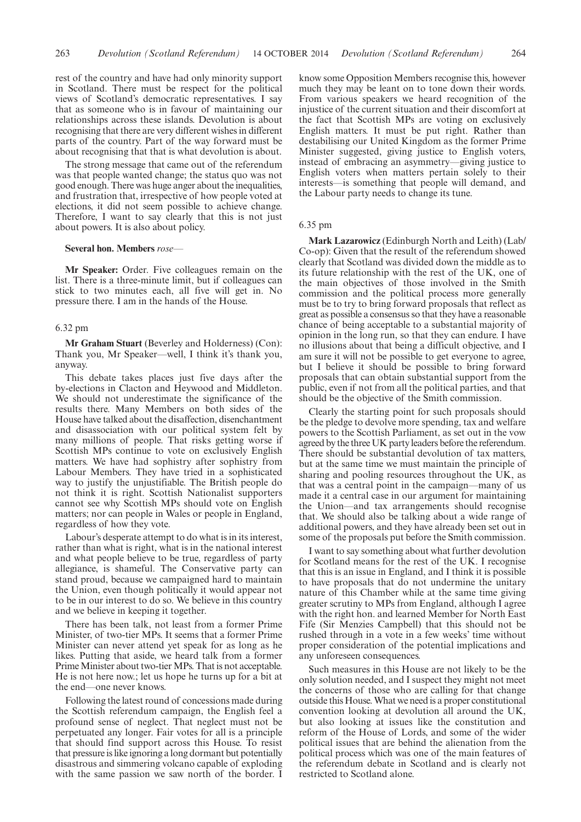rest of the country and have had only minority support in Scotland. There must be respect for the political views of Scotland's democratic representatives. I say that as someone who is in favour of maintaining our relationships across these islands. Devolution is about recognising that there are very different wishes in different parts of the country. Part of the way forward must be

The strong message that came out of the referendum was that people wanted change; the status quo was not good enough. There was huge anger about the inequalities, and frustration that, irrespective of how people voted at elections, it did not seem possible to achieve change. Therefore, I want to say clearly that this is not just about powers. It is also about policy.

about recognising that that is what devolution is about.

#### **Several hon. Members** *rose—*

**Mr Speaker:** Order. Five colleagues remain on the list. There is a three-minute limit, but if colleagues can stick to two minutes each, all five will get in. No pressure there. I am in the hands of the House.

#### 6.32 pm

**Mr Graham Stuart** (Beverley and Holderness) (Con): Thank you, Mr Speaker—well, I think it's thank you, anyway.

This debate takes places just five days after the by-elections in Clacton and Heywood and Middleton. We should not underestimate the significance of the results there. Many Members on both sides of the House have talked about the disaffection, disenchantment and disassociation with our political system felt by many millions of people. That risks getting worse if Scottish MPs continue to vote on exclusively English matters. We have had sophistry after sophistry from Labour Members. They have tried in a sophisticated way to justify the unjustifiable. The British people do not think it is right. Scottish Nationalist supporters cannot see why Scottish MPs should vote on English matters; nor can people in Wales or people in England, regardless of how they vote.

Labour's desperate attempt to do what is in its interest, rather than what is right, what is in the national interest and what people believe to be true, regardless of party allegiance, is shameful. The Conservative party can stand proud, because we campaigned hard to maintain the Union, even though politically it would appear not to be in our interest to do so. We believe in this country and we believe in keeping it together.

There has been talk, not least from a former Prime Minister, of two-tier MPs. It seems that a former Prime Minister can never attend yet speak for as long as he likes. Putting that aside, we heard talk from a former Prime Minister about two-tier MPs. That is not acceptable. He is not here now.; let us hope he turns up for a bit at the end—one never knows.

Following the latest round of concessions made during the Scottish referendum campaign, the English feel a profound sense of neglect. That neglect must not be perpetuated any longer. Fair votes for all is a principle that should find support across this House. To resist that pressure is like ignoring a long dormant but potentially disastrous and simmering volcano capable of exploding with the same passion we saw north of the border. I know some Opposition Members recognise this, however much they may be leant on to tone down their words. From various speakers we heard recognition of the injustice of the current situation and their discomfort at the fact that Scottish MPs are voting on exclusively English matters. It must be put right. Rather than destabilising our United Kingdom as the former Prime Minister suggested, giving justice to English voters, instead of embracing an asymmetry—giving justice to English voters when matters pertain solely to their interests—is something that people will demand, and the Labour party needs to change its tune.

### 6.35 pm

**Mark Lazarowicz** (Edinburgh North and Leith) (Lab/ Co-op): Given that the result of the referendum showed clearly that Scotland was divided down the middle as to its future relationship with the rest of the UK, one of the main objectives of those involved in the Smith commission and the political process more generally must be to try to bring forward proposals that reflect as great as possible a consensus so that they have a reasonable chance of being acceptable to a substantial majority of opinion in the long run, so that they can endure. I have no illusions about that being a difficult objective, and I am sure it will not be possible to get everyone to agree, but I believe it should be possible to bring forward proposals that can obtain substantial support from the public, even if not from all the political parties, and that should be the objective of the Smith commission.

Clearly the starting point for such proposals should be the pledge to devolve more spending, tax and welfare powers to the Scottish Parliament, as set out in the vow agreed by the three UK party leaders before the referendum. There should be substantial devolution of tax matters, but at the same time we must maintain the principle of sharing and pooling resources throughout the UK, as that was a central point in the campaign—many of us made it a central case in our argument for maintaining the Union—and tax arrangements should recognise that. We should also be talking about a wide range of additional powers, and they have already been set out in some of the proposals put before the Smith commission.

I want to say something about what further devolution for Scotland means for the rest of the UK. I recognise that this is an issue in England, and I think it is possible to have proposals that do not undermine the unitary nature of this Chamber while at the same time giving greater scrutiny to MPs from England, although I agree with the right hon. and learned Member for North East Fife (Sir Menzies Campbell) that this should not be rushed through in a vote in a few weeks' time without proper consideration of the potential implications and any unforeseen consequences.

Such measures in this House are not likely to be the only solution needed, and I suspect they might not meet the concerns of those who are calling for that change outside this House.What we need is a proper constitutional convention looking at devolution all around the UK, but also looking at issues like the constitution and reform of the House of Lords, and some of the wider political issues that are behind the alienation from the political process which was one of the main features of the referendum debate in Scotland and is clearly not restricted to Scotland alone.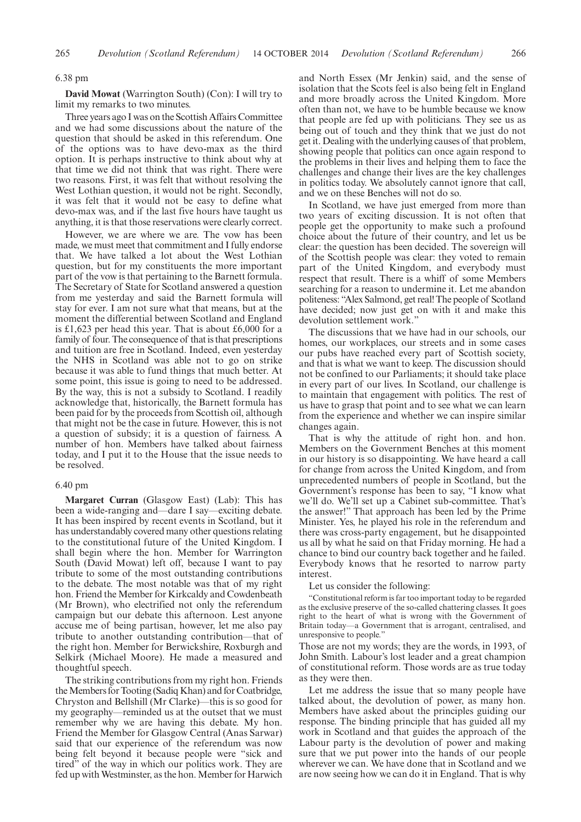## 6.38 pm

**David Mowat** (Warrington South) (Con): I will try to limit my remarks to two minutes.

Three years ago I was on the Scottish Affairs Committee and we had some discussions about the nature of the question that should be asked in this referendum. One of the options was to have devo-max as the third option. It is perhaps instructive to think about why at that time we did not think that was right. There were two reasons. First, it was felt that without resolving the West Lothian question, it would not be right. Secondly, it was felt that it would not be easy to define what devo-max was, and if the last five hours have taught us anything, it is that those reservations were clearly correct.

However, we are where we are. The vow has been made, we must meet that commitment and I fully endorse that. We have talked a lot about the West Lothian question, but for my constituents the more important part of the vow is that pertaining to the Barnett formula. The Secretary of State for Scotland answered a question from me yesterday and said the Barnett formula will stay for ever. I am not sure what that means, but at the moment the differential between Scotland and England is £1,623 per head this year. That is about £6,000 for a family of four. The consequence of that is that prescriptions and tuition are free in Scotland. Indeed, even yesterday the NHS in Scotland was able not to go on strike because it was able to fund things that much better. At some point, this issue is going to need to be addressed. By the way, this is not a subsidy to Scotland. I readily acknowledge that, historically, the Barnett formula has been paid for by the proceeds from Scottish oil, although that might not be the case in future. However, this is not a question of subsidy; it is a question of fairness. A number of hon. Members have talked about fairness today, and I put it to the House that the issue needs to be resolved.

## 6.40 pm

**Margaret Curran** (Glasgow East) (Lab): This has been a wide-ranging and—dare I say—exciting debate. It has been inspired by recent events in Scotland, but it has understandably covered many other questions relating to the constitutional future of the United Kingdom. I shall begin where the hon. Member for Warrington South (David Mowat) left off, because I want to pay tribute to some of the most outstanding contributions to the debate. The most notable was that of my right hon. Friend the Member for Kirkcaldy and Cowdenbeath (Mr Brown), who electrified not only the referendum campaign but our debate this afternoon. Lest anyone accuse me of being partisan, however, let me also pay tribute to another outstanding contribution—that of the right hon. Member for Berwickshire, Roxburgh and Selkirk (Michael Moore). He made a measured and thoughtful speech.

The striking contributions from my right hon. Friends the Members for Tooting (Sadiq Khan) and for Coatbridge, Chryston and Bellshill (Mr Clarke)—this is so good for my geography—reminded us at the outset that we must remember why we are having this debate. My hon. Friend the Member for Glasgow Central (Anas Sarwar) said that our experience of the referendum was now being felt beyond it because people were "sick and tired" of the way in which our politics work. They are fed up with Westminster, as the hon. Member for Harwich and North Essex (Mr Jenkin) said, and the sense of isolation that the Scots feel is also being felt in England and more broadly across the United Kingdom. More often than not, we have to be humble because we know that people are fed up with politicians. They see us as being out of touch and they think that we just do not get it. Dealing with the underlying causes of that problem, showing people that politics can once again respond to the problems in their lives and helping them to face the challenges and change their lives are the key challenges in politics today. We absolutely cannot ignore that call, and we on these Benches will not do so.

In Scotland, we have just emerged from more than two years of exciting discussion. It is not often that people get the opportunity to make such a profound choice about the future of their country, and let us be clear: the question has been decided. The sovereign will of the Scottish people was clear: they voted to remain part of the United Kingdom, and everybody must respect that result. There is a whiff of some Members searching for a reason to undermine it. Let me abandon politeness: "Alex Salmond, get real! The people of Scotland have decided; now just get on with it and make this devolution settlement work."

The discussions that we have had in our schools, our homes, our workplaces, our streets and in some cases our pubs have reached every part of Scottish society, and that is what we want to keep. The discussion should not be confined to our Parliaments; it should take place in every part of our lives. In Scotland, our challenge is to maintain that engagement with politics. The rest of us have to grasp that point and to see what we can learn from the experience and whether we can inspire similar changes again.

That is why the attitude of right hon. and hon. Members on the Government Benches at this moment in our history is so disappointing. We have heard a call for change from across the United Kingdom, and from unprecedented numbers of people in Scotland, but the Government's response has been to say, "I know what we'll do. We'll set up a Cabinet sub-committee. That's the answer!" That approach has been led by the Prime Minister. Yes, he played his role in the referendum and there was cross-party engagement, but he disappointed us all by what he said on that Friday morning. He had a chance to bind our country back together and he failed. Everybody knows that he resorted to narrow party interest.

## Let us consider the following:

"Constitutional reform is far too important today to be regarded as the exclusive preserve of the so-called chattering classes. It goes right to the heart of what is wrong with the Government of Britain today—a Government that is arrogant, centralised, and unresponsive to people."

Those are not my words; they are the words, in 1993, of John Smith. Labour's lost leader and a great champion of constitutional reform. Those words are as true today as they were then.

Let me address the issue that so many people have talked about, the devolution of power, as many hon. Members have asked about the principles guiding our response. The binding principle that has guided all my work in Scotland and that guides the approach of the Labour party is the devolution of power and making sure that we put power into the hands of our people wherever we can. We have done that in Scotland and we are now seeing how we can do it in England. That is why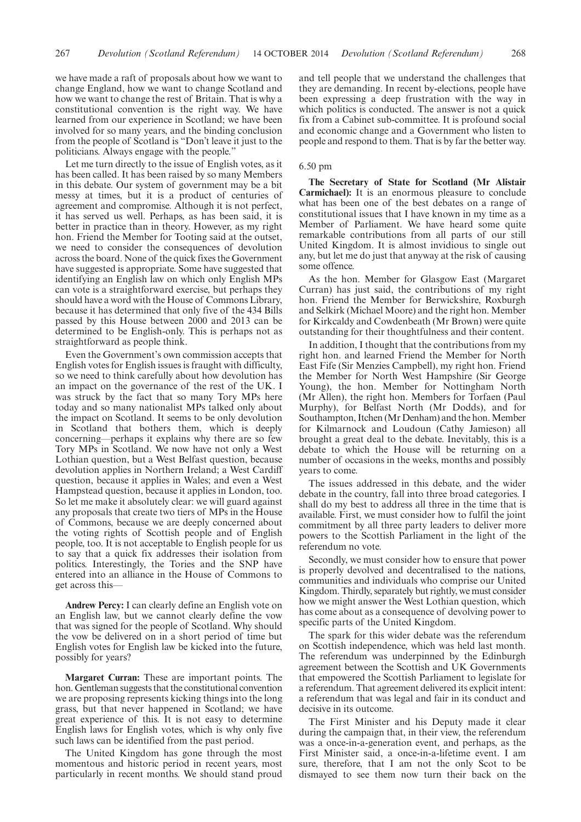we have made a raft of proposals about how we want to change England, how we want to change Scotland and how we want to change the rest of Britain. That is why a constitutional convention is the right way. We have learned from our experience in Scotland; we have been involved for so many years, and the binding conclusion from the people of Scotland is "Don't leave it just to the politicians. Always engage with the people."

Let me turn directly to the issue of English votes, as it has been called. It has been raised by so many Members in this debate. Our system of government may be a bit messy at times, but it is a product of centuries of agreement and compromise. Although it is not perfect, it has served us well. Perhaps, as has been said, it is better in practice than in theory. However, as my right hon. Friend the Member for Tooting said at the outset, we need to consider the consequences of devolution across the board. None of the quick fixes the Government have suggested is appropriate. Some have suggested that identifying an English law on which only English MPs can vote is a straightforward exercise, but perhaps they should have a word with the House of Commons Library, because it has determined that only five of the 434 Bills passed by this House between 2000 and 2013 can be determined to be English-only. This is perhaps not as straightforward as people think.

Even the Government's own commission accepts that English votes for English issues is fraught with difficulty, so we need to think carefully about how devolution has an impact on the governance of the rest of the UK. I was struck by the fact that so many Tory MPs here today and so many nationalist MPs talked only about the impact on Scotland. It seems to be only devolution in Scotland that bothers them, which is deeply concerning—perhaps it explains why there are so few Tory MPs in Scotland. We now have not only a West Lothian question, but a West Belfast question, because devolution applies in Northern Ireland; a West Cardiff question, because it applies in Wales; and even a West Hampstead question, because it applies in London, too. So let me make it absolutely clear: we will guard against any proposals that create two tiers of MPs in the House of Commons, because we are deeply concerned about the voting rights of Scottish people and of English people, too. It is not acceptable to English people for us to say that a quick fix addresses their isolation from politics. Interestingly, the Tories and the SNP have entered into an alliance in the House of Commons to get across this—

**Andrew Percy:** I can clearly define an English vote on an English law, but we cannot clearly define the vow that was signed for the people of Scotland. Why should the vow be delivered on in a short period of time but English votes for English law be kicked into the future, possibly for years?

**Margaret Curran:** These are important points. The hon. Gentleman suggests that the constitutional convention we are proposing represents kicking things into the long grass, but that never happened in Scotland; we have great experience of this. It is not easy to determine English laws for English votes, which is why only five such laws can be identified from the past period.

The United Kingdom has gone through the most momentous and historic period in recent years, most particularly in recent months. We should stand proud and tell people that we understand the challenges that they are demanding. In recent by-elections, people have been expressing a deep frustration with the way in which politics is conducted. The answer is not a quick fix from a Cabinet sub-committee. It is profound social and economic change and a Government who listen to people and respond to them. That is by far the better way.

# 6.50 pm

**The Secretary of State for Scotland (Mr Alistair Carmichael):** It is an enormous pleasure to conclude what has been one of the best debates on a range of constitutional issues that I have known in my time as a Member of Parliament. We have heard some quite remarkable contributions from all parts of our still United Kingdom. It is almost invidious to single out any, but let me do just that anyway at the risk of causing some offence.

As the hon. Member for Glasgow East (Margaret Curran) has just said, the contributions of my right hon. Friend the Member for Berwickshire, Roxburgh and Selkirk (Michael Moore) and the right hon. Member for Kirkcaldy and Cowdenbeath (Mr Brown) were quite outstanding for their thoughtfulness and their content.

In addition, I thought that the contributions from my right hon. and learned Friend the Member for North East Fife (Sir Menzies Campbell), my right hon. Friend the Member for North West Hampshire (Sir George Young), the hon. Member for Nottingham North (Mr Allen), the right hon. Members for Torfaen (Paul Murphy), for Belfast North (Mr Dodds), and for Southampton, Itchen (Mr Denham) and the hon. Member for Kilmarnock and Loudoun (Cathy Jamieson) all brought a great deal to the debate. Inevitably, this is a debate to which the House will be returning on a number of occasions in the weeks, months and possibly years to come.

The issues addressed in this debate, and the wider debate in the country, fall into three broad categories. I shall do my best to address all three in the time that is available. First, we must consider how to fulfil the joint commitment by all three party leaders to deliver more powers to the Scottish Parliament in the light of the referendum no vote.

Secondly, we must consider how to ensure that power is properly devolved and decentralised to the nations, communities and individuals who comprise our United Kingdom. Thirdly, separately but rightly, we must consider how we might answer the West Lothian question, which has come about as a consequence of devolving power to specific parts of the United Kingdom.

The spark for this wider debate was the referendum on Scottish independence, which was held last month. The referendum was underpinned by the Edinburgh agreement between the Scottish and UK Governments that empowered the Scottish Parliament to legislate for a referendum. That agreement delivered its explicit intent: a referendum that was legal and fair in its conduct and decisive in its outcome.

The First Minister and his Deputy made it clear during the campaign that, in their view, the referendum was a once-in-a-generation event, and perhaps, as the First Minister said, a once-in-a-lifetime event. I am sure, therefore, that I am not the only Scot to be dismayed to see them now turn their back on the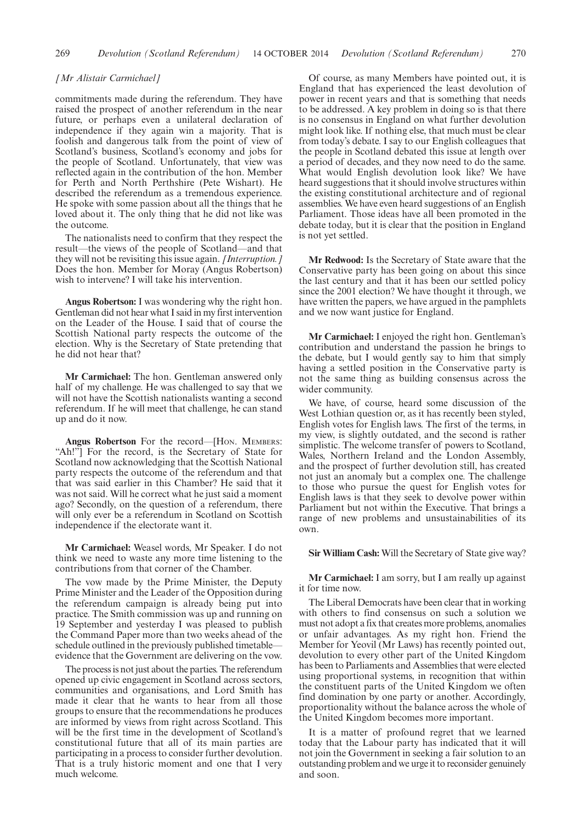## *[Mr Alistair Carmichael]*

commitments made during the referendum. They have raised the prospect of another referendum in the near future, or perhaps even a unilateral declaration of independence if they again win a majority. That is foolish and dangerous talk from the point of view of Scotland's business, Scotland's economy and jobs for the people of Scotland. Unfortunately, that view was reflected again in the contribution of the hon. Member for Perth and North Perthshire (Pete Wishart). He described the referendum as a tremendous experience. He spoke with some passion about all the things that he loved about it. The only thing that he did not like was the outcome.

The nationalists need to confirm that they respect the result—the views of the people of Scotland—and that they will not be revisiting this issue again. *[Interruption.]* Does the hon. Member for Moray (Angus Robertson) wish to intervene? I will take his intervention.

**Angus Robertson:** I was wondering why the right hon. Gentleman did not hear what I said in my first intervention on the Leader of the House. I said that of course the Scottish National party respects the outcome of the election. Why is the Secretary of State pretending that he did not hear that?

**Mr Carmichael:** The hon. Gentleman answered only half of my challenge. He was challenged to say that we will not have the Scottish nationalists wanting a second referendum. If he will meet that challenge, he can stand up and do it now.

**Angus Robertson** For the record—[HON. MEMBERS: "Ah!"] For the record, is the Secretary of State for Scotland now acknowledging that the Scottish National party respects the outcome of the referendum and that that was said earlier in this Chamber? He said that it was not said. Will he correct what he just said a moment ago? Secondly, on the question of a referendum, there will only ever be a referendum in Scotland on Scottish independence if the electorate want it.

**Mr Carmichael:** Weasel words, Mr Speaker. I do not think we need to waste any more time listening to the contributions from that corner of the Chamber.

The vow made by the Prime Minister, the Deputy Prime Minister and the Leader of the Opposition during the referendum campaign is already being put into practice. The Smith commission was up and running on 19 September and yesterday I was pleased to publish the Command Paper more than two weeks ahead of the schedule outlined in the previously published timetable evidence that the Government are delivering on the vow.

The process is not just about the parties. The referendum opened up civic engagement in Scotland across sectors, communities and organisations, and Lord Smith has made it clear that he wants to hear from all those groups to ensure that the recommendations he produces are informed by views from right across Scotland. This will be the first time in the development of Scotland's constitutional future that all of its main parties are participating in a process to consider further devolution. That is a truly historic moment and one that I very much welcome.

Of course, as many Members have pointed out, it is England that has experienced the least devolution of power in recent years and that is something that needs to be addressed. A key problem in doing so is that there is no consensus in England on what further devolution might look like. If nothing else, that much must be clear from today's debate. I say to our English colleagues that the people in Scotland debated this issue at length over a period of decades, and they now need to do the same. What would English devolution look like? We have heard suggestions that it should involve structures within the existing constitutional architecture and of regional assemblies. We have even heard suggestions of an English Parliament. Those ideas have all been promoted in the debate today, but it is clear that the position in England is not yet settled.

**Mr Redwood:** Is the Secretary of State aware that the Conservative party has been going on about this since the last century and that it has been our settled policy since the 2001 election? We have thought it through, we have written the papers, we have argued in the pamphlets and we now want justice for England.

**Mr Carmichael:** I enjoyed the right hon. Gentleman's contribution and understand the passion he brings to the debate, but I would gently say to him that simply having a settled position in the Conservative party is not the same thing as building consensus across the wider community.

We have, of course, heard some discussion of the West Lothian question or, as it has recently been styled, English votes for English laws. The first of the terms, in my view, is slightly outdated, and the second is rather simplistic. The welcome transfer of powers to Scotland, Wales, Northern Ireland and the London Assembly, and the prospect of further devolution still, has created not just an anomaly but a complex one. The challenge to those who pursue the quest for English votes for English laws is that they seek to devolve power within Parliament but not within the Executive. That brings a range of new problems and unsustainabilities of its own.

**Sir William Cash:** Will the Secretary of State give way?

**Mr Carmichael:** I am sorry, but I am really up against it for time now.

The Liberal Democrats have been clear that in working with others to find consensus on such a solution we must not adopt a fix that creates more problems, anomalies or unfair advantages. As my right hon. Friend the Member for Yeovil (Mr Laws) has recently pointed out, devolution to every other part of the United Kingdom has been to Parliaments and Assemblies that were elected using proportional systems, in recognition that within the constituent parts of the United Kingdom we often find domination by one party or another. Accordingly, proportionality without the balance across the whole of the United Kingdom becomes more important.

It is a matter of profound regret that we learned today that the Labour party has indicated that it will not join the Government in seeking a fair solution to an outstanding problem and we urge it to reconsider genuinely and soon.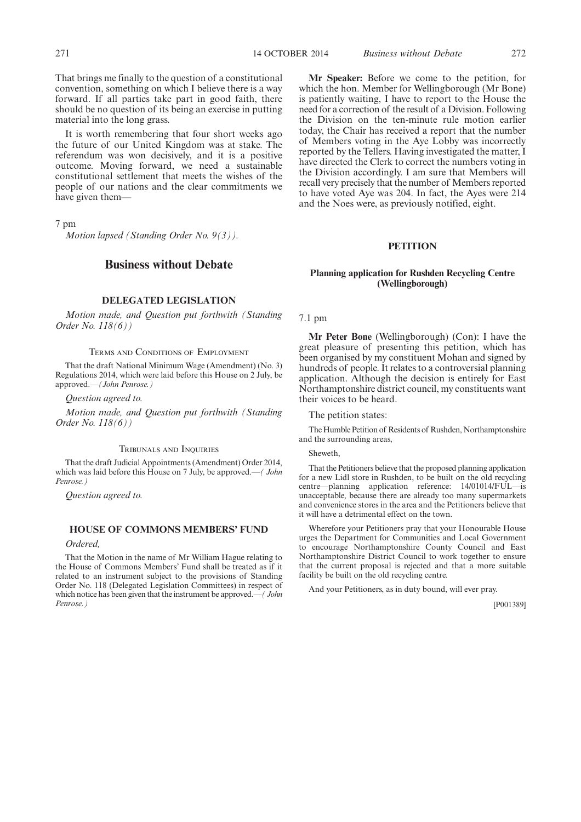That brings me finally to the question of a constitutional convention, something on which I believe there is a way forward. If all parties take part in good faith, there should be no question of its being an exercise in putting material into the long grass.

It is worth remembering that four short weeks ago the future of our United Kingdom was at stake. The referendum was won decisively, and it is a positive outcome. Moving forward, we need a sustainable constitutional settlement that meets the wishes of the people of our nations and the clear commitments we have given them—

7 pm

*Motion lapsed (Standing Order No. 9(3)).*

# **Business without Debate**

# **DELEGATED LEGISLATION**

*Motion made, and Question put forthwith (Standing Order No. 118(6))*

#### TERMS AND CONDITIONS OF EMPLOYMENT

That the draft National Minimum Wage (Amendment) (No. 3) Regulations 2014, which were laid before this House on 2 July, be approved.*—(John Penrose.)*

*Question agreed to.*

*Motion made, and Question put forthwith (Standing Order No. 118(6))*

#### TRIBUNALS AND INQUIRIES

That the draft Judicial Appointments (Amendment) Order 2014, which was laid before this House on 7 July, be approved.—*( John Penrose.)*

*Question agreed to.*

# **HOUSE OF COMMONS MEMBERS' FUND**

*Ordered,*

That the Motion in the name of Mr William Hague relating to the House of Commons Members' Fund shall be treated as if it related to an instrument subject to the provisions of Standing Order No. 118 (Delegated Legislation Committees) in respect of which notice has been given that the instrument be approved.—*( John Penrose.)*

**Mr Speaker:** Before we come to the petition, for which the hon. Member for Wellingborough (Mr Bone) is patiently waiting, I have to report to the House the need for a correction of the result of a Division. Following the Division on the ten-minute rule motion earlier today, the Chair has received a report that the number of Members voting in the Aye Lobby was incorrectly reported by the Tellers. Having investigated the matter, I have directed the Clerk to correct the numbers voting in the Division accordingly. I am sure that Members will recall very precisely that the number of Members reported to have voted Aye was 204. In fact, the Ayes were 214 and the Noes were, as previously notified, eight.

#### **PETITION**

## **Planning application for Rushden Recycling Centre (Wellingborough)**

7.1 pm

**Mr Peter Bone** (Wellingborough) (Con): I have the great pleasure of presenting this petition, which has been organised by my constituent Mohan and signed by hundreds of people. It relates to a controversial planning application. Although the decision is entirely for East Northamptonshire district council, my constituents want their voices to be heard.

The petition states:

The Humble Petition of Residents of Rushden, Northamptonshire and the surrounding areas,

#### Sheweth,

That the Petitioners believe that the proposed planning application for a new Lidl store in Rushden, to be built on the old recycling centre—planning application reference: 14/01014/FUL—is unacceptable, because there are already too many supermarkets and convenience stores in the area and the Petitioners believe that it will have a detrimental effect on the town.

Wherefore your Petitioners pray that your Honourable House urges the Department for Communities and Local Government to encourage Northamptonshire County Council and East Northamptonshire District Council to work together to ensure that the current proposal is rejected and that a more suitable facility be built on the old recycling centre.

And your Petitioners, as in duty bound, will ever pray.

[P001389]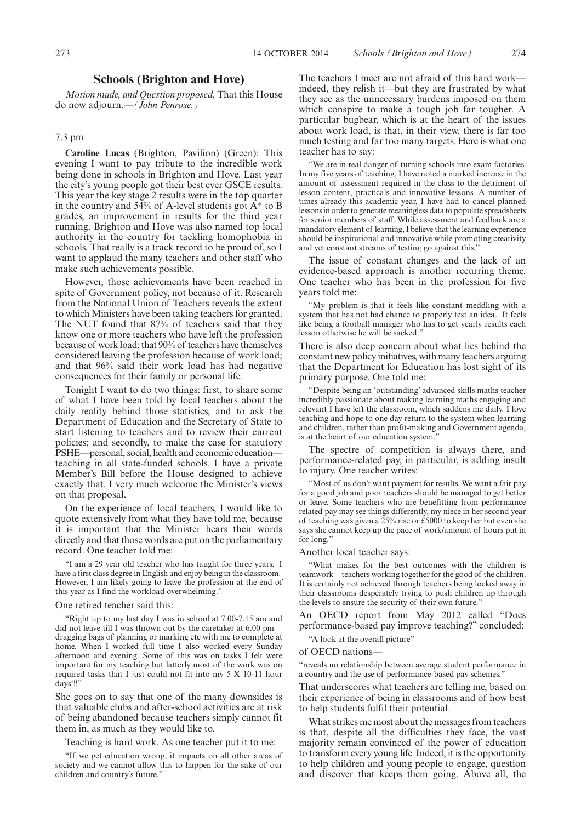# **Schools (Brighton and Hove)**

*Motion made, and Question proposed,* That this House do now adjourn.—*(John Penrose.)*

# 7.3 pm

**Caroline Lucas** (Brighton, Pavilion) (Green): This evening I want to pay tribute to the incredible work being done in schools in Brighton and Hove. Last year the city's young people got their best ever GSCE results. This year the key stage 2 results were in the top quarter in the country and  $54\%$  of A-level students got  $A^*$  to B grades, an improvement in results for the third year running. Brighton and Hove was also named top local authority in the country for tackling homophobia in schools. That really is a track record to be proud of, so I want to applaud the many teachers and other staff who make such achievements possible.

However, those achievements have been reached in spite of Government policy, not because of it. Research from the National Union of Teachers reveals the extent to which Ministers have been taking teachers for granted. The NUT found that 87% of teachers said that they know one or more teachers who have left the profession because of work load; that 90% of teachers have themselves considered leaving the profession because of work load; and that 96% said their work load has had negative consequences for their family or personal life.

Tonight I want to do two things: first, to share some of what I have been told by local teachers about the daily reality behind those statistics, and to ask the Department of Education and the Secretary of State to start listening to teachers and to review their current policies; and secondly, to make the case for statutory PSHE—personal, social, health and economic education teaching in all state-funded schools. I have a private Member's Bill before the House designed to achieve exactly that. I very much welcome the Minister's views on that proposal.

On the experience of local teachers, I would like to quote extensively from what they have told me, because it is important that the Minister hears their words directly and that those words are put on the parliamentary record. One teacher told me:

"I am a 29 year old teacher who has taught for three years. I have a first class degree in English and enjoy being in the classroom. However, I am likely going to leave the profession at the end of this year as I find the workload overwhelming."

#### One retired teacher said this:

"Right up to my last day I was in school at 7.00-7.15 am and did not leave till I was thrown out by the caretaker at 6.00 pm dragging bags of planning or marking etc with me to complete at home. When I worked full time I also worked every Sunday afternoon and evening. Some of this was on tasks I felt were important for my teaching but latterly most of the work was on required tasks that I just could not fit into my 5 X 10-11 hour days!!!"

She goes on to say that one of the many downsides is that valuable clubs and after-school activities are at risk of being abandoned because teachers simply cannot fit them in, as much as they would like to.

Teaching is hard work. As one teacher put it to me:

"If we get education wrong, it impacts on all other areas of society and we cannot allow this to happen for the sake of our children and country's future."

The teachers I meet are not afraid of this hard work indeed, they relish it—but they are frustrated by what they see as the unnecessary burdens imposed on them which conspire to make a tough job far tougher. A particular bugbear, which is at the heart of the issues about work load, is that, in their view, there is far too much testing and far too many targets. Here is what one teacher has to say:

"We are in real danger of turning schools into exam factories. In my five years of teaching, I have noted a marked increase in the amount of assessment required in the class to the detriment of lesson content, practicals and innovative lessons. A number of times already this academic year, I have had to cancel planned lessons in order to generate meaningless data to populate spreadsheets for senior members of staff. While assessment and feedback are a mandatory element of learning, I believe that the learning experience should be inspirational and innovative while promoting creativity and yet constant streams of testing go against this."

The issue of constant changes and the lack of an evidence-based approach is another recurring theme. One teacher who has been in the profession for five years told me:

"My problem is that it feels like constant meddling with a system that has not had chance to properly test an idea. It feels like being a football manager who has to get yearly results each lesson otherwise he will be sacked."

There is also deep concern about what lies behind the constant new policy initiatives, with many teachers arguing that the Department for Education has lost sight of its primary purpose. One told me:

"Despite being an 'outstanding' advanced skills maths teacher incredibly passionate about making learning maths engaging and relevant I have left the classroom, which saddens me daily. I love teaching and hope to one day return to the system when learning and children, rather than profit-making and Government agenda, is at the heart of our education system."

The spectre of competition is always there, and performance-related pay, in particular, is adding insult to injury. One teacher writes:

"Most of us don't want payment for results. We want a fair pay for a good job and poor teachers should be managed to get better or leave. Some teachers who are benefitting from performance related pay may see things differently, my niece in her second year of teaching was given a  $25\%$  rise or £5000 to keep her but even she says she cannot keep up the pace of work/amount of hours put in for long."

Another local teacher says:

"What makes for the best outcomes with the children is teamwork—teachers working together for the good of the children. It is certainly not achieved through teachers being locked away in their classrooms desperately trying to push children up through the levels to ensure the security of their own future."

An OECD report from May 2012 called "Does performance-based pay improve teaching?" concluded:

"A look at the overall picture"—

#### of OECD nations—

"reveals no relationship between average student performance in a country and the use of performance-based pay schemes."

That underscores what teachers are telling me, based on their experience of being in classrooms and of how best to help students fulfil their potential.

What strikes me most about the messages from teachers is that, despite all the difficulties they face, the vast majority remain convinced of the power of education to transform every young life. Indeed, it is the opportunity to help children and young people to engage, question and discover that keeps them going. Above all, the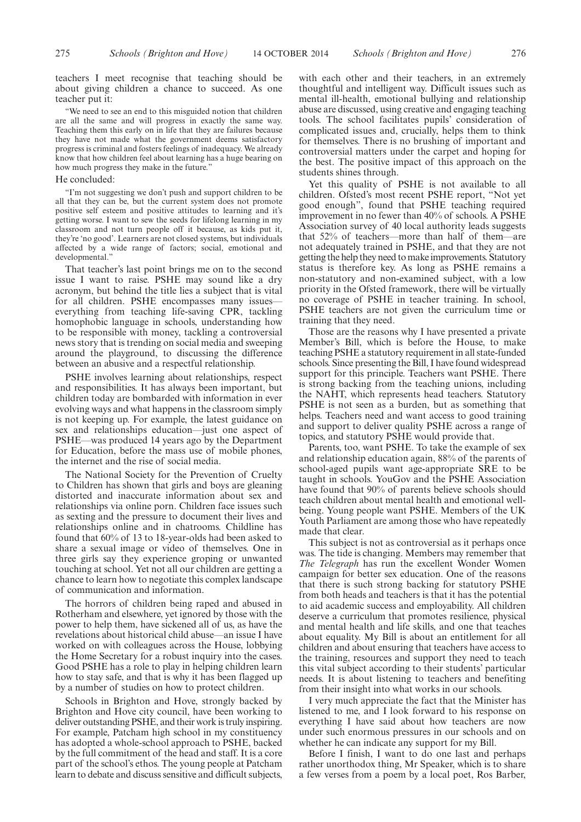teachers I meet recognise that teaching should be about giving children a chance to succeed. As one teacher put it:

"We need to see an end to this misguided notion that children are all the same and will progress in exactly the same way. Teaching them this early on in life that they are failures because they have not made what the government deems satisfactory progress is criminal and fosters feelings of inadequacy. We already know that how children feel about learning has a huge bearing on how much progress they make in the future."

#### He concluded:

"I'm not suggesting we don't push and support children to be all that they can be, but the current system does not promote positive self esteem and positive attitudes to learning and it's getting worse. I want to sew the seeds for lifelong learning in my classroom and not turn people off it because, as kids put it, they're 'no good'. Learners are not closed systems, but individuals affected by a wide range of factors; social, emotional and developmental.'

That teacher's last point brings me on to the second issue I want to raise. PSHE may sound like a dry acronym, but behind the title lies a subject that is vital for all children. PSHE encompasses many issues everything from teaching life-saving CPR, tackling homophobic language in schools, understanding how to be responsible with money, tackling a controversial news story that is trending on social media and sweeping around the playground, to discussing the difference between an abusive and a respectful relationship.

PSHE involves learning about relationships, respect and responsibilities. It has always been important, but children today are bombarded with information in ever evolving ways and what happens in the classroom simply is not keeping up. For example, the latest guidance on sex and relationships education—just one aspect of PSHE—was produced 14 years ago by the Department for Education, before the mass use of mobile phones, the internet and the rise of social media.

The National Society for the Prevention of Cruelty to Children has shown that girls and boys are gleaning distorted and inaccurate information about sex and relationships via online porn. Children face issues such as sexting and the pressure to document their lives and relationships online and in chatrooms. Childline has found that 60% of 13 to 18-year-olds had been asked to share a sexual image or video of themselves. One in three girls say they experience groping or unwanted touching at school. Yet not all our children are getting a chance to learn how to negotiate this complex landscape of communication and information.

The horrors of children being raped and abused in Rotherham and elsewhere, yet ignored by those with the power to help them, have sickened all of us, as have the revelations about historical child abuse—an issue I have worked on with colleagues across the House, lobbying the Home Secretary for a robust inquiry into the cases. Good PSHE has a role to play in helping children learn how to stay safe, and that is why it has been flagged up by a number of studies on how to protect children.

Schools in Brighton and Hove, strongly backed by Brighton and Hove city council, have been working to deliver outstanding PSHE, and their work is truly inspiring. For example, Patcham high school in my constituency has adopted a whole-school approach to PSHE, backed by the full commitment of the head and staff. It is a core part of the school's ethos. The young people at Patcham learn to debate and discuss sensitive and difficult subjects, with each other and their teachers, in an extremely thoughtful and intelligent way. Difficult issues such as mental ill-health, emotional bullying and relationship abuse are discussed, using creative and engaging teaching tools. The school facilitates pupils' consideration of complicated issues and, crucially, helps them to think for themselves. There is no brushing of important and controversial matters under the carpet and hoping for the best. The positive impact of this approach on the students shines through.

Yet this quality of PSHE is not available to all children. Ofsted's most recent PSHE report, "Not yet good enough", found that PSHE teaching required improvement in no fewer than 40% of schools. A PSHE Association survey of 40 local authority leads suggests that 52% of teachers—more than half of them—are not adequately trained in PSHE, and that they are not getting the help they need to make improvements. Statutory status is therefore key. As long as PSHE remains a non-statutory and non-examined subject, with a low priority in the Ofsted framework, there will be virtually no coverage of PSHE in teacher training. In school, PSHE teachers are not given the curriculum time or training that they need.

Those are the reasons why I have presented a private Member's Bill, which is before the House, to make teaching PSHE a statutory requirement in all state-funded schools. Since presenting the Bill, I have found widespread support for this principle. Teachers want PSHE. There is strong backing from the teaching unions, including the NAHT, which represents head teachers. Statutory PSHE is not seen as a burden, but as something that helps. Teachers need and want access to good training and support to deliver quality PSHE across a range of topics, and statutory PSHE would provide that.

Parents, too, want PSHE. To take the example of sex and relationship education again, 88% of the parents of school-aged pupils want age-appropriate SRE to be taught in schools. YouGov and the PSHE Association have found that 90% of parents believe schools should teach children about mental health and emotional wellbeing. Young people want PSHE. Members of the UK Youth Parliament are among those who have repeatedly made that clear.

This subject is not as controversial as it perhaps once was. The tide is changing. Members may remember that *The Telegraph* has run the excellent Wonder Women campaign for better sex education. One of the reasons that there is such strong backing for statutory PSHE from both heads and teachers is that it has the potential to aid academic success and employability. All children deserve a curriculum that promotes resilience, physical and mental health and life skills, and one that teaches about equality. My Bill is about an entitlement for all children and about ensuring that teachers have access to the training, resources and support they need to teach this vital subject according to their students' particular needs. It is about listening to teachers and benefiting from their insight into what works in our schools.

I very much appreciate the fact that the Minister has listened to me, and I look forward to his response on everything I have said about how teachers are now under such enormous pressures in our schools and on whether he can indicate any support for my Bill.

Before I finish, I want to do one last and perhaps rather unorthodox thing, Mr Speaker, which is to share a few verses from a poem by a local poet, Ros Barber,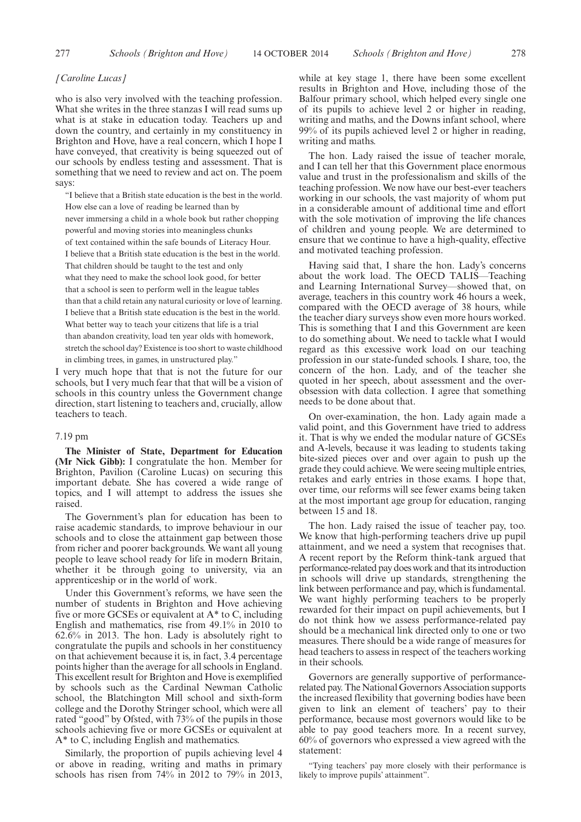# *[Caroline Lucas]*

who is also very involved with the teaching profession. What she writes in the three stanzas I will read sums up what is at stake in education today. Teachers up and down the country, and certainly in my constituency in Brighton and Hove, have a real concern, which I hope I have conveyed, that creativity is being squeezed out of our schools by endless testing and assessment. That is something that we need to review and act on. The poem says:

"I believe that a British state education is the best in the world. How else can a love of reading be learned than by never immersing a child in a whole book but rather chopping powerful and moving stories into meaningless chunks of text contained within the safe bounds of Literacy Hour. I believe that a British state education is the best in the world. That children should be taught to the test and only what they need to make the school look good, for better that a school is seen to perform well in the league tables than that a child retain any natural curiosity or love of learning. I believe that a British state education is the best in the world. What better way to teach your citizens that life is a trial than abandon creativity, load ten year olds with homework, stretch the school day? Existence is too short to waste childhood in climbing trees, in games, in unstructured play."

I very much hope that that is not the future for our schools, but I very much fear that that will be a vision of schools in this country unless the Government change direction, start listening to teachers and, crucially, allow teachers to teach.

## 7.19 pm

**The Minister of State, Department for Education (Mr Nick Gibb):** I congratulate the hon. Member for Brighton, Pavilion (Caroline Lucas) on securing this important debate. She has covered a wide range of topics, and I will attempt to address the issues she raised.

The Government's plan for education has been to raise academic standards, to improve behaviour in our schools and to close the attainment gap between those from richer and poorer backgrounds. We want all young people to leave school ready for life in modern Britain, whether it be through going to university, via an apprenticeship or in the world of work.

Under this Government's reforms, we have seen the number of students in Brighton and Hove achieving five or more GCSEs or equivalent at A\* to C, including English and mathematics, rise from 49.1% in 2010 to 62.6% in 2013. The hon. Lady is absolutely right to congratulate the pupils and schools in her constituency on that achievement because it is, in fact, 3.4 percentage points higher than the average for all schools in England. This excellent result for Brighton and Hove is exemplified by schools such as the Cardinal Newman Catholic school, the Blatchington Mill school and sixth-form college and the Dorothy Stringer school, which were all rated "good" by Ofsted, with 73% of the pupils in those schools achieving five or more GCSEs or equivalent at A\* to C, including English and mathematics.

Similarly, the proportion of pupils achieving level 4 or above in reading, writing and maths in primary schools has risen from 74% in 2012 to 79% in 2013, while at key stage 1, there have been some excellent results in Brighton and Hove, including those of the Balfour primary school, which helped every single one of its pupils to achieve level 2 or higher in reading, writing and maths, and the Downs infant school, where 99% of its pupils achieved level 2 or higher in reading, writing and maths.

The hon. Lady raised the issue of teacher morale, and I can tell her that this Government place enormous value and trust in the professionalism and skills of the teaching profession. We now have our best-ever teachers working in our schools, the vast majority of whom put in a considerable amount of additional time and effort with the sole motivation of improving the life chances of children and young people. We are determined to ensure that we continue to have a high-quality, effective and motivated teaching profession.

Having said that, I share the hon. Lady's concerns about the work load. The OECD TALIS—Teaching and Learning International Survey—showed that, on average, teachers in this country work 46 hours a week, compared with the OECD average of 38 hours, while the teacher diary surveys show even more hours worked. This is something that I and this Government are keen to do something about. We need to tackle what I would regard as this excessive work load on our teaching profession in our state-funded schools. I share, too, the concern of the hon. Lady, and of the teacher she quoted in her speech, about assessment and the overobsession with data collection. I agree that something needs to be done about that.

On over-examination, the hon. Lady again made a valid point, and this Government have tried to address it. That is why we ended the modular nature of GCSEs and A-levels, because it was leading to students taking bite-sized pieces over and over again to push up the grade they could achieve. We were seeing multiple entries, retakes and early entries in those exams. I hope that, over time, our reforms will see fewer exams being taken at the most important age group for education, ranging between 15 and 18.

The hon. Lady raised the issue of teacher pay, too. We know that high-performing teachers drive up pupil attainment, and we need a system that recognises that. A recent report by the Reform think-tank argued that performance-related pay does work and that its introduction in schools will drive up standards, strengthening the link between performance and pay, which is fundamental. We want highly performing teachers to be properly rewarded for their impact on pupil achievements, but I do not think how we assess performance-related pay should be a mechanical link directed only to one or two measures. There should be a wide range of measures for head teachers to assess in respect of the teachers working in their schools.

Governors are generally supportive of performancerelated pay. The National Governors Association supports the increased flexibility that governing bodies have been given to link an element of teachers' pay to their performance, because most governors would like to be able to pay good teachers more. In a recent survey, 60% of governors who expressed a view agreed with the statement:

"Tying teachers' pay more closely with their performance is likely to improve pupils' attainment".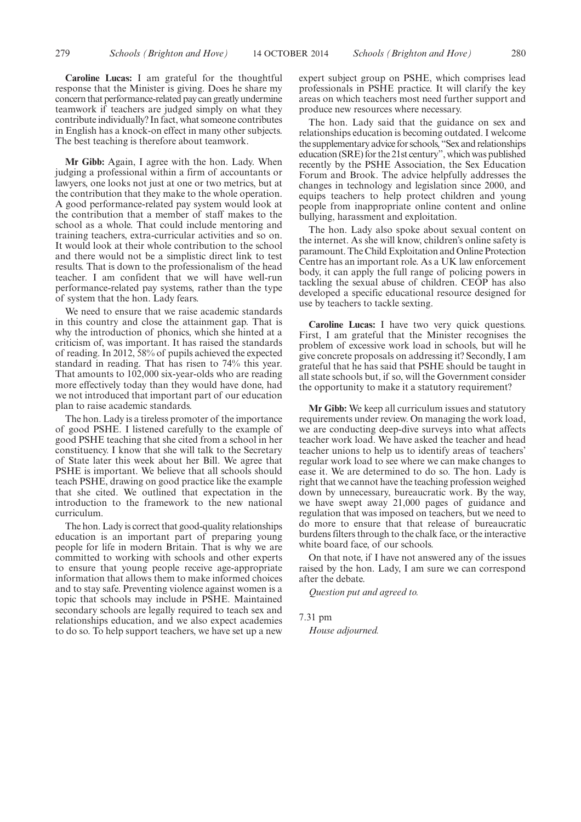**Caroline Lucas:** I am grateful for the thoughtful response that the Minister is giving. Does he share my concern that performance-related pay can greatly undermine teamwork if teachers are judged simply on what they contribute individually? In fact, what someone contributes in English has a knock-on effect in many other subjects. The best teaching is therefore about teamwork.

**Mr Gibb:** Again, I agree with the hon. Lady. When judging a professional within a firm of accountants or lawyers, one looks not just at one or two metrics, but at the contribution that they make to the whole operation. A good performance-related pay system would look at the contribution that a member of staff makes to the school as a whole. That could include mentoring and training teachers, extra-curricular activities and so on. It would look at their whole contribution to the school and there would not be a simplistic direct link to test results. That is down to the professionalism of the head teacher. I am confident that we will have well-run performance-related pay systems, rather than the type of system that the hon. Lady fears.

We need to ensure that we raise academic standards in this country and close the attainment gap. That is why the introduction of phonics, which she hinted at a criticism of, was important. It has raised the standards of reading. In 2012, 58% of pupils achieved the expected standard in reading. That has risen to 74% this year. That amounts to 102,000 six-year-olds who are reading more effectively today than they would have done, had we not introduced that important part of our education plan to raise academic standards.

The hon. Lady is a tireless promoter of the importance of good PSHE. I listened carefully to the example of good PSHE teaching that she cited from a school in her constituency. I know that she will talk to the Secretary of State later this week about her Bill. We agree that PSHE is important. We believe that all schools should teach PSHE, drawing on good practice like the example that she cited. We outlined that expectation in the introduction to the framework to the new national curriculum.

The hon. Lady is correct that good-quality relationships education is an important part of preparing young people for life in modern Britain. That is why we are committed to working with schools and other experts to ensure that young people receive age-appropriate information that allows them to make informed choices and to stay safe. Preventing violence against women is a topic that schools may include in PSHE. Maintained secondary schools are legally required to teach sex and relationships education, and we also expect academies to do so. To help support teachers, we have set up a new expert subject group on PSHE, which comprises lead professionals in PSHE practice. It will clarify the key areas on which teachers most need further support and produce new resources where necessary.

The hon. Lady said that the guidance on sex and relationships education is becoming outdated. I welcome the supplementary advice for schools, "Sex and relationships education (SRE) for the 21st century", which was published recently by the PSHE Association, the Sex Education Forum and Brook. The advice helpfully addresses the changes in technology and legislation since 2000, and equips teachers to help protect children and young people from inappropriate online content and online bullying, harassment and exploitation.

The hon. Lady also spoke about sexual content on the internet. As she will know, children's online safety is paramount. The Child Exploitation and Online Protection Centre has an important role. As a UK law enforcement body, it can apply the full range of policing powers in tackling the sexual abuse of children. CEOP has also developed a specific educational resource designed for use by teachers to tackle sexting.

**Caroline Lucas:** I have two very quick questions. First, I am grateful that the Minister recognises the problem of excessive work load in schools, but will he give concrete proposals on addressing it? Secondly, I am grateful that he has said that PSHE should be taught in all state schools but, if so, will the Government consider the opportunity to make it a statutory requirement?

**Mr Gibb:** We keep all curriculum issues and statutory requirements under review. On managing the work load, we are conducting deep-dive surveys into what affects teacher work load. We have asked the teacher and head teacher unions to help us to identify areas of teachers' regular work load to see where we can make changes to ease it. We are determined to do so. The hon. Lady is right that we cannot have the teaching profession weighed down by unnecessary, bureaucratic work. By the way, we have swept away 21,000 pages of guidance and regulation that was imposed on teachers, but we need to do more to ensure that that release of bureaucratic burdens filters through to the chalk face, or the interactive white board face, of our schools.

On that note, if I have not answered any of the issues raised by the hon. Lady, I am sure we can correspond after the debate.

*Question put and agreed to.*

7.31 pm *House adjourned.*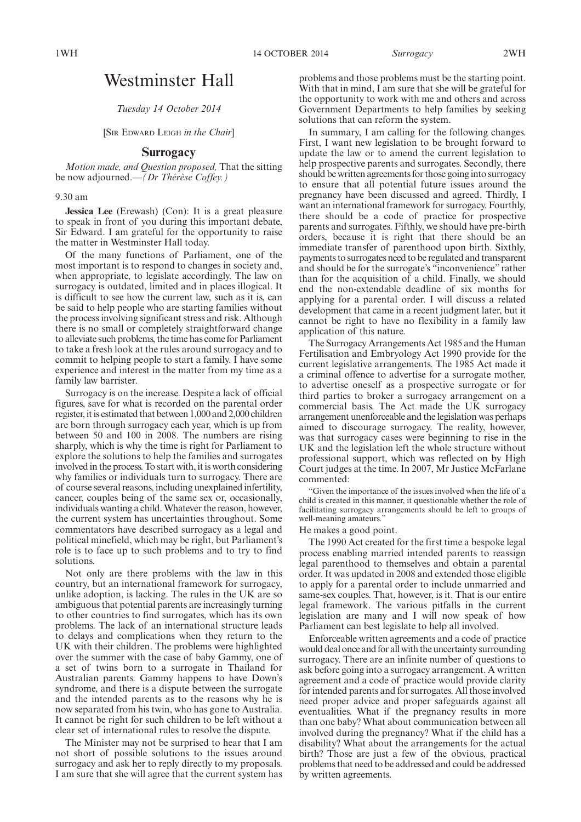1WH 14 OCTOBER 2014 *Surrogacy* 2WH

# Westminster Hall

*Tuesday 14 October 2014*

[SIR EDWARD LEIGH *in the Chair*]

# **Surrogacy**

*Motion made, and Question proposed,* That the sitting be now adjourned.—*(Dr Thérèse Coffey.)*

## 9.30 am

**Jessica Lee** (Erewash) (Con): It is a great pleasure to speak in front of you during this important debate, Sir Edward. I am grateful for the opportunity to raise the matter in Westminster Hall today.

Of the many functions of Parliament, one of the most important is to respond to changes in society and, when appropriate, to legislate accordingly. The law on surrogacy is outdated, limited and in places illogical. It is difficult to see how the current law, such as it is, can be said to help people who are starting families without the process involving significant stress and risk. Although there is no small or completely straightforward change to alleviate such problems, the time has come for Parliament to take a fresh look at the rules around surrogacy and to commit to helping people to start a family. I have some experience and interest in the matter from my time as a family law barrister.

Surrogacy is on the increase. Despite a lack of official figures, save for what is recorded on the parental order register, it is estimated that between 1,000 and 2,000 children are born through surrogacy each year, which is up from between 50 and 100 in 2008. The numbers are rising sharply, which is why the time is right for Parliament to explore the solutions to help the families and surrogates involved in the process. To start with, it is worth considering why families or individuals turn to surrogacy. There are of course several reasons, including unexplained infertility, cancer, couples being of the same sex or, occasionally, individuals wanting a child.Whatever the reason, however, the current system has uncertainties throughout. Some commentators have described surrogacy as a legal and political minefield, which may be right, but Parliament's role is to face up to such problems and to try to find solutions.

Not only are there problems with the law in this country, but an international framework for surrogacy, unlike adoption, is lacking. The rules in the UK are so ambiguous that potential parents are increasingly turning to other countries to find surrogates, which has its own problems. The lack of an international structure leads to delays and complications when they return to the UK with their children. The problems were highlighted over the summer with the case of baby Gammy, one of a set of twins born to a surrogate in Thailand for Australian parents. Gammy happens to have Down's syndrome, and there is a dispute between the surrogate and the intended parents as to the reasons why he is now separated from his twin, who has gone to Australia. It cannot be right for such children to be left without a clear set of international rules to resolve the dispute.

The Minister may not be surprised to hear that I am not short of possible solutions to the issues around surrogacy and ask her to reply directly to my proposals. I am sure that she will agree that the current system has problems and those problems must be the starting point. With that in mind, I am sure that she will be grateful for the opportunity to work with me and others and across Government Departments to help families by seeking solutions that can reform the system.

In summary, I am calling for the following changes. First, I want new legislation to be brought forward to update the law or to amend the current legislation to help prospective parents and surrogates. Secondly, there should be written agreements for those going into surrogacy to ensure that all potential future issues around the pregnancy have been discussed and agreed. Thirdly, I want an international framework for surrogacy. Fourthly, there should be a code of practice for prospective parents and surrogates. Fifthly, we should have pre-birth orders, because it is right that there should be an immediate transfer of parenthood upon birth. Sixthly, payments to surrogates need to be regulated and transparent and should be for the surrogate's "inconvenience" rather than for the acquisition of a child. Finally, we should end the non-extendable deadline of six months for applying for a parental order. I will discuss a related development that came in a recent judgment later, but it cannot be right to have no flexibility in a family law application of this nature.

The Surrogacy Arrangements Act 1985 and the Human Fertilisation and Embryology Act 1990 provide for the current legislative arrangements. The 1985 Act made it a criminal offence to advertise for a surrogate mother, to advertise oneself as a prospective surrogate or for third parties to broker a surrogacy arrangement on a commercial basis. The Act made the UK surrogacy arrangement unenforceable and the legislation was perhaps aimed to discourage surrogacy. The reality, however, was that surrogacy cases were beginning to rise in the UK and the legislation left the whole structure without professional support, which was reflected on by High Court judges at the time. In 2007, Mr Justice McFarlane commented:

"Given the importance of the issues involved when the life of a child is created in this manner, it questionable whether the role of facilitating surrogacy arrangements should be left to groups of well-meaning amateurs."

He makes a good point.

The 1990 Act created for the first time a bespoke legal process enabling married intended parents to reassign legal parenthood to themselves and obtain a parental order. It was updated in 2008 and extended those eligible to apply for a parental order to include unmarried and same-sex couples. That, however, is it. That is our entire legal framework. The various pitfalls in the current legislation are many and I will now speak of how Parliament can best legislate to help all involved.

Enforceable written agreements and a code of practice would deal once and for all with the uncertainty surrounding surrogacy. There are an infinite number of questions to ask before going into a surrogacy arrangement. A written agreement and a code of practice would provide clarity for intended parents and for surrogates. All those involved need proper advice and proper safeguards against all eventualities. What if the pregnancy results in more than one baby? What about communication between all involved during the pregnancy? What if the child has a disability? What about the arrangements for the actual birth? Those are just a few of the obvious, practical problems that need to be addressed and could be addressed by written agreements.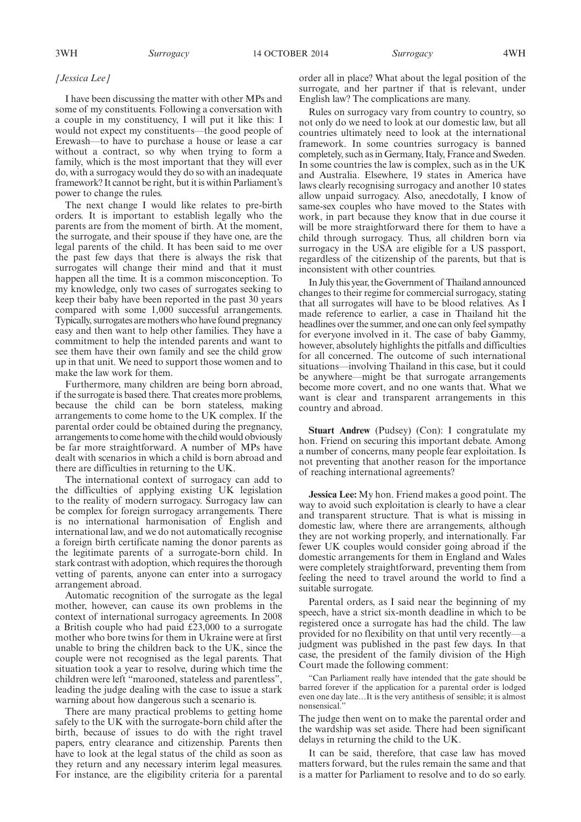#### *[Jessica Lee]*

I have been discussing the matter with other MPs and some of my constituents. Following a conversation with a couple in my constituency, I will put it like this: I would not expect my constituents—the good people of Erewash—to have to purchase a house or lease a car without a contract, so why when trying to form a family, which is the most important that they will ever do, with a surrogacy would they do so with an inadequate framework? It cannot be right, but it is within Parliament's power to change the rules.

The next change I would like relates to pre-birth orders. It is important to establish legally who the parents are from the moment of birth. At the moment, the surrogate, and their spouse if they have one, are the legal parents of the child. It has been said to me over the past few days that there is always the risk that surrogates will change their mind and that it must happen all the time. It is a common misconception. To my knowledge, only two cases of surrogates seeking to keep their baby have been reported in the past 30 years compared with some 1,000 successful arrangements. Typically, surrogates aremothers who have found pregnancy easy and then want to help other families. They have a commitment to help the intended parents and want to see them have their own family and see the child grow up in that unit. We need to support those women and to make the law work for them.

Furthermore, many children are being born abroad, if the surrogate is based there. That creates more problems, because the child can be born stateless, making arrangements to come home to the UK complex. If the parental order could be obtained during the pregnancy, arrangements to come home with the child would obviously be far more straightforward. A number of MPs have dealt with scenarios in which a child is born abroad and there are difficulties in returning to the UK.

The international context of surrogacy can add to the difficulties of applying existing UK legislation to the reality of modern surrogacy. Surrogacy law can be complex for foreign surrogacy arrangements. There is no international harmonisation of English and international law, and we do not automatically recognise a foreign birth certificate naming the donor parents as the legitimate parents of a surrogate-born child. In stark contrast with adoption, which requires the thorough vetting of parents, anyone can enter into a surrogacy arrangement abroad.

Automatic recognition of the surrogate as the legal mother, however, can cause its own problems in the context of international surrogacy agreements. In 2008 a British couple who had paid £23,000 to a surrogate mother who bore twins for them in Ukraine were at first unable to bring the children back to the UK, since the couple were not recognised as the legal parents. That situation took a year to resolve, during which time the children were left "marooned, stateless and parentless", leading the judge dealing with the case to issue a stark warning about how dangerous such a scenario is.

There are many practical problems to getting home safely to the UK with the surrogate-born child after the birth, because of issues to do with the right travel papers, entry clearance and citizenship. Parents then have to look at the legal status of the child as soon as they return and any necessary interim legal measures. For instance, are the eligibility criteria for a parental order all in place? What about the legal position of the surrogate, and her partner if that is relevant, under English law? The complications are many.

Rules on surrogacy vary from country to country, so not only do we need to look at our domestic law, but all countries ultimately need to look at the international framework. In some countries surrogacy is banned completely, such as in Germany, Italy, France and Sweden. In some countries the law is complex, such as in the UK and Australia. Elsewhere, 19 states in America have laws clearly recognising surrogacy and another 10 states allow unpaid surrogacy. Also, anecdotally, I know of same-sex couples who have moved to the States with work, in part because they know that in due course it will be more straightforward there for them to have a child through surrogacy. Thus, all children born via surrogacy in the USA are eligible for a US passport, regardless of the citizenship of the parents, but that is inconsistent with other countries.

In July this year, the Government of Thailand announced changes to their regime for commercial surrogacy, stating that all surrogates will have to be blood relatives. As I made reference to earlier, a case in Thailand hit the headlines over the summer, and one can only feel sympathy for everyone involved in it. The case of baby Gammy, however, absolutely highlights the pitfalls and difficulties for all concerned. The outcome of such international situations—involving Thailand in this case, but it could be anywhere—might be that surrogate arrangements become more covert, and no one wants that. What we want is clear and transparent arrangements in this country and abroad.

**Stuart Andrew** (Pudsey) (Con): I congratulate my hon. Friend on securing this important debate. Among a number of concerns, many people fear exploitation. Is not preventing that another reason for the importance of reaching international agreements?

**Jessica Lee:** My hon. Friend makes a good point. The way to avoid such exploitation is clearly to have a clear and transparent structure. That is what is missing in domestic law, where there are arrangements, although they are not working properly, and internationally. Far fewer UK couples would consider going abroad if the domestic arrangements for them in England and Wales were completely straightforward, preventing them from feeling the need to travel around the world to find a suitable surrogate.

Parental orders, as I said near the beginning of my speech, have a strict six-month deadline in which to be registered once a surrogate has had the child. The law provided for no flexibility on that until very recently—a judgment was published in the past few days. In that case, the president of the family division of the High Court made the following comment:

"Can Parliament really have intended that the gate should be barred forever if the application for a parental order is lodged even one day late…It is the very antithesis of sensible; it is almost nonsensical."

The judge then went on to make the parental order and the wardship was set aside. There had been significant delays in returning the child to the UK.

It can be said, therefore, that case law has moved matters forward, but the rules remain the same and that is a matter for Parliament to resolve and to do so early.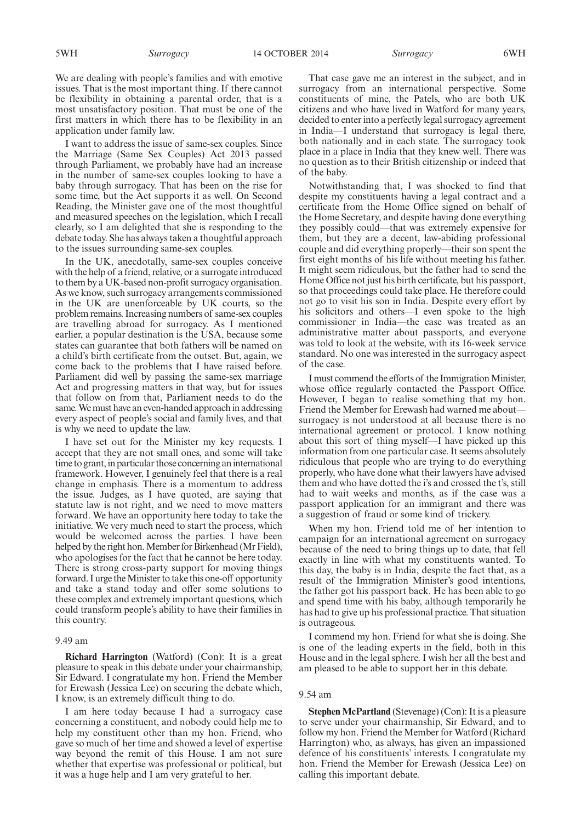We are dealing with people's families and with emotive issues. That is the most important thing. If there cannot be flexibility in obtaining a parental order, that is a most unsatisfactory position. That must be one of the first matters in which there has to be flexibility in an application under family law.

I want to address the issue of same-sex couples. Since the Marriage (Same Sex Couples) Act 2013 passed through Parliament, we probably have had an increase in the number of same-sex couples looking to have a baby through surrogacy. That has been on the rise for some time, but the Act supports it as well. On Second Reading, the Minister gave one of the most thoughtful and measured speeches on the legislation, which I recall clearly, so I am delighted that she is responding to the debate today. She has always taken a thoughtful approach to the issues surrounding same-sex couples.

In the UK, anecdotally, same-sex couples conceive with the help of a friend, relative, or a surrogate introduced to them by a UK-based non-profit surrogacy organisation. As we know, such surrogacy arrangements commissioned in the UK are unenforceable by UK courts, so the problem remains. Increasing numbers of same-sex couples are travelling abroad for surrogacy. As I mentioned earlier, a popular destination is the USA, because some states can guarantee that both fathers will be named on a child's birth certificate from the outset. But, again, we come back to the problems that I have raised before. Parliament did well by passing the same-sex marriage Act and progressing matters in that way, but for issues that follow on from that, Parliament needs to do the same.We must have an even-handed approach in addressing every aspect of people's social and family lives, and that is why we need to update the law.

I have set out for the Minister my key requests. I accept that they are not small ones, and some will take time to grant, in particular those concerning an international framework. However, I genuinely feel that there is a real change in emphasis. There is a momentum to address the issue. Judges, as I have quoted, are saying that statute law is not right, and we need to move matters forward. We have an opportunity here today to take the initiative. We very much need to start the process, which would be welcomed across the parties. I have been helped by the right hon. Member for Birkenhead (Mr Field), who apologises for the fact that he cannot be here today. There is strong cross-party support for moving things forward. I urge the Minister to take this one-off opportunity and take a stand today and offer some solutions to these complex and extremely important questions, which could transform people's ability to have their families in this country.

#### 9.49 am

**Richard Harrington** (Watford) (Con): It is a great pleasure to speak in this debate under your chairmanship, Sir Edward. I congratulate my hon. Friend the Member for Erewash (Jessica Lee) on securing the debate which, I know, is an extremely difficult thing to do.

I am here today because I had a surrogacy case concerning a constituent, and nobody could help me to help my constituent other than my hon. Friend, who gave so much of her time and showed a level of expertise way beyond the remit of this House. I am not sure whether that expertise was professional or political, but it was a huge help and I am very grateful to her.

That case gave me an interest in the subject, and in surrogacy from an international perspective. Some constituents of mine, the Patels, who are both UK citizens and who have lived in Watford for many years, decided to enter into a perfectly legal surrogacy agreement in India—I understand that surrogacy is legal there, both nationally and in each state. The surrogacy took place in a place in India that they knew well. There was no question as to their British citizenship or indeed that of the baby.

Notwithstanding that, I was shocked to find that despite my constituents having a legal contract and a certificate from the Home Office signed on behalf of the Home Secretary, and despite having done everything they possibly could—that was extremely expensive for them, but they are a decent, law-abiding professional couple and did everything properly—their son spent the first eight months of his life without meeting his father. It might seem ridiculous, but the father had to send the Home Office not just his birth certificate, but his passport, so that proceedings could take place. He therefore could not go to visit his son in India. Despite every effort by his solicitors and others—I even spoke to the high commissioner in India—the case was treated as an administrative matter about passports, and everyone was told to look at the website, with its 16-week service standard. No one was interested in the surrogacy aspect of the case.

I must commend the efforts of the Immigration Minister, whose office regularly contacted the Passport Office. However, I began to realise something that my hon. Friend the Member for Erewash had warned me about surrogacy is not understood at all because there is no international agreement or protocol. I know nothing about this sort of thing myself—I have picked up this information from one particular case. It seems absolutely ridiculous that people who are trying to do everything properly, who have done what their lawyers have advised them and who have dotted the i's and crossed the t's, still had to wait weeks and months, as if the case was a passport application for an immigrant and there was a suggestion of fraud or some kind of trickery.

When my hon. Friend told me of her intention to campaign for an international agreement on surrogacy because of the need to bring things up to date, that fell exactly in line with what my constituents wanted. To this day, the baby is in India, despite the fact that, as a result of the Immigration Minister's good intentions, the father got his passport back. He has been able to go and spend time with his baby, although temporarily he has had to give up his professional practice. That situation is outrageous.

I commend my hon. Friend for what she is doing. She is one of the leading experts in the field, both in this House and in the legal sphere. I wish her all the best and am pleased to be able to support her in this debate.

#### 9.54 am

**Stephen McPartland** (Stevenage) (Con): It is a pleasure to serve under your chairmanship, Sir Edward, and to follow my hon. Friend the Member for Watford (Richard Harrington) who, as always, has given an impassioned defence of his constituents' interests. I congratulate my hon. Friend the Member for Erewash (Jessica Lee) on calling this important debate.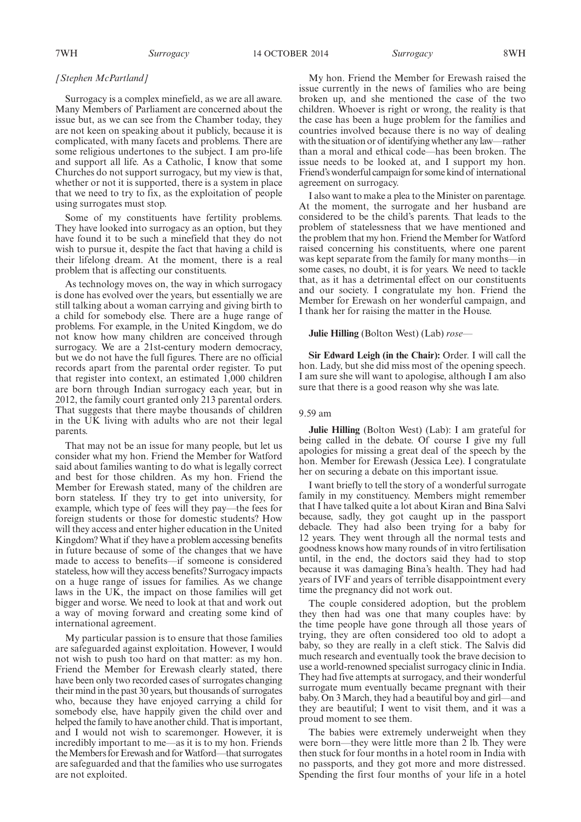7WH *Surrogacy* 14 OCTOBER 2014 *Surrogacy* 8WH

## *[Stephen McPartland]*

Surrogacy is a complex minefield, as we are all aware. Many Members of Parliament are concerned about the issue but, as we can see from the Chamber today, they are not keen on speaking about it publicly, because it is complicated, with many facets and problems. There are some religious undertones to the subject. I am pro-life and support all life. As a Catholic, I know that some Churches do not support surrogacy, but my view is that, whether or not it is supported, there is a system in place that we need to try to fix, as the exploitation of people using surrogates must stop.

Some of my constituents have fertility problems. They have looked into surrogacy as an option, but they have found it to be such a minefield that they do not wish to pursue it, despite the fact that having a child is their lifelong dream. At the moment, there is a real problem that is affecting our constituents.

As technology moves on, the way in which surrogacy is done has evolved over the years, but essentially we are still talking about a woman carrying and giving birth to a child for somebody else. There are a huge range of problems. For example, in the United Kingdom, we do not know how many children are conceived through surrogacy. We are a 21st-century modern democracy, but we do not have the full figures. There are no official records apart from the parental order register. To put that register into context, an estimated 1,000 children are born through Indian surrogacy each year, but in 2012, the family court granted only 213 parental orders. That suggests that there maybe thousands of children in the UK living with adults who are not their legal parents.

That may not be an issue for many people, but let us consider what my hon. Friend the Member for Watford said about families wanting to do what is legally correct and best for those children. As my hon. Friend the Member for Erewash stated, many of the children are born stateless. If they try to get into university, for example, which type of fees will they pay—the fees for foreign students or those for domestic students? How will they access and enter higher education in the United Kingdom? What if they have a problem accessing benefits in future because of some of the changes that we have made to access to benefits—if someone is considered stateless, how will they access benefits? Surrogacy impacts on a huge range of issues for families. As we change laws in the UK, the impact on those families will get bigger and worse. We need to look at that and work out a way of moving forward and creating some kind of international agreement.

My particular passion is to ensure that those families are safeguarded against exploitation. However, I would not wish to push too hard on that matter: as my hon. Friend the Member for Erewash clearly stated, there have been only two recorded cases of surrogates changing their mind in the past 30 years, but thousands of surrogates who, because they have enjoyed carrying a child for somebody else, have happily given the child over and helped the family to have another child. That is important, and I would not wish to scaremonger. However, it is incredibly important to me—as it is to my hon. Friends the Members for Erewash and for Watford—that surrogates are safeguarded and that the families who use surrogates are not exploited.

My hon. Friend the Member for Erewash raised the issue currently in the news of families who are being broken up, and she mentioned the case of the two children. Whoever is right or wrong, the reality is that the case has been a huge problem for the families and countries involved because there is no way of dealing with the situation or of identifying whether any law—rather than a moral and ethical code—has been broken. The issue needs to be looked at, and I support my hon. Friend's wonderful campaign for some kind of international agreement on surrogacy.

I also want to make a plea to the Minister on parentage. At the moment, the surrogate and her husband are considered to be the child's parents. That leads to the problem of statelessness that we have mentioned and the problem that my hon. Friend the Member for Watford raised concerning his constituents, where one parent was kept separate from the family for many months—in some cases, no doubt, it is for years. We need to tackle that, as it has a detrimental effect on our constituents and our society. I congratulate my hon. Friend the Member for Erewash on her wonderful campaign, and I thank her for raising the matter in the House.

#### **Julie Hilling** (Bolton West) (Lab) *rose—*

**Sir Edward Leigh (in the Chair):** Order. I will call the hon. Lady, but she did miss most of the opening speech. I am sure she will want to apologise, although I am also sure that there is a good reason why she was late.

#### 9.59 am

**Julie Hilling** (Bolton West) (Lab): I am grateful for being called in the debate. Of course I give my full apologies for missing a great deal of the speech by the hon. Member for Erewash (Jessica Lee). I congratulate her on securing a debate on this important issue.

I want briefly to tell the story of a wonderful surrogate family in my constituency. Members might remember that I have talked quite a lot about Kiran and Bina Salvi because, sadly, they got caught up in the passport debacle. They had also been trying for a baby for 12 years. They went through all the normal tests and goodness knows how many rounds of in vitro fertilisation until, in the end, the doctors said they had to stop because it was damaging Bina's health. They had had years of IVF and years of terrible disappointment every time the pregnancy did not work out.

The couple considered adoption, but the problem they then had was one that many couples have: by the time people have gone through all those years of trying, they are often considered too old to adopt a baby, so they are really in a cleft stick. The Salvis did much research and eventually took the brave decision to use a world-renowned specialist surrogacy clinic in India. They had five attempts at surrogacy, and their wonderful surrogate mum eventually became pregnant with their baby. On 3 March, they had a beautiful boy and girl—and they are beautiful; I went to visit them, and it was a proud moment to see them.

The babies were extremely underweight when they were born—they were little more than 2 lb. They were then stuck for four months in a hotel room in India with no passports, and they got more and more distressed. Spending the first four months of your life in a hotel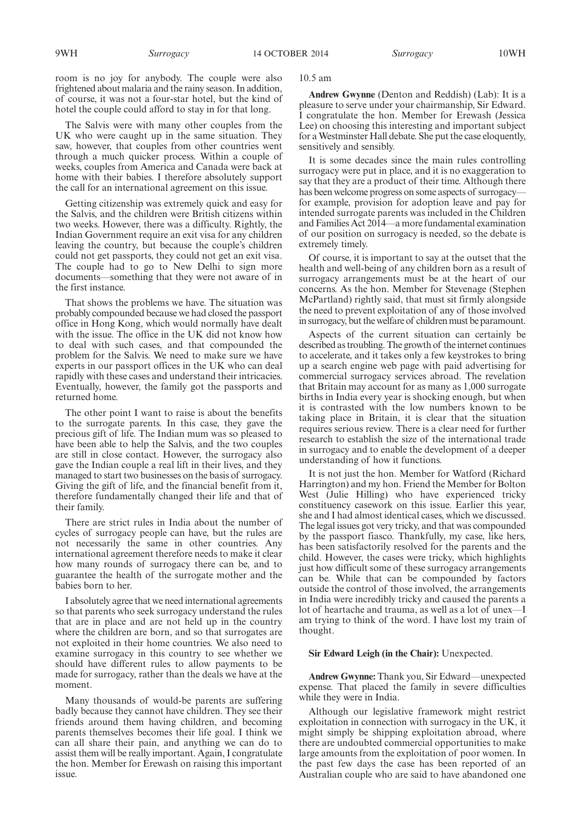room is no joy for anybody. The couple were also frightened about malaria and the rainy season. In addition, of course, it was not a four-star hotel, but the kind of hotel the couple could afford to stay in for that long.

The Salvis were with many other couples from the UK who were caught up in the same situation. They saw, however, that couples from other countries went through a much quicker process. Within a couple of weeks, couples from America and Canada were back at home with their babies. I therefore absolutely support the call for an international agreement on this issue.

Getting citizenship was extremely quick and easy for the Salvis, and the children were British citizens within two weeks. However, there was a difficulty. Rightly, the Indian Government require an exit visa for any children leaving the country, but because the couple's children could not get passports, they could not get an exit visa. The couple had to go to New Delhi to sign more documents—something that they were not aware of in the first instance.

That shows the problems we have. The situation was probably compounded because we had closed the passport office in Hong Kong, which would normally have dealt with the issue. The office in the UK did not know how to deal with such cases, and that compounded the problem for the Salvis. We need to make sure we have experts in our passport offices in the UK who can deal rapidly with these cases and understand their intricacies. Eventually, however, the family got the passports and returned home.

The other point I want to raise is about the benefits to the surrogate parents. In this case, they gave the precious gift of life. The Indian mum was so pleased to have been able to help the Salvis, and the two couples are still in close contact. However, the surrogacy also gave the Indian couple a real lift in their lives, and they managed to start two businesses on the basis of surrogacy. Giving the gift of life, and the financial benefit from it, therefore fundamentally changed their life and that of their family.

There are strict rules in India about the number of cycles of surrogacy people can have, but the rules are not necessarily the same in other countries. Any international agreement therefore needs to make it clear how many rounds of surrogacy there can be, and to guarantee the health of the surrogate mother and the babies born to her.

I absolutely agree that we need international agreements so that parents who seek surrogacy understand the rules that are in place and are not held up in the country where the children are born, and so that surrogates are not exploited in their home countries. We also need to examine surrogacy in this country to see whether we should have different rules to allow payments to be made for surrogacy, rather than the deals we have at the moment.

Many thousands of would-be parents are suffering badly because they cannot have children. They see their friends around them having children, and becoming parents themselves becomes their life goal. I think we can all share their pain, and anything we can do to assist them will be really important. Again, I congratulate the hon. Member for Erewash on raising this important issue.

10.5 am

**Andrew Gwynne** (Denton and Reddish) (Lab): It is a pleasure to serve under your chairmanship, Sir Edward. I congratulate the hon. Member for Erewash (Jessica Lee) on choosing this interesting and important subject for a Westminster Hall debate. She put the case eloquently, sensitively and sensibly.

It is some decades since the main rules controlling surrogacy were put in place, and it is no exaggeration to say that they are a product of their time. Although there has been welcome progress on some aspects of surrogacy for example, provision for adoption leave and pay for intended surrogate parents was included in the Children and Families Act 2014—a more fundamental examination of our position on surrogacy is needed, so the debate is extremely timely.

Of course, it is important to say at the outset that the health and well-being of any children born as a result of surrogacy arrangements must be at the heart of our concerns. As the hon. Member for Stevenage (Stephen McPartland) rightly said, that must sit firmly alongside the need to prevent exploitation of any of those involved in surrogacy, but the welfare of children must be paramount.

Aspects of the current situation can certainly be described as troubling. The growth of the internet continues to accelerate, and it takes only a few keystrokes to bring up a search engine web page with paid advertising for commercial surrogacy services abroad. The revelation that Britain may account for as many as 1,000 surrogate births in India every year is shocking enough, but when it is contrasted with the low numbers known to be taking place in Britain, it is clear that the situation requires serious review. There is a clear need for further research to establish the size of the international trade in surrogacy and to enable the development of a deeper understanding of how it functions.

It is not just the hon. Member for Watford (Richard Harrington) and my hon. Friend the Member for Bolton West (Julie Hilling) who have experienced tricky constituency casework on this issue. Earlier this year, she and I had almost identical cases, which we discussed. The legal issues got very tricky, and that was compounded by the passport fiasco. Thankfully, my case, like hers, has been satisfactorily resolved for the parents and the child. However, the cases were tricky, which highlights just how difficult some of these surrogacy arrangements can be. While that can be compounded by factors outside the control of those involved, the arrangements in India were incredibly tricky and caused the parents a lot of heartache and trauma, as well as a lot of unex—I am trying to think of the word. I have lost my train of thought.

#### **Sir Edward Leigh (in the Chair):** Unexpected.

**Andrew Gwynne:** Thank you, Sir Edward—unexpected expense. That placed the family in severe difficulties while they were in India.

Although our legislative framework might restrict exploitation in connection with surrogacy in the UK, it might simply be shipping exploitation abroad, where there are undoubted commercial opportunities to make large amounts from the exploitation of poor women. In the past few days the case has been reported of an Australian couple who are said to have abandoned one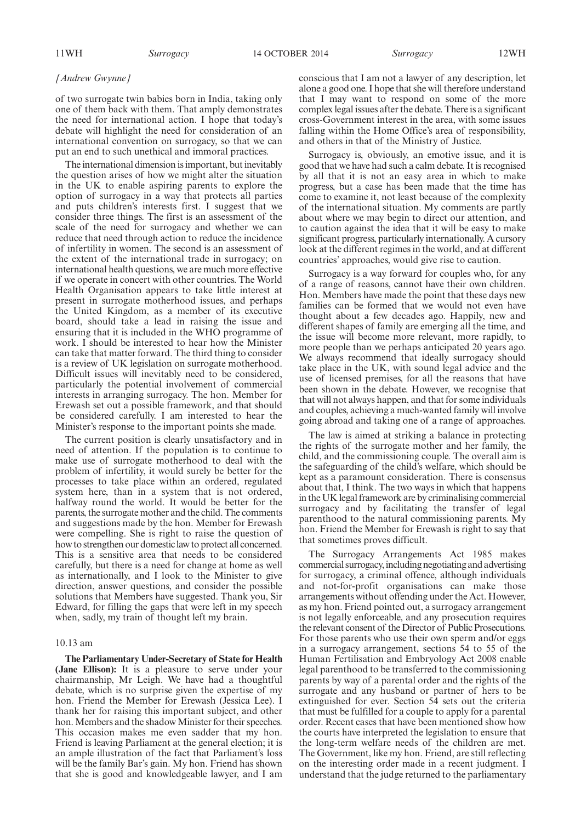#### *[Andrew Gwynne]*

of two surrogate twin babies born in India, taking only one of them back with them. That amply demonstrates the need for international action. I hope that today's debate will highlight the need for consideration of an international convention on surrogacy, so that we can put an end to such unethical and immoral practices.

The international dimension is important, but inevitably the question arises of how we might alter the situation in the UK to enable aspiring parents to explore the option of surrogacy in a way that protects all parties and puts children's interests first. I suggest that we consider three things. The first is an assessment of the scale of the need for surrogacy and whether we can reduce that need through action to reduce the incidence of infertility in women. The second is an assessment of the extent of the international trade in surrogacy; on international health questions, we are much more effective if we operate in concert with other countries. The World Health Organisation appears to take little interest at present in surrogate motherhood issues, and perhaps the United Kingdom, as a member of its executive board, should take a lead in raising the issue and ensuring that it is included in the WHO programme of work. I should be interested to hear how the Minister can take that matter forward. The third thing to consider is a review of UK legislation on surrogate motherhood. Difficult issues will inevitably need to be considered, particularly the potential involvement of commercial interests in arranging surrogacy. The hon. Member for Erewash set out a possible framework, and that should be considered carefully. I am interested to hear the Minister's response to the important points she made.

The current position is clearly unsatisfactory and in need of attention. If the population is to continue to make use of surrogate motherhood to deal with the problem of infertility, it would surely be better for the processes to take place within an ordered, regulated system here, than in a system that is not ordered, halfway round the world. It would be better for the parents, the surrogate mother and the child. The comments and suggestions made by the hon. Member for Erewash were compelling. She is right to raise the question of how to strengthen our domestic law to protect all concerned. This is a sensitive area that needs to be considered carefully, but there is a need for change at home as well as internationally, and I look to the Minister to give direction, answer questions, and consider the possible solutions that Members have suggested. Thank you, Sir Edward, for filling the gaps that were left in my speech when, sadly, my train of thought left my brain.

#### 10.13 am

**The Parliamentary Under-Secretary of State for Health (Jane Ellison):** It is a pleasure to serve under your chairmanship, Mr Leigh. We have had a thoughtful debate, which is no surprise given the expertise of my hon. Friend the Member for Erewash (Jessica Lee). I thank her for raising this important subject, and other hon. Members and the shadow Minister for their speeches. This occasion makes me even sadder that my hon. Friend is leaving Parliament at the general election; it is an ample illustration of the fact that Parliament's loss will be the family Bar's gain. My hon. Friend has shown that she is good and knowledgeable lawyer, and I am

conscious that I am not a lawyer of any description, let alone a good one. I hope that she will therefore understand that I may want to respond on some of the more complex legal issues after the debate. There is a significant cross-Government interest in the area, with some issues falling within the Home Office's area of responsibility, and others in that of the Ministry of Justice.

Surrogacy is, obviously, an emotive issue, and it is good that we have had such a calm debate. It is recognised by all that it is not an easy area in which to make progress, but a case has been made that the time has come to examine it, not least because of the complexity of the international situation. My comments are partly about where we may begin to direct our attention, and to caution against the idea that it will be easy to make significant progress, particularly internationally. A cursory look at the different regimes in the world, and at different countries' approaches, would give rise to caution.

Surrogacy is a way forward for couples who, for any of a range of reasons, cannot have their own children. Hon. Members have made the point that these days new families can be formed that we would not even have thought about a few decades ago. Happily, new and different shapes of family are emerging all the time, and the issue will become more relevant, more rapidly, to more people than we perhaps anticipated 20 years ago. We always recommend that ideally surrogacy should take place in the UK, with sound legal advice and the use of licensed premises, for all the reasons that have been shown in the debate. However, we recognise that that will not always happen, and that for some individuals and couples, achieving a much-wanted family will involve going abroad and taking one of a range of approaches.

The law is aimed at striking a balance in protecting the rights of the surrogate mother and her family, the child, and the commissioning couple. The overall aim is the safeguarding of the child's welfare, which should be kept as a paramount consideration. There is consensus about that, I think. The two ways in which that happens in the UK legal framework are by criminalising commercial surrogacy and by facilitating the transfer of legal parenthood to the natural commissioning parents. My hon. Friend the Member for Erewash is right to say that that sometimes proves difficult.

The Surrogacy Arrangements Act 1985 makes commercial surrogacy,including negotiating and advertising for surrogacy, a criminal offence, although individuals and not-for-profit organisations can make those arrangements without offending under the Act. However, as my hon. Friend pointed out, a surrogacy arrangement is not legally enforceable, and any prosecution requires the relevant consent of the Director of Public Prosecutions. For those parents who use their own sperm and/or eggs in a surrogacy arrangement, sections 54 to 55 of the Human Fertilisation and Embryology Act 2008 enable legal parenthood to be transferred to the commissioning parents by way of a parental order and the rights of the surrogate and any husband or partner of hers to be extinguished for ever. Section 54 sets out the criteria that must be fulfilled for a couple to apply for a parental order. Recent cases that have been mentioned show how the courts have interpreted the legislation to ensure that the long-term welfare needs of the children are met. The Government, like my hon. Friend, are still reflecting on the interesting order made in a recent judgment. I understand that the judge returned to the parliamentary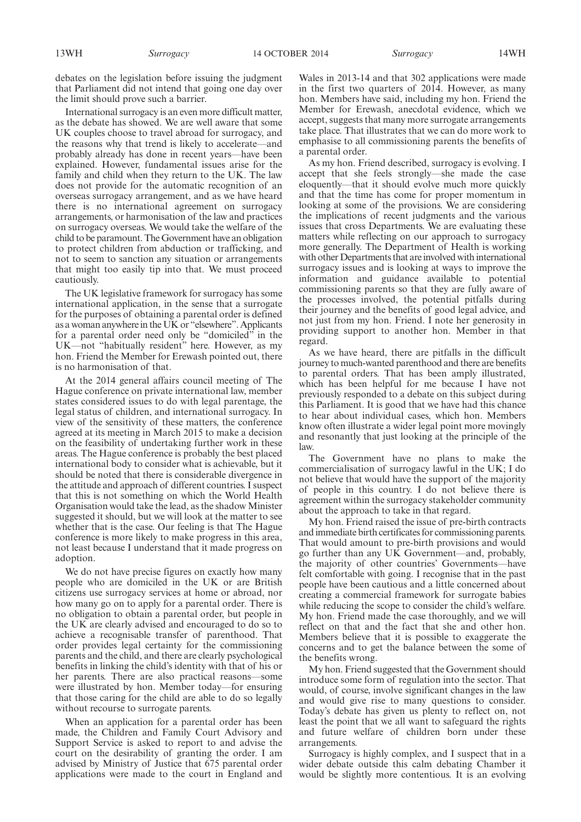debates on the legislation before issuing the judgment that Parliament did not intend that going one day over the limit should prove such a barrier.

International surrogacy is an even more difficult matter, as the debate has showed. We are well aware that some UK couples choose to travel abroad for surrogacy, and the reasons why that trend is likely to accelerate—and probably already has done in recent years—have been explained. However, fundamental issues arise for the family and child when they return to the UK. The law does not provide for the automatic recognition of an overseas surrogacy arrangement, and as we have heard there is no international agreement on surrogacy arrangements, or harmonisation of the law and practices on surrogacy overseas. We would take the welfare of the child to be paramount. The Government have an obligation to protect children from abduction or trafficking, and not to seem to sanction any situation or arrangements that might too easily tip into that. We must proceed cautiously.

The UK legislative framework for surrogacy has some international application, in the sense that a surrogate for the purposes of obtaining a parental order is defined as a woman anywhere in the UK or "elsewhere". Applicants for a parental order need only be "domiciled" in the UK—not "habitually resident" here. However, as my hon. Friend the Member for Erewash pointed out, there is no harmonisation of that.

At the 2014 general affairs council meeting of The Hague conference on private international law, member states considered issues to do with legal parentage, the legal status of children, and international surrogacy. In view of the sensitivity of these matters, the conference agreed at its meeting in March 2015 to make a decision on the feasibility of undertaking further work in these areas. The Hague conference is probably the best placed international body to consider what is achievable, but it should be noted that there is considerable divergence in the attitude and approach of different countries. I suspect that this is not something on which the World Health Organisation would take the lead, as the shadow Minister suggested it should, but we will look at the matter to see whether that is the case. Our feeling is that The Hague conference is more likely to make progress in this area, not least because I understand that it made progress on adoption.

We do not have precise figures on exactly how many people who are domiciled in the UK or are British citizens use surrogacy services at home or abroad, nor how many go on to apply for a parental order. There is no obligation to obtain a parental order, but people in the UK are clearly advised and encouraged to do so to achieve a recognisable transfer of parenthood. That order provides legal certainty for the commissioning parents and the child, and there are clearly psychological benefits in linking the child's identity with that of his or her parents. There are also practical reasons—some were illustrated by hon. Member today—for ensuring that those caring for the child are able to do so legally without recourse to surrogate parents.

When an application for a parental order has been made, the Children and Family Court Advisory and Support Service is asked to report to and advise the court on the desirability of granting the order. I am advised by Ministry of Justice that 675 parental order applications were made to the court in England and

Wales in 2013-14 and that 302 applications were made in the first two quarters of 2014. However, as many hon. Members have said, including my hon. Friend the Member for Erewash, anecdotal evidence, which we accept, suggests that many more surrogate arrangements take place. That illustrates that we can do more work to emphasise to all commissioning parents the benefits of a parental order.

As my hon. Friend described, surrogacy is evolving. I accept that she feels strongly—she made the case eloquently—that it should evolve much more quickly and that the time has come for proper momentum in looking at some of the provisions. We are considering the implications of recent judgments and the various issues that cross Departments. We are evaluating these matters while reflecting on our approach to surrogacy more generally. The Department of Health is working with other Departments that are involved with international surrogacy issues and is looking at ways to improve the information and guidance available to potential commissioning parents so that they are fully aware of the processes involved, the potential pitfalls during their journey and the benefits of good legal advice, and not just from my hon. Friend. I note her generosity in providing support to another hon. Member in that regard.

As we have heard, there are pitfalls in the difficult journey to much-wanted parenthood and there are benefits to parental orders. That has been amply illustrated, which has been helpful for me because I have not previously responded to a debate on this subject during this Parliament. It is good that we have had this chance to hear about individual cases, which hon. Members know often illustrate a wider legal point more movingly and resonantly that just looking at the principle of the law.

The Government have no plans to make the commercialisation of surrogacy lawful in the UK; I do not believe that would have the support of the majority of people in this country. I do not believe there is agreement within the surrogacy stakeholder community about the approach to take in that regard.

My hon. Friend raised the issue of pre-birth contracts and immediate birth certificates for commissioning parents. That would amount to pre-birth provisions and would go further than any UK Government—and, probably, the majority of other countries' Governments—have felt comfortable with going. I recognise that in the past people have been cautious and a little concerned about creating a commercial framework for surrogate babies while reducing the scope to consider the child's welfare. My hon. Friend made the case thoroughly, and we will reflect on that and the fact that she and other hon. Members believe that it is possible to exaggerate the concerns and to get the balance between the some of the benefits wrong.

My hon. Friend suggested that the Government should introduce some form of regulation into the sector. That would, of course, involve significant changes in the law and would give rise to many questions to consider. Today's debate has given us plenty to reflect on, not least the point that we all want to safeguard the rights and future welfare of children born under these arrangements.

Surrogacy is highly complex, and I suspect that in a wider debate outside this calm debating Chamber it would be slightly more contentious. It is an evolving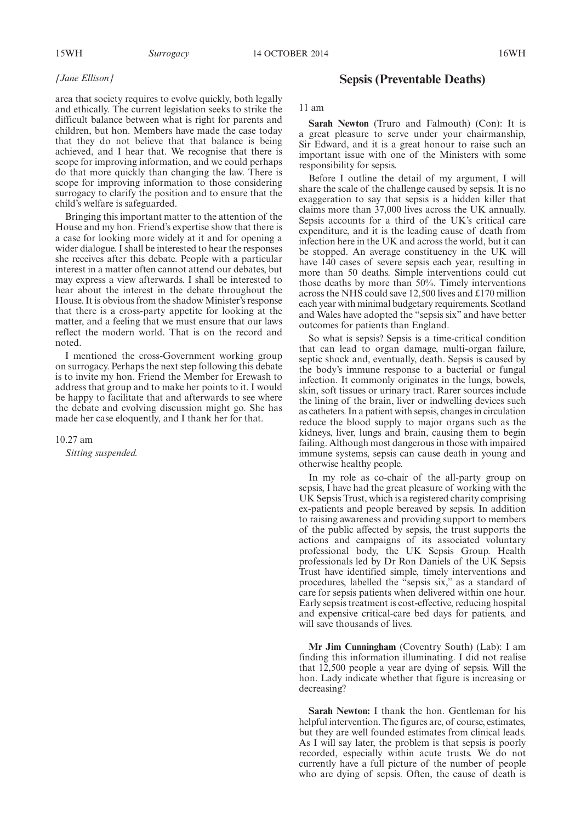# *[Jane Ellison]*

area that society requires to evolve quickly, both legally and ethically. The current legislation seeks to strike the difficult balance between what is right for parents and children, but hon. Members have made the case today that they do not believe that that balance is being achieved, and I hear that. We recognise that there is scope for improving information, and we could perhaps do that more quickly than changing the law. There is scope for improving information to those considering surrogacy to clarify the position and to ensure that the child's welfare is safeguarded.

Bringing this important matter to the attention of the House and my hon. Friend's expertise show that there is a case for looking more widely at it and for opening a wider dialogue. I shall be interested to hear the responses she receives after this debate. People with a particular interest in a matter often cannot attend our debates, but may express a view afterwards. I shall be interested to hear about the interest in the debate throughout the House. It is obvious from the shadow Minister's response that there is a cross-party appetite for looking at the matter, and a feeling that we must ensure that our laws reflect the modern world. That is on the record and noted.

I mentioned the cross-Government working group on surrogacy. Perhaps the next step following this debate is to invite my hon. Friend the Member for Erewash to address that group and to make her points to it. I would be happy to facilitate that and afterwards to see where the debate and evolving discussion might go. She has made her case eloquently, and I thank her for that.

10.27 am

*Sitting suspended.*

# **Sepsis (Preventable Deaths)**

11 am

**Sarah Newton** (Truro and Falmouth) (Con): It is a great pleasure to serve under your chairmanship, Sir Edward, and it is a great honour to raise such an important issue with one of the Ministers with some responsibility for sepsis.

Before I outline the detail of my argument, I will share the scale of the challenge caused by sepsis. It is no exaggeration to say that sepsis is a hidden killer that claims more than 37,000 lives across the UK annually. Sepsis accounts for a third of the UK's critical care expenditure, and it is the leading cause of death from infection here in the UK and across the world, but it can be stopped. An average constituency in the UK will have 140 cases of severe sepsis each year, resulting in more than 50 deaths. Simple interventions could cut those deaths by more than 50%. Timely interventions across the NHS could save 12,500 lives and £170 million each year with minimal budgetary requirements. Scotland and Wales have adopted the "sepsis six" and have better outcomes for patients than England.

So what is sepsis? Sepsis is a time-critical condition that can lead to organ damage, multi-organ failure, septic shock and, eventually, death. Sepsis is caused by the body's immune response to a bacterial or fungal infection. It commonly originates in the lungs, bowels, skin, soft tissues or urinary tract. Rarer sources include the lining of the brain, liver or indwelling devices such as catheters. In a patient with sepsis, changes in circulation reduce the blood supply to major organs such as the kidneys, liver, lungs and brain, causing them to begin failing. Although most dangerous in those with impaired immune systems, sepsis can cause death in young and otherwise healthy people.

In my role as co-chair of the all-party group on sepsis, I have had the great pleasure of working with the UK Sepsis Trust, which is a registered charity comprising ex-patients and people bereaved by sepsis. In addition to raising awareness and providing support to members of the public affected by sepsis, the trust supports the actions and campaigns of its associated voluntary professional body, the UK Sepsis Group. Health professionals led by Dr Ron Daniels of the UK Sepsis Trust have identified simple, timely interventions and procedures, labelled the "sepsis six," as a standard of care for sepsis patients when delivered within one hour. Early sepsis treatment is cost-effective, reducing hospital and expensive critical-care bed days for patients, and will save thousands of lives.

**Mr Jim Cunningham** (Coventry South) (Lab): I am finding this information illuminating. I did not realise that 12,500 people a year are dying of sepsis. Will the hon. Lady indicate whether that figure is increasing or decreasing?

**Sarah Newton:** I thank the hon. Gentleman for his helpful intervention. The figures are, of course, estimates, but they are well founded estimates from clinical leads. As I will say later, the problem is that sepsis is poorly recorded, especially within acute trusts. We do not currently have a full picture of the number of people who are dying of sepsis. Often, the cause of death is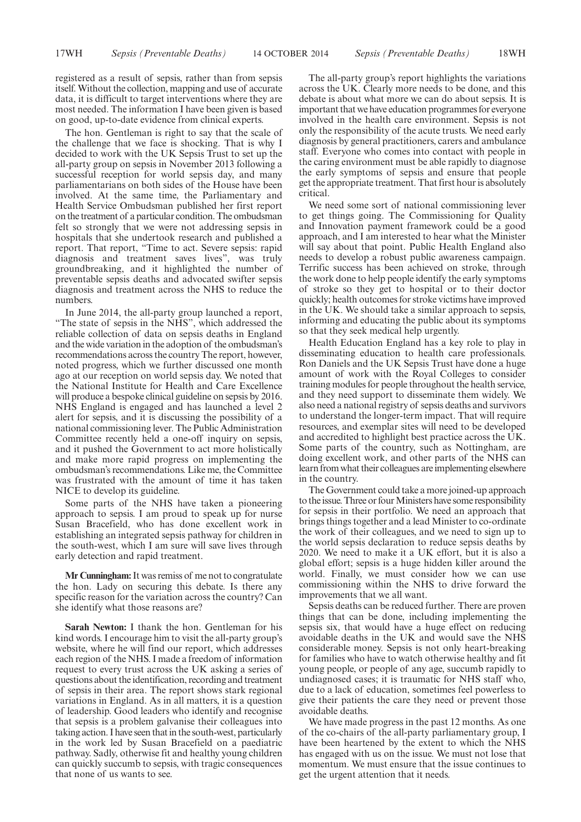registered as a result of sepsis, rather than from sepsis itself.Without the collection, mapping and use of accurate data, it is difficult to target interventions where they are most needed. The information I have been given is based on good, up-to-date evidence from clinical experts.

The hon. Gentleman is right to say that the scale of the challenge that we face is shocking. That is why I decided to work with the UK Sepsis Trust to set up the all-party group on sepsis in November 2013 following a successful reception for world sepsis day, and many parliamentarians on both sides of the House have been involved. At the same time, the Parliamentary and Health Service Ombudsman published her first report on the treatment of a particular condition. The ombudsman felt so strongly that we were not addressing sepsis in hospitals that she undertook research and published a report. That report, "Time to act. Severe sepsis: rapid diagnosis and treatment saves lives", was truly groundbreaking, and it highlighted the number of preventable sepsis deaths and advocated swifter sepsis diagnosis and treatment across the NHS to reduce the numbers.

In June 2014, the all-party group launched a report, "The state of sepsis in the NHS", which addressed the reliable collection of data on sepsis deaths in England and the wide variation in the adoption of the ombudsman's recommendations across the country The report, however, noted progress, which we further discussed one month ago at our reception on world sepsis day. We noted that the National Institute for Health and Care Excellence will produce a bespoke clinical guideline on sepsis by 2016. NHS England is engaged and has launched a level 2 alert for sepsis, and it is discussing the possibility of a national commissioning lever. The Public Administration Committee recently held a one-off inquiry on sepsis, and it pushed the Government to act more holistically and make more rapid progress on implementing the ombudsman's recommendations. Like me, the Committee was frustrated with the amount of time it has taken NICE to develop its guideline.

Some parts of the NHS have taken a pioneering approach to sepsis. I am proud to speak up for nurse Susan Bracefield, who has done excellent work in establishing an integrated sepsis pathway for children in the south-west, which I am sure will save lives through early detection and rapid treatment.

**Mr Cunningham:**It was remiss of me not to congratulate the hon. Lady on securing this debate. Is there any specific reason for the variation across the country? Can she identify what those reasons are?

**Sarah Newton:** I thank the hon. Gentleman for his kind words. I encourage him to visit the all-party group's website, where he will find our report, which addresses each region of the NHS. I made a freedom of information request to every trust across the UK asking a series of questions about the identification, recording and treatment of sepsis in their area. The report shows stark regional variations in England. As in all matters, it is a question of leadership. Good leaders who identify and recognise that sepsis is a problem galvanise their colleagues into taking action. I have seen that in the south-west, particularly in the work led by Susan Bracefield on a paediatric pathway. Sadly, otherwise fit and healthy young children can quickly succumb to sepsis, with tragic consequences that none of us wants to see.

The all-party group's report highlights the variations across the UK. Clearly more needs to be done, and this debate is about what more we can do about sepsis. It is important that we have education programmes for everyone involved in the health care environment. Sepsis is not only the responsibility of the acute trusts. We need early diagnosis by general practitioners, carers and ambulance staff. Everyone who comes into contact with people in the caring environment must be able rapidly to diagnose the early symptoms of sepsis and ensure that people get the appropriate treatment. That first hour is absolutely critical.

We need some sort of national commissioning lever to get things going. The Commissioning for Quality and Innovation payment framework could be a good approach, and I am interested to hear what the Minister will say about that point. Public Health England also needs to develop a robust public awareness campaign. Terrific success has been achieved on stroke, through the work done to help people identify the early symptoms of stroke so they get to hospital or to their doctor quickly; health outcomes for stroke victims have improved in the UK. We should take a similar approach to sepsis, informing and educating the public about its symptoms so that they seek medical help urgently.

Health Education England has a key role to play in disseminating education to health care professionals. Ron Daniels and the UK Sepsis Trust have done a huge amount of work with the Royal Colleges to consider training modules for people throughout the health service, and they need support to disseminate them widely. We also need a national registry of sepsis deaths and survivors to understand the longer-term impact. That will require resources, and exemplar sites will need to be developed and accredited to highlight best practice across the UK. Some parts of the country, such as Nottingham, are doing excellent work, and other parts of the NHS can learn from what their colleagues are implementing elsewhere in the country.

The Government could take a more joined-up approach to the issue. Three or four Ministers have some responsibility for sepsis in their portfolio. We need an approach that brings things together and a lead Minister to co-ordinate the work of their colleagues, and we need to sign up to the world sepsis declaration to reduce sepsis deaths by 2020. We need to make it a UK effort, but it is also a global effort; sepsis is a huge hidden killer around the world. Finally, we must consider how we can use commissioning within the NHS to drive forward the improvements that we all want.

Sepsis deaths can be reduced further. There are proven things that can be done, including implementing the sepsis six, that would have a huge effect on reducing avoidable deaths in the UK and would save the NHS considerable money. Sepsis is not only heart-breaking for families who have to watch otherwise healthy and fit young people, or people of any age, succumb rapidly to undiagnosed cases; it is traumatic for NHS staff who, due to a lack of education, sometimes feel powerless to give their patients the care they need or prevent those avoidable deaths.

We have made progress in the past 12 months. As one of the co-chairs of the all-party parliamentary group, I have been heartened by the extent to which the NHS has engaged with us on the issue. We must not lose that momentum. We must ensure that the issue continues to get the urgent attention that it needs.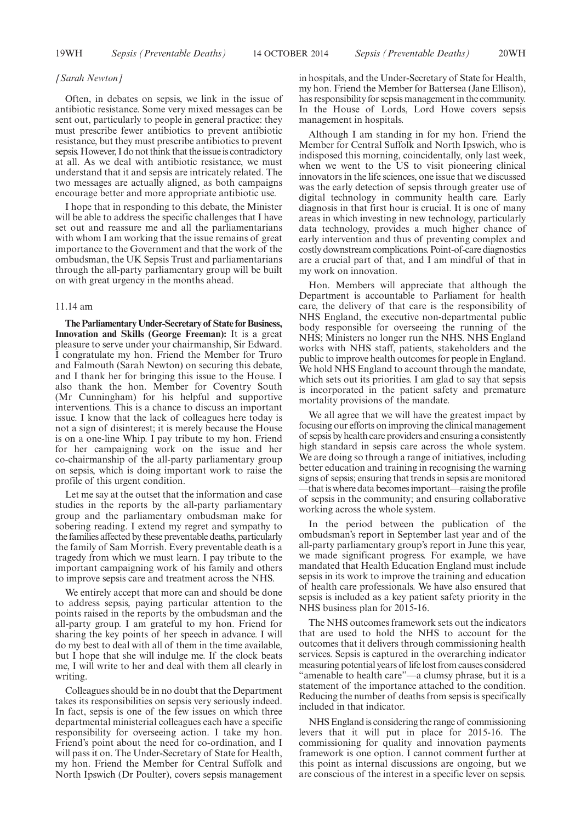#### *[Sarah Newton]*

Often, in debates on sepsis, we link in the issue of antibiotic resistance. Some very mixed messages can be sent out, particularly to people in general practice: they must prescribe fewer antibiotics to prevent antibiotic resistance, but they must prescribe antibiotics to prevent sepsis. However, I do not think that the issue is contradictory at all. As we deal with antibiotic resistance, we must understand that it and sepsis are intricately related. The two messages are actually aligned, as both campaigns encourage better and more appropriate antibiotic use.

I hope that in responding to this debate, the Minister will be able to address the specific challenges that I have set out and reassure me and all the parliamentarians with whom I am working that the issue remains of great importance to the Government and that the work of the ombudsman, the UK Sepsis Trust and parliamentarians through the all-party parliamentary group will be built on with great urgency in the months ahead.

# 11.14 am

**The Parliamentary Under-Secretary of State for Business, Innovation and Skills (George Freeman):** It is a great pleasure to serve under your chairmanship, Sir Edward. I congratulate my hon. Friend the Member for Truro and Falmouth (Sarah Newton) on securing this debate, and I thank her for bringing this issue to the House. I also thank the hon. Member for Coventry South (Mr Cunningham) for his helpful and supportive interventions. This is a chance to discuss an important issue. I know that the lack of colleagues here today is not a sign of disinterest; it is merely because the House is on a one-line Whip. I pay tribute to my hon. Friend for her campaigning work on the issue and her co-chairmanship of the all-party parliamentary group on sepsis, which is doing important work to raise the profile of this urgent condition.

Let me say at the outset that the information and case studies in the reports by the all-party parliamentary group and the parliamentary ombudsman make for sobering reading. I extend my regret and sympathy to the families affected by these preventable deaths, particularly the family of Sam Morrish. Every preventable death is a tragedy from which we must learn. I pay tribute to the important campaigning work of his family and others to improve sepsis care and treatment across the NHS.

We entirely accept that more can and should be done to address sepsis, paying particular attention to the points raised in the reports by the ombudsman and the all-party group. I am grateful to my hon. Friend for sharing the key points of her speech in advance. I will do my best to deal with all of them in the time available, but I hope that she will indulge me. If the clock beats me, I will write to her and deal with them all clearly in writing.

Colleagues should be in no doubt that the Department takes its responsibilities on sepsis very seriously indeed. In fact, sepsis is one of the few issues on which three departmental ministerial colleagues each have a specific responsibility for overseeing action. I take my hon. Friend's point about the need for co-ordination, and I will pass it on. The Under-Secretary of State for Health, my hon. Friend the Member for Central Suffolk and North Ipswich (Dr Poulter), covers sepsis management in hospitals, and the Under-Secretary of State for Health, my hon. Friend the Member for Battersea (Jane Ellison), has responsibility for sepsis management in the community. In the House of Lords, Lord Howe covers sepsis management in hospitals.

Although I am standing in for my hon. Friend the Member for Central Suffolk and North Ipswich, who is indisposed this morning, coincidentally, only last week, when we went to the US to visit pioneering clinical innovators in the life sciences, one issue that we discussed was the early detection of sepsis through greater use of digital technology in community health care. Early diagnosis in that first hour is crucial. It is one of many areas in which investing in new technology, particularly data technology, provides a much higher chance of early intervention and thus of preventing complex and costly downstream complications. Point-of-care diagnostics are a crucial part of that, and I am mindful of that in my work on innovation.

Hon. Members will appreciate that although the Department is accountable to Parliament for health care, the delivery of that care is the responsibility of NHS England, the executive non-departmental public body responsible for overseeing the running of the NHS; Ministers no longer run the NHS. NHS England works with NHS staff, patients, stakeholders and the public to improve health outcomes for people in England. We hold NHS England to account through the mandate, which sets out its priorities. I am glad to say that sepsis is incorporated in the patient safety and premature mortality provisions of the mandate.

We all agree that we will have the greatest impact by focusing our efforts on improving the clinical management of sepsis by health care providers and ensuring a consistently high standard in sepsis care across the whole system. We are doing so through a range of initiatives, including better education and training in recognising the warning signs of sepsis; ensuring that trends in sepsis are monitored —that is where data becomes important—raising the profile of sepsis in the community; and ensuring collaborative working across the whole system.

In the period between the publication of the ombudsman's report in September last year and of the all-party parliamentary group's report in June this year, we made significant progress. For example, we have mandated that Health Education England must include sepsis in its work to improve the training and education of health care professionals. We have also ensured that sepsis is included as a key patient safety priority in the NHS business plan for 2015-16.

The NHS outcomes framework sets out the indicators that are used to hold the NHS to account for the outcomes that it delivers through commissioning health services. Sepsis is captured in the overarching indicator measuring potential years of life lost from causes considered "amenable to health care"—a clumsy phrase, but it is a statement of the importance attached to the condition. Reducing the number of deaths from sepsis is specifically included in that indicator.

NHS England is considering the range of commissioning levers that it will put in place for 2015-16. The commissioning for quality and innovation payments framework is one option. I cannot comment further at this point as internal discussions are ongoing, but we are conscious of the interest in a specific lever on sepsis.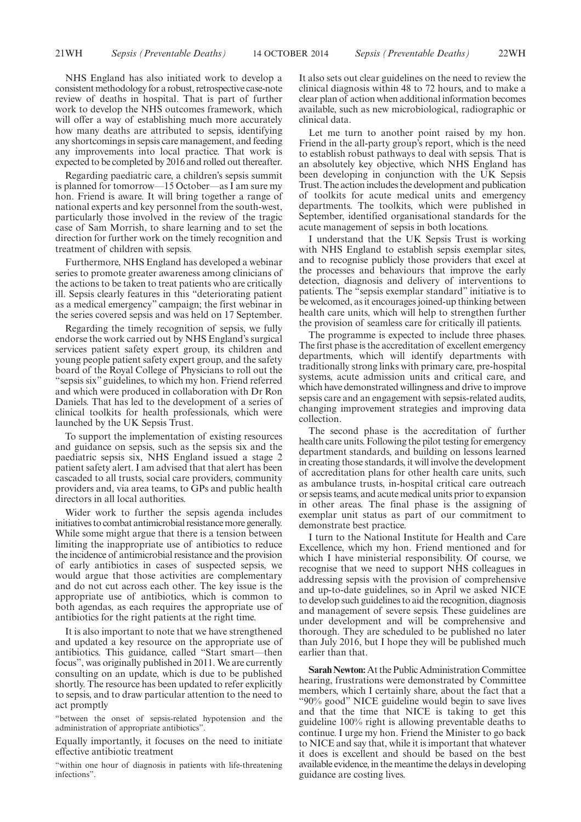NHS England has also initiated work to develop a consistent methodology for a robust, retrospective case-note review of deaths in hospital. That is part of further work to develop the NHS outcomes framework, which will offer a way of establishing much more accurately how many deaths are attributed to sepsis, identifying any shortcomings in sepsis care management, and feeding any improvements into local practice. That work is expected to be completed by 2016 and rolled out thereafter.

Regarding paediatric care, a children's sepsis summit is planned for tomorrow—15 October—as I am sure my hon. Friend is aware. It will bring together a range of national experts and key personnel from the south-west, particularly those involved in the review of the tragic case of Sam Morrish, to share learning and to set the direction for further work on the timely recognition and treatment of children with sepsis.

Furthermore, NHS England has developed a webinar series to promote greater awareness among clinicians of the actions to be taken to treat patients who are critically ill. Sepsis clearly features in this "deteriorating patient as a medical emergency" campaign; the first webinar in the series covered sepsis and was held on 17 September.

Regarding the timely recognition of sepsis, we fully endorse the work carried out by NHS England's surgical services patient safety expert group, its children and young people patient safety expert group, and the safety board of the Royal College of Physicians to roll out the "sepsis six" guidelines, to which my hon. Friend referred and which were produced in collaboration with Dr Ron Daniels. That has led to the development of a series of clinical toolkits for health professionals, which were launched by the UK Sepsis Trust.

To support the implementation of existing resources and guidance on sepsis, such as the sepsis six and the paediatric sepsis six, NHS England issued a stage 2 patient safety alert. I am advised that that alert has been cascaded to all trusts, social care providers, community providers and, via area teams, to GPs and public health directors in all local authorities.

Wider work to further the sepsis agenda includes initiatives to combat antimicrobial resistance more generally. While some might argue that there is a tension between limiting the inappropriate use of antibiotics to reduce the incidence of antimicrobial resistance and the provision of early antibiotics in cases of suspected sepsis, we would argue that those activities are complementary and do not cut across each other. The key issue is the appropriate use of antibiotics, which is common to both agendas, as each requires the appropriate use of antibiotics for the right patients at the right time.

It is also important to note that we have strengthened and updated a key resource on the appropriate use of antibiotics. This guidance, called "Start smart—then focus", was originally published in 2011. We are currently consulting on an update, which is due to be published shortly. The resource has been updated to refer explicitly to sepsis, and to draw particular attention to the need to act promptly

"between the onset of sepsis-related hypotension and the administration of appropriate antibiotics".

Equally importantly, it focuses on the need to initiate effective antibiotic treatment

"within one hour of diagnosis in patients with life-threatening infections".

It also sets out clear guidelines on the need to review the clinical diagnosis within 48 to 72 hours, and to make a clear plan of action when additional information becomes available, such as new microbiological, radiographic or clinical data.

Let me turn to another point raised by my hon. Friend in the all-party group's report, which is the need to establish robust pathways to deal with sepsis. That is an absolutely key objective, which NHS England has been developing in conjunction with the UK Sepsis Trust. The action includes the development and publication of toolkits for acute medical units and emergency departments. The toolkits, which were published in September, identified organisational standards for the acute management of sepsis in both locations.

I understand that the UK Sepsis Trust is working with NHS England to establish sepsis exemplar sites, and to recognise publicly those providers that excel at the processes and behaviours that improve the early detection, diagnosis and delivery of interventions to patients. The "sepsis exemplar standard" initiative is to be welcomed, as it encourages joined-up thinking between health care units, which will help to strengthen further the provision of seamless care for critically ill patients.

The programme is expected to include three phases. The first phase is the accreditation of excellent emergency departments, which will identify departments with traditionally strong links with primary care, pre-hospital systems, acute admission units and critical care, and which have demonstrated willingness and drive to improve sepsis care and an engagement with sepsis-related audits, changing improvement strategies and improving data collection.

The second phase is the accreditation of further health care units. Following the pilot testing for emergency department standards, and building on lessons learned in creating those standards, it will involve the development of accreditation plans for other health care units, such as ambulance trusts, in-hospital critical care outreach or sepsis teams, and acute medical units prior to expansion in other areas. The final phase is the assigning of exemplar unit status as part of our commitment to demonstrate best practice.

I turn to the National Institute for Health and Care Excellence, which my hon. Friend mentioned and for which I have ministerial responsibility. Of course, we recognise that we need to support NHS colleagues in addressing sepsis with the provision of comprehensive and up-to-date guidelines, so in April we asked NICE to develop such guidelines to aid the recognition, diagnosis and management of severe sepsis. These guidelines are under development and will be comprehensive and thorough. They are scheduled to be published no later than July 2016, but I hope they will be published much earlier than that.

**Sarah Newton:** At the Public Administration Committee hearing, frustrations were demonstrated by Committee members, which I certainly share, about the fact that a "90% good" NICE guideline would begin to save lives and that the time that NICE is taking to get this guideline 100% right is allowing preventable deaths to continue. I urge my hon. Friend the Minister to go back to NICE and say that, while it is important that whatever it does is excellent and should be based on the best available evidence, in the meantime the delays in developing guidance are costing lives.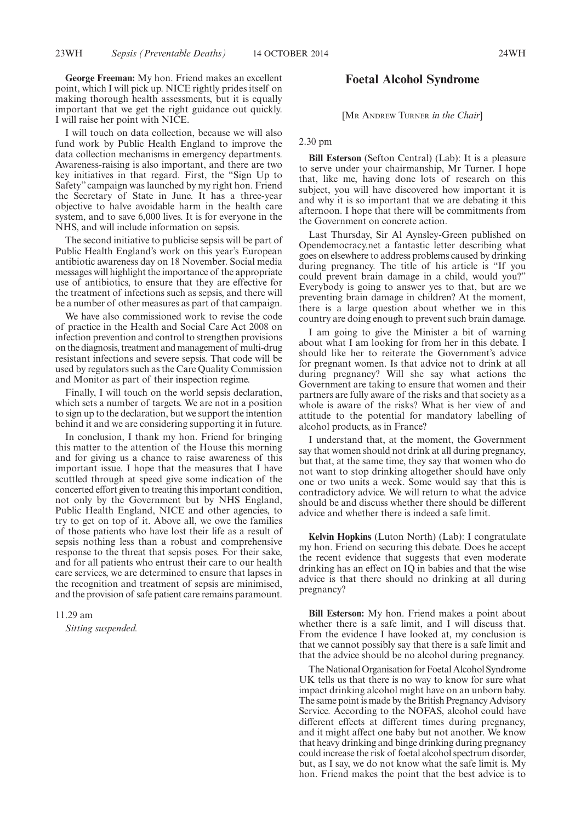**George Freeman:** My hon. Friend makes an excellent point, which I will pick up. NICE rightly prides itself on making thorough health assessments, but it is equally important that we get the right guidance out quickly. I will raise her point with NICE.

I will touch on data collection, because we will also fund work by Public Health England to improve the data collection mechanisms in emergency departments. Awareness-raising is also important, and there are two key initiatives in that regard. First, the "Sign Up to Safety" campaign was launched by my right hon. Friend the Secretary of State in June. It has a three-year objective to halve avoidable harm in the health care system, and to save 6,000 lives. It is for everyone in the NHS, and will include information on sepsis.

The second initiative to publicise sepsis will be part of Public Health England's work on this year's European antibiotic awareness day on 18 November. Social media messages will highlight the importance of the appropriate use of antibiotics, to ensure that they are effective for the treatment of infections such as sepsis, and there will be a number of other measures as part of that campaign.

We have also commissioned work to revise the code of practice in the Health and Social Care Act 2008 on infection prevention and control to strengthen provisions on the diagnosis, treatment and management of multi-drug resistant infections and severe sepsis. That code will be used by regulators such as the Care Quality Commission and Monitor as part of their inspection regime.

Finally, I will touch on the world sepsis declaration, which sets a number of targets. We are not in a position to sign up to the declaration, but we support the intention behind it and we are considering supporting it in future.

In conclusion, I thank my hon. Friend for bringing this matter to the attention of the House this morning and for giving us a chance to raise awareness of this important issue. I hope that the measures that I have scuttled through at speed give some indication of the concerted effort given to treating this important condition, not only by the Government but by NHS England, Public Health England, NICE and other agencies, to try to get on top of it. Above all, we owe the families of those patients who have lost their life as a result of sepsis nothing less than a robust and comprehensive response to the threat that sepsis poses. For their sake, and for all patients who entrust their care to our health care services, we are determined to ensure that lapses in the recognition and treatment of sepsis are minimised, and the provision of safe patient care remains paramount.

#### 11.29 am

*Sitting suspended.*

# **Foetal Alcohol Syndrome**

[MR ANDREW TURNER *in the Chair*]

2.30 pm

**Bill Esterson** (Sefton Central) (Lab): It is a pleasure to serve under your chairmanship, Mr Turner. I hope that, like me, having done lots of research on this subject, you will have discovered how important it is and why it is so important that we are debating it this afternoon. I hope that there will be commitments from the Government on concrete action.

Last Thursday, Sir Al Aynsley-Green published on Opendemocracy.net a fantastic letter describing what goes on elsewhere to address problems caused by drinking during pregnancy. The title of his article is "If you could prevent brain damage in a child, would you?" Everybody is going to answer yes to that, but are we preventing brain damage in children? At the moment, there is a large question about whether we in this country are doing enough to prevent such brain damage.

I am going to give the Minister a bit of warning about what I am looking for from her in this debate. I should like her to reiterate the Government's advice for pregnant women. Is that advice not to drink at all during pregnancy? Will she say what actions the Government are taking to ensure that women and their partners are fully aware of the risks and that society as a whole is aware of the risks? What is her view of and attitude to the potential for mandatory labelling of alcohol products, as in France?

I understand that, at the moment, the Government say that women should not drink at all during pregnancy, but that, at the same time, they say that women who do not want to stop drinking altogether should have only one or two units a week. Some would say that this is contradictory advice. We will return to what the advice should be and discuss whether there should be different advice and whether there is indeed a safe limit.

**Kelvin Hopkins** (Luton North) (Lab): I congratulate my hon. Friend on securing this debate. Does he accept the recent evidence that suggests that even moderate drinking has an effect on IQ in babies and that the wise advice is that there should no drinking at all during pregnancy?

**Bill Esterson:** My hon. Friend makes a point about whether there is a safe limit, and I will discuss that. From the evidence I have looked at, my conclusion is that we cannot possibly say that there is a safe limit and that the advice should be no alcohol during pregnancy.

The National Organisation for Foetal Alcohol Syndrome UK tells us that there is no way to know for sure what impact drinking alcohol might have on an unborn baby. The same point is made by the British Pregnancy Advisory Service. According to the NOFAS, alcohol could have different effects at different times during pregnancy, and it might affect one baby but not another. We know that heavy drinking and binge drinking during pregnancy could increase the risk of foetal alcohol spectrum disorder, but, as I say, we do not know what the safe limit is. My hon. Friend makes the point that the best advice is to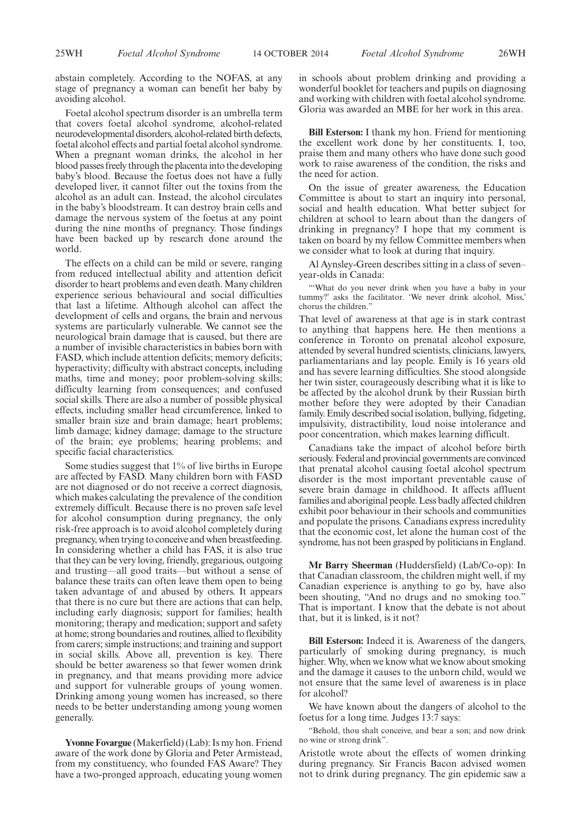abstain completely. According to the NOFAS, at any stage of pregnancy a woman can benefit her baby by avoiding alcohol.

Foetal alcohol spectrum disorder is an umbrella term that covers foetal alcohol syndrome, alcohol-related neurodevelopmental disorders, alcohol-related birth defects, foetal alcohol effects and partial foetal alcohol syndrome. When a pregnant woman drinks, the alcohol in her blood passes freely through the placenta into the developing baby's blood. Because the foetus does not have a fully developed liver, it cannot filter out the toxins from the alcohol as an adult can. Instead, the alcohol circulates in the baby's bloodstream. It can destroy brain cells and damage the nervous system of the foetus at any point during the nine months of pregnancy. Those findings have been backed up by research done around the world.

The effects on a child can be mild or severe, ranging from reduced intellectual ability and attention deficit disorder to heart problems and even death. Many children experience serious behavioural and social difficulties that last a lifetime. Although alcohol can affect the development of cells and organs, the brain and nervous systems are particularly vulnerable. We cannot see the neurological brain damage that is caused, but there are a number of invisible characteristics in babies born with FASD, which include attention deficits; memory deficits; hyperactivity; difficulty with abstract concepts, including maths, time and money; poor problem-solving skills; difficulty learning from consequences; and confused social skills. There are also a number of possible physical effects, including smaller head circumference, linked to smaller brain size and brain damage; heart problems; limb damage; kidney damage; damage to the structure of the brain; eye problems; hearing problems; and specific facial characteristics.

Some studies suggest that 1% of live births in Europe are affected by FASD. Many children born with FASD are not diagnosed or do not receive a correct diagnosis, which makes calculating the prevalence of the condition extremely difficult. Because there is no proven safe level for alcohol consumption during pregnancy, the only risk-free approach is to avoid alcohol completely during pregnancy, when trying to conceive and when breastfeeding. In considering whether a child has FAS, it is also true that they can be very loving, friendly, gregarious, outgoing and trusting—all good traits—but without a sense of balance these traits can often leave them open to being taken advantage of and abused by others. It appears that there is no cure but there are actions that can help, including early diagnosis; support for families; health monitoring; therapy and medication; support and safety at home; strong boundaries and routines, allied to flexibility from carers; simple instructions; and training and support in social skills. Above all, prevention is key. There should be better awareness so that fewer women drink in pregnancy, and that means providing more advice and support for vulnerable groups of young women. Drinking among young women has increased, so there needs to be better understanding among young women generally.

**Yvonne Fovargue** (Makerfield) (Lab): Is my hon. Friend aware of the work done by Gloria and Peter Armistead, from my constituency, who founded FAS Aware? They have a two-pronged approach, educating young women in schools about problem drinking and providing a wonderful booklet for teachers and pupils on diagnosing and working with children with foetal alcohol syndrome. Gloria was awarded an MBE for her work in this area.

**Bill Esterson:** I thank my hon. Friend for mentioning the excellent work done by her constituents. I, too, praise them and many others who have done such good work to raise awareness of the condition, the risks and the need for action.

On the issue of greater awareness, the Education Committee is about to start an inquiry into personal, social and health education. What better subject for children at school to learn about than the dangers of drinking in pregnancy? I hope that my comment is taken on board by my fellow Committee members when we consider what to look at during that inquiry.

Al Aynsley-Green describes sitting in a class of seven– year-olds in Canada:

"'What do you never drink when you have a baby in your tummy?' asks the facilitator. 'We never drink alcohol, Miss,' chorus the children."

That level of awareness at that age is in stark contrast to anything that happens here. He then mentions a conference in Toronto on prenatal alcohol exposure, attended by several hundred scientists, clinicians, lawyers, parliamentarians and lay people. Emily is 16 years old and has severe learning difficulties. She stood alongside her twin sister, courageously describing what it is like to be affected by the alcohol drunk by their Russian birth mother before they were adopted by their Canadian family. Emily described social isolation, bullying, fidgeting, impulsivity, distractibility, loud noise intolerance and poor concentration, which makes learning difficult.

Canadians take the impact of alcohol before birth seriously. Federal and provincial governments are convinced that prenatal alcohol causing foetal alcohol spectrum disorder is the most important preventable cause of severe brain damage in childhood. It affects affluent families and aboriginal people. Less badly affected children exhibit poor behaviour in their schools and communities and populate the prisons. Canadians express incredulity that the economic cost, let alone the human cost of the syndrome, has not been grasped by politicians in England.

**Mr Barry Sheerman** (Huddersfield) (Lab/Co-op): In that Canadian classroom, the children might well, if my Canadian experience is anything to go by, have also been shouting, "And no drugs and no smoking too." That is important. I know that the debate is not about that, but it is linked, is it not?

**Bill Esterson:** Indeed it is. Awareness of the dangers, particularly of smoking during pregnancy, is much higher.Why, when we know what we know about smoking and the damage it causes to the unborn child, would we not ensure that the same level of awareness is in place for alcohol?

We have known about the dangers of alcohol to the foetus for a long time. Judges 13:7 says:

"Behold, thou shalt conceive, and bear a son; and now drink no wine or strong drink".

Aristotle wrote about the effects of women drinking during pregnancy. Sir Francis Bacon advised women not to drink during pregnancy. The gin epidemic saw a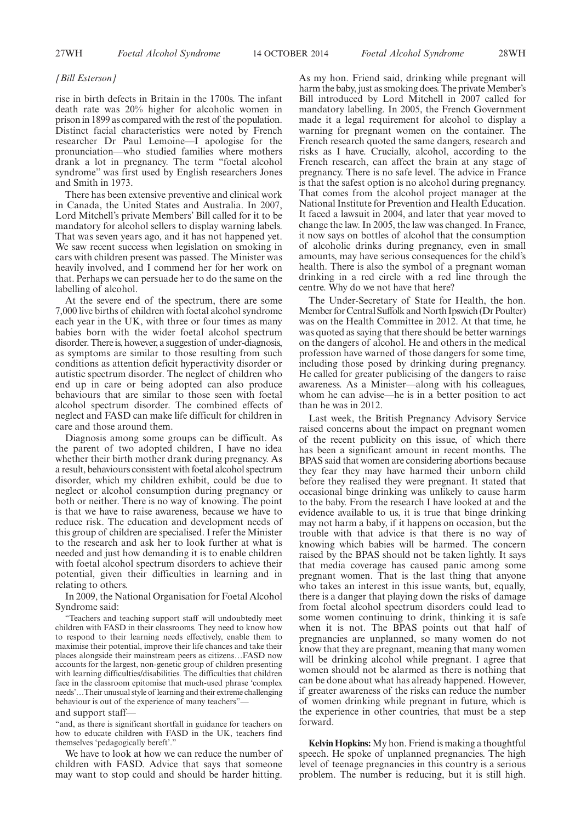#### *[Bill Esterson]*

rise in birth defects in Britain in the 1700s. The infant death rate was 20% higher for alcoholic women in prison in 1899 as compared with the rest of the population. Distinct facial characteristics were noted by French researcher Dr Paul Lemoine—I apologise for the pronunciation—who studied families where mothers drank a lot in pregnancy. The term "foetal alcohol syndrome" was first used by English researchers Jones and Smith in 1973.

There has been extensive preventive and clinical work in Canada, the United States and Australia. In 2007, Lord Mitchell's private Members' Bill called for it to be mandatory for alcohol sellers to display warning labels. That was seven years ago, and it has not happened yet. We saw recent success when legislation on smoking in cars with children present was passed. The Minister was heavily involved, and I commend her for her work on that. Perhaps we can persuade her to do the same on the labelling of alcohol.

At the severe end of the spectrum, there are some 7,000 live births of children with foetal alcohol syndrome each year in the UK, with three or four times as many babies born with the wider foetal alcohol spectrum disorder. There is, however, a suggestion of under-diagnosis, as symptoms are similar to those resulting from such conditions as attention deficit hyperactivity disorder or autistic spectrum disorder. The neglect of children who end up in care or being adopted can also produce behaviours that are similar to those seen with foetal alcohol spectrum disorder. The combined effects of neglect and FASD can make life difficult for children in care and those around them.

Diagnosis among some groups can be difficult. As the parent of two adopted children, I have no idea whether their birth mother drank during pregnancy. As a result, behaviours consistent with foetal alcohol spectrum disorder, which my children exhibit, could be due to neglect or alcohol consumption during pregnancy or both or neither. There is no way of knowing. The point is that we have to raise awareness, because we have to reduce risk. The education and development needs of this group of children are specialised. I refer the Minister to the research and ask her to look further at what is needed and just how demanding it is to enable children with foetal alcohol spectrum disorders to achieve their potential, given their difficulties in learning and in relating to others.

In 2009, the National Organisation for Foetal Alcohol Syndrome said:

"Teachers and teaching support staff will undoubtedly meet children with FASD in their classrooms. They need to know how to respond to their learning needs effectively, enable them to maximise their potential, improve their life chances and take their places alongside their mainstream peers as citizens…FASD now accounts for the largest, non-genetic group of children presenting with learning difficulties/disabilities. The difficulties that children face in the classroom epitomise that much-used phrase 'complex needs'…Their unusual style of learning and their extreme challenging behaviour is out of the experience of many teachers"-

# and support staff—

"and, as there is significant shortfall in guidance for teachers on how to educate children with FASD in the UK, teachers find themselves 'pedagogically bereft'."

We have to look at how we can reduce the number of children with FASD. Advice that says that someone may want to stop could and should be harder hitting.

As my hon. Friend said, drinking while pregnant will harm the baby, just as smoking does. The private Member's Bill introduced by Lord Mitchell in 2007 called for mandatory labelling. In 2005, the French Government made it a legal requirement for alcohol to display a warning for pregnant women on the container. The French research quoted the same dangers, research and risks as I have. Crucially, alcohol, according to the French research, can affect the brain at any stage of pregnancy. There is no safe level. The advice in France is that the safest option is no alcohol during pregnancy. That comes from the alcohol project manager at the National Institute for Prevention and Health Education. It faced a lawsuit in 2004, and later that year moved to change the law. In 2005, the law was changed. In France, it now says on bottles of alcohol that the consumption of alcoholic drinks during pregnancy, even in small amounts, may have serious consequences for the child's health. There is also the symbol of a pregnant woman drinking in a red circle with a red line through the centre. Why do we not have that here?

The Under-Secretary of State for Health, the hon. Member for Central Suffolk and North Ipswich (Dr Poulter) was on the Health Committee in 2012. At that time, he was quoted as saying that there should be better warnings on the dangers of alcohol. He and others in the medical profession have warned of those dangers for some time, including those posed by drinking during pregnancy. He called for greater publicising of the dangers to raise awareness. As a Minister—along with his colleagues, whom he can advise—he is in a better position to act than he was in 2012.

Last week, the British Pregnancy Advisory Service raised concerns about the impact on pregnant women of the recent publicity on this issue, of which there has been a significant amount in recent months. The BPAS said that women are considering abortions because they fear they may have harmed their unborn child before they realised they were pregnant. It stated that occasional binge drinking was unlikely to cause harm to the baby. From the research I have looked at and the evidence available to us, it is true that binge drinking may not harm a baby, if it happens on occasion, but the trouble with that advice is that there is no way of knowing which babies will be harmed. The concern raised by the BPAS should not be taken lightly. It says that media coverage has caused panic among some pregnant women. That is the last thing that anyone who takes an interest in this issue wants, but, equally, there is a danger that playing down the risks of damage from foetal alcohol spectrum disorders could lead to some women continuing to drink, thinking it is safe when it is not. The BPAS points out that half of pregnancies are unplanned, so many women do not know that they are pregnant, meaning that many women will be drinking alcohol while pregnant. I agree that women should not be alarmed as there is nothing that can be done about what has already happened. However, if greater awareness of the risks can reduce the number of women drinking while pregnant in future, which is the experience in other countries, that must be a step forward.

**Kelvin Hopkins:** My hon. Friend is making a thoughtful speech. He spoke of unplanned pregnancies. The high level of teenage pregnancies in this country is a serious problem. The number is reducing, but it is still high.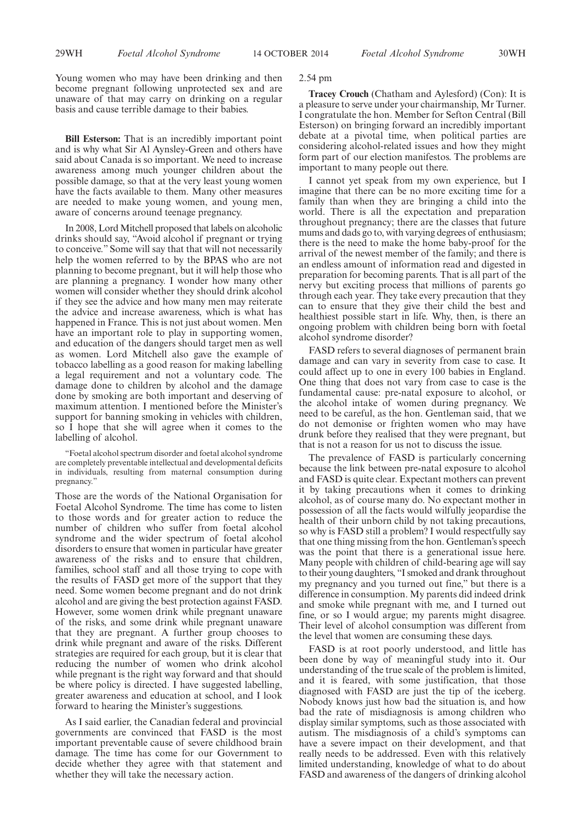Young women who may have been drinking and then become pregnant following unprotected sex and are unaware of that may carry on drinking on a regular basis and cause terrible damage to their babies.

**Bill Esterson:** That is an incredibly important point and is why what Sir Al Aynsley-Green and others have said about Canada is so important. We need to increase awareness among much younger children about the possible damage, so that at the very least young women have the facts available to them. Many other measures are needed to make young women, and young men, aware of concerns around teenage pregnancy.

In 2008, Lord Mitchell proposed that labels on alcoholic drinks should say, "Avoid alcohol if pregnant or trying to conceive." Some will say that that will not necessarily help the women referred to by the BPAS who are not planning to become pregnant, but it will help those who are planning a pregnancy. I wonder how many other women will consider whether they should drink alcohol if they see the advice and how many men may reiterate the advice and increase awareness, which is what has happened in France. This is not just about women. Men have an important role to play in supporting women, and education of the dangers should target men as well as women. Lord Mitchell also gave the example of tobacco labelling as a good reason for making labelling a legal requirement and not a voluntary code. The damage done to children by alcohol and the damage done by smoking are both important and deserving of maximum attention. I mentioned before the Minister's support for banning smoking in vehicles with children, so I hope that she will agree when it comes to the labelling of alcohol.

"Foetal alcohol spectrum disorder and foetal alcohol syndrome are completely preventable intellectual and developmental deficits in individuals, resulting from maternal consumption during pregnancy."

Those are the words of the National Organisation for Foetal Alcohol Syndrome. The time has come to listen to those words and for greater action to reduce the number of children who suffer from foetal alcohol syndrome and the wider spectrum of foetal alcohol disorders to ensure that women in particular have greater awareness of the risks and to ensure that children, families, school staff and all those trying to cope with the results of FASD get more of the support that they need. Some women become pregnant and do not drink alcohol and are giving the best protection against FASD. However, some women drink while pregnant unaware of the risks, and some drink while pregnant unaware that they are pregnant. A further group chooses to drink while pregnant and aware of the risks. Different strategies are required for each group, but it is clear that reducing the number of women who drink alcohol while pregnant is the right way forward and that should be where policy is directed. I have suggested labelling, greater awareness and education at school, and I look forward to hearing the Minister's suggestions.

As I said earlier, the Canadian federal and provincial governments are convinced that FASD is the most important preventable cause of severe childhood brain damage. The time has come for our Government to decide whether they agree with that statement and whether they will take the necessary action.

#### 2.54 pm

**Tracey Crouch** (Chatham and Aylesford) (Con): It is a pleasure to serve under your chairmanship, Mr Turner. I congratulate the hon. Member for Sefton Central (Bill Esterson) on bringing forward an incredibly important debate at a pivotal time, when political parties are considering alcohol-related issues and how they might form part of our election manifestos. The problems are important to many people out there.

I cannot yet speak from my own experience, but I imagine that there can be no more exciting time for a family than when they are bringing a child into the world. There is all the expectation and preparation throughout pregnancy; there are the classes that future mums and dads go to, with varying degrees of enthusiasm; there is the need to make the home baby-proof for the arrival of the newest member of the family; and there is an endless amount of information read and digested in preparation for becoming parents. That is all part of the nervy but exciting process that millions of parents go through each year. They take every precaution that they can to ensure that they give their child the best and healthiest possible start in life. Why, then, is there an ongoing problem with children being born with foetal alcohol syndrome disorder?

FASD refers to several diagnoses of permanent brain damage and can vary in severity from case to case. It could affect up to one in every 100 babies in England. One thing that does not vary from case to case is the fundamental cause: pre-natal exposure to alcohol, or the alcohol intake of women during pregnancy. We need to be careful, as the hon. Gentleman said, that we do not demonise or frighten women who may have drunk before they realised that they were pregnant, but that is not a reason for us not to discuss the issue.

The prevalence of FASD is particularly concerning because the link between pre-natal exposure to alcohol and FASD is quite clear. Expectant mothers can prevent it by taking precautions when it comes to drinking alcohol, as of course many do. No expectant mother in possession of all the facts would wilfully jeopardise the health of their unborn child by not taking precautions, so why is FASD still a problem? I would respectfully say that one thing missing from the hon. Gentleman's speech was the point that there is a generational issue here. Many people with children of child-bearing age will say to their young daughters, "I smoked and drank throughout my pregnancy and you turned out fine," but there is a difference in consumption. My parents did indeed drink and smoke while pregnant with me, and I turned out fine, or so I would argue; my parents might disagree. Their level of alcohol consumption was different from the level that women are consuming these days.

FASD is at root poorly understood, and little has been done by way of meaningful study into it. Our understanding of the true scale of the problem is limited, and it is feared, with some justification, that those diagnosed with FASD are just the tip of the iceberg. Nobody knows just how bad the situation is, and how bad the rate of misdiagnosis is among children who display similar symptoms, such as those associated with autism. The misdiagnosis of a child's symptoms can have a severe impact on their development, and that really needs to be addressed. Even with this relatively limited understanding, knowledge of what to do about FASD and awareness of the dangers of drinking alcohol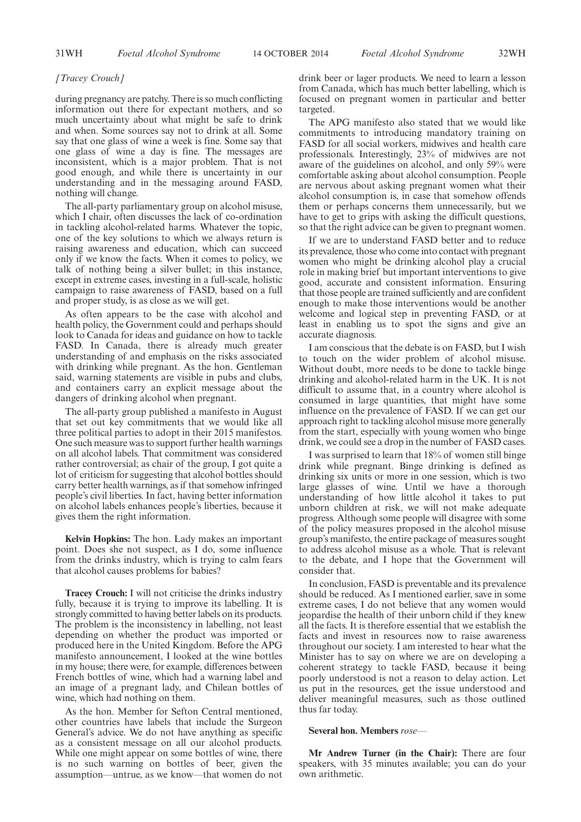# *[Tracey Crouch]*

during pregnancy are patchy. There is so much conflicting information out there for expectant mothers, and so much uncertainty about what might be safe to drink and when. Some sources say not to drink at all. Some say that one glass of wine a week is fine. Some say that one glass of wine a day is fine. The messages are inconsistent, which is a major problem. That is not good enough, and while there is uncertainty in our understanding and in the messaging around FASD, nothing will change.

The all-party parliamentary group on alcohol misuse, which I chair, often discusses the lack of co-ordination in tackling alcohol-related harms. Whatever the topic, one of the key solutions to which we always return is raising awareness and education, which can succeed only if we know the facts. When it comes to policy, we talk of nothing being a silver bullet; in this instance, except in extreme cases, investing in a full-scale, holistic campaign to raise awareness of FASD, based on a full and proper study, is as close as we will get.

As often appears to be the case with alcohol and health policy, the Government could and perhaps should look to Canada for ideas and guidance on how to tackle FASD. In Canada, there is already much greater understanding of and emphasis on the risks associated with drinking while pregnant. As the hon. Gentleman said, warning statements are visible in pubs and clubs, and containers carry an explicit message about the dangers of drinking alcohol when pregnant.

The all-party group published a manifesto in August that set out key commitments that we would like all three political parties to adopt in their 2015 manifestos. One such measure was to support further health warnings on all alcohol labels. That commitment was considered rather controversial; as chair of the group, I got quite a lot of criticism for suggesting that alcohol bottles should carry better health warnings, as if that somehow infringed people's civil liberties. In fact, having better information on alcohol labels enhances people's liberties, because it gives them the right information.

**Kelvin Hopkins:** The hon. Lady makes an important point. Does she not suspect, as I do, some influence from the drinks industry, which is trying to calm fears that alcohol causes problems for babies?

**Tracey Crouch:** I will not criticise the drinks industry fully, because it is trying to improve its labelling. It is strongly committed to having better labels on its products. The problem is the inconsistency in labelling, not least depending on whether the product was imported or produced here in the United Kingdom. Before the APG manifesto announcement, I looked at the wine bottles in my house; there were, for example, differences between French bottles of wine, which had a warning label and an image of a pregnant lady, and Chilean bottles of wine, which had nothing on them.

As the hon. Member for Sefton Central mentioned, other countries have labels that include the Surgeon General's advice. We do not have anything as specific as a consistent message on all our alcohol products. While one might appear on some bottles of wine, there is no such warning on bottles of beer, given the assumption—untrue, as we know—that women do not drink beer or lager products. We need to learn a lesson from Canada, which has much better labelling, which is focused on pregnant women in particular and better targeted.

The APG manifesto also stated that we would like commitments to introducing mandatory training on FASD for all social workers, midwives and health care professionals. Interestingly, 23% of midwives are not aware of the guidelines on alcohol, and only 59% were comfortable asking about alcohol consumption. People are nervous about asking pregnant women what their alcohol consumption is, in case that somehow offends them or perhaps concerns them unnecessarily, but we have to get to grips with asking the difficult questions, so that the right advice can be given to pregnant women.

If we are to understand FASD better and to reduce its prevalence, those who come into contact with pregnant women who might be drinking alcohol play a crucial role in making brief but important interventions to give good, accurate and consistent information. Ensuring that those people are trained sufficiently and are confident enough to make those interventions would be another welcome and logical step in preventing FASD, or at least in enabling us to spot the signs and give an accurate diagnosis.

I am conscious that the debate is on FASD, but I wish to touch on the wider problem of alcohol misuse. Without doubt, more needs to be done to tackle binge drinking and alcohol-related harm in the UK. It is not difficult to assume that, in a country where alcohol is consumed in large quantities, that might have some influence on the prevalence of FASD. If we can get our approach right to tackling alcohol misuse more generally from the start, especially with young women who binge drink, we could see a drop in the number of FASD cases.

I was surprised to learn that 18% of women still binge drink while pregnant. Binge drinking is defined as drinking six units or more in one session, which is two large glasses of wine. Until we have a thorough understanding of how little alcohol it takes to put unborn children at risk, we will not make adequate progress. Although some people will disagree with some of the policy measures proposed in the alcohol misuse group's manifesto, the entire package of measures sought to address alcohol misuse as a whole. That is relevant to the debate, and I hope that the Government will consider that.

In conclusion, FASD is preventable and its prevalence should be reduced. As I mentioned earlier, save in some extreme cases, I do not believe that any women would jeopardise the health of their unborn child if they knew all the facts. It is therefore essential that we establish the facts and invest in resources now to raise awareness throughout our society. I am interested to hear what the Minister has to say on where we are on developing a coherent strategy to tackle FASD, because it being poorly understood is not a reason to delay action. Let us put in the resources, get the issue understood and deliver meaningful measures, such as those outlined thus far today.

#### **Several hon. Members** *rose—*

**Mr Andrew Turner (in the Chair):** There are four speakers, with 35 minutes available; you can do your own arithmetic.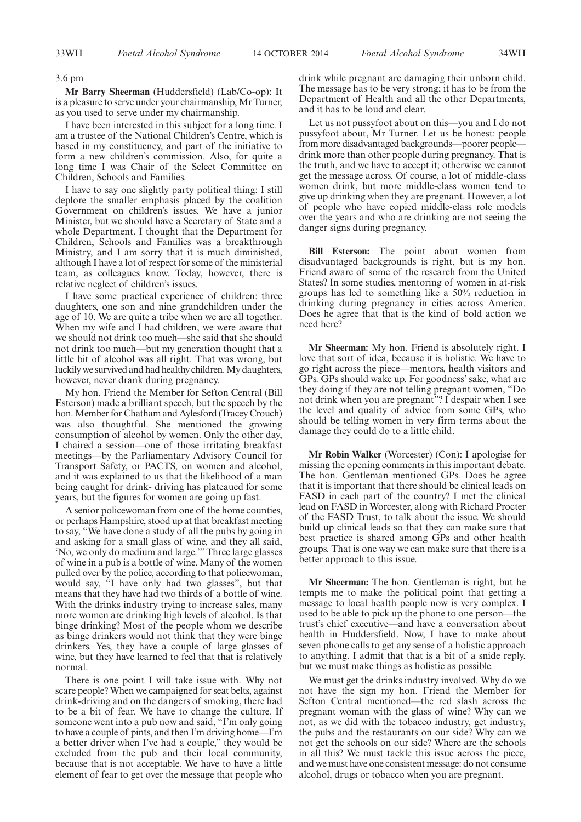3.6 pm

**Mr Barry Sheerman** (Huddersfield) (Lab/Co-op): It is a pleasure to serve under your chairmanship, Mr Turner, as you used to serve under my chairmanship.

I have been interested in this subject for a long time. I am a trustee of the National Children's Centre, which is based in my constituency, and part of the initiative to form a new children's commission. Also, for quite a long time I was Chair of the Select Committee on Children, Schools and Families.

I have to say one slightly party political thing: I still deplore the smaller emphasis placed by the coalition Government on children's issues. We have a junior Minister, but we should have a Secretary of State and a whole Department. I thought that the Department for Children, Schools and Families was a breakthrough Ministry, and I am sorry that it is much diminished, although I have a lot of respect for some of the ministerial team, as colleagues know. Today, however, there is relative neglect of children's issues.

I have some practical experience of children: three daughters, one son and nine grandchildren under the age of 10. We are quite a tribe when we are all together. When my wife and I had children, we were aware that we should not drink too much—she said that she should not drink too much—but my generation thought that a little bit of alcohol was all right. That was wrong, but luckily we survived and had healthy children.My daughters, however, never drank during pregnancy.

My hon. Friend the Member for Sefton Central (Bill Esterson) made a brilliant speech, but the speech by the hon. Member for Chatham and Aylesford (Tracey Crouch) was also thoughtful. She mentioned the growing consumption of alcohol by women. Only the other day, I chaired a session—one of those irritating breakfast meetings—by the Parliamentary Advisory Council for Transport Safety, or PACTS, on women and alcohol, and it was explained to us that the likelihood of a man being caught for drink- driving has plateaued for some years, but the figures for women are going up fast.

A senior policewoman from one of the home counties, or perhaps Hampshire, stood up at that breakfast meeting to say, "We have done a study of all the pubs by going in and asking for a small glass of wine, and they all said, 'No, we only do medium and large.'" Three large glasses of wine in a pub is a bottle of wine. Many of the women pulled over by the police, according to that policewoman, would say, "I have only had two glasses", but that means that they have had two thirds of a bottle of wine. With the drinks industry trying to increase sales, many more women are drinking high levels of alcohol. Is that binge drinking? Most of the people whom we describe as binge drinkers would not think that they were binge drinkers. Yes, they have a couple of large glasses of wine, but they have learned to feel that that is relatively normal.

There is one point I will take issue with. Why not scare people? When we campaigned for seat belts, against drink-driving and on the dangers of smoking, there had to be a bit of fear. We have to change the culture. If someone went into a pub now and said, "I'm only going to have a couple of pints, and then I'm driving home—I'm a better driver when I've had a couple," they would be excluded from the pub and their local community, because that is not acceptable. We have to have a little element of fear to get over the message that people who drink while pregnant are damaging their unborn child. The message has to be very strong; it has to be from the Department of Health and all the other Departments, and it has to be loud and clear.

Let us not pussyfoot about on this—you and I do not pussyfoot about, Mr Turner. Let us be honest: people from more disadvantaged backgrounds—poorer people drink more than other people during pregnancy. That is the truth, and we have to accept it; otherwise we cannot get the message across. Of course, a lot of middle-class women drink, but more middle-class women tend to give up drinking when they are pregnant. However, a lot of people who have copied middle-class role models over the years and who are drinking are not seeing the danger signs during pregnancy.

**Bill Esterson:** The point about women from disadvantaged backgrounds is right, but is my hon. Friend aware of some of the research from the United States? In some studies, mentoring of women in at-risk groups has led to something like a 50% reduction in drinking during pregnancy in cities across America. Does he agree that that is the kind of bold action we need here?

**Mr Sheerman:** My hon. Friend is absolutely right. I love that sort of idea, because it is holistic. We have to go right across the piece—mentors, health visitors and GPs. GPs should wake up. For goodness' sake, what are they doing if they are not telling pregnant women, "Do not drink when you are pregnant"? I despair when I see the level and quality of advice from some GPs, who should be telling women in very firm terms about the damage they could do to a little child.

**Mr Robin Walker** (Worcester) (Con): I apologise for missing the opening comments in this important debate. The hon. Gentleman mentioned GPs. Does he agree that it is important that there should be clinical leads on FASD in each part of the country? I met the clinical lead on FASD in Worcester, along with Richard Procter of the FASD Trust, to talk about the issue. We should build up clinical leads so that they can make sure that best practice is shared among GPs and other health groups. That is one way we can make sure that there is a better approach to this issue.

**Mr Sheerman:** The hon. Gentleman is right, but he tempts me to make the political point that getting a message to local health people now is very complex. I used to be able to pick up the phone to one person—the trust's chief executive—and have a conversation about health in Huddersfield. Now, I have to make about seven phone calls to get any sense of a holistic approach to anything. I admit that that is a bit of a snide reply, but we must make things as holistic as possible.

We must get the drinks industry involved. Why do we not have the sign my hon. Friend the Member for Sefton Central mentioned—the red slash across the pregnant woman with the glass of wine? Why can we not, as we did with the tobacco industry, get industry, the pubs and the restaurants on our side? Why can we not get the schools on our side? Where are the schools in all this? We must tackle this issue across the piece, and we must have one consistent message: do not consume alcohol, drugs or tobacco when you are pregnant.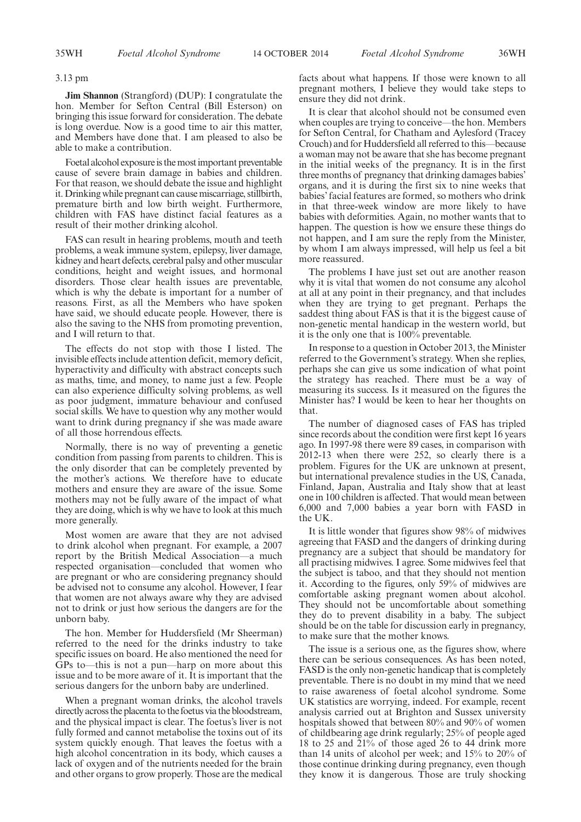#### 3.13 pm

**Jim Shannon** (Strangford) (DUP): I congratulate the hon. Member for Sefton Central (Bill Esterson) on bringing this issue forward for consideration. The debate is long overdue. Now is a good time to air this matter, and Members have done that. I am pleased to also be able to make a contribution.

Foetal alcohol exposure is the most important preventable cause of severe brain damage in babies and children. For that reason, we should debate the issue and highlight it. Drinking while pregnant can cause miscarriage, stillbirth, premature birth and low birth weight. Furthermore, children with FAS have distinct facial features as a result of their mother drinking alcohol.

FAS can result in hearing problems, mouth and teeth problems, a weak immune system, epilepsy, liver damage, kidney and heart defects, cerebral palsy and other muscular conditions, height and weight issues, and hormonal disorders. Those clear health issues are preventable, which is why the debate is important for a number of reasons. First, as all the Members who have spoken have said, we should educate people. However, there is also the saving to the NHS from promoting prevention, and I will return to that.

The effects do not stop with those I listed. The invisible effects include attention deficit, memory deficit, hyperactivity and difficulty with abstract concepts such as maths, time, and money, to name just a few. People can also experience difficulty solving problems, as well as poor judgment, immature behaviour and confused social skills. We have to question why any mother would want to drink during pregnancy if she was made aware of all those horrendous effects.

Normally, there is no way of preventing a genetic condition from passing from parents to children. This is the only disorder that can be completely prevented by the mother's actions. We therefore have to educate mothers and ensure they are aware of the issue. Some mothers may not be fully aware of the impact of what they are doing, which is why we have to look at this much more generally.

Most women are aware that they are not advised to drink alcohol when pregnant. For example, a 2007 report by the British Medical Association—a much respected organisation—concluded that women who are pregnant or who are considering pregnancy should be advised not to consume any alcohol. However, I fear that women are not always aware why they are advised not to drink or just how serious the dangers are for the unborn baby.

The hon. Member for Huddersfield (Mr Sheerman) referred to the need for the drinks industry to take specific issues on board. He also mentioned the need for GPs to—this is not a pun—harp on more about this issue and to be more aware of it. It is important that the serious dangers for the unborn baby are underlined.

When a pregnant woman drinks, the alcohol travels directly across the placenta to the foetus via the bloodstream, and the physical impact is clear. The foetus's liver is not fully formed and cannot metabolise the toxins out of its system quickly enough. That leaves the foetus with a high alcohol concentration in its body, which causes a lack of oxygen and of the nutrients needed for the brain and other organs to grow properly. Those are the medical facts about what happens. If those were known to all pregnant mothers, I believe they would take steps to ensure they did not drink.

It is clear that alcohol should not be consumed even when couples are trying to conceive—the hon. Members for Sefton Central, for Chatham and Aylesford (Tracey Crouch) and for Huddersfield all referred to this—because a woman may not be aware that she has become pregnant in the initial weeks of the pregnancy. It is in the first three months of pregnancy that drinking damages babies' organs, and it is during the first six to nine weeks that babies' facial features are formed, so mothers who drink in that three-week window are more likely to have babies with deformities. Again, no mother wants that to happen. The question is how we ensure these things do not happen, and I am sure the reply from the Minister, by whom I am always impressed, will help us feel a bit more reassured.

The problems I have just set out are another reason why it is vital that women do not consume any alcohol at all at any point in their pregnancy, and that includes when they are trying to get pregnant. Perhaps the saddest thing about FAS is that it is the biggest cause of non-genetic mental handicap in the western world, but it is the only one that is 100% preventable.

In response to a question in October 2013, the Minister referred to the Government's strategy. When she replies, perhaps she can give us some indication of what point the strategy has reached. There must be a way of measuring its success. Is it measured on the figures the Minister has? I would be keen to hear her thoughts on that.

The number of diagnosed cases of FAS has tripled since records about the condition were first kept 16 years ago. In 1997-98 there were 89 cases, in comparison with 2012-13 when there were 252, so clearly there is a problem. Figures for the UK are unknown at present, but international prevalence studies in the US, Canada, Finland, Japan, Australia and Italy show that at least one in 100 children is affected. That would mean between 6,000 and 7,000 babies a year born with FASD in the UK.

It is little wonder that figures show 98% of midwives agreeing that FASD and the dangers of drinking during pregnancy are a subject that should be mandatory for all practising midwives. I agree. Some midwives feel that the subject is taboo, and that they should not mention it. According to the figures, only 59% of midwives are comfortable asking pregnant women about alcohol. They should not be uncomfortable about something they do to prevent disability in a baby. The subject should be on the table for discussion early in pregnancy, to make sure that the mother knows.

The issue is a serious one, as the figures show, where there can be serious consequences. As has been noted, FASD is the only non-genetic handicap that is completely preventable. There is no doubt in my mind that we need to raise awareness of foetal alcohol syndrome. Some UK statistics are worrying, indeed. For example, recent analysis carried out at Brighton and Sussex university hospitals showed that between 80% and 90% of women of childbearing age drink regularly; 25% of people aged 18 to 25 and 21% of those aged 26 to 44 drink more than 14 units of alcohol per week; and 15% to 20% of those continue drinking during pregnancy, even though they know it is dangerous. Those are truly shocking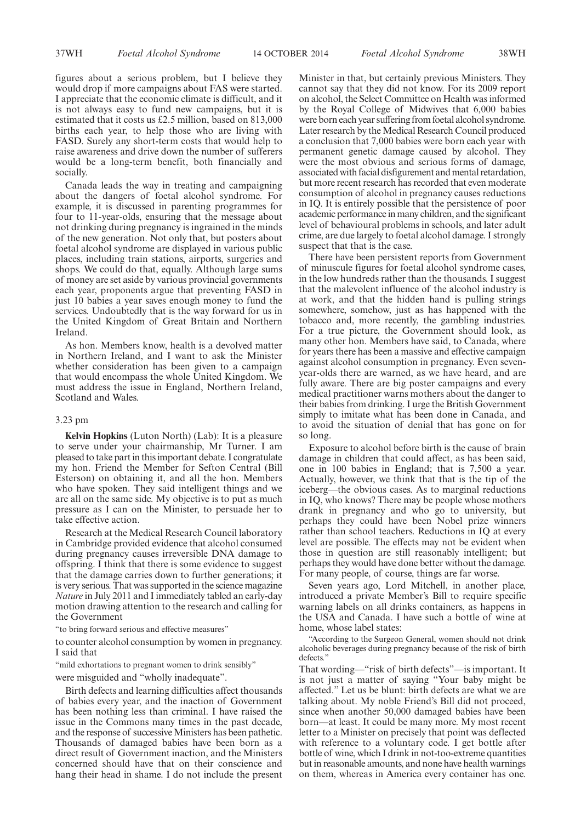figures about a serious problem, but I believe they would drop if more campaigns about FAS were started. I appreciate that the economic climate is difficult, and it is not always easy to fund new campaigns, but it is estimated that it costs us £2.5 million, based on 813,000 births each year, to help those who are living with FASD. Surely any short-term costs that would help to raise awareness and drive down the number of sufferers would be a long-term benefit, both financially and socially.

Canada leads the way in treating and campaigning about the dangers of foetal alcohol syndrome. For example, it is discussed in parenting programmes for four to 11-year-olds, ensuring that the message about not drinking during pregnancy is ingrained in the minds of the new generation. Not only that, but posters about foetal alcohol syndrome are displayed in various public places, including train stations, airports, surgeries and shops. We could do that, equally. Although large sums of money are set aside by various provincial governments each year, proponents argue that preventing FASD in just 10 babies a year saves enough money to fund the services. Undoubtedly that is the way forward for us in the United Kingdom of Great Britain and Northern Ireland.

As hon. Members know, health is a devolved matter in Northern Ireland, and I want to ask the Minister whether consideration has been given to a campaign that would encompass the whole United Kingdom. We must address the issue in England, Northern Ireland, Scotland and Wales.

#### 3.23 pm

**Kelvin Hopkins** (Luton North) (Lab): It is a pleasure to serve under your chairmanship, Mr Turner. I am pleased to take part in this important debate. I congratulate my hon. Friend the Member for Sefton Central (Bill Esterson) on obtaining it, and all the hon. Members who have spoken. They said intelligent things and we are all on the same side. My objective is to put as much pressure as I can on the Minister, to persuade her to take effective action.

Research at the Medical Research Council laboratory in Cambridge provided evidence that alcohol consumed during pregnancy causes irreversible DNA damage to offspring. I think that there is some evidence to suggest that the damage carries down to further generations; it is very serious. That was supported in the science magazine *Nature* in July 2011 and I immediately tabled an early-day motion drawing attention to the research and calling for the Government

"to bring forward serious and effective measures"

to counter alcohol consumption by women in pregnancy. I said that

"mild exhortations to pregnant women to drink sensibly"

were misguided and "wholly inadequate".

Birth defects and learning difficulties affect thousands of babies every year, and the inaction of Government has been nothing less than criminal. I have raised the issue in the Commons many times in the past decade, and the response of successiveMinisters has been pathetic. Thousands of damaged babies have been born as a direct result of Government inaction, and the Ministers concerned should have that on their conscience and hang their head in shame. I do not include the present Minister in that, but certainly previous Ministers. They cannot say that they did not know. For its 2009 report on alcohol, the Select Committee on Health was informed by the Royal College of Midwives that 6,000 babies were born each year suffering from foetal alcohol syndrome. Later research by the Medical Research Council produced a conclusion that 7,000 babies were born each year with permanent genetic damage caused by alcohol. They were the most obvious and serious forms of damage, associated with facial disfigurement and mental retardation, but more recent research has recorded that even moderate consumption of alcohol in pregnancy causes reductions in IQ. It is entirely possible that the persistence of poor academic performance in many children, and the significant level of behavioural problems in schools, and later adult crime, are due largely to foetal alcohol damage. I strongly suspect that that is the case.

There have been persistent reports from Government of minuscule figures for foetal alcohol syndrome cases, in the low hundreds rather than the thousands. I suggest that the malevolent influence of the alcohol industry is at work, and that the hidden hand is pulling strings somewhere, somehow, just as has happened with the tobacco and, more recently, the gambling industries. For a true picture, the Government should look, as many other hon. Members have said, to Canada, where for years there has been a massive and effective campaign against alcohol consumption in pregnancy. Even sevenyear-olds there are warned, as we have heard, and are fully aware. There are big poster campaigns and every medical practitioner warns mothers about the danger to their babies from drinking. I urge the British Government simply to imitate what has been done in Canada, and to avoid the situation of denial that has gone on for so long.

Exposure to alcohol before birth is the cause of brain damage in children that could affect, as has been said, one in 100 babies in England; that is 7,500 a year. Actually, however, we think that that is the tip of the iceberg—the obvious cases. As to marginal reductions in IQ, who knows? There may be people whose mothers drank in pregnancy and who go to university, but perhaps they could have been Nobel prize winners rather than school teachers. Reductions in IQ at every level are possible. The effects may not be evident when those in question are still reasonably intelligent; but perhaps they would have done better without the damage. For many people, of course, things are far worse.

Seven years ago, Lord Mitchell, in another place, introduced a private Member's Bill to require specific warning labels on all drinks containers, as happens in the USA and Canada. I have such a bottle of wine at home, whose label states:

"According to the Surgeon General, women should not drink alcoholic beverages during pregnancy because of the risk of birth defects.'

That wording—"risk of birth defects"—is important. It is not just a matter of saying "Your baby might be affected." Let us be blunt: birth defects are what we are talking about. My noble Friend's Bill did not proceed, since when another 50,000 damaged babies have been born—at least. It could be many more. My most recent letter to a Minister on precisely that point was deflected with reference to a voluntary code. I get bottle after bottle of wine, which I drink in not-too-extreme quantities but in reasonable amounts, and none have health warnings on them, whereas in America every container has one.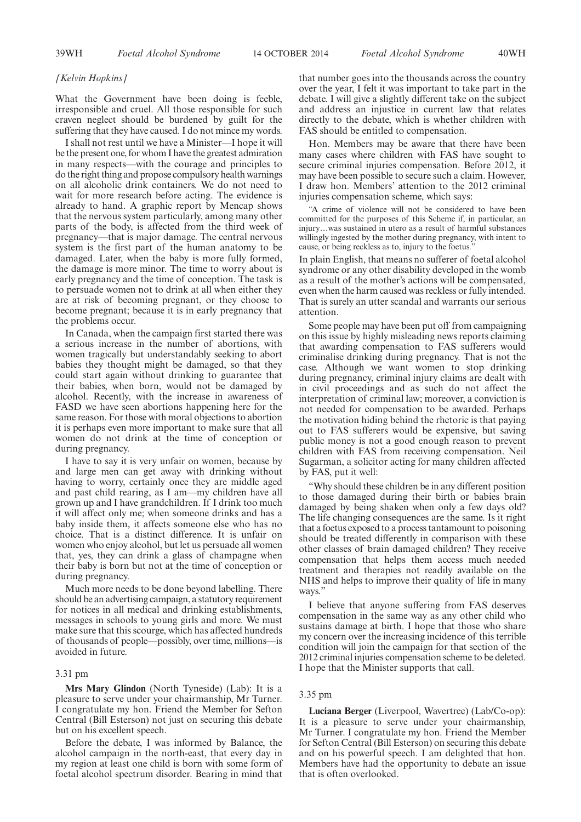#### *[Kelvin Hopkins]*

What the Government have been doing is feeble, irresponsible and cruel. All those responsible for such craven neglect should be burdened by guilt for the suffering that they have caused. I do not mince my words.

I shall not rest until we have a Minister—I hope it will be the present one, for whom I have the greatest admiration in many respects—with the courage and principles to do the right thing and propose compulsory health warnings on all alcoholic drink containers. We do not need to wait for more research before acting. The evidence is already to hand. A graphic report by Mencap shows that the nervous system particularly, among many other parts of the body, is affected from the third week of pregnancy—that is major damage. The central nervous system is the first part of the human anatomy to be damaged. Later, when the baby is more fully formed, the damage is more minor. The time to worry about is early pregnancy and the time of conception. The task is to persuade women not to drink at all when either they are at risk of becoming pregnant, or they choose to become pregnant; because it is in early pregnancy that the problems occur.

In Canada, when the campaign first started there was a serious increase in the number of abortions, with women tragically but understandably seeking to abort babies they thought might be damaged, so that they could start again without drinking to guarantee that their babies, when born, would not be damaged by alcohol. Recently, with the increase in awareness of FASD we have seen abortions happening here for the same reason. For those with moral objections to abortion it is perhaps even more important to make sure that all women do not drink at the time of conception or during pregnancy.

I have to say it is very unfair on women, because by and large men can get away with drinking without having to worry, certainly once they are middle aged and past child rearing, as I am—my children have all grown up and I have grandchildren. If I drink too much it will affect only me; when someone drinks and has a baby inside them, it affects someone else who has no choice. That is a distinct difference. It is unfair on women who enjoy alcohol, but let us persuade all women that, yes, they can drink a glass of champagne when their baby is born but not at the time of conception or during pregnancy.

Much more needs to be done beyond labelling. There should be an advertising campaign, a statutory requirement for notices in all medical and drinking establishments, messages in schools to young girls and more. We must make sure that this scourge, which has affected hundreds of thousands of people—possibly, over time, millions—is avoided in future.

#### 3.31 pm

**Mrs Mary Glindon** (North Tyneside) (Lab): It is a pleasure to serve under your chairmanship, Mr Turner. I congratulate my hon. Friend the Member for Sefton Central (Bill Esterson) not just on securing this debate but on his excellent speech.

Before the debate, I was informed by Balance, the alcohol campaign in the north-east, that every day in my region at least one child is born with some form of foetal alcohol spectrum disorder. Bearing in mind that that number goes into the thousands across the country over the year, I felt it was important to take part in the debate. I will give a slightly different take on the subject and address an injustice in current law that relates directly to the debate, which is whether children with FAS should be entitled to compensation.

Hon. Members may be aware that there have been many cases where children with FAS have sought to secure criminal injuries compensation. Before 2012, it may have been possible to secure such a claim. However, I draw hon. Members' attention to the 2012 criminal injuries compensation scheme, which says:

"A crime of violence will not be considered to have been committed for the purposes of this Scheme if, in particular, an injury…was sustained in utero as a result of harmful substances willingly ingested by the mother during pregnancy, with intent to cause, or being reckless as to, injury to the foetus.'

In plain English, that means no sufferer of foetal alcohol syndrome or any other disability developed in the womb as a result of the mother's actions will be compensated, even when the harm caused was reckless or fully intended. That is surely an utter scandal and warrants our serious attention.

Some people may have been put off from campaigning on this issue by highly misleading news reports claiming that awarding compensation to FAS sufferers would criminalise drinking during pregnancy. That is not the case. Although we want women to stop drinking during pregnancy, criminal injury claims are dealt with in civil proceedings and as such do not affect the interpretation of criminal law; moreover, a conviction is not needed for compensation to be awarded. Perhaps the motivation hiding behind the rhetoric is that paying out to FAS sufferers would be expensive, but saving public money is not a good enough reason to prevent children with FAS from receiving compensation. Neil Sugarman, a solicitor acting for many children affected by FAS, put it well:

"Why should these children be in any different position to those damaged during their birth or babies brain damaged by being shaken when only a few days old? The life changing consequences are the same. Is it right that a foetus exposed to a process tantamount to poisoning should be treated differently in comparison with these other classes of brain damaged children? They receive compensation that helps them access much needed treatment and therapies not readily available on the NHS and helps to improve their quality of life in many ways.'

I believe that anyone suffering from FAS deserves compensation in the same way as any other child who sustains damage at birth. I hope that those who share my concern over the increasing incidence of this terrible condition will join the campaign for that section of the 2012 criminal injuries compensation scheme to be deleted. I hope that the Minister supports that call.

#### 3.35 pm

**Luciana Berger** (Liverpool, Wavertree) (Lab/Co-op): It is a pleasure to serve under your chairmanship, Mr Turner. I congratulate my hon. Friend the Member for Sefton Central (Bill Esterson) on securing this debate and on his powerful speech. I am delighted that hon. Members have had the opportunity to debate an issue that is often overlooked.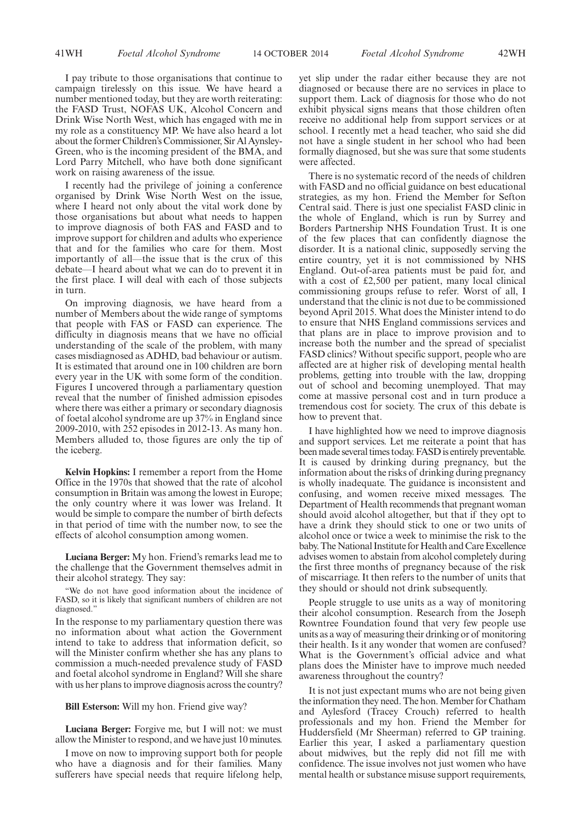I pay tribute to those organisations that continue to campaign tirelessly on this issue. We have heard a number mentioned today, but they are worth reiterating: the FASD Trust, NOFAS UK, Alcohol Concern and Drink Wise North West, which has engaged with me in my role as a constituency MP. We have also heard a lot about the former Children's Commissioner, Sir Al Aynsley-Green, who is the incoming president of the BMA, and Lord Parry Mitchell, who have both done significant work on raising awareness of the issue.

I recently had the privilege of joining a conference organised by Drink Wise North West on the issue, where I heard not only about the vital work done by those organisations but about what needs to happen to improve diagnosis of both FAS and FASD and to improve support for children and adults who experience that and for the families who care for them. Most importantly of all—the issue that is the crux of this debate—I heard about what we can do to prevent it in the first place. I will deal with each of those subjects in turn.

On improving diagnosis, we have heard from a number of Members about the wide range of symptoms that people with FAS or FASD can experience. The difficulty in diagnosis means that we have no official understanding of the scale of the problem, with many cases misdiagnosed as ADHD, bad behaviour or autism. It is estimated that around one in 100 children are born every year in the UK with some form of the condition. Figures I uncovered through a parliamentary question reveal that the number of finished admission episodes where there was either a primary or secondary diagnosis of foetal alcohol syndrome are up 37% in England since 2009-2010, with 252 episodes in 2012-13. As many hon. Members alluded to, those figures are only the tip of the iceberg.

**Kelvin Hopkins:** I remember a report from the Home Office in the 1970s that showed that the rate of alcohol consumption in Britain was among the lowest in Europe; the only country where it was lower was Ireland. It would be simple to compare the number of birth defects in that period of time with the number now, to see the effects of alcohol consumption among women.

**Luciana Berger:** My hon. Friend's remarks lead me to the challenge that the Government themselves admit in their alcohol strategy. They say:

"We do not have good information about the incidence of FASD, so it is likely that significant numbers of children are not diagnosed."

In the response to my parliamentary question there was no information about what action the Government intend to take to address that information deficit, so will the Minister confirm whether she has any plans to commission a much-needed prevalence study of FASD and foetal alcohol syndrome in England? Will she share with us her plans to improve diagnosis across the country?

**Bill Esterson:** Will my hon. Friend give way?

**Luciana Berger:** Forgive me, but I will not: we must allow the Minister to respond, and we have just 10 minutes.

I move on now to improving support both for people who have a diagnosis and for their families. Many sufferers have special needs that require lifelong help, yet slip under the radar either because they are not diagnosed or because there are no services in place to support them. Lack of diagnosis for those who do not exhibit physical signs means that those children often receive no additional help from support services or at school. I recently met a head teacher, who said she did not have a single student in her school who had been formally diagnosed, but she was sure that some students were affected.

There is no systematic record of the needs of children with FASD and no official guidance on best educational strategies, as my hon. Friend the Member for Sefton Central said. There is just one specialist FASD clinic in the whole of England, which is run by Surrey and Borders Partnership NHS Foundation Trust. It is one of the few places that can confidently diagnose the disorder. It is a national clinic, supposedly serving the entire country, yet it is not commissioned by NHS England. Out-of-area patients must be paid for, and with a cost of £2,500 per patient, many local clinical commissioning groups refuse to refer. Worst of all, I understand that the clinic is not due to be commissioned beyond April 2015. What does the Minister intend to do to ensure that NHS England commissions services and that plans are in place to improve provision and to increase both the number and the spread of specialist FASD clinics? Without specific support, people who are affected are at higher risk of developing mental health problems, getting into trouble with the law, dropping out of school and becoming unemployed. That may come at massive personal cost and in turn produce a tremendous cost for society. The crux of this debate is how to prevent that.

I have highlighted how we need to improve diagnosis and support services. Let me reiterate a point that has been made several times today. FASD is entirely preventable. It is caused by drinking during pregnancy, but the information about the risks of drinking during pregnancy is wholly inadequate. The guidance is inconsistent and confusing, and women receive mixed messages. The Department of Health recommends that pregnant woman should avoid alcohol altogether, but that if they opt to have a drink they should stick to one or two units of alcohol once or twice a week to minimise the risk to the baby. The National Institute for Health and Care Excellence advises women to abstain from alcohol completely during the first three months of pregnancy because of the risk of miscarriage. It then refers to the number of units that they should or should not drink subsequently.

People struggle to use units as a way of monitoring their alcohol consumption. Research from the Joseph Rowntree Foundation found that very few people use units as a way of measuring their drinking or of monitoring their health. Is it any wonder that women are confused? What is the Government's official advice and what plans does the Minister have to improve much needed awareness throughout the country?

It is not just expectant mums who are not being given the information they need. The hon. Member for Chatham and Aylesford (Tracey Crouch) referred to health professionals and my hon. Friend the Member for Huddersfield (Mr Sheerman) referred to GP training. Earlier this year, I asked a parliamentary question about midwives, but the reply did not fill me with confidence. The issue involves not just women who have mental health or substance misuse support requirements,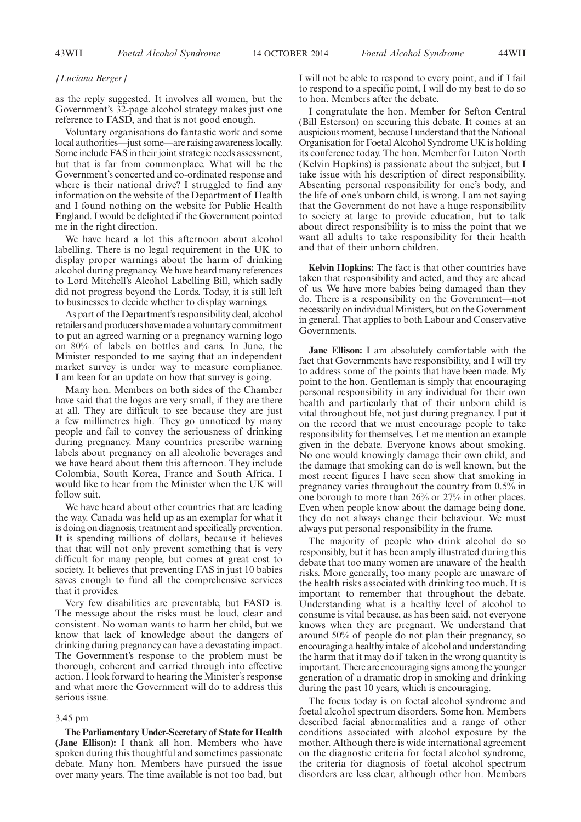## *[Luciana Berger]*

as the reply suggested. It involves all women, but the Government's 32-page alcohol strategy makes just one reference to FASD, and that is not good enough.

Voluntary organisations do fantastic work and some local authorities—just some—are raising awareness locally. Some include FAS in their joint strategic needs assessment, but that is far from commonplace. What will be the Government's concerted and co-ordinated response and where is their national drive? I struggled to find any information on the website of the Department of Health and I found nothing on the website for Public Health England. I would be delighted if the Government pointed me in the right direction.

We have heard a lot this afternoon about alcohol labelling. There is no legal requirement in the UK to display proper warnings about the harm of drinking alcohol during pregnancy. We have heard many references to Lord Mitchell's Alcohol Labelling Bill, which sadly did not progress beyond the Lords. Today, it is still left to businesses to decide whether to display warnings.

As part of the Department's responsibility deal, alcohol retailers and producers have made a voluntary commitment to put an agreed warning or a pregnancy warning logo on 80% of labels on bottles and cans. In June, the Minister responded to me saying that an independent market survey is under way to measure compliance. I am keen for an update on how that survey is going.

Many hon. Members on both sides of the Chamber have said that the logos are very small, if they are there at all. They are difficult to see because they are just a few millimetres high. They go unnoticed by many people and fail to convey the seriousness of drinking during pregnancy. Many countries prescribe warning labels about pregnancy on all alcoholic beverages and we have heard about them this afternoon. They include Colombia, South Korea, France and South Africa. I would like to hear from the Minister when the UK will follow suit.

We have heard about other countries that are leading the way. Canada was held up as an exemplar for what it is doing on diagnosis, treatment and specifically prevention. It is spending millions of dollars, because it believes that that will not only prevent something that is very difficult for many people, but comes at great cost to society. It believes that preventing FAS in just 10 babies saves enough to fund all the comprehensive services that it provides.

Very few disabilities are preventable, but FASD is. The message about the risks must be loud, clear and consistent. No woman wants to harm her child, but we know that lack of knowledge about the dangers of drinking during pregnancy can have a devastating impact. The Government's response to the problem must be thorough, coherent and carried through into effective action. I look forward to hearing the Minister's response and what more the Government will do to address this serious issue.

#### 3.45 pm

**The Parliamentary Under-Secretary of State for Health (Jane Ellison):** I thank all hon. Members who have spoken during this thoughtful and sometimes passionate debate. Many hon. Members have pursued the issue over many years. The time available is not too bad, but I will not be able to respond to every point, and if I fail to respond to a specific point, I will do my best to do so to hon. Members after the debate.

I congratulate the hon. Member for Sefton Central (Bill Esterson) on securing this debate. It comes at an auspicious moment, because I understand that the National Organisation for Foetal Alcohol Syndrome UK is holding its conference today. The hon. Member for Luton North (Kelvin Hopkins) is passionate about the subject, but I take issue with his description of direct responsibility. Absenting personal responsibility for one's body, and the life of one's unborn child, is wrong. I am not saying that the Government do not have a huge responsibility to society at large to provide education, but to talk about direct responsibility is to miss the point that we want all adults to take responsibility for their health and that of their unborn children.

**Kelvin Hopkins:** The fact is that other countries have taken that responsibility and acted, and they are ahead of us. We have more babies being damaged than they do. There is a responsibility on the Government—not necessarily on individual Ministers, but on the Government in general. That applies to both Labour and Conservative Governments.

**Jane Ellison:** I am absolutely comfortable with the fact that Governments have responsibility, and I will try to address some of the points that have been made. My point to the hon. Gentleman is simply that encouraging personal responsibility in any individual for their own health and particularly that of their unborn child is vital throughout life, not just during pregnancy. I put it on the record that we must encourage people to take responsibility for themselves. Let me mention an example given in the debate. Everyone knows about smoking. No one would knowingly damage their own child, and the damage that smoking can do is well known, but the most recent figures I have seen show that smoking in pregnancy varies throughout the country from 0.5% in one borough to more than 26% or 27% in other places. Even when people know about the damage being done, they do not always change their behaviour. We must always put personal responsibility in the frame.

The majority of people who drink alcohol do so responsibly, but it has been amply illustrated during this debate that too many women are unaware of the health risks. More generally, too many people are unaware of the health risks associated with drinking too much. It is important to remember that throughout the debate. Understanding what is a healthy level of alcohol to consume is vital because, as has been said, not everyone knows when they are pregnant. We understand that around 50% of people do not plan their pregnancy, so encouraging a healthy intake of alcohol and understanding the harm that it may do if taken in the wrong quantity is important. There are encouraging signs among the younger generation of a dramatic drop in smoking and drinking during the past 10 years, which is encouraging.

The focus today is on foetal alcohol syndrome and foetal alcohol spectrum disorders. Some hon. Members described facial abnormalities and a range of other conditions associated with alcohol exposure by the mother. Although there is wide international agreement on the diagnostic criteria for foetal alcohol syndrome, the criteria for diagnosis of foetal alcohol spectrum disorders are less clear, although other hon. Members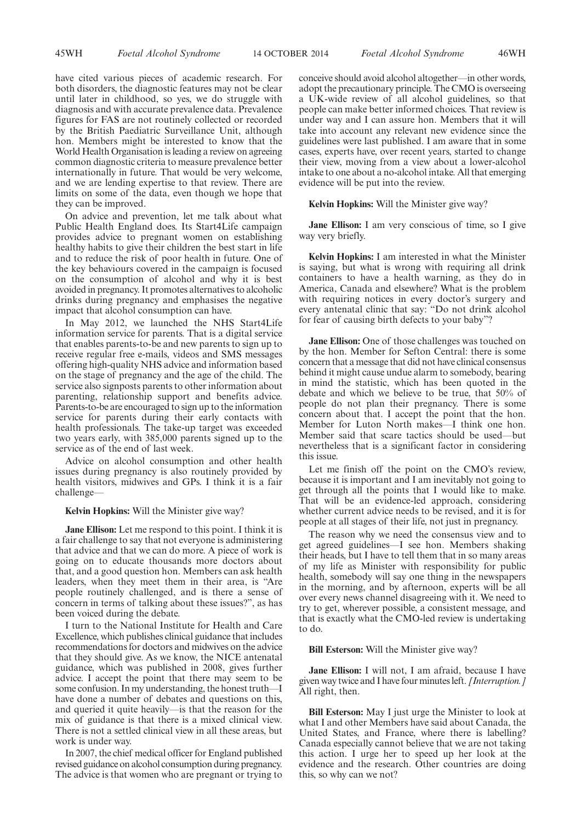have cited various pieces of academic research. For both disorders, the diagnostic features may not be clear until later in childhood, so yes, we do struggle with diagnosis and with accurate prevalence data. Prevalence figures for FAS are not routinely collected or recorded by the British Paediatric Surveillance Unit, although hon. Members might be interested to know that the World Health Organisation is leading a review on agreeing common diagnostic criteria to measure prevalence better internationally in future. That would be very welcome, and we are lending expertise to that review. There are limits on some of the data, even though we hope that they can be improved.

On advice and prevention, let me talk about what Public Health England does. Its Start4Life campaign provides advice to pregnant women on establishing healthy habits to give their children the best start in life and to reduce the risk of poor health in future. One of the key behaviours covered in the campaign is focused on the consumption of alcohol and why it is best avoided in pregnancy. It promotes alternatives to alcoholic drinks during pregnancy and emphasises the negative impact that alcohol consumption can have.

In May 2012, we launched the NHS Start4Life information service for parents. That is a digital service that enables parents-to-be and new parents to sign up to receive regular free e-mails, videos and SMS messages offering high-quality NHS advice and information based on the stage of pregnancy and the age of the child. The service also signposts parents to other information about parenting, relationship support and benefits advice. Parents-to-be are encouraged to sign up to the information service for parents during their early contacts with health professionals. The take-up target was exceeded two years early, with 385,000 parents signed up to the service as of the end of last week.

Advice on alcohol consumption and other health issues during pregnancy is also routinely provided by health visitors, midwives and GPs. I think it is a fair challenge—

## **Kelvin Hopkins:** Will the Minister give way?

**Jane Ellison:** Let me respond to this point. I think it is a fair challenge to say that not everyone is administering that advice and that we can do more. A piece of work is going on to educate thousands more doctors about that, and a good question hon. Members can ask health leaders, when they meet them in their area, is "Are people routinely challenged, and is there a sense of concern in terms of talking about these issues?", as has been voiced during the debate.

I turn to the National Institute for Health and Care Excellence, which publishes clinical guidance that includes recommendations for doctors and midwives on the advice that they should give. As we know, the NICE antenatal guidance, which was published in 2008, gives further advice. I accept the point that there may seem to be some confusion. In my understanding, the honest truth—I have done a number of debates and questions on this, and queried it quite heavily—is that the reason for the mix of guidance is that there is a mixed clinical view. There is not a settled clinical view in all these areas, but work is under way.

In 2007, the chief medical officer for England published revised guidance on alcohol consumption during pregnancy. The advice is that women who are pregnant or trying to conceive should avoid alcohol altogether—in other words, adopt the precautionary principle. The CMO is overseeing a UK-wide review of all alcohol guidelines, so that people can make better informed choices. That review is under way and I can assure hon. Members that it will take into account any relevant new evidence since the guidelines were last published. I am aware that in some cases, experts have, over recent years, started to change their view, moving from a view about a lower-alcohol intake to one about a no-alcohol intake. All that emerging evidence will be put into the review.

#### **Kelvin Hopkins:** Will the Minister give way?

**Jane Ellison:** I am very conscious of time, so I give way very briefly.

**Kelvin Hopkins:** I am interested in what the Minister is saying, but what is wrong with requiring all drink containers to have a health warning, as they do in America, Canada and elsewhere? What is the problem with requiring notices in every doctor's surgery and every antenatal clinic that say: "Do not drink alcohol for fear of causing birth defects to your baby"?

**Jane Ellison:** One of those challenges was touched on by the hon. Member for Sefton Central: there is some concern that a message that did not have clinical consensus behind it might cause undue alarm to somebody, bearing in mind the statistic, which has been quoted in the debate and which we believe to be true, that 50% of people do not plan their pregnancy. There is some concern about that. I accept the point that the hon. Member for Luton North makes—I think one hon. Member said that scare tactics should be used—but nevertheless that is a significant factor in considering this issue.

Let me finish off the point on the CMO's review, because it is important and I am inevitably not going to get through all the points that I would like to make. That will be an evidence-led approach, considering whether current advice needs to be revised, and it is for people at all stages of their life, not just in pregnancy.

The reason why we need the consensus view and to get agreed guidelines—I see hon. Members shaking their heads, but I have to tell them that in so many areas of my life as Minister with responsibility for public health, somebody will say one thing in the newspapers in the morning, and by afternoon, experts will be all over every news channel disagreeing with it. We need to try to get, wherever possible, a consistent message, and that is exactly what the CMO-led review is undertaking to do.

#### **Bill Esterson:** Will the Minister give way?

**Jane Ellison:** I will not, I am afraid, because I have given way twice and I have four minutes left. *[Interruption.]* All right, then.

**Bill Esterson:** May I just urge the Minister to look at what I and other Members have said about Canada, the United States, and France, where there is labelling? Canada especially cannot believe that we are not taking this action. I urge her to speed up her look at the evidence and the research. Other countries are doing this, so why can we not?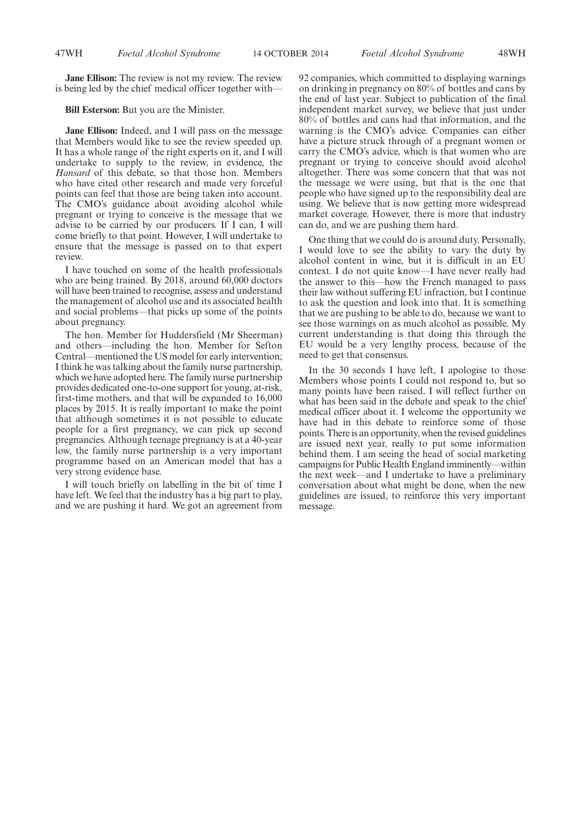**Jane Ellison:** The review is not my review. The review is being led by the chief medical officer together with—

**Bill Esterson:** But you are the Minister.

**Jane Ellison:** Indeed, and I will pass on the message that Members would like to see the review speeded up. It has a whole range of the right experts on it, and I will undertake to supply to the review, in evidence, the *Hansard* of this debate, so that those hon. Members who have cited other research and made very forceful points can feel that those are being taken into account. The CMO's guidance about avoiding alcohol while pregnant or trying to conceive is the message that we advise to be carried by our producers. If I can, I will come briefly to that point. However, I will undertake to ensure that the message is passed on to that expert review.

I have touched on some of the health professionals who are being trained. By 2018, around 60,000 doctors will have been trained to recognise, assess and understand the management of alcohol use and its associated health and social problems—that picks up some of the points about pregnancy.

The hon. Member for Huddersfield (Mr Sheerman) and others—including the hon. Member for Sefton Central—mentioned the US model for early intervention; I think he was talking about the family nurse partnership, which we have adopted here. The family nurse partnership provides dedicated one-to-one support for young, at-risk, first-time mothers, and that will be expanded to 16,000 places by 2015. It is really important to make the point that although sometimes it is not possible to educate people for a first pregnancy, we can pick up second pregnancies. Although teenage pregnancy is at a 40-year low, the family nurse partnership is a very important programme based on an American model that has a very strong evidence base.

I will touch briefly on labelling in the bit of time I have left. We feel that the industry has a big part to play, and we are pushing it hard. We got an agreement from 92 companies, which committed to displaying warnings on drinking in pregnancy on 80% of bottles and cans by the end of last year. Subject to publication of the final independent market survey, we believe that just under 80% of bottles and cans had that information, and the warning is the CMO's advice. Companies can either have a picture struck through of a pregnant women or carry the CMO's advice, which is that women who are pregnant or trying to conceive should avoid alcohol altogether. There was some concern that that was not the message we were using, but that is the one that people who have signed up to the responsibility deal are using. We believe that is now getting more widespread market coverage. However, there is more that industry can do, and we are pushing them hard.

One thing that we could do is around duty. Personally, I would love to see the ability to vary the duty by alcohol content in wine, but it is difficult in an EU context. I do not quite know—I have never really had the answer to this—how the French managed to pass their law without suffering EU infraction, but I continue to ask the question and look into that. It is something that we are pushing to be able to do, because we want to see those warnings on as much alcohol as possible. My current understanding is that doing this through the EU would be a very lengthy process, because of the need to get that consensus.

In the 30 seconds I have left, I apologise to those Members whose points I could not respond to, but so many points have been raised. I will reflect further on what has been said in the debate and speak to the chief medical officer about it. I welcome the opportunity we have had in this debate to reinforce some of those points. There is an opportunity, when the revised guidelines are issued next year, really to put some information behind them. I am seeing the head of social marketing campaigns for Public Health England imminently—within the next week—and I undertake to have a preliminary conversation about what might be done, when the new guidelines are issued, to reinforce this very important message.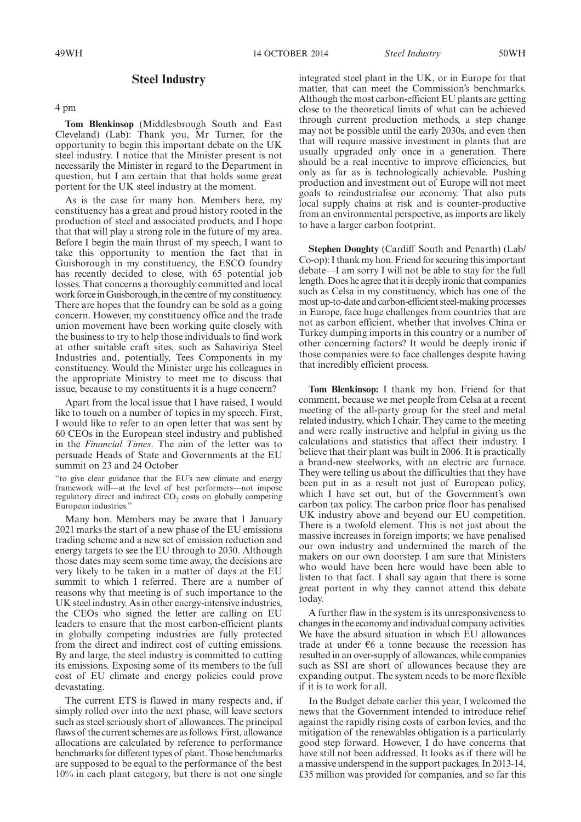# **Steel Industry**

4 pm

**Tom Blenkinsop** (Middlesbrough South and East Cleveland) (Lab): Thank you, Mr Turner, for the opportunity to begin this important debate on the UK steel industry. I notice that the Minister present is not necessarily the Minister in regard to the Department in question, but I am certain that that holds some great portent for the UK steel industry at the moment.

As is the case for many hon. Members here, my constituency has a great and proud history rooted in the production of steel and associated products, and I hope that that will play a strong role in the future of my area. Before I begin the main thrust of my speech, I want to take this opportunity to mention the fact that in Guisborough in my constituency, the ESCO foundry has recently decided to close, with 65 potential job losses. That concerns a thoroughly committed and local work force in Guisborough, in the centre of my constituency. There are hopes that the foundry can be sold as a going concern. However, my constituency office and the trade union movement have been working quite closely with the business to try to help those individuals to find work at other suitable craft sites, such as Sahaviriya Steel Industries and, potentially, Tees Components in my constituency. Would the Minister urge his colleagues in the appropriate Ministry to meet me to discuss that issue, because to my constituents it is a huge concern?

Apart from the local issue that I have raised, I would like to touch on a number of topics in my speech. First, I would like to refer to an open letter that was sent by 60 CEOs in the European steel industry and published in the *Financial Times*. The aim of the letter was to persuade Heads of State and Governments at the EU summit on 23 and 24 October

"to give clear guidance that the EU's new climate and energy framework will—at the level of best performers—not impose regulatory direct and indirect CO<sub>2</sub> costs on globally competing European industries.'

Many hon. Members may be aware that 1 January 2021 marks the start of a new phase of the EU emissions trading scheme and a new set of emission reduction and energy targets to see the EU through to 2030. Although those dates may seem some time away, the decisions are very likely to be taken in a matter of days at the EU summit to which I referred. There are a number of reasons why that meeting is of such importance to the UK steel industry. As in other energy-intensive industries, the CEOs who signed the letter are calling on EU leaders to ensure that the most carbon-efficient plants in globally competing industries are fully protected from the direct and indirect cost of cutting emissions. By and large, the steel industry is committed to cutting its emissions. Exposing some of its members to the full cost of EU climate and energy policies could prove devastating.

The current ETS is flawed in many respects and, if simply rolled over into the next phase, will leave sectors such as steel seriously short of allowances. The principal flaws of the current schemes are as follows. First, allowance allocations are calculated by reference to performance benchmarks for different types of plant. Those benchmarks are supposed to be equal to the performance of the best 10% in each plant category, but there is not one single integrated steel plant in the UK, or in Europe for that matter, that can meet the Commission's benchmarks. Although the most carbon-efficient EU plants are getting close to the theoretical limits of what can be achieved through current production methods, a step change may not be possible until the early 2030s, and even then that will require massive investment in plants that are usually upgraded only once in a generation. There should be a real incentive to improve efficiencies, but only as far as is technologically achievable. Pushing production and investment out of Europe will not meet goals to reindustrialise our economy. That also puts local supply chains at risk and is counter-productive from an environmental perspective, as imports are likely to have a larger carbon footprint.

**Stephen Doughty** (Cardiff South and Penarth) (Lab/ Co-op): I thank my hon. Friend for securing this important debate—I am sorry I will not be able to stay for the full length. Does he agree that it is deeply ironic that companies such as Celsa in my constituency, which has one of the most up-to-date and carbon-efficient steel-making processes in Europe, face huge challenges from countries that are not as carbon efficient, whether that involves China or Turkey dumping imports in this country or a number of other concerning factors? It would be deeply ironic if those companies were to face challenges despite having that incredibly efficient process.

**Tom Blenkinsop:** I thank my hon. Friend for that comment, because we met people from Celsa at a recent meeting of the all-party group for the steel and metal related industry, which I chair. They came to the meeting and were really instructive and helpful in giving us the calculations and statistics that affect their industry. I believe that their plant was built in 2006. It is practically a brand-new steelworks, with an electric arc furnace. They were telling us about the difficulties that they have been put in as a result not just of European policy, which I have set out, but of the Government's own carbon tax policy. The carbon price floor has penalised UK industry above and beyond our EU competition. There is a twofold element. This is not just about the massive increases in foreign imports; we have penalised our own industry and undermined the march of the makers on our own doorstep. I am sure that Ministers who would have been here would have been able to listen to that fact. I shall say again that there is some great portent in why they cannot attend this debate today.

A further flaw in the system is its unresponsiveness to changes in the economy and individual company activities. We have the absurd situation in which EU allowances trade at under  $\epsilon$ 6 a tonne because the recession has resulted in an over-supply of allowances, while companies such as SSI are short of allowances because they are expanding output. The system needs to be more flexible if it is to work for all.

In the Budget debate earlier this year, I welcomed the news that the Government intended to introduce relief against the rapidly rising costs of carbon levies, and the mitigation of the renewables obligation is a particularly good step forward. However, I do have concerns that have still not been addressed. It looks as if there will be a massive underspend in the support packages. In 2013-14, £35 million was provided for companies, and so far this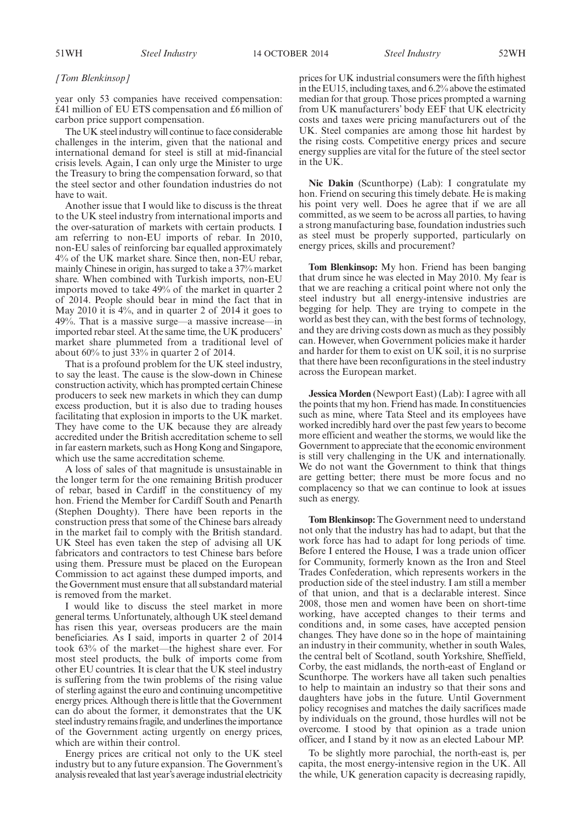51WH *Steel Industry Steel Industry* 14 OCTOBER 2014 52WH

#### *[Tom Blenkinsop]*

year only 53 companies have received compensation: £41 million of EU ETS compensation and £6 million of carbon price support compensation.

The UK steel industry will continue to face considerable challenges in the interim, given that the national and international demand for steel is still at mid-financial crisis levels. Again, I can only urge the Minister to urge the Treasury to bring the compensation forward, so that the steel sector and other foundation industries do not have to wait.

Another issue that I would like to discuss is the threat to the UK steel industry from international imports and the over-saturation of markets with certain products. I am referring to non-EU imports of rebar. In 2010, non-EU sales of reinforcing bar equalled approximately 4% of the UK market share. Since then, non-EU rebar, mainly Chinese in origin, has surged to take a 37% market share. When combined with Turkish imports, non-EU imports moved to take 49% of the market in quarter 2 of 2014. People should bear in mind the fact that in May 2010 it is 4%, and in quarter 2 of 2014 it goes to 49%. That is a massive surge—a massive increase—in imported rebar steel. At the same time, the UK producers' market share plummeted from a traditional level of about 60% to just 33% in quarter 2 of 2014.

That is a profound problem for the UK steel industry, to say the least. The cause is the slow-down in Chinese construction activity, which has prompted certain Chinese producers to seek new markets in which they can dump excess production, but it is also due to trading houses facilitating that explosion in imports to the UK market. They have come to the UK because they are already accredited under the British accreditation scheme to sell in far eastern markets, such as Hong Kong and Singapore, which use the same accreditation scheme.

A loss of sales of that magnitude is unsustainable in the longer term for the one remaining British producer of rebar, based in Cardiff in the constituency of my hon. Friend the Member for Cardiff South and Penarth (Stephen Doughty). There have been reports in the construction press that some of the Chinese bars already in the market fail to comply with the British standard. UK Steel has even taken the step of advising all UK fabricators and contractors to test Chinese bars before using them. Pressure must be placed on the European Commission to act against these dumped imports, and the Government must ensure that all substandard material is removed from the market.

I would like to discuss the steel market in more general terms. Unfortunately, although UK steel demand has risen this year, overseas producers are the main beneficiaries. As I said, imports in quarter 2 of 2014 took 63% of the market—the highest share ever. For most steel products, the bulk of imports come from other EU countries. It is clear that the UK steel industry is suffering from the twin problems of the rising value of sterling against the euro and continuing uncompetitive energy prices. Although there is little that the Government can do about the former, it demonstrates that the UK steel industry remains fragile, and underlines the importance of the Government acting urgently on energy prices, which are within their control.

Energy prices are critical not only to the UK steel industry but to any future expansion. The Government's analysis revealed that last year's average industrial electricity prices for UK industrial consumers were the fifth highest in the EU15, including taxes, and 6.2% above the estimated median for that group. Those prices prompted a warning from UK manufacturers' body EEF that UK electricity costs and taxes were pricing manufacturers out of the UK. Steel companies are among those hit hardest by the rising costs. Competitive energy prices and secure energy supplies are vital for the future of the steel sector in the UK.

**Nic Dakin** (Scunthorpe) (Lab): I congratulate my hon. Friend on securing this timely debate. He is making his point very well. Does he agree that if we are all committed, as we seem to be across all parties, to having a strong manufacturing base, foundation industries such as steel must be properly supported, particularly on energy prices, skills and procurement?

**Tom Blenkinsop:** My hon. Friend has been banging that drum since he was elected in May 2010. My fear is that we are reaching a critical point where not only the steel industry but all energy-intensive industries are begging for help. They are trying to compete in the world as best they can, with the best forms of technology, and they are driving costs down as much as they possibly can. However, when Government policies make it harder and harder for them to exist on UK soil, it is no surprise that there have been reconfigurations in the steel industry across the European market.

**Jessica Morden** (Newport East) (Lab): I agree with all the points that my hon. Friend has made. In constituencies such as mine, where Tata Steel and its employees have worked incredibly hard over the past few years to become more efficient and weather the storms, we would like the Government to appreciate that the economic environment is still very challenging in the UK and internationally. We do not want the Government to think that things are getting better; there must be more focus and no complacency so that we can continue to look at issues such as energy.

**Tom Blenkinsop:** The Government need to understand not only that the industry has had to adapt, but that the work force has had to adapt for long periods of time. Before I entered the House, I was a trade union officer for Community, formerly known as the Iron and Steel Trades Confederation, which represents workers in the production side of the steel industry. I am still a member of that union, and that is a declarable interest. Since 2008, those men and women have been on short-time working, have accepted changes to their terms and conditions and, in some cases, have accepted pension changes. They have done so in the hope of maintaining an industry in their community, whether in south Wales, the central belt of Scotland, south Yorkshire, Sheffield, Corby, the east midlands, the north-east of England or Scunthorpe. The workers have all taken such penalties to help to maintain an industry so that their sons and daughters have jobs in the future. Until Government policy recognises and matches the daily sacrifices made by individuals on the ground, those hurdles will not be overcome. I stood by that opinion as a trade union officer, and I stand by it now as an elected Labour MP.

To be slightly more parochial, the north-east is, per capita, the most energy-intensive region in the UK. All the while, UK generation capacity is decreasing rapidly,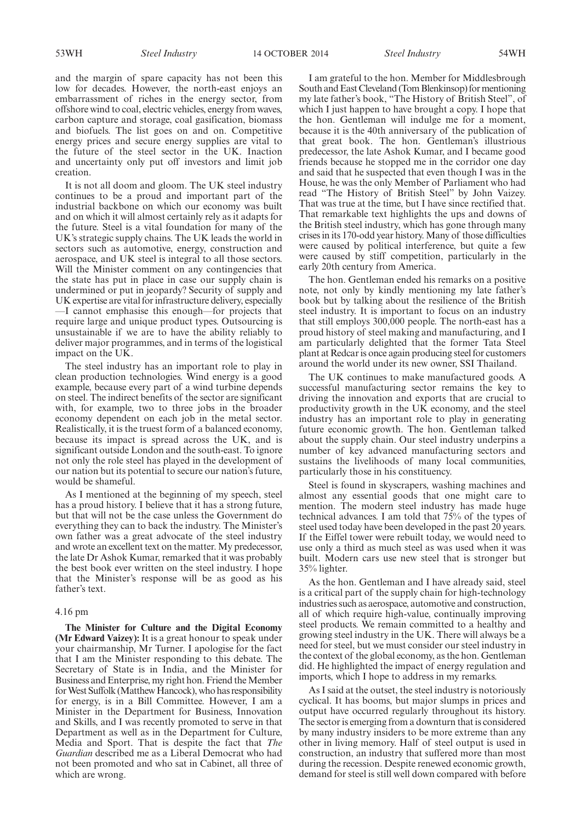53WH *Steel Industry Steel Industry* 14 OCTOBER 2014 54WH

and the margin of spare capacity has not been this low for decades. However, the north-east enjoys an embarrassment of riches in the energy sector, from offshore wind to coal, electric vehicles, energy from waves, carbon capture and storage, coal gasification, biomass and biofuels. The list goes on and on. Competitive energy prices and secure energy supplies are vital to the future of the steel sector in the UK. Inaction and uncertainty only put off investors and limit job creation.

It is not all doom and gloom. The UK steel industry continues to be a proud and important part of the industrial backbone on which our economy was built and on which it will almost certainly rely as it adapts for the future. Steel is a vital foundation for many of the UK's strategic supply chains. The UK leads the world in sectors such as automotive, energy, construction and aerospace, and UK steel is integral to all those sectors. Will the Minister comment on any contingencies that the state has put in place in case our supply chain is undermined or put in jeopardy? Security of supply and UK expertise are vital for infrastructure delivery, especially —I cannot emphasise this enough—for projects that require large and unique product types. Outsourcing is unsustainable if we are to have the ability reliably to deliver major programmes, and in terms of the logistical impact on the UK.

The steel industry has an important role to play in clean production technologies. Wind energy is a good example, because every part of a wind turbine depends on steel. The indirect benefits of the sector are significant with, for example, two to three jobs in the broader economy dependent on each job in the metal sector. Realistically, it is the truest form of a balanced economy, because its impact is spread across the UK, and is significant outside London and the south-east. To ignore not only the role steel has played in the development of our nation but its potential to secure our nation's future, would be shameful.

As I mentioned at the beginning of my speech, steel has a proud history. I believe that it has a strong future, but that will not be the case unless the Government do everything they can to back the industry. The Minister's own father was a great advocate of the steel industry and wrote an excellent text on the matter. My predecessor, the late Dr Ashok Kumar, remarked that it was probably the best book ever written on the steel industry. I hope that the Minister's response will be as good as his father's text.

#### 4.16 pm

**The Minister for Culture and the Digital Economy (Mr Edward Vaizey):** It is a great honour to speak under your chairmanship, Mr Turner. I apologise for the fact that I am the Minister responding to this debate. The Secretary of State is in India, and the Minister for Business and Enterprise, my right hon. Friend the Member for West Suffolk (Matthew Hancock), who has responsibility for energy, is in a Bill Committee. However, I am a Minister in the Department for Business, Innovation and Skills, and I was recently promoted to serve in that Department as well as in the Department for Culture, Media and Sport. That is despite the fact that *The Guardian* described me as a Liberal Democrat who had not been promoted and who sat in Cabinet, all three of which are wrong.

I am grateful to the hon. Member for Middlesbrough South and East Cleveland (Tom Blenkinsop) for mentioning my late father's book, "The History of British Steel", of which I just happen to have brought a copy. I hope that the hon. Gentleman will indulge me for a moment, because it is the 40th anniversary of the publication of that great book. The hon. Gentleman's illustrious predecessor, the late Ashok Kumar, and I became good friends because he stopped me in the corridor one day and said that he suspected that even though I was in the House, he was the only Member of Parliament who had read "The History of British Steel" by John Vaizey. That was true at the time, but I have since rectified that. That remarkable text highlights the ups and downs of the British steel industry, which has gone through many crises in its 170-odd year history.Many of those difficulties were caused by political interference, but quite a few were caused by stiff competition, particularly in the early 20th century from America.

The hon. Gentleman ended his remarks on a positive note, not only by kindly mentioning my late father's book but by talking about the resilience of the British steel industry. It is important to focus on an industry that still employs 300,000 people. The north-east has a proud history of steel making and manufacturing, and I am particularly delighted that the former Tata Steel plant at Redcar is once again producing steel for customers around the world under its new owner, SSI Thailand.

The UK continues to make manufactured goods. A successful manufacturing sector remains the key to driving the innovation and exports that are crucial to productivity growth in the UK economy, and the steel industry has an important role to play in generating future economic growth. The hon. Gentleman talked about the supply chain. Our steel industry underpins a number of key advanced manufacturing sectors and sustains the livelihoods of many local communities, particularly those in his constituency.

Steel is found in skyscrapers, washing machines and almost any essential goods that one might care to mention. The modern steel industry has made huge technical advances. I am told that 75% of the types of steel used today have been developed in the past 20 years. If the Eiffel tower were rebuilt today, we would need to use only a third as much steel as was used when it was built. Modern cars use new steel that is stronger but 35% lighter.

As the hon. Gentleman and I have already said, steel is a critical part of the supply chain for high-technology industries such as aerospace, automotive and construction, all of which require high-value, continually improving steel products. We remain committed to a healthy and growing steel industry in the UK. There will always be a need for steel, but we must consider our steel industry in the context of the global economy, as the hon. Gentleman did. He highlighted the impact of energy regulation and imports, which I hope to address in my remarks.

As I said at the outset, the steel industry is notoriously cyclical. It has booms, but major slumps in prices and output have occurred regularly throughout its history. The sector is emerging from a downturn that is considered by many industry insiders to be more extreme than any other in living memory. Half of steel output is used in construction, an industry that suffered more than most during the recession. Despite renewed economic growth, demand for steel is still well down compared with before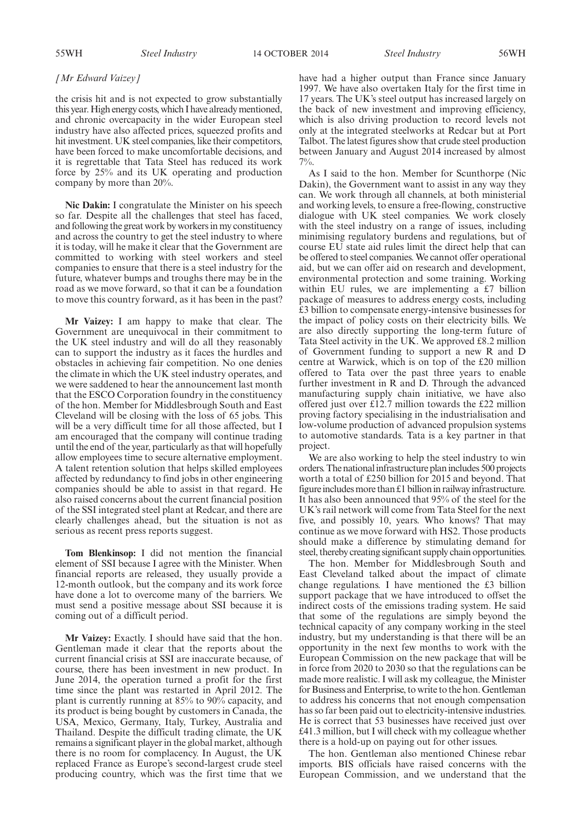#### *[Mr Edward Vaizey]*

the crisis hit and is not expected to grow substantially this year. High energy costs, which I have already mentioned, and chronic overcapacity in the wider European steel industry have also affected prices, squeezed profits and hit investment. UK steel companies, like their competitors, have been forced to make uncomfortable decisions, and it is regrettable that Tata Steel has reduced its work force by 25% and its UK operating and production company by more than 20%.

**Nic Dakin:** I congratulate the Minister on his speech so far. Despite all the challenges that steel has faced, and following the great work by workers in my constituency and across the country to get the steel industry to where it is today, will he make it clear that the Government are committed to working with steel workers and steel companies to ensure that there is a steel industry for the future, whatever bumps and troughs there may be in the road as we move forward, so that it can be a foundation to move this country forward, as it has been in the past?

**Mr Vaizey:** I am happy to make that clear. The Government are unequivocal in their commitment to the UK steel industry and will do all they reasonably can to support the industry as it faces the hurdles and obstacles in achieving fair competition. No one denies the climate in which the UK steel industry operates, and we were saddened to hear the announcement last month that the ESCO Corporation foundry in the constituency of the hon. Member for Middlesbrough South and East Cleveland will be closing with the loss of 65 jobs. This will be a very difficult time for all those affected, but I am encouraged that the company will continue trading until the end of the year, particularly as that will hopefully allow employees time to secure alternative employment. A talent retention solution that helps skilled employees affected by redundancy to find jobs in other engineering companies should be able to assist in that regard. He also raised concerns about the current financial position of the SSI integrated steel plant at Redcar, and there are clearly challenges ahead, but the situation is not as serious as recent press reports suggest.

**Tom Blenkinsop:** I did not mention the financial element of SSI because I agree with the Minister. When financial reports are released, they usually provide a 12-month outlook, but the company and its work force have done a lot to overcome many of the barriers. We must send a positive message about SSI because it is coming out of a difficult period.

**Mr Vaizey:** Exactly. I should have said that the hon. Gentleman made it clear that the reports about the current financial crisis at SSI are inaccurate because, of course, there has been investment in new product. In June 2014, the operation turned a profit for the first time since the plant was restarted in April 2012. The plant is currently running at 85% to 90% capacity, and its product is being bought by customers in Canada, the USA, Mexico, Germany, Italy, Turkey, Australia and Thailand. Despite the difficult trading climate, the UK remains a significant player in the global market, although there is no room for complacency. In August, the UK replaced France as Europe's second-largest crude steel producing country, which was the first time that we

have had a higher output than France since January 1997. We have also overtaken Italy for the first time in 17 years. The UK's steel output has increased largely on the back of new investment and improving efficiency, which is also driving production to record levels not only at the integrated steelworks at Redcar but at Port Talbot. The latest figures show that crude steel production between January and August 2014 increased by almost  $7\%$ 

As I said to the hon. Member for Scunthorpe (Nic Dakin), the Government want to assist in any way they can. We work through all channels, at both ministerial and working levels, to ensure a free-flowing, constructive dialogue with UK steel companies. We work closely with the steel industry on a range of issues, including minimising regulatory burdens and regulations, but of course EU state aid rules limit the direct help that can be offered to steel companies. We cannot offer operational aid, but we can offer aid on research and development, environmental protection and some training. Working within EU rules, we are implementing a £7 billion package of measures to address energy costs, including £3 billion to compensate energy-intensive businesses for the impact of policy costs on their electricity bills. We are also directly supporting the long-term future of Tata Steel activity in the UK. We approved £8.2 million of Government funding to support a new R and D centre at Warwick, which is on top of the £20 million offered to Tata over the past three years to enable further investment in R and D. Through the advanced manufacturing supply chain initiative, we have also offered just over  $\hat{\text{t}}$ 12.7 million towards the £22 million proving factory specialising in the industrialisation and low-volume production of advanced propulsion systems to automotive standards. Tata is a key partner in that project.

We are also working to help the steel industry to win orders.The nationalinfrastructure planincludes 500 projects worth a total of £250 billion for 2015 and beyond. That figure includes more than  $£1$  billion in railway infrastructure. It has also been announced that 95% of the steel for the UK's rail network will come from Tata Steel for the next five, and possibly 10, years. Who knows? That may continue as we move forward with HS2. Those products should make a difference by stimulating demand for steel, thereby creating significant supply chain opportunities.

The hon. Member for Middlesbrough South and East Cleveland talked about the impact of climate change regulations. I have mentioned the £3 billion support package that we have introduced to offset the indirect costs of the emissions trading system. He said that some of the regulations are simply beyond the technical capacity of any company working in the steel industry, but my understanding is that there will be an opportunity in the next few months to work with the European Commission on the new package that will be in force from 2020 to 2030 so that the regulations can be made more realistic. I will ask my colleague, the Minister for Business and Enterprise, to write to the hon. Gentleman to address his concerns that not enough compensation has so far been paid out to electricity-intensive industries. He is correct that 53 businesses have received just over £41.3 million, but I will check with my colleague whether there is a hold-up on paying out for other issues.

The hon. Gentleman also mentioned Chinese rebar imports. BIS officials have raised concerns with the European Commission, and we understand that the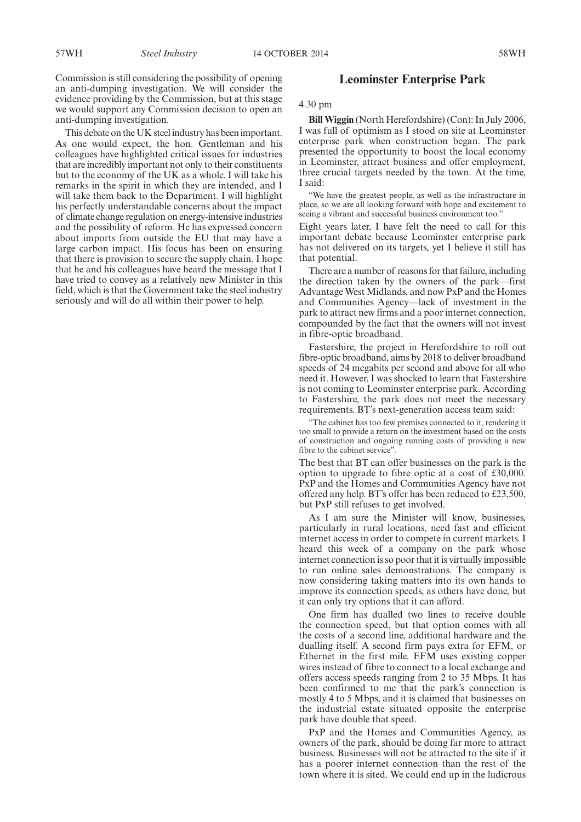anti-dumping investigation. This debate on the UK steel industry has been important. As one would expect, the hon. Gentleman and his colleagues have highlighted critical issues for industries that are incredibly important not only to their constituents but to the economy of the UK as a whole. I will take his remarks in the spirit in which they are intended, and I will take them back to the Department. I will highlight his perfectly understandable concerns about the impact of climate change regulation on energy-intensive industries and the possibility of reform. He has expressed concern about imports from outside the EU that may have a large carbon impact. His focus has been on ensuring that there is provision to secure the supply chain. I hope that he and his colleagues have heard the message that I have tried to convey as a relatively new Minister in this field, which is that the Government take the steel industry seriously and will do all within their power to help.

# **Leominster Enterprise Park**

# 4.30 pm

**Bill Wiggin** (North Herefordshire) (Con): In July 2006, I was full of optimism as I stood on site at Leominster enterprise park when construction began. The park presented the opportunity to boost the local economy in Leominster, attract business and offer employment, three crucial targets needed by the town. At the time, I said:

"We have the greatest people, as well as the infrastructure in place, so we are all looking forward with hope and excitement to seeing a vibrant and successful business environment too."

Eight years later, I have felt the need to call for this important debate because Leominster enterprise park has not delivered on its targets, yet I believe it still has that potential.

There are a number of reasons for that failure, including the direction taken by the owners of the park—first Advantage West Midlands, and now PxP and the Homes and Communities Agency—lack of investment in the park to attract new firms and a poor internet connection, compounded by the fact that the owners will not invest in fibre-optic broadband.

Fastershire, the project in Herefordshire to roll out fibre-optic broadband, aims by 2018 to deliver broadband speeds of 24 megabits per second and above for all who need it. However, I was shocked to learn that Fastershire is not coming to Leominster enterprise park. According to Fastershire, the park does not meet the necessary requirements. BT's next-generation access team said:

"The cabinet has too few premises connected to it, rendering it too small to provide a return on the investment based on the costs of construction and ongoing running costs of providing a new fibre to the cabinet service".

The best that BT can offer businesses on the park is the option to upgrade to fibre optic at a cost of £30,000. PxP and the Homes and Communities Agency have not offered any help. BT's offer has been reduced to £23,500, but PxP still refuses to get involved.

As I am sure the Minister will know, businesses, particularly in rural locations, need fast and efficient internet access in order to compete in current markets. I heard this week of a company on the park whose internet connection is so poor that it is virtually impossible to run online sales demonstrations. The company is now considering taking matters into its own hands to improve its connection speeds, as others have done, but it can only try options that it can afford.

One firm has dualled two lines to receive double the connection speed, but that option comes with all the costs of a second line, additional hardware and the dualling itself. A second firm pays extra for EFM, or Ethernet in the first mile. EFM uses existing copper wires instead of fibre to connect to a local exchange and offers access speeds ranging from 2 to 35 Mbps. It has been confirmed to me that the park's connection is mostly 4 to 5 Mbps, and it is claimed that businesses on the industrial estate situated opposite the enterprise park have double that speed.

PxP and the Homes and Communities Agency, as owners of the park, should be doing far more to attract business. Businesses will not be attracted to the site if it has a poorer internet connection than the rest of the town where it is sited. We could end up in the ludicrous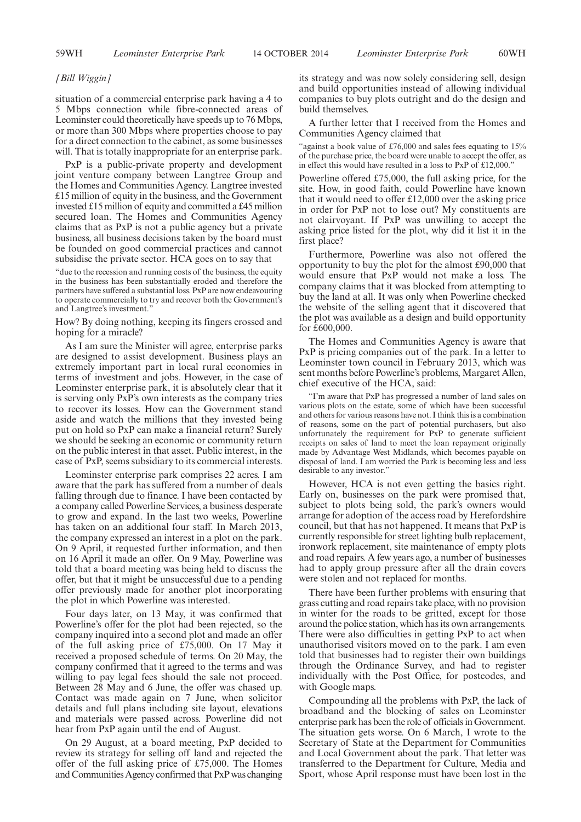#### *[Bill Wiggin]*

situation of a commercial enterprise park having a 4 to 5 Mbps connection while fibre-connected areas of Leominster could theoretically have speeds up to 76Mbps, or more than 300 Mbps where properties choose to pay for a direct connection to the cabinet, as some businesses will. That is totally inappropriate for an enterprise park.

PxP is a public-private property and development joint venture company between Langtree Group and the Homes and Communities Agency. Langtree invested £15 million of equity in the business, and the Government invested £15 million of equity and committed a £45 million secured loan. The Homes and Communities Agency claims that as PxP is not a public agency but a private business, all business decisions taken by the board must be founded on good commercial practices and cannot subsidise the private sector. HCA goes on to say that

"due to the recession and running costs of the business, the equity in the business has been substantially eroded and therefore the partners have suffered a substantial loss. PxP are now endeavouring to operate commercially to try and recover both the Government's and Langtree's investment."

How? By doing nothing, keeping its fingers crossed and hoping for a miracle?

As I am sure the Minister will agree, enterprise parks are designed to assist development. Business plays an extremely important part in local rural economies in terms of investment and jobs. However, in the case of Leominster enterprise park, it is absolutely clear that it is serving only PxP's own interests as the company tries to recover its losses. How can the Government stand aside and watch the millions that they invested being put on hold so PxP can make a financial return? Surely we should be seeking an economic or community return on the public interest in that asset. Public interest, in the case of PxP, seems subsidiary to its commercial interests.

Leominster enterprise park comprises 22 acres. I am aware that the park has suffered from a number of deals falling through due to finance. I have been contacted by a company called Powerline Services, a business desperate to grow and expand. In the last two weeks, Powerline has taken on an additional four staff. In March 2013, the company expressed an interest in a plot on the park. On 9 April, it requested further information, and then on 16 April it made an offer. On 9 May, Powerline was told that a board meeting was being held to discuss the offer, but that it might be unsuccessful due to a pending offer previously made for another plot incorporating the plot in which Powerline was interested.

Four days later, on 13 May, it was confirmed that Powerline's offer for the plot had been rejected, so the company inquired into a second plot and made an offer of the full asking price of £75,000. On 17 May it received a proposed schedule of terms. On 20 May, the company confirmed that it agreed to the terms and was willing to pay legal fees should the sale not proceed. Between 28 May and 6 June, the offer was chased up. Contact was made again on 7 June, when solicitor details and full plans including site layout, elevations and materials were passed across. Powerline did not hear from PxP again until the end of August.

On 29 August, at a board meeting, PxP decided to review its strategy for selling off land and rejected the offer of the full asking price of £75,000. The Homes and Communities Agency confirmed that PxP was changing its strategy and was now solely considering sell, design and build opportunities instead of allowing individual companies to buy plots outright and do the design and build themselves.

A further letter that I received from the Homes and Communities Agency claimed that

"against a book value of £76,000 and sales fees equating to 15% of the purchase price, the board were unable to accept the offer, as in effect this would have resulted in a loss to PxP of £12,000."

Powerline offered £75,000, the full asking price, for the site. How, in good faith, could Powerline have known that it would need to offer £12,000 over the asking price in order for PxP not to lose out? My constituents are not clairvoyant. If PxP was unwilling to accept the asking price listed for the plot, why did it list it in the first place?

Furthermore, Powerline was also not offered the opportunity to buy the plot for the almost £90,000 that would ensure that PxP would not make a loss. The company claims that it was blocked from attempting to buy the land at all. It was only when Powerline checked the website of the selling agent that it discovered that the plot was available as a design and build opportunity for £600,000.

The Homes and Communities Agency is aware that PxP is pricing companies out of the park. In a letter to Leominster town council in February 2013, which was sent months before Powerline's problems, Margaret Allen, chief executive of the HCA, said:

"I'm aware that PxP has progressed a number of land sales on various plots on the estate, some of which have been successful and others for various reasons have not. I think this is a combination of reasons, some on the part of potential purchasers, but also unfortunately the requirement for PxP to generate sufficient receipts on sales of land to meet the loan repayment originally made by Advantage West Midlands, which becomes payable on disposal of land. I am worried the Park is becoming less and less desirable to any investor."

However, HCA is not even getting the basics right. Early on, businesses on the park were promised that, subject to plots being sold, the park's owners would arrange for adoption of the access road by Herefordshire council, but that has not happened. It means that PxP is currently responsible for street lighting bulb replacement, ironwork replacement, site maintenance of empty plots and road repairs. A few years ago, a number of businesses had to apply group pressure after all the drain covers were stolen and not replaced for months.

There have been further problems with ensuring that grass cutting and road repairs take place, with no provision in winter for the roads to be gritted, except for those around the police station, which has its own arrangements. There were also difficulties in getting PxP to act when unauthorised visitors moved on to the park. I am even told that businesses had to register their own buildings through the Ordinance Survey, and had to register individually with the Post Office, for postcodes, and with Google maps.

Compounding all the problems with PxP, the lack of broadband and the blocking of sales on Leominster enterprise park has been the role of officials in Government. The situation gets worse. On 6 March, I wrote to the Secretary of State at the Department for Communities and Local Government about the park. That letter was transferred to the Department for Culture, Media and Sport, whose April response must have been lost in the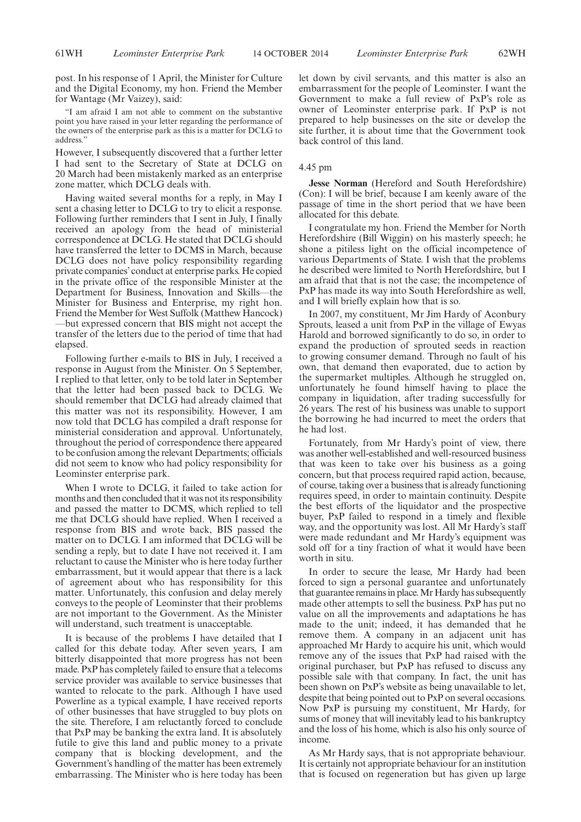post. In his response of 1 April, the Minister for Culture and the Digital Economy, my hon. Friend the Member for Wantage (Mr Vaizey), said:

"I am afraid I am not able to comment on the substantive point you have raised in your letter regarding the performance of the owners of the enterprise park as this is a matter for DCLG to address."

However, I subsequently discovered that a further letter I had sent to the Secretary of State at DCLG on 20 March had been mistakenly marked as an enterprise zone matter, which DCLG deals with.

Having waited several months for a reply, in May I sent a chasing letter to DCLG to try to elicit a response. Following further reminders that I sent in July, I finally received an apology from the head of ministerial correspondence at DCLG. He stated that DCLG should have transferred the letter to DCMS in March, because DCLG does not have policy responsibility regarding private companies' conduct at enterprise parks. He copied in the private office of the responsible Minister at the Department for Business, Innovation and Skills—the Minister for Business and Enterprise, my right hon. Friend the Member for West Suffolk (Matthew Hancock) —but expressed concern that BIS might not accept the transfer of the letters due to the period of time that had elapsed.

Following further e-mails to BIS in July, I received a response in August from the Minister. On 5 September, I replied to that letter, only to be told later in September that the letter had been passed back to DCLG. We should remember that DCLG had already claimed that this matter was not its responsibility. However, I am now told that DCLG has compiled a draft response for ministerial consideration and approval. Unfortunately, throughout the period of correspondence there appeared to be confusion among the relevant Departments; officials did not seem to know who had policy responsibility for Leominster enterprise park.

When I wrote to DCLG, it failed to take action for months and then concluded that it was not its responsibility and passed the matter to DCMS, which replied to tell me that DCLG should have replied. When I received a response from BIS and wrote back, BIS passed the matter on to DCLG. I am informed that DCLG will be sending a reply, but to date I have not received it. I am reluctant to cause the Minister who is here today further embarrassment, but it would appear that there is a lack of agreement about who has responsibility for this matter. Unfortunately, this confusion and delay merely conveys to the people of Leominster that their problems are not important to the Government. As the Minister will understand, such treatment is unacceptable.

It is because of the problems I have detailed that I called for this debate today. After seven years, I am bitterly disappointed that more progress has not been made. PxP has completely failed to ensure that a telecoms service provider was available to service businesses that wanted to relocate to the park. Although I have used Powerline as a typical example, I have received reports of other businesses that have struggled to buy plots on the site. Therefore, I am reluctantly forced to conclude that PxP may be banking the extra land. It is absolutely futile to give this land and public money to a private company that is blocking development, and the Government's handling of the matter has been extremely embarrassing. The Minister who is here today has been let down by civil servants, and this matter is also an embarrassment for the people of Leominster. I want the Government to make a full review of PxP's role as owner of Leominster enterprise park. If PxP is not prepared to help businesses on the site or develop the site further, it is about time that the Government took back control of this land.

#### 4.45 pm

**Jesse Norman** (Hereford and South Herefordshire) (Con): I will be brief, because I am keenly aware of the passage of time in the short period that we have been allocated for this debate.

I congratulate my hon. Friend the Member for North Herefordshire (Bill Wiggin) on his masterly speech; he shone a pitiless light on the official incompetence of various Departments of State. I wish that the problems he described were limited to North Herefordshire, but I am afraid that that is not the case; the incompetence of PxP has made its way into South Herefordshire as well, and I will briefly explain how that is so.

In 2007, my constituent, Mr Jim Hardy of Aconbury Sprouts, leased a unit from PxP in the village of Ewyas Harold and borrowed significantly to do so, in order to expand the production of sprouted seeds in reaction to growing consumer demand. Through no fault of his own, that demand then evaporated, due to action by the supermarket multiples. Although he struggled on, unfortunately he found himself having to place the company in liquidation, after trading successfully for 26 years. The rest of his business was unable to support the borrowing he had incurred to meet the orders that he had lost.

Fortunately, from Mr Hardy's point of view, there was another well-established and well-resourced business that was keen to take over his business as a going concern, but that process required rapid action, because, of course, taking over a business that is already functioning requires speed, in order to maintain continuity. Despite the best efforts of the liquidator and the prospective buyer, PxP failed to respond in a timely and flexible way, and the opportunity was lost. All Mr Hardy's staff were made redundant and Mr Hardy's equipment was sold off for a tiny fraction of what it would have been worth in situ.

In order to secure the lease, Mr Hardy had been forced to sign a personal guarantee and unfortunately that guarantee remains in place.Mr Hardy has subsequently made other attempts to sell the business. PxP has put no value on all the improvements and adaptations he has made to the unit; indeed, it has demanded that he remove them. A company in an adjacent unit has approached Mr Hardy to acquire his unit, which would remove any of the issues that PxP had raised with the original purchaser, but PxP has refused to discuss any possible sale with that company. In fact, the unit has been shown on PxP's website as being unavailable to let, despite that being pointed out to PxP on several occasions. Now PxP is pursuing my constituent, Mr Hardy, for sums of money that will inevitably lead to his bankruptcy and the loss of his home, which is also his only source of income.

As Mr Hardy says, that is not appropriate behaviour. It is certainly not appropriate behaviour for an institution that is focused on regeneration but has given up large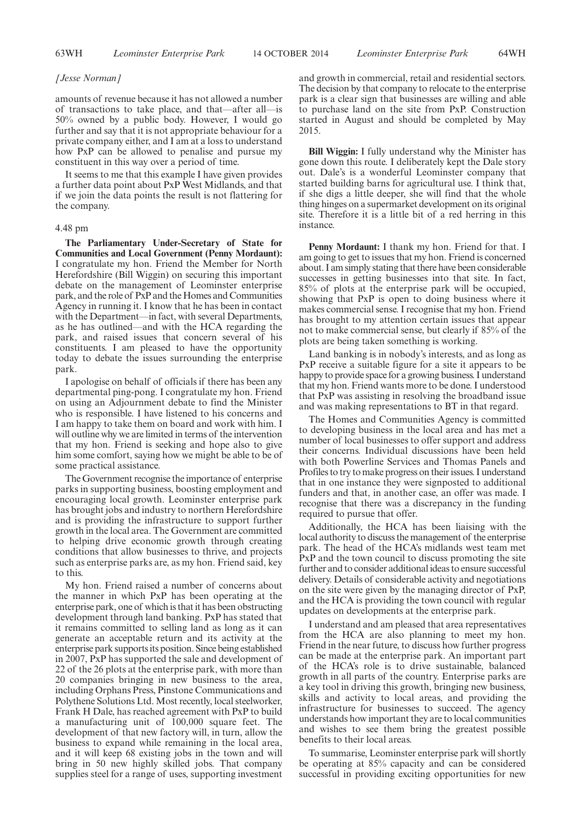#### *[Jesse Norman]*

amounts of revenue because it has not allowed a number of transactions to take place, and that—after all—is 50% owned by a public body. However, I would go further and say that it is not appropriate behaviour for a private company either, and I am at a loss to understand how PxP can be allowed to penalise and pursue my constituent in this way over a period of time.

It seems to me that this example I have given provides a further data point about PxP West Midlands, and that if we join the data points the result is not flattering for the company.

#### 4.48 pm

**The Parliamentary Under-Secretary of State for Communities and Local Government (Penny Mordaunt):** I congratulate my hon. Friend the Member for North Herefordshire (Bill Wiggin) on securing this important debate on the management of Leominster enterprise park, and the role of PxP and the Homes and Communities Agency in running it. I know that he has been in contact with the Department—in fact, with several Departments, as he has outlined—and with the HCA regarding the park, and raised issues that concern several of his constituents. I am pleased to have the opportunity today to debate the issues surrounding the enterprise park.

I apologise on behalf of officials if there has been any departmental ping-pong. I congratulate my hon. Friend on using an Adjournment debate to find the Minister who is responsible. I have listened to his concerns and I am happy to take them on board and work with him. I will outline why we are limited in terms of the intervention that my hon. Friend is seeking and hope also to give him some comfort, saying how we might be able to be of some practical assistance.

The Government recognise the importance of enterprise parks in supporting business, boosting employment and encouraging local growth. Leominster enterprise park has brought jobs and industry to northern Herefordshire and is providing the infrastructure to support further growth in the local area. The Government are committed to helping drive economic growth through creating conditions that allow businesses to thrive, and projects such as enterprise parks are, as my hon. Friend said, key to this.

My hon. Friend raised a number of concerns about the manner in which PxP has been operating at the enterprise park, one of which is that it has been obstructing development through land banking. PxP has stated that it remains committed to selling land as long as it can generate an acceptable return and its activity at the enterprise park supports its position. Since being established in 2007, PxP has supported the sale and development of 22 of the 26 plots at the enterprise park, with more than 20 companies bringing in new business to the area, including Orphans Press, Pinstone Communications and Polythene Solutions Ltd. Most recently, local steelworker, Frank H Dale, has reached agreement with PxP to build a manufacturing unit of 100,000 square feet. The development of that new factory will, in turn, allow the business to expand while remaining in the local area, and it will keep 68 existing jobs in the town and will bring in 50 new highly skilled jobs. That company supplies steel for a range of uses, supporting investment

and growth in commercial, retail and residential sectors. The decision by that company to relocate to the enterprise park is a clear sign that businesses are willing and able to purchase land on the site from PxP. Construction started in August and should be completed by May 2015.

**Bill Wiggin:** I fully understand why the Minister has gone down this route. I deliberately kept the Dale story out. Dale's is a wonderful Leominster company that started building barns for agricultural use. I think that, if she digs a little deeper, she will find that the whole thing hinges on a supermarket development on its original site. Therefore it is a little bit of a red herring in this instance.

**Penny Mordaunt:** I thank my hon. Friend for that. I am going to get to issues that my hon. Friend is concerned about. I am simply stating that there have been considerable successes in getting businesses into that site. In fact, 85% of plots at the enterprise park will be occupied, showing that PxP is open to doing business where it makes commercial sense. I recognise that my hon. Friend has brought to my attention certain issues that appear not to make commercial sense, but clearly if 85% of the plots are being taken something is working.

Land banking is in nobody's interests, and as long as PxP receive a suitable figure for a site it appears to be happy to provide space for a growing business. I understand that my hon. Friend wants more to be done. I understood that PxP was assisting in resolving the broadband issue and was making representations to BT in that regard.

The Homes and Communities Agency is committed to developing business in the local area and has met a number of local businesses to offer support and address their concerns. Individual discussions have been held with both Powerline Services and Thomas Panels and Profiles to try to make progress on their issues. I understand that in one instance they were signposted to additional funders and that, in another case, an offer was made. I recognise that there was a discrepancy in the funding required to pursue that offer.

Additionally, the HCA has been liaising with the local authority to discuss the management of the enterprise park. The head of the HCA's midlands west team met PxP and the town council to discuss promoting the site further and to consider additional ideas to ensure successful delivery. Details of considerable activity and negotiations on the site were given by the managing director of PxP, and the HCA is providing the town council with regular updates on developments at the enterprise park.

I understand and am pleased that area representatives from the HCA are also planning to meet my hon. Friend in the near future, to discuss how further progress can be made at the enterprise park. An important part of the HCA's role is to drive sustainable, balanced growth in all parts of the country. Enterprise parks are a key tool in driving this growth, bringing new business, skills and activity to local areas, and providing the infrastructure for businesses to succeed. The agency understands how important they are to local communities and wishes to see them bring the greatest possible benefits to their local areas.

To summarise, Leominster enterprise park will shortly be operating at 85% capacity and can be considered successful in providing exciting opportunities for new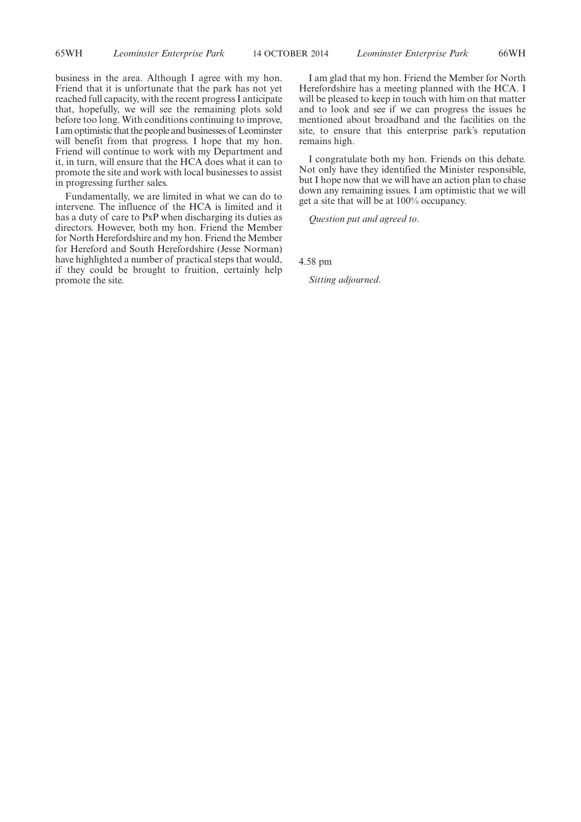business in the area. Although I agree with my hon. Friend that it is unfortunate that the park has not yet reached full capacity, with the recent progress I anticipate that, hopefully, we will see the remaining plots sold before too long. With conditions continuing to improve, I am optimistic that the people and businesses of Leominster will benefit from that progress. I hope that my hon. Friend will continue to work with my Department and it, in turn, will ensure that the HCA does what it can to promote the site and work with local businesses to assist in progressing further sales.

Fundamentally, we are limited in what we can do to intervene. The influence of the HCA is limited and it has a duty of care to PxP when discharging its duties as directors. However, both my hon. Friend the Member for North Herefordshire and my hon. Friend the Member for Hereford and South Herefordshire (Jesse Norman) have highlighted a number of practical steps that would, if they could be brought to fruition, certainly help promote the site.

I am glad that my hon. Friend the Member for North Herefordshire has a meeting planned with the HCA. I will be pleased to keep in touch with him on that matter and to look and see if we can progress the issues he mentioned about broadband and the facilities on the site, to ensure that this enterprise park's reputation remains high.

I congratulate both my hon. Friends on this debate. Not only have they identified the Minister responsible, but I hope now that we will have an action plan to chase down any remaining issues. I am optimistic that we will get a site that will be at 100% occupancy.

*Question put and agreed to*.

4.58 pm

*Sitting adjourned*.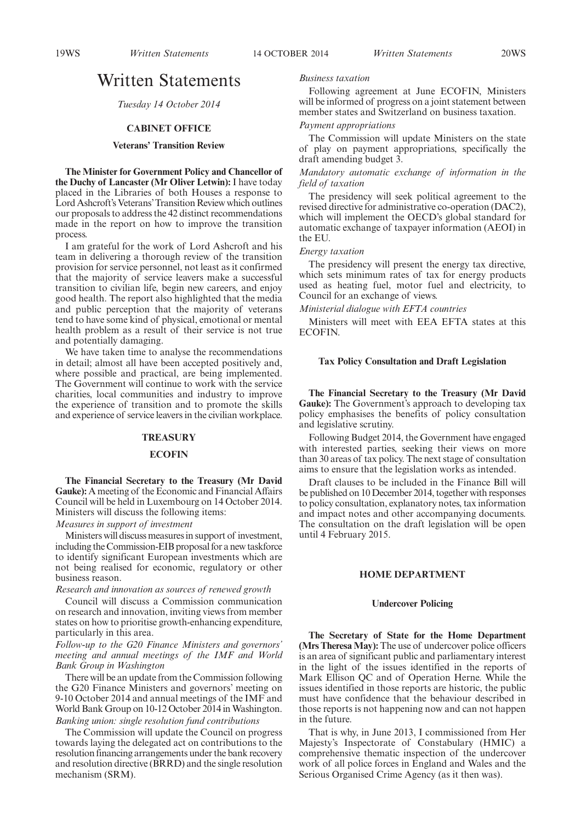## Written Statements

*Tuesday 14 October 2014*

## **CABINET OFFICE**

## **Veterans' Transition Review**

**The Minister for Government Policy and Chancellor of the Duchy of Lancaster (Mr Oliver Letwin):** I have today placed in the Libraries of both Houses a response to Lord Ashcroft's Veterans'Transition Review which outlines our proposals to address the 42 distinct recommendations made in the report on how to improve the transition process.

I am grateful for the work of Lord Ashcroft and his team in delivering a thorough review of the transition provision for service personnel, not least as it confirmed that the majority of service leavers make a successful transition to civilian life, begin new careers, and enjoy good health. The report also highlighted that the media and public perception that the majority of veterans tend to have some kind of physical, emotional or mental health problem as a result of their service is not true and potentially damaging.

We have taken time to analyse the recommendations in detail; almost all have been accepted positively and, where possible and practical, are being implemented. The Government will continue to work with the service charities, local communities and industry to improve the experience of transition and to promote the skills and experience of service leavers in the civilian workplace.

#### **TREASURY**

#### **ECOFIN**

**The Financial Secretary to the Treasury (Mr David Gauke):** A meeting of the Economic and Financial Affairs Council will be held in Luxembourg on 14 October 2014. Ministers will discuss the following items:

## *Measures in support of investment*

Ministers will discuss measures in support of investment, including the Commission-EIB proposal for a new taskforce to identify significant European investments which are not being realised for economic, regulatory or other business reason.

*Research and innovation as sources of renewed growth*

Council will discuss a Commission communication on research and innovation, inviting views from member states on how to prioritise growth-enhancing expenditure, particularly in this area.

## *Follow-up to the G20 Finance Ministers and governors' meeting and annual meetings of the IMF and World Bank Group in Washington*

There will be an update from the Commission following the G20 Finance Ministers and governors' meeting on 9-10 October 2014 and annual meetings of the IMF and World Bank Group on 10-12 October 2014 in Washington. *Banking union: single resolution fund contributions*

The Commission will update the Council on progress towards laying the delegated act on contributions to the resolution financing arrangements under the bank recovery and resolution directive (BRRD) and the single resolution mechanism (SRM).

*Business taxation*

Following agreement at June ECOFIN, Ministers will be informed of progress on a joint statement between member states and Switzerland on business taxation.

### *Payment appropriations*

The Commission will update Ministers on the state of play on payment appropriations, specifically the draft amending budget 3.

*Mandatory automatic exchange of information in the field of taxation*

The presidency will seek political agreement to the revised directive for administrative co-operation (DAC2), which will implement the OECD's global standard for automatic exchange of taxpayer information (AEOI) in the EU.

#### *Energy taxation*

The presidency will present the energy tax directive, which sets minimum rates of tax for energy products used as heating fuel, motor fuel and electricity, to Council for an exchange of views.

*Ministerial dialogue with EFTA countries*

Ministers will meet with EEA EFTA states at this **ECOFIN.** 

#### **Tax Policy Consultation and Draft Legislation**

**The Financial Secretary to the Treasury (Mr David Gauke):** The Government's approach to developing tax policy emphasises the benefits of policy consultation and legislative scrutiny.

Following Budget 2014, the Government have engaged with interested parties, seeking their views on more than 30 areas of tax policy. The next stage of consultation aims to ensure that the legislation works as intended.

Draft clauses to be included in the Finance Bill will be published on 10 December 2014, together with responses to policy consultation, explanatory notes, tax information and impact notes and other accompanying documents. The consultation on the draft legislation will be open until 4 February 2015.

## **HOME DEPARTMENT**

#### **Undercover Policing**

**The Secretary of State for the Home Department (Mrs Theresa May):** The use of undercover police officers is an area of significant public and parliamentary interest in the light of the issues identified in the reports of Mark Ellison QC and of Operation Herne. While the issues identified in those reports are historic, the public must have confidence that the behaviour described in those reports is not happening now and can not happen in the future.

That is why, in June 2013, I commissioned from Her Majesty's Inspectorate of Constabulary (HMIC) a comprehensive thematic inspection of the undercover work of all police forces in England and Wales and the Serious Organised Crime Agency (as it then was).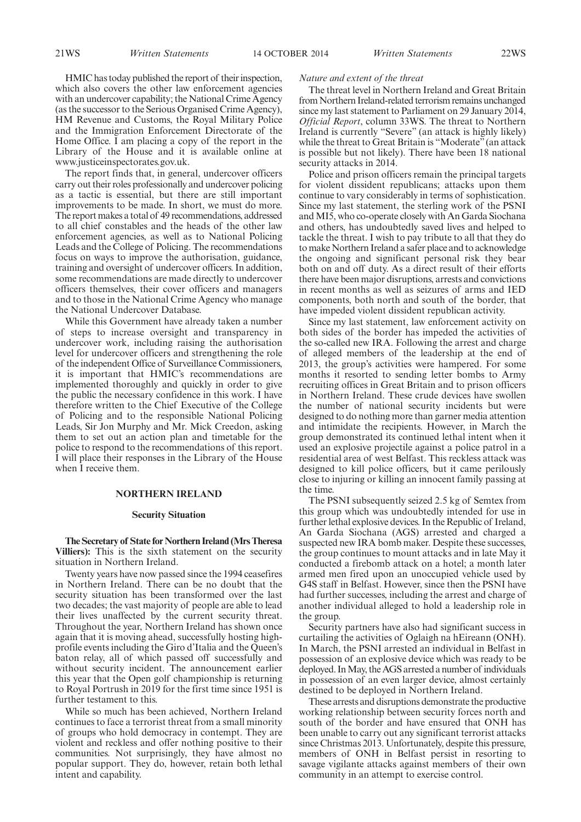HMIC has today published the report of their inspection, which also covers the other law enforcement agencies with an undercover capability; the National Crime Agency (as the successor to the Serious Organised Crime Agency), HM Revenue and Customs, the Royal Military Police and the Immigration Enforcement Directorate of the Home Office. I am placing a copy of the report in the Library of the House and it is available online at www.justiceinspectorates.gov.uk.

The report finds that, in general, undercover officers carry out their roles professionally and undercover policing as a tactic is essential, but there are still important improvements to be made. In short, we must do more. The report makes a total of 49 recommendations, addressed to all chief constables and the heads of the other law enforcement agencies, as well as to National Policing Leads and the College of Policing. The recommendations focus on ways to improve the authorisation, guidance, training and oversight of undercover officers. In addition, some recommendations are made directly to undercover officers themselves, their cover officers and managers and to those in the National Crime Agency who manage the National Undercover Database.

While this Government have already taken a number of steps to increase oversight and transparency in undercover work, including raising the authorisation level for undercover officers and strengthening the role of the independent Office of Surveillance Commissioners, it is important that HMIC's recommendations are implemented thoroughly and quickly in order to give the public the necessary confidence in this work. I have therefore written to the Chief Executive of the College of Policing and to the responsible National Policing Leads, Sir Jon Murphy and Mr. Mick Creedon, asking them to set out an action plan and timetable for the police to respond to the recommendations of this report. I will place their responses in the Library of the House when I receive them.

#### **NORTHERN IRELAND**

#### **Security Situation**

**The Secretary of State for Northern Ireland (Mrs Theresa Villiers):** This is the sixth statement on the security situation in Northern Ireland.

Twenty years have now passed since the 1994 ceasefires in Northern Ireland. There can be no doubt that the security situation has been transformed over the last two decades; the vast majority of people are able to lead their lives unaffected by the current security threat. Throughout the year, Northern Ireland has shown once again that it is moving ahead, successfully hosting highprofile events including the Giro d'Italia and the Queen's baton relay, all of which passed off successfully and without security incident. The announcement earlier this year that the Open golf championship is returning to Royal Portrush in 2019 for the first time since 1951 is further testament to this.

While so much has been achieved, Northern Ireland continues to face a terrorist threat from a small minority of groups who hold democracy in contempt. They are violent and reckless and offer nothing positive to their communities. Not surprisingly, they have almost no popular support. They do, however, retain both lethal intent and capability.

#### *Nature and extent of the threat*

The threat level in Northern Ireland and Great Britain fromNorthern Ireland-related terrorism remains unchanged since my last statement to Parliament on 29 January 2014, *Official Report*, column 33WS. The threat to Northern Ireland is currently "Severe" (an attack is highly likely) while the threat to Great Britain is "Moderate" (an attack is possible but not likely). There have been 18 national security attacks in 2014.

Police and prison officers remain the principal targets for violent dissident republicans; attacks upon them continue to vary considerably in terms of sophistication. Since my last statement, the sterling work of the PSNI and MI5, who co-operate closely with An Garda Siochana and others, has undoubtedly saved lives and helped to tackle the threat. I wish to pay tribute to all that they do to make Northern Ireland a safer place and to acknowledge the ongoing and significant personal risk they bear both on and off duty. As a direct result of their efforts there have been major disruptions, arrests and convictions in recent months as well as seizures of arms and IED components, both north and south of the border, that have impeded violent dissident republican activity.

Since my last statement, law enforcement activity on both sides of the border has impeded the activities of the so-called new IRA. Following the arrest and charge of alleged members of the leadership at the end of 2013, the group's activities were hampered. For some months it resorted to sending letter bombs to Army recruiting offices in Great Britain and to prison officers in Northern Ireland. These crude devices have swollen the number of national security incidents but were designed to do nothing more than garner media attention and intimidate the recipients. However, in March the group demonstrated its continued lethal intent when it used an explosive projectile against a police patrol in a residential area of west Belfast. This reckless attack was designed to kill police officers, but it came perilously close to injuring or killing an innocent family passing at the time.

The PSNI subsequently seized 2.5 kg of Semtex from this group which was undoubtedly intended for use in further lethal explosive devices. In the Republic of Ireland, An Garda Siochana (AGS) arrested and charged a suspected new IRA bomb maker. Despite these successes, the group continues to mount attacks and in late May it conducted a firebomb attack on a hotel; a month later armed men fired upon an unoccupied vehicle used by G4S staff in Belfast. However, since then the PSNI have had further successes, including the arrest and charge of another individual alleged to hold a leadership role in the group.

Security partners have also had significant success in curtailing the activities of Oglaigh na hEireann (ONH). In March, the PSNI arrested an individual in Belfast in possession of an explosive device which was ready to be deployed. In May, the AGS arrested a number of individuals in possession of an even larger device, almost certainly destined to be deployed in Northern Ireland.

These arrests and disruptions demonstrate the productive working relationship between security forces north and south of the border and have ensured that ONH has been unable to carry out any significant terrorist attacks since Christmas 2013. Unfortunately, despite this pressure, members of ONH in Belfast persist in resorting to savage vigilante attacks against members of their own community in an attempt to exercise control.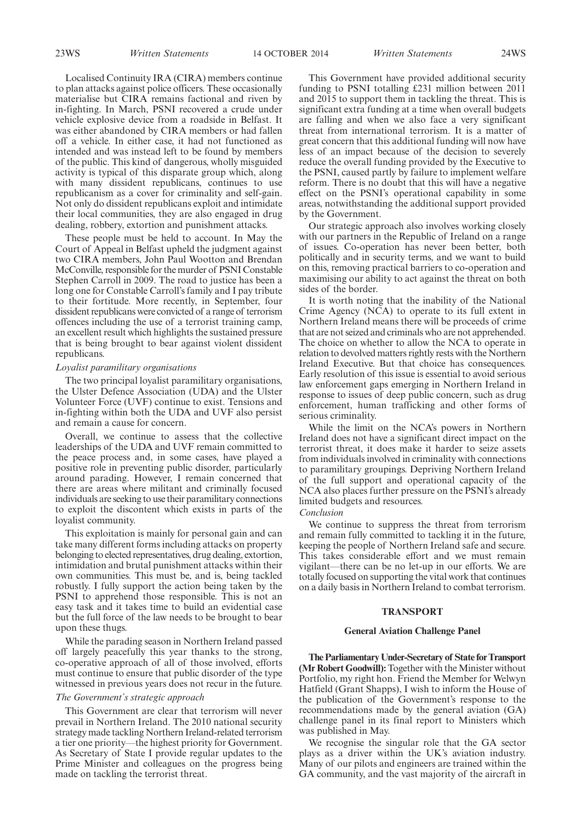Localised Continuity IRA (CIRA) members continue to plan attacks against police officers. These occasionally materialise but CIRA remains factional and riven by in-fighting. In March, PSNI recovered a crude under vehicle explosive device from a roadside in Belfast. It was either abandoned by CIRA members or had fallen off a vehicle. In either case, it had not functioned as intended and was instead left to be found by members of the public. This kind of dangerous, wholly misguided activity is typical of this disparate group which, along with many dissident republicans, continues to use republicanism as a cover for criminality and self-gain. Not only do dissident republicans exploit and intimidate their local communities, they are also engaged in drug dealing, robbery, extortion and punishment attacks.

These people must be held to account. In May the Court of Appeal in Belfast upheld the judgment against two CIRA members, John Paul Wootton and Brendan McConville, responsible for the murder of PSNI Constable Stephen Carroll in 2009. The road to justice has been a long one for Constable Carroll's family and I pay tribute to their fortitude. More recently, in September, four dissident republicans were convicted of a range of terrorism offences including the use of a terrorist training camp, an excellent result which highlights the sustained pressure that is being brought to bear against violent dissident republicans.

### *Loyalist paramilitary organisations*

The two principal loyalist paramilitary organisations, the Ulster Defence Association (UDA) and the Ulster Volunteer Force (UVF) continue to exist. Tensions and in-fighting within both the UDA and UVF also persist and remain a cause for concern.

Overall, we continue to assess that the collective leaderships of the UDA and UVF remain committed to the peace process and, in some cases, have played a positive role in preventing public disorder, particularly around parading. However, I remain concerned that there are areas where militant and criminally focused individuals are seeking to use their paramilitary connections to exploit the discontent which exists in parts of the loyalist community.

This exploitation is mainly for personal gain and can take many different forms including attacks on property belonging to elected representatives, drug dealing, extortion, intimidation and brutal punishment attacks within their own communities. This must be, and is, being tackled robustly. I fully support the action being taken by the PSNI to apprehend those responsible. This is not an easy task and it takes time to build an evidential case but the full force of the law needs to be brought to bear upon these thugs.

While the parading season in Northern Ireland passed off largely peacefully this year thanks to the strong, co-operative approach of all of those involved, efforts must continue to ensure that public disorder of the type witnessed in previous years does not recur in the future.

#### *The Government's strategic approach*

This Government are clear that terrorism will never prevail in Northern Ireland. The 2010 national security strategy made tackling Northern Ireland-related terrorism a tier one priority—the highest priority for Government. As Secretary of State I provide regular updates to the Prime Minister and colleagues on the progress being made on tackling the terrorist threat.

This Government have provided additional security funding to PSNI totalling £231 million between 2011 and 2015 to support them in tackling the threat. This is significant extra funding at a time when overall budgets are falling and when we also face a very significant threat from international terrorism. It is a matter of great concern that this additional funding will now have less of an impact because of the decision to severely reduce the overall funding provided by the Executive to the PSNI, caused partly by failure to implement welfare reform. There is no doubt that this will have a negative effect on the PSNI's operational capability in some areas, notwithstanding the additional support provided by the Government.

Our strategic approach also involves working closely with our partners in the Republic of Ireland on a range of issues. Co-operation has never been better, both politically and in security terms, and we want to build on this, removing practical barriers to co-operation and maximising our ability to act against the threat on both sides of the border.

It is worth noting that the inability of the National Crime Agency (NCA) to operate to its full extent in Northern Ireland means there will be proceeds of crime that are not seized and criminals who are not apprehended. The choice on whether to allow the NCA to operate in relation to devolved matters rightly rests with the Northern Ireland Executive. But that choice has consequences. Early resolution of this issue is essential to avoid serious law enforcement gaps emerging in Northern Ireland in response to issues of deep public concern, such as drug enforcement, human trafficking and other forms of serious criminality.

While the limit on the NCA's powers in Northern Ireland does not have a significant direct impact on the terrorist threat, it does make it harder to seize assets from individuals involved in criminality with connections to paramilitary groupings. Depriving Northern Ireland of the full support and operational capacity of the NCA also places further pressure on the PSNI's already limited budgets and resources.

*Conclusion*

We continue to suppress the threat from terrorism and remain fully committed to tackling it in the future, keeping the people of Northern Ireland safe and secure. This takes considerable effort and we must remain vigilant—there can be no let-up in our efforts. We are totally focused on supporting the vital work that continues on a daily basis in Northern Ireland to combat terrorism.

### **TRANSPORT**

#### **General Aviation Challenge Panel**

**The Parliamentary Under-Secretary of State for Transport (Mr Robert Goodwill):** Together with the Minister without Portfolio, my right hon. Friend the Member for Welwyn Hatfield (Grant Shapps), I wish to inform the House of the publication of the Government's response to the recommendations made by the general aviation (GA) challenge panel in its final report to Ministers which was published in May.

We recognise the singular role that the GA sector plays as a driver within the UK's aviation industry. Many of our pilots and engineers are trained within the GA community, and the vast majority of the aircraft in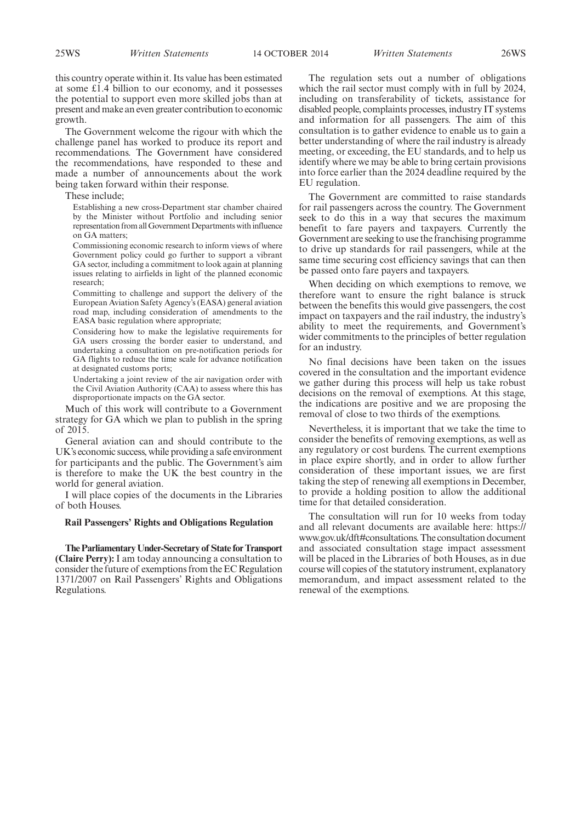25WS *Written Statements Written Statements* 14 OCTOBER 2014 26WS

this country operate within it. Its value has been estimated at some £1.4 billion to our economy, and it possesses the potential to support even more skilled jobs than at present and make an even greater contribution to economic growth.

The Government welcome the rigour with which the challenge panel has worked to produce its report and recommendations. The Government have considered the recommendations, have responded to these and made a number of announcements about the work being taken forward within their response.

These include;

Establishing a new cross-Department star chamber chaired by the Minister without Portfolio and including senior representation from all Government Departments with influence on GA matters;

Commissioning economic research to inform views of where Government policy could go further to support a vibrant GA sector, including a commitment to look again at planning issues relating to airfields in light of the planned economic research;

Committing to challenge and support the delivery of the European Aviation Safety Agency's (EASA) general aviation road map, including consideration of amendments to the EASA basic regulation where appropriate;

Considering how to make the legislative requirements for GA users crossing the border easier to understand, and undertaking a consultation on pre-notification periods for GA flights to reduce the time scale for advance notification at designated customs ports;

Undertaking a joint review of the air navigation order with the Civil Aviation Authority (CAA) to assess where this has disproportionate impacts on the GA sector.

Much of this work will contribute to a Government strategy for GA which we plan to publish in the spring of 2015.

General aviation can and should contribute to the UK's economic success, while providing a safe environment for participants and the public. The Government's aim is therefore to make the UK the best country in the world for general aviation.

I will place copies of the documents in the Libraries of both Houses.

#### **Rail Passengers' Rights and Obligations Regulation**

**The Parliamentary Under-Secretary of State for Transport (Claire Perry):** I am today announcing a consultation to consider the future of exemptions from the EC Regulation 1371/2007 on Rail Passengers' Rights and Obligations Regulations.

The regulation sets out a number of obligations which the rail sector must comply with in full by 2024, including on transferability of tickets, assistance for disabled people, complaints processes, industry IT systems and information for all passengers. The aim of this consultation is to gather evidence to enable us to gain a better understanding of where the rail industry is already meeting, or exceeding, the EU standards, and to help us identify where we may be able to bring certain provisions into force earlier than the 2024 deadline required by the EU regulation.

The Government are committed to raise standards for rail passengers across the country. The Government seek to do this in a way that secures the maximum benefit to fare payers and taxpayers. Currently the Government are seeking to use the franchising programme to drive up standards for rail passengers, while at the same time securing cost efficiency savings that can then be passed onto fare payers and taxpayers.

When deciding on which exemptions to remove, we therefore want to ensure the right balance is struck between the benefits this would give passengers, the cost impact on taxpayers and the rail industry, the industry's ability to meet the requirements, and Government's wider commitments to the principles of better regulation for an industry.

No final decisions have been taken on the issues covered in the consultation and the important evidence we gather during this process will help us take robust decisions on the removal of exemptions. At this stage, the indications are positive and we are proposing the removal of close to two thirds of the exemptions.

Nevertheless, it is important that we take the time to consider the benefits of removing exemptions, as well as any regulatory or cost burdens. The current exemptions in place expire shortly, and in order to allow further consideration of these important issues, we are first taking the step of renewing all exemptions in December, to provide a holding position to allow the additional time for that detailed consideration.

The consultation will run for 10 weeks from today and all relevant documents are available here: https:// www.gov.uk/dft#consultations. The consultation document and associated consultation stage impact assessment will be placed in the Libraries of both Houses, as in due course will copies of the statutory instrument, explanatory memorandum, and impact assessment related to the renewal of the exemptions.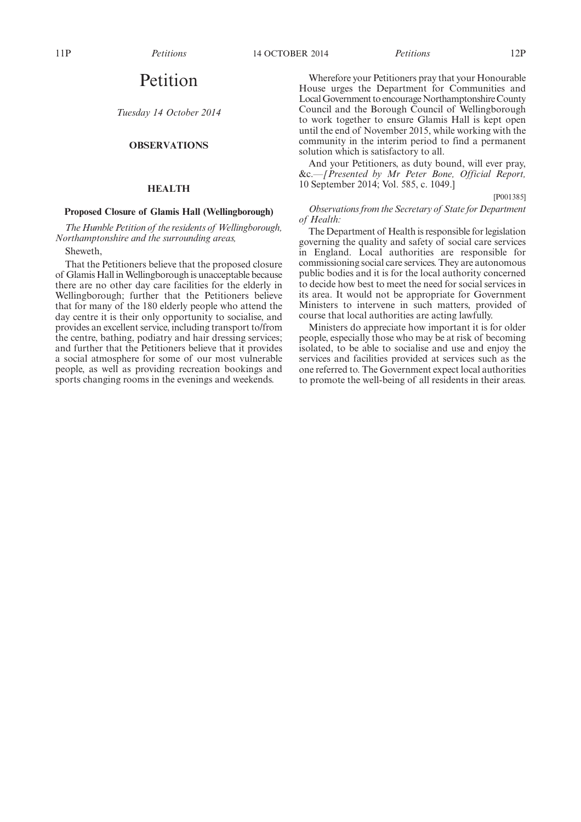## Petition

*Tuesday 14 October 2014*

## **OBSERVATIONS**

### **HEALTH**

## **Proposed Closure of Glamis Hall (Wellingborough)**

*The Humble Petition of the residents of Wellingborough, Northamptonshire and the surrounding areas,*

Sheweth,

That the Petitioners believe that the proposed closure of Glamis Hall inWellingborough is unacceptable because there are no other day care facilities for the elderly in Wellingborough; further that the Petitioners believe that for many of the 180 elderly people who attend the day centre it is their only opportunity to socialise, and provides an excellent service, including transport to/from the centre, bathing, podiatry and hair dressing services; and further that the Petitioners believe that it provides a social atmosphere for some of our most vulnerable people, as well as providing recreation bookings and sports changing rooms in the evenings and weekends.

Wherefore your Petitioners pray that your Honourable House urges the Department for Communities and Local Government to encourage Northamptonshire County Council and the Borough Council of Wellingborough to work together to ensure Glamis Hall is kept open until the end of November 2015, while working with the community in the interim period to find a permanent solution which is satisfactory to all.

And your Petitioners, as duty bound, will ever pray, &c.*—[Presented by Mr Peter Bone, Official Report,* 10 September 2014; Vol. 585, c. 1049.]

[P001385]

## *Observations from the Secretary of State for Department of Health:*

The Department of Health is responsible for legislation governing the quality and safety of social care services in England. Local authorities are responsible for commissioning social care services. They are autonomous public bodies and it is for the local authority concerned to decide how best to meet the need for social services in its area. It would not be appropriate for Government Ministers to intervene in such matters, provided of course that local authorities are acting lawfully.

Ministers do appreciate how important it is for older people, especially those who may be at risk of becoming isolated, to be able to socialise and use and enjoy the services and facilities provided at services such as the one referred to. The Government expect local authorities to promote the well-being of all residents in their areas.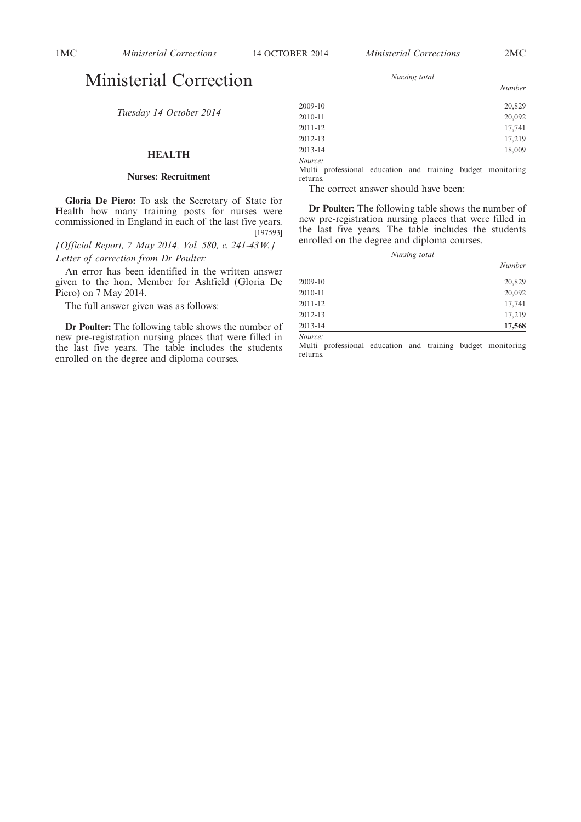## Ministerial Correction

*Tuesday 14 October 2014*

## **HEALTH**

## **Nurses: Recruitment**

**Gloria De Piero:** To ask the Secretary of State for Health how many training posts for nurses were commissioned in England in each of the last five years. [197593]

*[Official Report, 7 May 2014, Vol. 580, c. 241-43W.] Letter of correction from Dr Poulter:*

An error has been identified in the written answer given to the hon. Member for Ashfield (Gloria De Piero) on 7 May 2014.

The full answer given was as follows:

**Dr Poulter:** The following table shows the number of new pre-registration nursing places that were filled in the last five years. The table includes the students enrolled on the degree and diploma courses.

*Nursing total*

|                       | Number |
|-----------------------|--------|
| 2009-10               | 20,829 |
| 2010-11               | 20,092 |
| 2011-12               | 17,741 |
| 2012-13               | 17,219 |
| 2013-14               | 18,009 |
| $\alpha$ and $\alpha$ |        |

*Source:*

Multi professional education and training budget monitoring returns.

The correct answer should have been:

**Dr Poulter:** The following table shows the number of new pre-registration nursing places that were filled in the last five years. The table includes the students enrolled on the degree and diploma courses.

*Nursing total*

|         | Number |
|---------|--------|
| 2009-10 | 20,829 |
| 2010-11 | 20,092 |
| 2011-12 | 17,741 |
| 2012-13 | 17,219 |
| 2013-14 | 17,568 |

*Source:*

Multi professional education and training budget monitoring returns.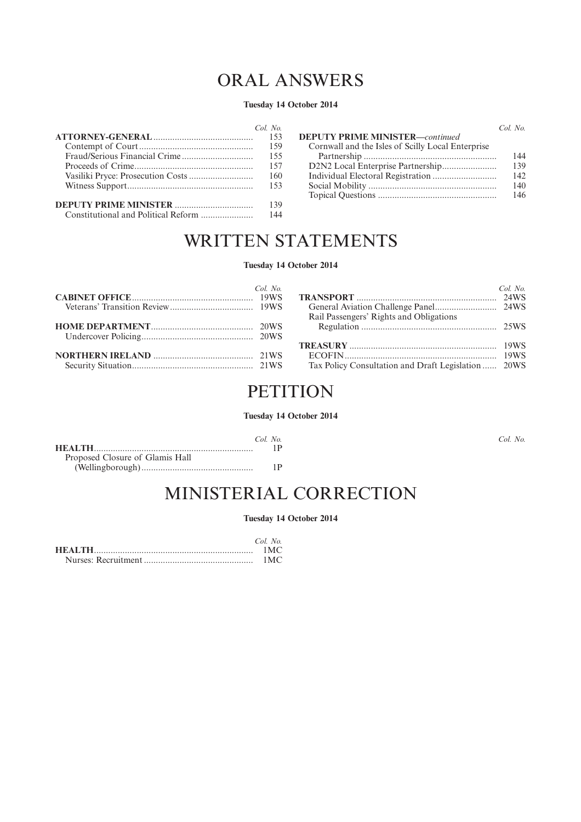# ORAL ANSWERS

## **Tuesday 14 October 2014**

| $Col$ No |                                                   | Col. No. |
|----------|---------------------------------------------------|----------|
| -153     | <b>DEPUTY PRIME MINISTER—continued</b>            |          |
| 159      | Cornwall and the Isles of Scilly Local Enterprise |          |
| 155      |                                                   | 144      |
| 157      |                                                   | 139      |
| 160      |                                                   | 142      |
| 153      |                                                   | 140      |
|          |                                                   | 146      |
| 139      |                                                   |          |
| 144      |                                                   |          |

# WRITTEN STATEMENTS

## **Tuesday 14 October 2014**

| $Col$ No |                                                     | Col. No. |
|----------|-----------------------------------------------------|----------|
|          |                                                     |          |
|          |                                                     |          |
|          | Rail Passengers' Rights and Obligations             |          |
|          |                                                     |          |
|          |                                                     |          |
|          |                                                     |          |
|          |                                                     |          |
|          | Tax Policy Consultation and Draft Legislation  20WS |          |

## **PETITION**

## **Tuesday 14 October 2014**

*Col. No.*

|                                 | Col No |
|---------------------------------|--------|
|                                 |        |
| Proposed Closure of Glamis Hall |        |
|                                 | 1 P    |

# MINISTERIAL CORRECTION

## **Tuesday 14 October 2014**

| Col No |
|--------|
| 1MC    |
| 1MC    |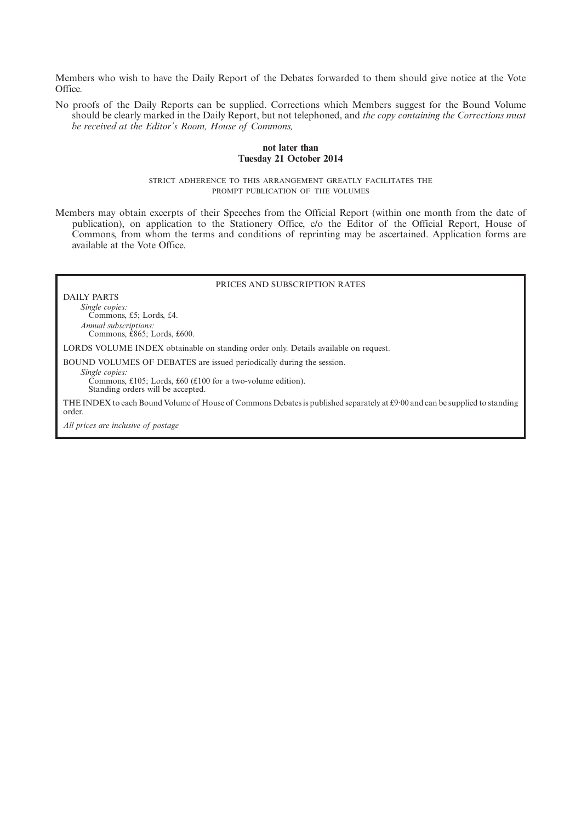Members who wish to have the Daily Report of the Debates forwarded to them should give notice at the Vote Office.

No proofs of the Daily Reports can be supplied. Corrections which Members suggest for the Bound Volume should be clearly marked in the Daily Report, but not telephoned, and *the copy containing the Corrections must be received at the Editor's Room, House of Commons,*

## **not later than Tuesday 21 October 2014**

STRICT ADHERENCE TO THIS ARRANGEMENT GREATLY FACILITATES THE PROMPT PUBLICATION OF THE VOLUMES

Members may obtain excerpts of their Speeches from the Official Report (within one month from the date of publication), on application to the Stationery Office, c/o the Editor of the Official Report, House of Commons, from whom the terms and conditions of reprinting may be ascertained. Application forms are available at the Vote Office.

## PRICES AND SUBSCRIPTION RATES

DAILY PARTS

*Single copies:* Commons, £5; Lords, £4. *Annual subscriptions:* Commons, £865; Lords, £600.

LORDS VOLUME INDEX obtainable on standing order only. Details available on request.

BOUND VOLUMES OF DEBATES are issued periodically during the session.

*Single copies:*

Commons, £105; Lords, £60 (£100 for a two-volume edition). Standing orders will be accepted.

THE INDEX to each Bound Volume of House of Commons Debates is published separately at £9·00 and can be supplied to standing order.

*All prices are inclusive of postage*